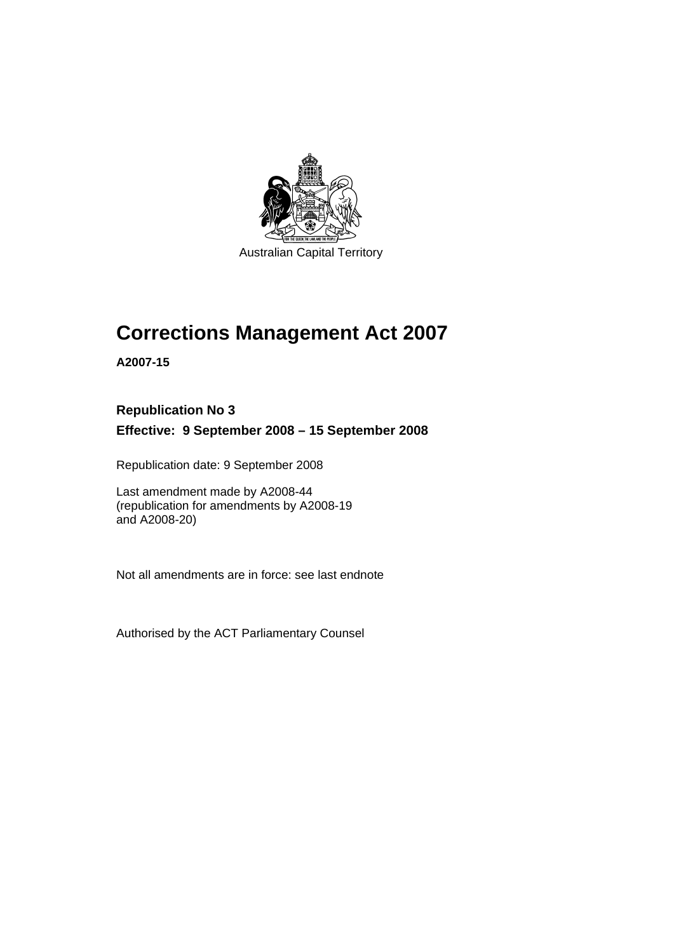

# **[Corrections Management Act 2007](#page-14-0)**

**A2007-15** 

### **Republication No 3**

**Effective: 9 September 2008 – 15 September 2008** 

Republication date: 9 September 2008

Last amendment made by A2008-44 (republication for amendments by A2008-19 and A2008-20)

Not all amendments are in force: see last endnote

Authorised by the ACT Parliamentary Counsel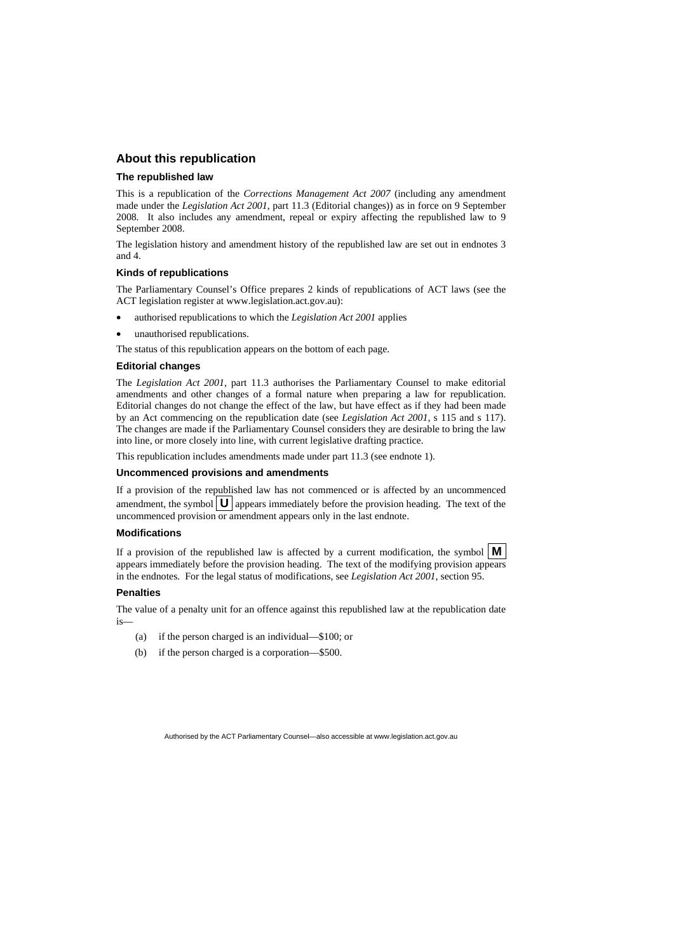#### **About this republication**

#### **The republished law**

This is a republication of the *Corrections Management Act 2007* (including any amendment made under the *Legislation Act 2001*, part 11.3 (Editorial changes)) as in force on 9 September 2008*.* It also includes any amendment, repeal or expiry affecting the republished law to 9 September 2008.

The legislation history and amendment history of the republished law are set out in endnotes 3 and 4.

#### **Kinds of republications**

The Parliamentary Counsel's Office prepares 2 kinds of republications of ACT laws (see the ACT legislation register at www.legislation.act.gov.au):

- authorised republications to which the *Legislation Act 2001* applies
- unauthorised republications.

The status of this republication appears on the bottom of each page.

#### **Editorial changes**

The *Legislation Act 2001*, part 11.3 authorises the Parliamentary Counsel to make editorial amendments and other changes of a formal nature when preparing a law for republication. Editorial changes do not change the effect of the law, but have effect as if they had been made by an Act commencing on the republication date (see *Legislation Act 2001*, s 115 and s 117). The changes are made if the Parliamentary Counsel considers they are desirable to bring the law into line, or more closely into line, with current legislative drafting practice.

This republication includes amendments made under part 11.3 (see endnote 1).

#### **Uncommenced provisions and amendments**

If a provision of the republished law has not commenced or is affected by an uncommenced amendment, the symbol  $\bigcup$  appears immediately before the provision heading. The text of the uncommenced provision or amendment appears only in the last endnote.

#### **Modifications**

If a provision of the republished law is affected by a current modification, the symbol  $\mathbf{M}$ appears immediately before the provision heading. The text of the modifying provision appears in the endnotes. For the legal status of modifications, see *Legislation Act 2001*, section 95.

#### **Penalties**

The value of a penalty unit for an offence against this republished law at the republication date is—

- (a) if the person charged is an individual—\$100; or
- (b) if the person charged is a corporation—\$500.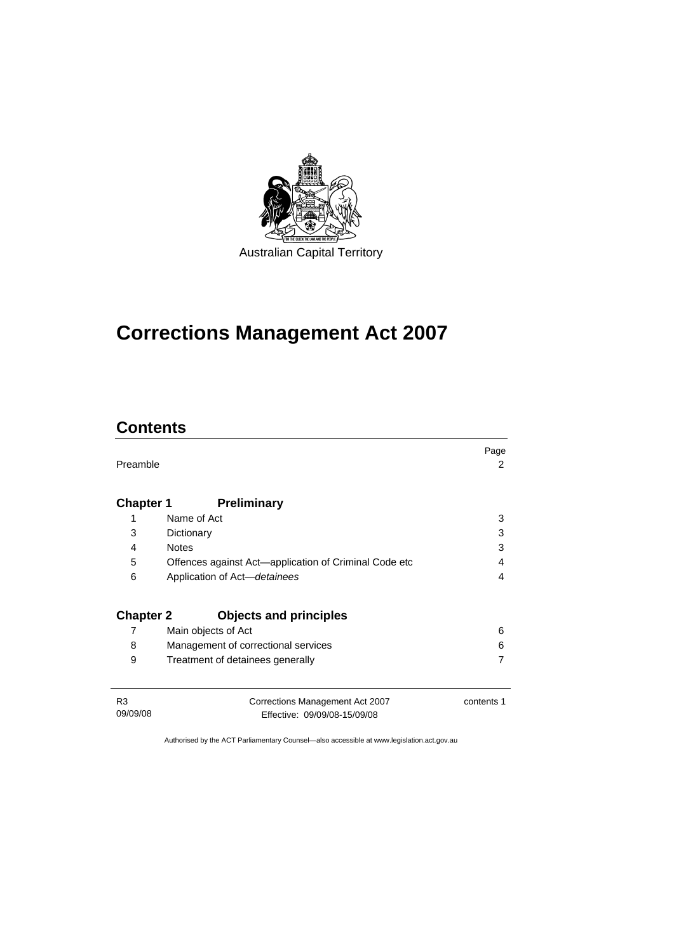

# **[Corrections Management Act 2007](#page-14-0)**

# **Contents**

| Preamble                   |                                                                 | Page<br>2  |
|----------------------------|-----------------------------------------------------------------|------------|
| <b>Chapter 1</b>           | <b>Preliminary</b>                                              |            |
| 1                          | Name of Act                                                     | 3          |
| 3                          | Dictionary                                                      | 3          |
| 4                          | <b>Notes</b>                                                    | 3          |
| 5                          | Offences against Act—application of Criminal Code etc           | 4          |
| 6                          | Application of Act-detainees                                    | 4          |
| <b>Chapter 2</b>           | <b>Objects and principles</b>                                   |            |
| 7                          | Main objects of Act                                             | 6          |
| 8                          | Management of correctional services                             | 6          |
| 9                          | Treatment of detainees generally                                | 7          |
| R <sub>3</sub><br>09/09/08 | Corrections Management Act 2007<br>Fffective: 09/09/08-15/09/08 | contents 1 |

Effective: 09/09/08-15/09/08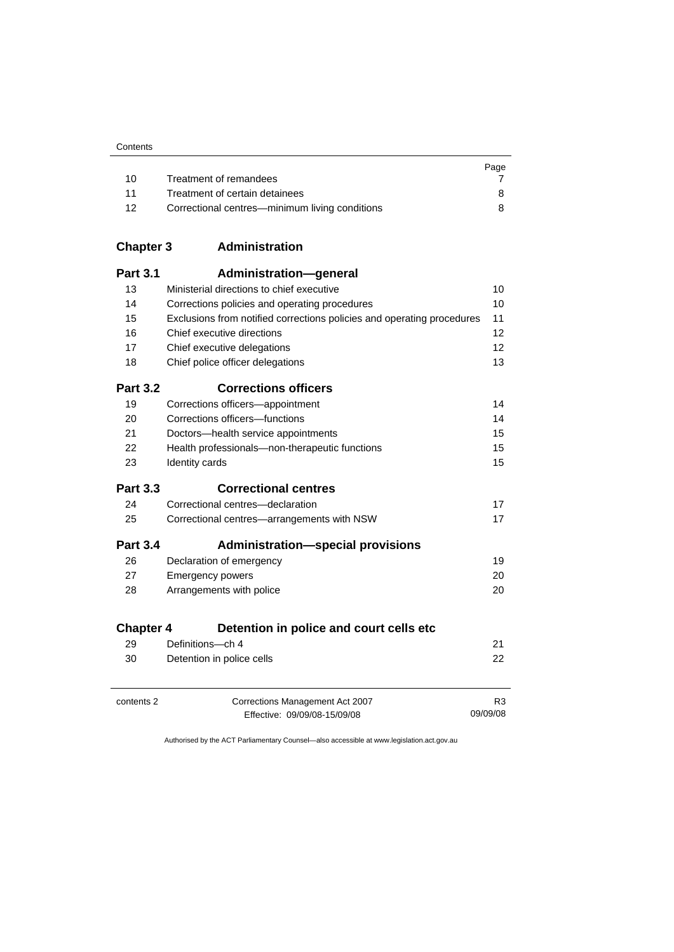| Contents |
|----------|
|----------|

|    |                                                | Page |
|----|------------------------------------------------|------|
| 10 | Treatment of remandees                         |      |
| 11 | Treatment of certain detainees                 |      |
| 12 | Correctional centres—minimum living conditions |      |

| <b>Chapter 3</b> | Administration |
|------------------|----------------|
|------------------|----------------|

| <b>Part 3.1</b>  | Administration-general                                                 |                |
|------------------|------------------------------------------------------------------------|----------------|
| 13               | Ministerial directions to chief executive                              | 10             |
| 14               | Corrections policies and operating procedures                          | 10             |
| 15               | Exclusions from notified corrections policies and operating procedures | 11             |
| 16               | Chief executive directions                                             | 12             |
| 17               | Chief executive delegations                                            | 12             |
| 18               | Chief police officer delegations                                       | 13             |
| <b>Part 3.2</b>  | <b>Corrections officers</b>                                            |                |
| 19               | Corrections officers-appointment                                       | 14             |
| 20               | Corrections officers-functions                                         | 14             |
| 21               | Doctors-health service appointments                                    | 15             |
| 22               | Health professionals-non-therapeutic functions                         | 15             |
| 23               | Identity cards                                                         | 15             |
| <b>Part 3.3</b>  | <b>Correctional centres</b>                                            |                |
| 24               | Correctional centres-declaration                                       | 17             |
| 25               | Correctional centres-arrangements with NSW                             | 17             |
| <b>Part 3.4</b>  | <b>Administration-special provisions</b>                               |                |
| 26               | Declaration of emergency                                               | 19             |
| 27               | <b>Emergency powers</b>                                                | 20             |
| 28               | Arrangements with police                                               | 20             |
| <b>Chapter 4</b> | Detention in police and court cells etc                                |                |
| 29               | Definitions-ch 4                                                       | 21             |
| 30               | Detention in police cells                                              | 22             |
| contents 2       | Corrections Management Act 2007                                        | R <sub>3</sub> |
|                  | Effective: 09/09/08-15/09/08                                           | 09/09/08       |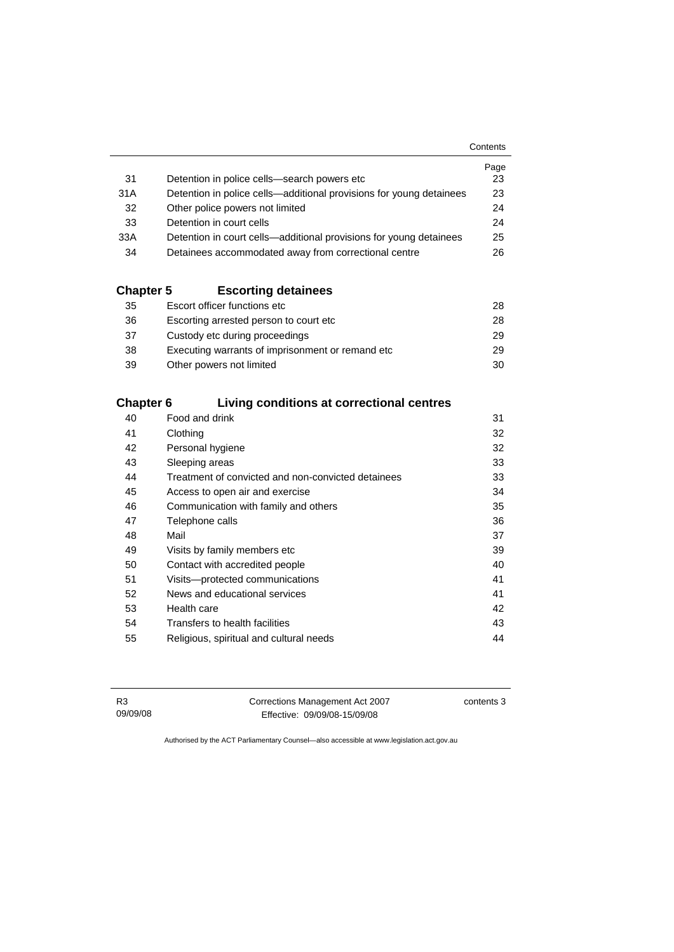|                  |                                                                     | Contents |
|------------------|---------------------------------------------------------------------|----------|
|                  |                                                                     | Page     |
| 31               | Detention in police cells—search powers etc                         | 23       |
| 31A              | Detention in police cells—additional provisions for young detainees | 23       |
| 32               | Other police powers not limited                                     | 24       |
| 33               | Detention in court cells                                            | 24       |
| 33A              | Detention in court cells—additional provisions for young detainees  | 25       |
| 34               | Detainees accommodated away from correctional centre                | 26       |
|                  |                                                                     |          |
| <b>Chapter 5</b> | <b>Escorting detainees</b>                                          |          |
| 35               | Escort officer functions etc                                        | 28       |
| 36.              | Escorting arrested person to court etc.                             | 28       |

| 36 | Escorting arrested person to court etc.           | 28 |
|----|---------------------------------------------------|----|
| 37 | Custody etc during proceedings                    | 29 |
| 38 | Executing warrants of imprisonment or remand etc. | 29 |
| 39 | Other powers not limited                          | 30 |

### **Chapter 6 Living conditions at correctional centres**

| 40 | Food and drink                                     | 31 |
|----|----------------------------------------------------|----|
| 41 | Clothing                                           | 32 |
| 42 | Personal hygiene                                   | 32 |
| 43 | Sleeping areas                                     | 33 |
| 44 | Treatment of convicted and non-convicted detainees | 33 |
| 45 | Access to open air and exercise                    | 34 |
| 46 | Communication with family and others               | 35 |
| 47 | Telephone calls                                    | 36 |
| 48 | Mail                                               | 37 |
| 49 | Visits by family members etc                       | 39 |
| 50 | Contact with accredited people                     | 40 |
| 51 | Visits---protected communications                  | 41 |
| 52 | News and educational services                      | 41 |
| 53 | Health care                                        | 42 |
| 54 | Transfers to health facilities                     | 43 |
| 55 | Religious, spiritual and cultural needs            | 44 |
|    |                                                    |    |

R3 09/09/08 Corrections Management Act 2007 Effective: 09/09/08-15/09/08

contents 3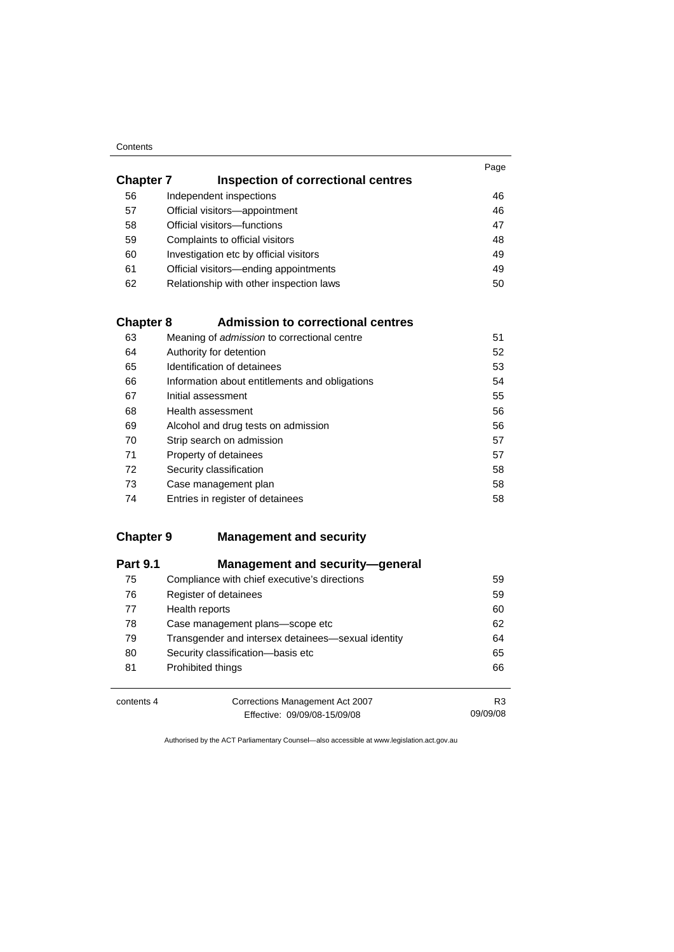#### **Contents**

| <b>Chapter 7</b><br>Inspection of correctional centres | Page |
|--------------------------------------------------------|------|
| Independent inspections                                | 46   |
| Official visitors-appointment                          | 46   |
| Official visitors-functions                            | 47   |
| Complaints to official visitors                        | 48   |
| Investigation etc by official visitors                 | 49   |
| Official visitors—ending appointments                  | 49   |
| Relationship with other inspection laws                | 50   |
|                                                        |      |

### **Chapter 8 Admission to correctional centres**

| 63 | Meaning of <i>admission</i> to correctional centre | 51 |
|----|----------------------------------------------------|----|
| 64 | Authority for detention                            | 52 |
| 65 | Identification of detainees                        | 53 |
| 66 | Information about entitlements and obligations     | 54 |
| 67 | Initial assessment                                 | 55 |
| 68 | Health assessment                                  | 56 |
| 69 | Alcohol and drug tests on admission                | 56 |
| 70 | Strip search on admission                          | 57 |
| 71 | Property of detainees                              | 57 |
| 72 | Security classification                            | 58 |
| 73 | Case management plan                               | 58 |
| 74 | Entries in register of detainees                   | 58 |

### **Chapter 9 Management and security**

| <b>Part 9.1</b> | Management and security-general                    |                |
|-----------------|----------------------------------------------------|----------------|
| 75              | Compliance with chief executive's directions       | 59             |
| 76              | Register of detainees                              | 59             |
| 77              | Health reports                                     | 60             |
| 78              | Case management plans-scope etc                    | 62             |
| 79              | Transgender and intersex detainees—sexual identity | 64             |
| 80              | Security classification-basis etc                  | 65             |
| 81              | Prohibited things                                  | 66             |
|                 |                                                    |                |
| contents 4      | Corrections Management Act 2007                    | R <sub>3</sub> |
|                 | Effective: 09/09/08-15/09/08                       | 09/09/08       |

Authorised by the ACT Parliamentary Counsel—also accessible at www.legislation.act.gov.au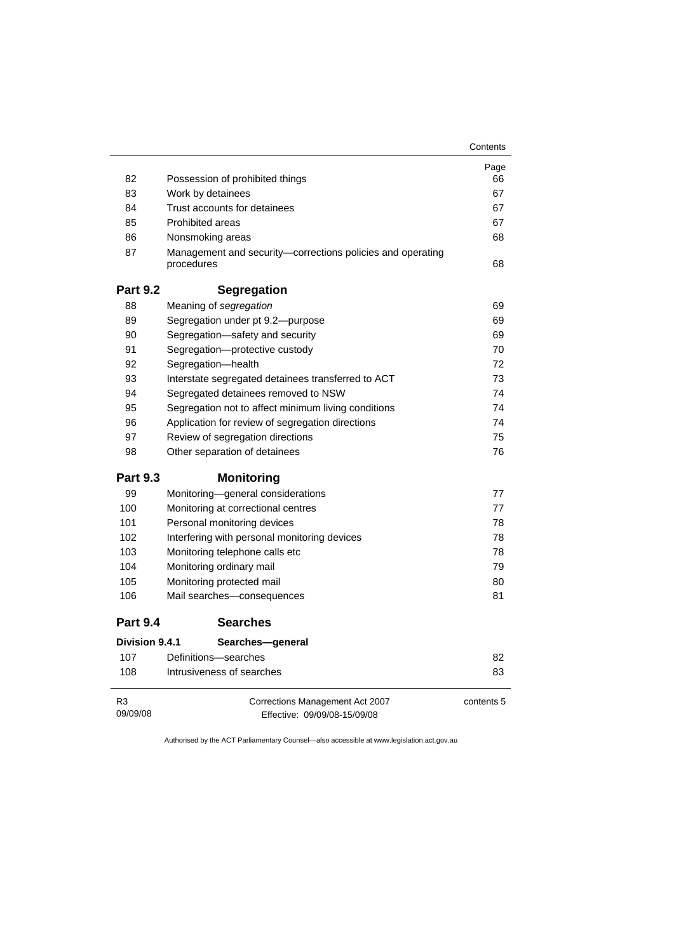|                            |                                                                          | Contents   |
|----------------------------|--------------------------------------------------------------------------|------------|
|                            |                                                                          | Page       |
| 82                         | Possession of prohibited things                                          | 66         |
| 83                         | Work by detainees                                                        | 67         |
| 84                         | Trust accounts for detainees                                             | 67         |
| 85                         | Prohibited areas                                                         | 67         |
| 86                         | Nonsmoking areas                                                         | 68         |
| 87                         | Management and security-corrections policies and operating<br>procedures | 68         |
| <b>Part 9.2</b>            | <b>Segregation</b>                                                       |            |
| 88                         | Meaning of segregation                                                   | 69         |
| 89                         | Segregation under pt 9.2-purpose                                         | 69         |
| 90                         | Segregation-safety and security                                          | 69         |
| 91                         | Segregation-protective custody                                           | 70         |
| 92                         | Segregation-health                                                       | 72         |
| 93                         | Interstate segregated detainees transferred to ACT                       | 73         |
| 94                         | Segregated detainees removed to NSW                                      | 74         |
| 95                         | Segregation not to affect minimum living conditions                      | 74         |
| 96                         | Application for review of segregation directions                         | 74         |
| 97                         | Review of segregation directions                                         | 75         |
| 98                         | Other separation of detainees                                            | 76         |
| <b>Part 9.3</b>            | <b>Monitoring</b>                                                        |            |
| 99                         | Monitoring-general considerations                                        | 77         |
| 100                        | Monitoring at correctional centres                                       | 77         |
| 101                        | Personal monitoring devices                                              | 78         |
| 102                        | Interfering with personal monitoring devices                             | 78         |
| 103                        | Monitoring telephone calls etc                                           | 78         |
| 104                        | Monitoring ordinary mail                                                 | 79         |
| 105                        | Monitoring protected mail                                                | 80         |
| 106                        | Mail searches-consequences                                               | 81         |
| <b>Part 9.4</b>            | <b>Searches</b>                                                          |            |
| Division 9.4.1             | Searches-general                                                         |            |
| 107                        | Definitions-searches                                                     | 82         |
| 108                        | Intrusiveness of searches                                                | 83         |
| R <sub>3</sub><br>09/09/08 | Corrections Management Act 2007<br>Effective: 09/09/08-15/09/08          | contents 5 |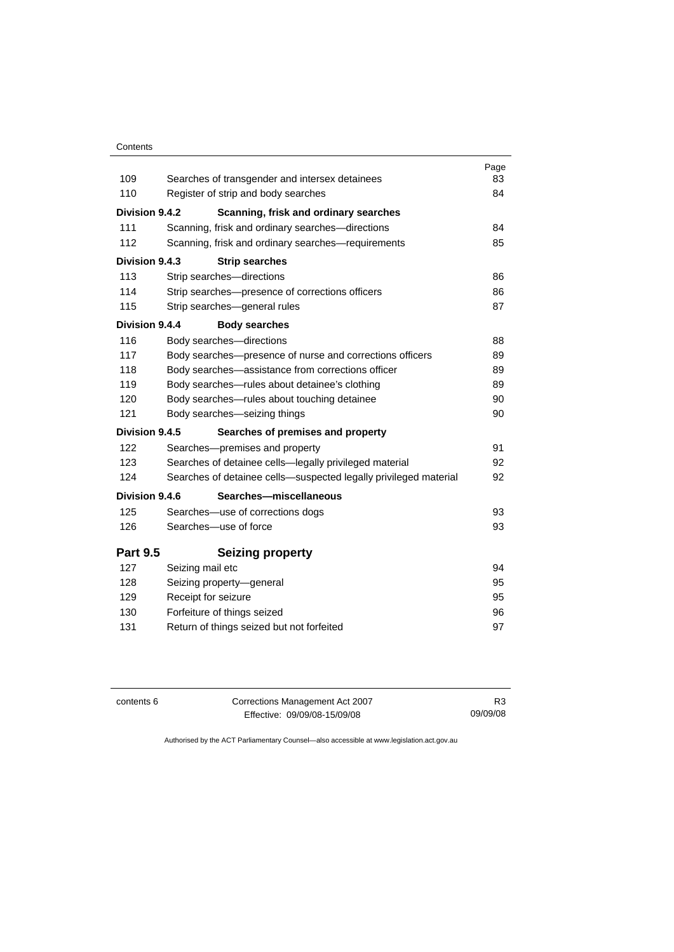#### **Contents**

|                 |                                                                  | Page |
|-----------------|------------------------------------------------------------------|------|
| 109             | Searches of transgender and intersex detainees                   | 83   |
| 110             | Register of strip and body searches                              | 84   |
| Division 9.4.2  | Scanning, frisk and ordinary searches                            |      |
| 111             | Scanning, frisk and ordinary searches—directions                 | 84   |
| 112             | Scanning, frisk and ordinary searches-requirements               | 85   |
| Division 9.4.3  | <b>Strip searches</b>                                            |      |
| 113             | Strip searches-directions                                        | 86   |
| 114             | Strip searches-presence of corrections officers                  | 86   |
| 115             | Strip searches-general rules                                     | 87   |
| Division 9.4.4  | <b>Body searches</b>                                             |      |
| 116             | Body searches-directions                                         | 88   |
| 117             | Body searches-presence of nurse and corrections officers         | 89   |
| 118             | Body searches—assistance from corrections officer                | 89   |
| 119             | Body searches-rules about detainee's clothing                    | 89   |
| 120             | Body searches-rules about touching detainee                      | 90   |
| 121             | Body searches-seizing things                                     | 90   |
| Division 9.4.5  | Searches of premises and property                                |      |
| 122             | Searches-premises and property                                   | 91   |
| 123             | Searches of detainee cells—legally privileged material           | 92   |
| 124             | Searches of detainee cells—suspected legally privileged material | 92   |
| Division 9.4.6  | Searches-miscellaneous                                           |      |
| 125             | Searches—use of corrections dogs                                 | 93   |
| 126             | Searches-use of force                                            | 93   |
| <b>Part 9.5</b> | <b>Seizing property</b>                                          |      |
| 127             | Seizing mail etc                                                 | 94   |
| 128             | Seizing property-general                                         | 95   |
| 129             | Receipt for seizure                                              | 95   |
| 130             | Forfeiture of things seized                                      | 96   |
| 131             | Return of things seized but not forfeited                        | 97   |
|                 |                                                                  |      |

| contents 6 | Corrections Management Act 2007 | R <sub>3</sub> |
|------------|---------------------------------|----------------|
|            | Effective: 09/09/08-15/09/08    | 09/09/08       |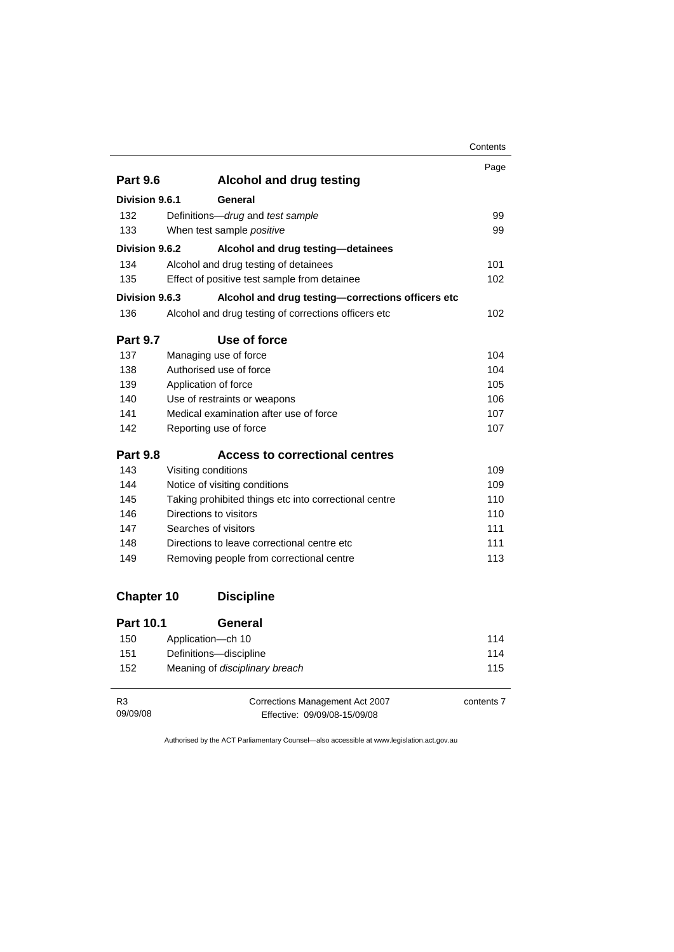|                   |                                                       | Contents |
|-------------------|-------------------------------------------------------|----------|
|                   |                                                       | Page     |
| <b>Part 9.6</b>   | <b>Alcohol and drug testing</b>                       |          |
| Division 9.6.1    | General                                               |          |
| 132               | Definitions-drug and test sample                      | 99       |
| 133               | When test sample positive                             | 99       |
| Division 9.6.2    | Alcohol and drug testing-detainees                    |          |
| 134               | Alcohol and drug testing of detainees                 | 101      |
| 135               | Effect of positive test sample from detainee          | 102      |
| Division 9.6.3    | Alcohol and drug testing-corrections officers etc     |          |
| 136               | Alcohol and drug testing of corrections officers etc  | 102      |
| <b>Part 9.7</b>   | Use of force                                          |          |
| 137               | Managing use of force                                 | 104      |
| 138               | Authorised use of force                               | 104      |
| 139               | Application of force                                  | 105      |
| 140               | Use of restraints or weapons                          | 106      |
| 141               | Medical examination after use of force                | 107      |
| 142               | Reporting use of force                                | 107      |
| <b>Part 9.8</b>   | <b>Access to correctional centres</b>                 |          |
| 143               | Visiting conditions                                   | 109      |
| 144               | Notice of visiting conditions                         | 109      |
| 145               | Taking prohibited things etc into correctional centre | 110      |
| 146               | Directions to visitors                                | 110      |
| 147               | Searches of visitors                                  | 111      |
| 148               | Directions to leave correctional centre etc           | 111      |
| 149               | Removing people from correctional centre              | 113      |
| <b>Chapter 10</b> | <b>Discipline</b>                                     |          |
| <b>Part 10.1</b>  | General                                               |          |
|                   | Annlication of 10                                     | 444      |

| 150 | Application—ch 10                     | 114 |
|-----|---------------------------------------|-----|
| 151 | Definitions-discipline                | 114 |
| 152 | Meaning of <i>disciplinary breach</i> | 115 |

| R3       | Corrections Management Act 2007 | contents 7 |
|----------|---------------------------------|------------|
| 09/09/08 | Effective: 09/09/08-15/09/08    |            |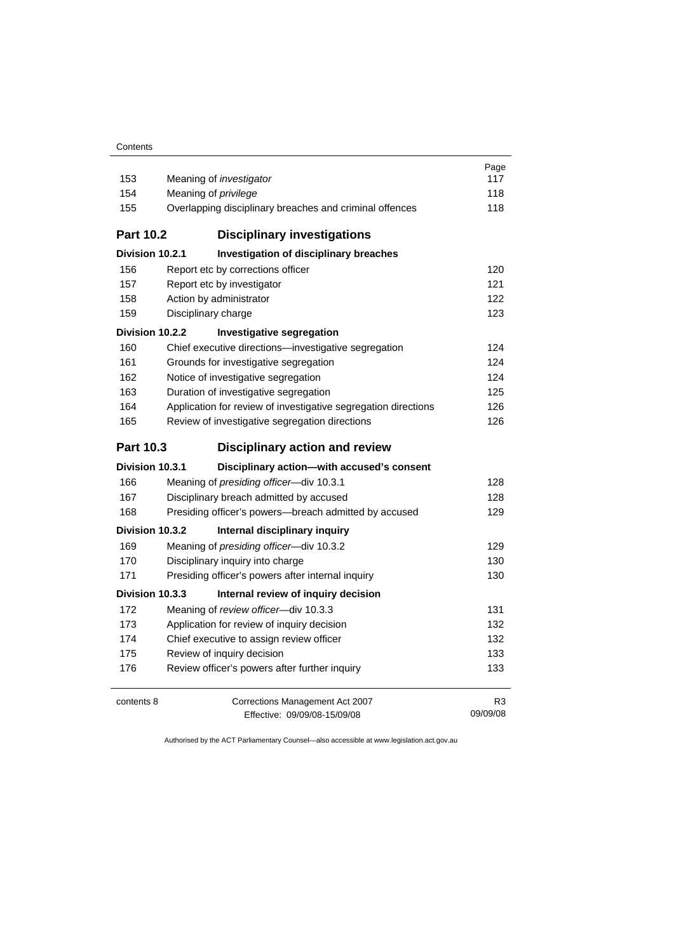#### **Contents**

|                  |                                                                                                  | Page       |  |  |
|------------------|--------------------------------------------------------------------------------------------------|------------|--|--|
| 153              | Meaning of <i>investigator</i>                                                                   | 117        |  |  |
| 154              | Meaning of <i>privilege</i>                                                                      | 118<br>118 |  |  |
| 155              | Overlapping disciplinary breaches and criminal offences                                          |            |  |  |
| <b>Part 10.2</b> | <b>Disciplinary investigations</b>                                                               |            |  |  |
| Division 10.2.1  | Investigation of disciplinary breaches                                                           |            |  |  |
| 156              | Report etc by corrections officer                                                                | 120        |  |  |
| 157              | Report etc by investigator                                                                       | 121        |  |  |
| 158              | Action by administrator                                                                          | 122        |  |  |
| 159              | Disciplinary charge                                                                              | 123        |  |  |
| Division 10.2.2  | Investigative segregation                                                                        |            |  |  |
| 160              | Chief executive directions-investigative segregation                                             | 124        |  |  |
| 161              | Grounds for investigative segregation                                                            | 124        |  |  |
| 162              | Notice of investigative segregation                                                              | 124        |  |  |
| 163              | Duration of investigative segregation                                                            | 125        |  |  |
| 164              | Application for review of investigative segregation directions                                   | 126        |  |  |
| 165              | Review of investigative segregation directions                                                   | 126        |  |  |
| <b>Part 10.3</b> | <b>Disciplinary action and review</b>                                                            |            |  |  |
|                  |                                                                                                  |            |  |  |
| Division 10.3.1  | Disciplinary action-with accused's consent                                                       |            |  |  |
| 166              | Meaning of presiding officer-div 10.3.1                                                          | 128        |  |  |
| 167              |                                                                                                  | 128        |  |  |
| 168              | Disciplinary breach admitted by accused<br>Presiding officer's powers-breach admitted by accused | 129        |  |  |
| Division 10.3.2  | Internal disciplinary inquiry                                                                    |            |  |  |
| 169              | Meaning of presiding officer-div 10.3.2                                                          | 129        |  |  |
| 170              |                                                                                                  | 130        |  |  |
| 171              | Disciplinary inquiry into charge<br>Presiding officer's powers after internal inquiry            | 130        |  |  |
| Division 10.3.3  | Internal review of inquiry decision                                                              |            |  |  |
| 172              | Meaning of review officer-div 10.3.3                                                             | 131        |  |  |
| 173              | Application for review of inquiry decision                                                       | 132        |  |  |
| 174              | Chief executive to assign review officer                                                         | 132        |  |  |
| 175              | Review of inquiry decision                                                                       | 133        |  |  |
| 176              | Review officer's powers after further inquiry                                                    | 133        |  |  |
| contents 8       | Corrections Management Act 2007                                                                  | R3         |  |  |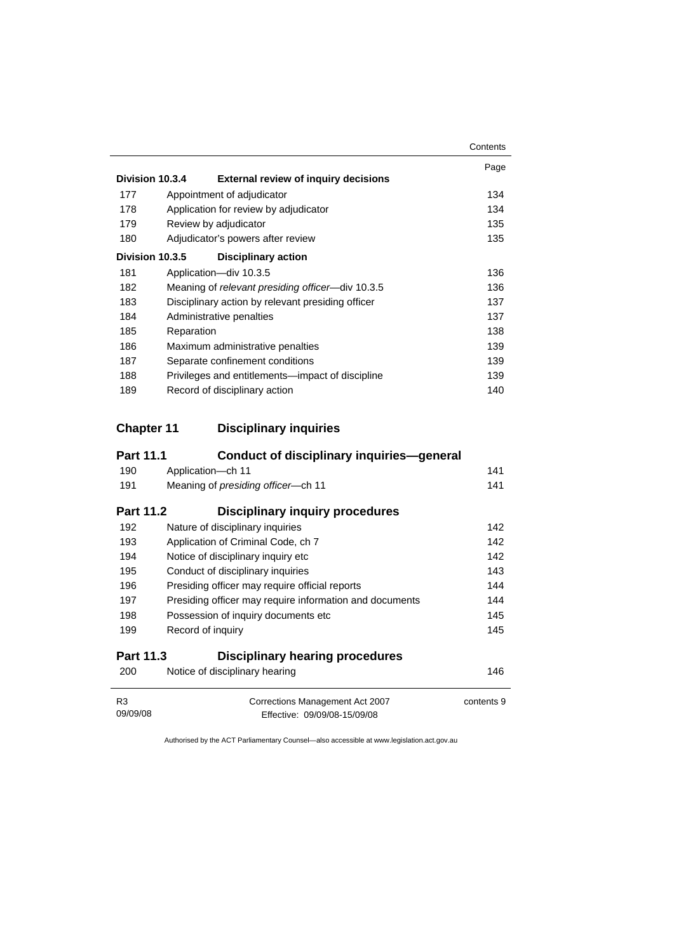|     |                                                                | Contents |
|-----|----------------------------------------------------------------|----------|
|     |                                                                | Page     |
|     | Division 10.3.4<br><b>External review of inquiry decisions</b> |          |
| 177 | Appointment of adjudicator                                     | 134      |
| 178 | Application for review by adjudicator                          | 134      |
| 179 | Review by adjudicator                                          | 135      |
| 180 | Adjudicator's powers after review                              | 135      |
|     | Division 10.3.5<br><b>Disciplinary action</b>                  |          |
| 181 | Application-div 10.3.5                                         | 136      |
| 182 | Meaning of relevant presiding officer-div 10.3.5               | 136      |
| 183 | Disciplinary action by relevant presiding officer              | 137      |
| 184 | Administrative penalties                                       | 137      |
| 185 | Reparation                                                     | 138      |
| 186 | Maximum administrative penalties                               | 139      |
| 187 | Separate confinement conditions                                | 139      |
| 188 | Privileges and entitlements—impact of discipline               | 139      |
| 189 | Record of disciplinary action                                  | 140      |

### **Chapter 11 Disciplinary inquiries**

| <b>Part 11.1</b> | <b>Conduct of disciplinary inquiries-general</b>        |            |
|------------------|---------------------------------------------------------|------------|
| 190              | Application-ch 11                                       | 141        |
| 191              | Meaning of <i>presiding officer</i> —ch 11              | 141        |
| <b>Part 11.2</b> | <b>Disciplinary inquiry procedures</b>                  |            |
| 192              | Nature of disciplinary inquiries                        | 142        |
| 193              | Application of Criminal Code, ch 7                      | 142        |
| 194              | Notice of disciplinary inquiry etc.                     | 142        |
| 195              | Conduct of disciplinary inquiries                       | 143        |
| 196              | Presiding officer may require official reports          | 144        |
| 197              | Presiding officer may require information and documents | 144        |
| 198              | Possession of inquiry documents etc.                    | 145        |
| 199              | Record of inquiry                                       | 145        |
| <b>Part 11.3</b> | <b>Disciplinary hearing procedures</b>                  |            |
| 200              | Notice of disciplinary hearing                          | 146        |
| R <sub>3</sub>   | Corrections Management Act 2007                         | contents 9 |

Effective: 09/09/08-15/09/08

09/09/08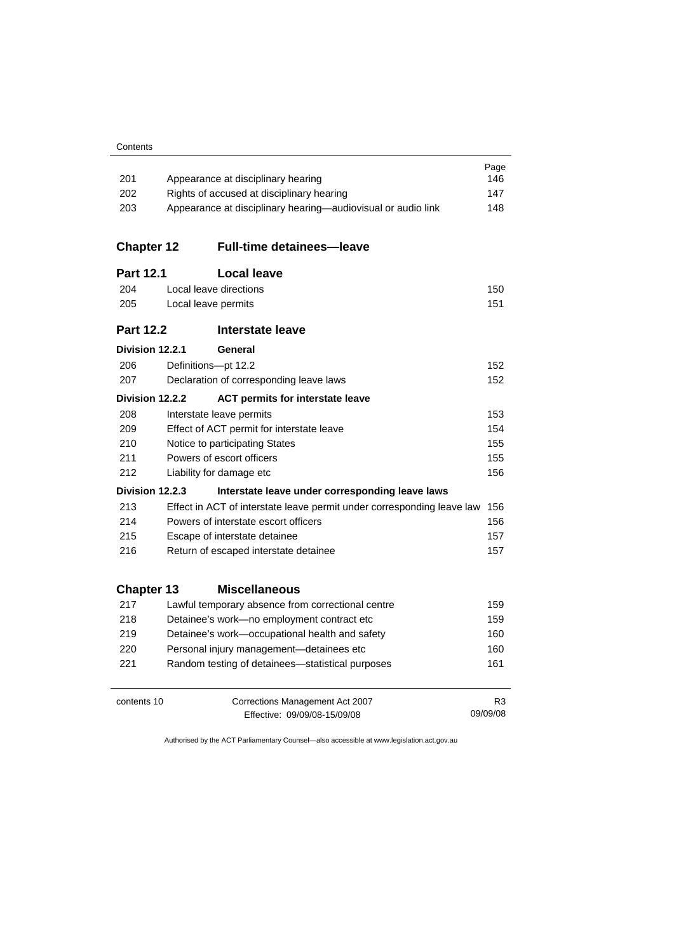| 201               |                                                                                        |                                                                        | Page<br>146 |  |  |
|-------------------|----------------------------------------------------------------------------------------|------------------------------------------------------------------------|-------------|--|--|
| 202               | Appearance at disciplinary hearing<br>Rights of accused at disciplinary hearing<br>147 |                                                                        |             |  |  |
| 203               | 148<br>Appearance at disciplinary hearing-audiovisual or audio link                    |                                                                        |             |  |  |
|                   |                                                                                        |                                                                        |             |  |  |
| <b>Chapter 12</b> |                                                                                        | <b>Full-time detainees-leave</b>                                       |             |  |  |
| <b>Part 12.1</b>  |                                                                                        | <b>Local leave</b>                                                     |             |  |  |
| 204               |                                                                                        | Local leave directions                                                 | 150         |  |  |
| 205               |                                                                                        | Local leave permits                                                    | 151         |  |  |
| <b>Part 12.2</b>  |                                                                                        | Interstate leave                                                       |             |  |  |
| Division 12.2.1   |                                                                                        | General                                                                |             |  |  |
| 206               |                                                                                        | Definitions-pt 12.2                                                    | 152         |  |  |
| 207               |                                                                                        | Declaration of corresponding leave laws                                | 152         |  |  |
| Division 12.2.2   |                                                                                        | <b>ACT permits for interstate leave</b>                                |             |  |  |
| 208               |                                                                                        | Interstate leave permits                                               | 153         |  |  |
| 209               |                                                                                        | Effect of ACT permit for interstate leave                              | 154         |  |  |
| 210               | 155<br>Notice to participating States                                                  |                                                                        |             |  |  |
| 211               | Powers of escort officers<br>155                                                       |                                                                        |             |  |  |
| 212               |                                                                                        | Liability for damage etc                                               | 156         |  |  |
| Division 12.2.3   |                                                                                        | Interstate leave under corresponding leave laws                        |             |  |  |
| 213               |                                                                                        | Effect in ACT of interstate leave permit under corresponding leave law | 156         |  |  |
| 214               |                                                                                        | Powers of interstate escort officers                                   | 156         |  |  |
| 215               |                                                                                        | Escape of interstate detainee                                          | 157         |  |  |
| 216               |                                                                                        | Return of escaped interstate detainee                                  | 157         |  |  |
| <b>Chapter 13</b> |                                                                                        | <b>Miscellaneous</b>                                                   |             |  |  |
| 217               |                                                                                        | Lawful temporary absence from correctional centre                      | 159         |  |  |
| 218               |                                                                                        | Detainee's work-no employment contract etc                             | 159         |  |  |
| 219               |                                                                                        | Detainee's work-occupational health and safety                         | 160         |  |  |
| 220               |                                                                                        | Personal injury management-detainees etc                               | 160         |  |  |
| 221               |                                                                                        | Random testing of detainees-statistical purposes                       | 161         |  |  |
|                   |                                                                                        |                                                                        |             |  |  |
| contents 10       |                                                                                        | Corrections Management Act 2007                                        | R3          |  |  |
|                   | 09/09/08<br>Effective: 09/09/08-15/09/08                                               |                                                                        |             |  |  |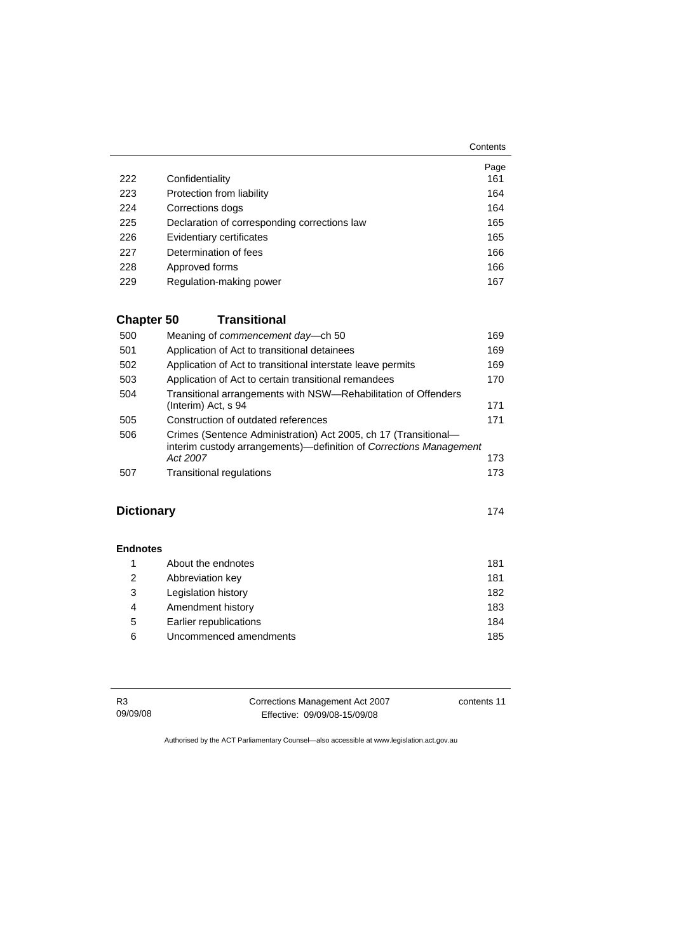|     |                                              | Contents |
|-----|----------------------------------------------|----------|
|     |                                              | Page     |
| 222 | Confidentiality                              | 161      |
| 223 | Protection from liability                    | 164      |
| 224 | Corrections dogs                             | 164      |
| 225 | Declaration of corresponding corrections law | 165      |
| 226 | Evidentiary certificates                     | 165      |
| 227 | Determination of fees                        | 166      |
| 228 | Approved forms                               | 166      |
| 229 | Regulation-making power                      | 167      |

## **Chapter 50 Transitional**

| Meaning of commencement day-ch 50                                  | 169 |
|--------------------------------------------------------------------|-----|
| Application of Act to transitional detainees                       | 169 |
| Application of Act to transitional interstate leave permits        | 169 |
| Application of Act to certain transitional remandees               | 170 |
| Transitional arrangements with NSW-Rehabilitation of Offenders     |     |
| (Interim) Act, s 94                                                | 171 |
| Construction of outdated references                                | 171 |
| Crimes (Sentence Administration) Act 2005, ch 17 (Transitional-    |     |
| interim custody arrangements)—definition of Corrections Management |     |
| Act 2007                                                           | 173 |
| <b>Transitional regulations</b>                                    | 173 |
|                                                                    |     |

### **Dictionary** [174](#page-187-0)

#### **Endnotes**

|   | About the endnotes     | 181 |
|---|------------------------|-----|
| 2 | Abbreviation key       | 181 |
| 3 | Legislation history    | 182 |
| 4 | Amendment history      | 183 |
| 5 | Earlier republications | 184 |
| 6 | Uncommenced amendments | 185 |

R3 09/09/08 Corrections Management Act 2007 Effective: 09/09/08-15/09/08

contents 11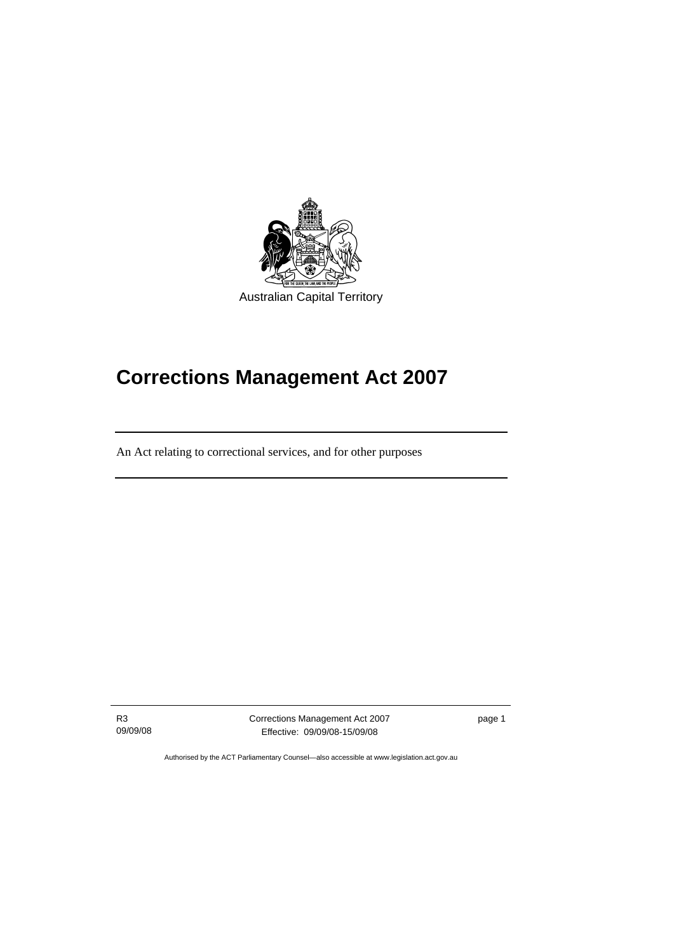<span id="page-14-0"></span>

# **Corrections Management Act 2007**

An Act relating to correctional services, and for other purposes

R3 09/09/08

ֺֺ

Corrections Management Act 2007 Effective: 09/09/08-15/09/08

page 1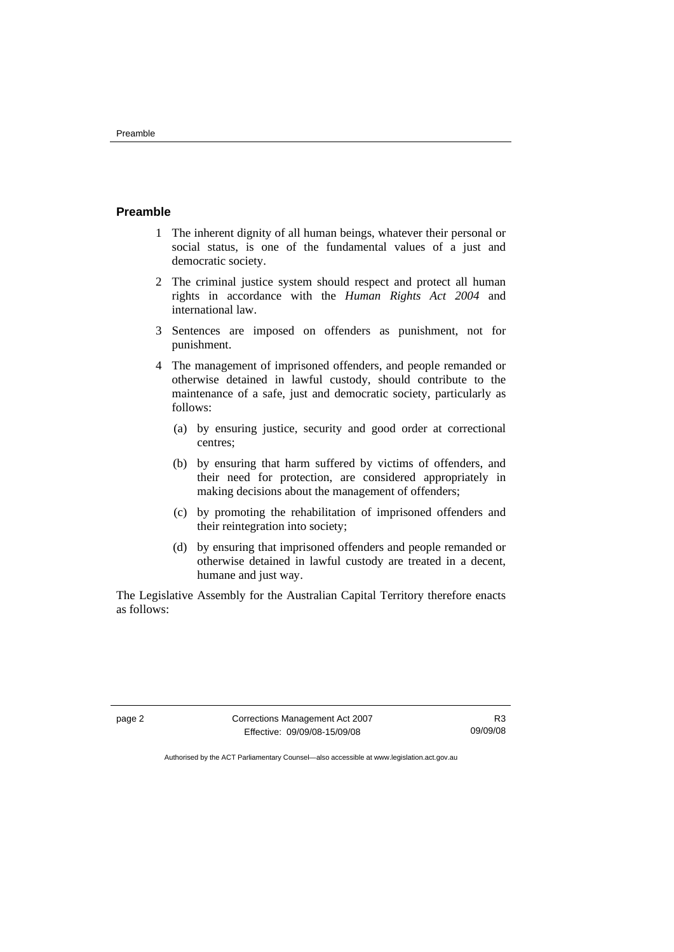#### <span id="page-15-0"></span>**Preamble**

- 1 The inherent dignity of all human beings, whatever their personal or social status, is one of the fundamental values of a just and democratic society.
- 2 The criminal justice system should respect and protect all human rights in accordance with the *Human Rights Act 2004* and international law.
- 3 Sentences are imposed on offenders as punishment, not for punishment.
- 4 The management of imprisoned offenders, and people remanded or otherwise detained in lawful custody, should contribute to the maintenance of a safe, just and democratic society, particularly as follows:
	- (a) by ensuring justice, security and good order at correctional centres;
	- (b) by ensuring that harm suffered by victims of offenders, and their need for protection, are considered appropriately in making decisions about the management of offenders;
	- (c) by promoting the rehabilitation of imprisoned offenders and their reintegration into society;
	- (d) by ensuring that imprisoned offenders and people remanded or otherwise detained in lawful custody are treated in a decent, humane and just way.

The Legislative Assembly for the Australian Capital Territory therefore enacts as follows:

page 2 Corrections Management Act 2007 Effective: 09/09/08-15/09/08

R3 09/09/08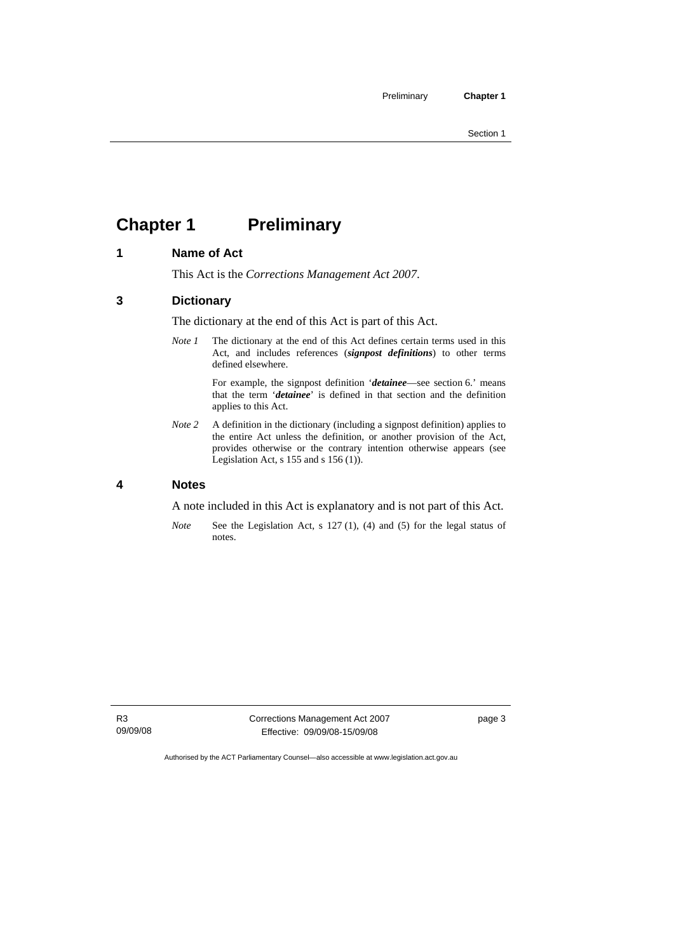# <span id="page-16-0"></span>**Chapter 1** Preliminary

#### **1 Name of Act**

This Act is the *Corrections Management Act 2007*.

#### **3 Dictionary**

The dictionary at the end of this Act is part of this Act.

*Note 1* The dictionary at the end of this Act defines certain terms used in this Act, and includes references (*signpost definitions*) to other terms defined elsewhere.

> For example, the signpost definition '*detainee*—see section 6.' means that the term '*detainee*' is defined in that section and the definition applies to this Act.

*Note 2* A definition in the dictionary (including a signpost definition) applies to the entire Act unless the definition, or another provision of the Act, provides otherwise or the contrary intention otherwise appears (see Legislation Act,  $s$  155 and  $s$  156 (1)).

#### **4 Notes**

A note included in this Act is explanatory and is not part of this Act.

*Note* See the Legislation Act, s 127 (1), (4) and (5) for the legal status of notes.

Corrections Management Act 2007 Effective: 09/09/08-15/09/08

page 3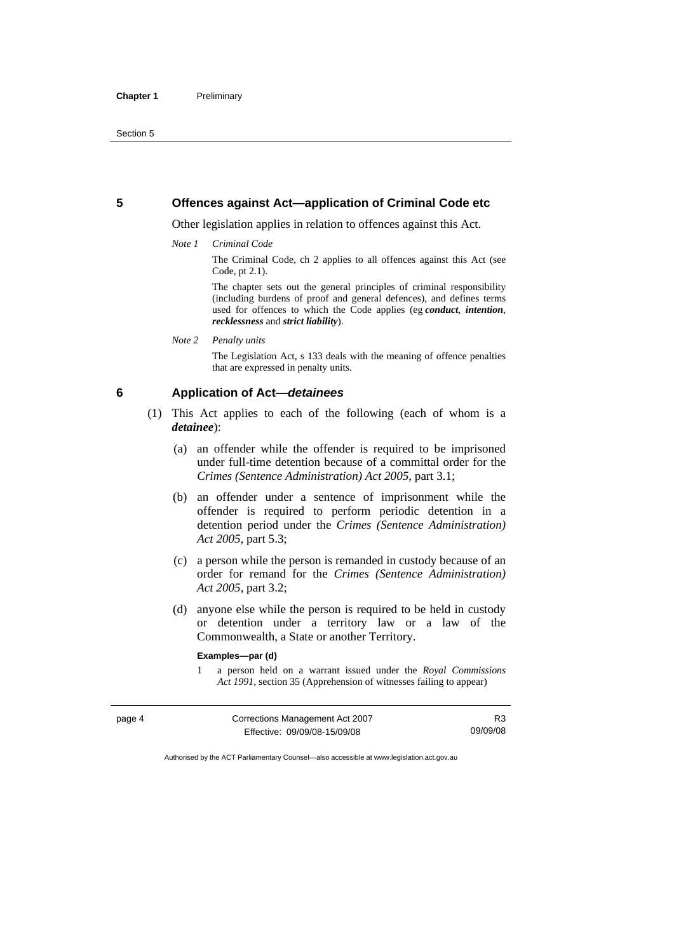#### <span id="page-17-0"></span>**5 Offences against Act—application of Criminal Code etc**

Other legislation applies in relation to offences against this Act.

*Note 1 Criminal Code*

The Criminal Code, ch 2 applies to all offences against this Act (see Code, pt 2.1).

The chapter sets out the general principles of criminal responsibility (including burdens of proof and general defences), and defines terms used for offences to which the Code applies (eg *conduct*, *intention*, *recklessness* and *strict liability*).

*Note 2 Penalty units* 

The Legislation Act, s 133 deals with the meaning of offence penalties that are expressed in penalty units.

#### **6 Application of Act—***detainees*

- (1) This Act applies to each of the following (each of whom is a *detainee*):
	- (a) an offender while the offender is required to be imprisoned under full-time detention because of a committal order for the *Crimes (Sentence Administration) Act 2005*, part 3.1;
	- (b) an offender under a sentence of imprisonment while the offender is required to perform periodic detention in a detention period under the *Crimes (Sentence Administration) Act 2005,* part 5.3;
	- (c) a person while the person is remanded in custody because of an order for remand for the *Crimes (Sentence Administration) Act 2005*, part 3.2;
	- (d) anyone else while the person is required to be held in custody or detention under a territory law or a law of the Commonwealth, a State or another Territory.

#### **Examples—par (d)**

1 a person held on a warrant issued under the *Royal Commissions Act 1991*, section 35 (Apprehension of witnesses failing to appear)

| page 4 | Corrections Management Act 2007 | R3       |
|--------|---------------------------------|----------|
|        | Effective: 09/09/08-15/09/08    | 09/09/08 |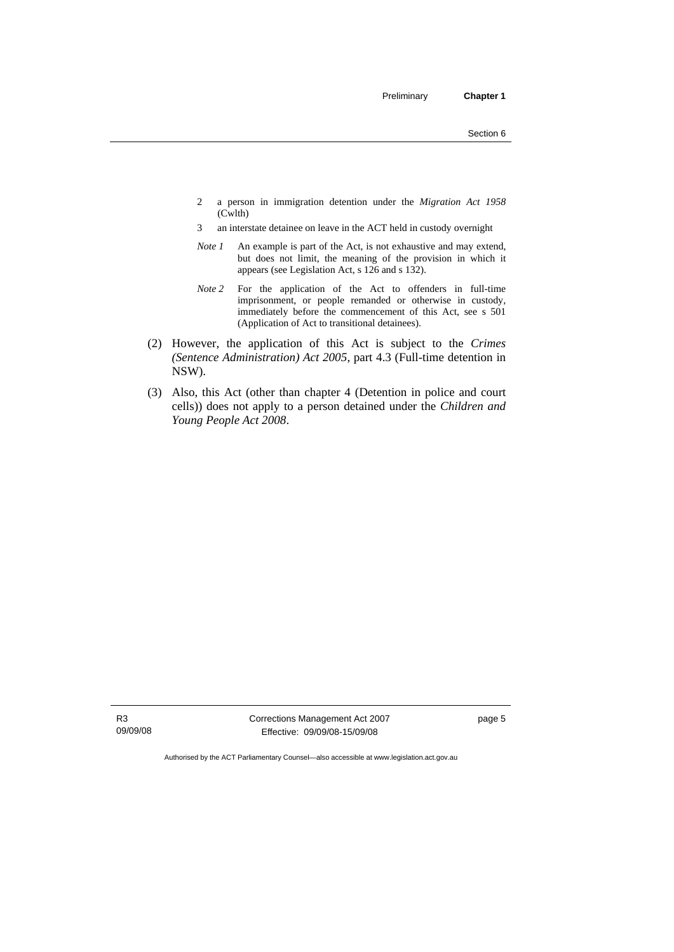- 2 a person in immigration detention under the *Migration Act 1958*  (Cwlth)
- 3 an interstate detainee on leave in the ACT held in custody overnight
- *Note 1* An example is part of the Act, is not exhaustive and may extend, but does not limit, the meaning of the provision in which it appears (see Legislation Act, s 126 and s 132).
- *Note 2* For the application of the Act to offenders in full-time imprisonment, or people remanded or otherwise in custody, immediately before the commencement of this Act, see s 501 (Application of Act to transitional detainees).
- (2) However, the application of this Act is subject to the *Crimes (Sentence Administration) Act 2005*, part 4.3 (Full-time detention in NSW).
- (3) Also, this Act (other than chapter 4 (Detention in police and court cells)) does not apply to a person detained under the *Children and Young People Act 2008*.

Corrections Management Act 2007 Effective: 09/09/08-15/09/08

page 5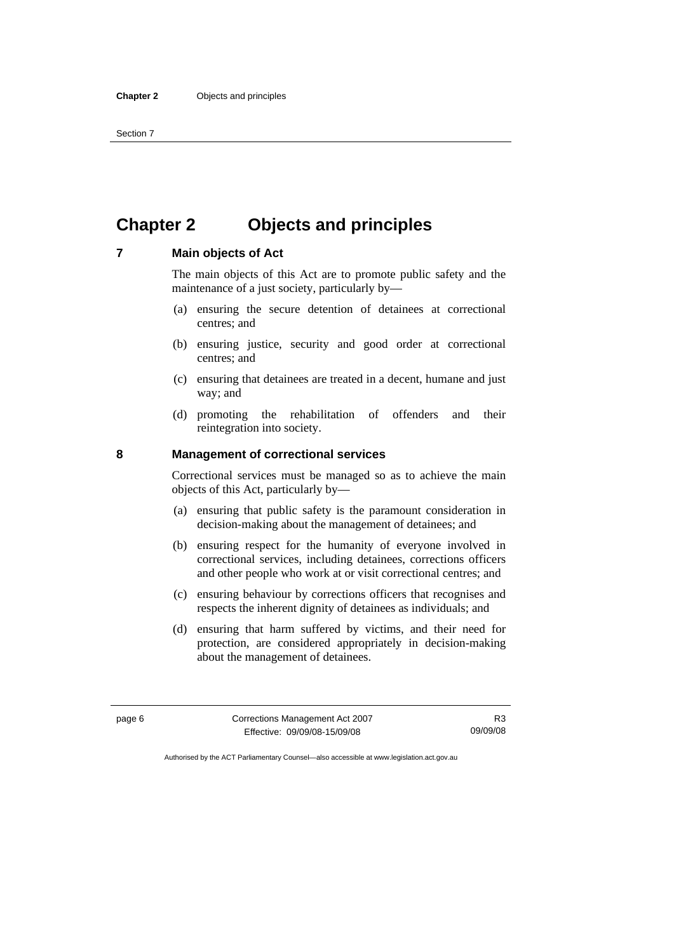# <span id="page-19-0"></span>**Chapter 2 Objects and principles**

### **7 Main objects of Act**

The main objects of this Act are to promote public safety and the maintenance of a just society, particularly by—

- (a) ensuring the secure detention of detainees at correctional centres; and
- (b) ensuring justice, security and good order at correctional centres; and
- (c) ensuring that detainees are treated in a decent, humane and just way; and
- (d) promoting the rehabilitation of offenders and their reintegration into society.

#### **8 Management of correctional services**

Correctional services must be managed so as to achieve the main objects of this Act, particularly by—

- (a) ensuring that public safety is the paramount consideration in decision-making about the management of detainees; and
- (b) ensuring respect for the humanity of everyone involved in correctional services, including detainees, corrections officers and other people who work at or visit correctional centres; and
- (c) ensuring behaviour by corrections officers that recognises and respects the inherent dignity of detainees as individuals; and
- (d) ensuring that harm suffered by victims, and their need for protection, are considered appropriately in decision-making about the management of detainees.

page 6 Corrections Management Act 2007 Effective: 09/09/08-15/09/08

R3 09/09/08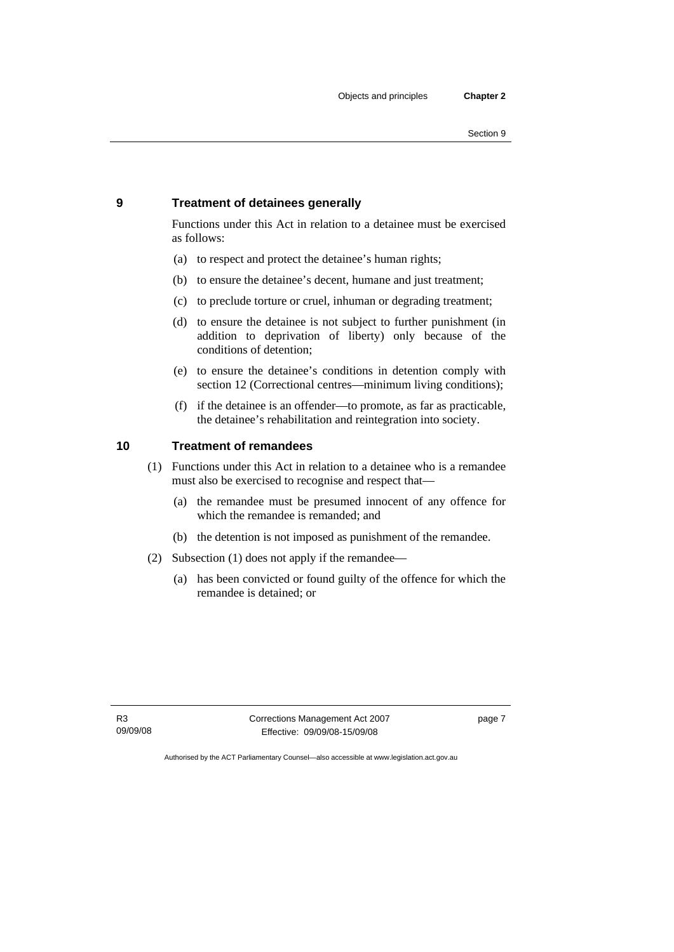#### <span id="page-20-0"></span>**9 Treatment of detainees generally**

Functions under this Act in relation to a detainee must be exercised as follows:

- (a) to respect and protect the detainee's human rights;
- (b) to ensure the detainee's decent, humane and just treatment;
- (c) to preclude torture or cruel, inhuman or degrading treatment;
- (d) to ensure the detainee is not subject to further punishment (in addition to deprivation of liberty) only because of the conditions of detention;
- (e) to ensure the detainee's conditions in detention comply with section 12 (Correctional centres—minimum living conditions);
- (f) if the detainee is an offender—to promote, as far as practicable, the detainee's rehabilitation and reintegration into society.

#### **10 Treatment of remandees**

- (1) Functions under this Act in relation to a detainee who is a remandee must also be exercised to recognise and respect that—
	- (a) the remandee must be presumed innocent of any offence for which the remandee is remanded; and
	- (b) the detention is not imposed as punishment of the remandee.
- (2) Subsection (1) does not apply if the remandee—
	- (a) has been convicted or found guilty of the offence for which the remandee is detained; or

Corrections Management Act 2007 Effective: 09/09/08-15/09/08

page 7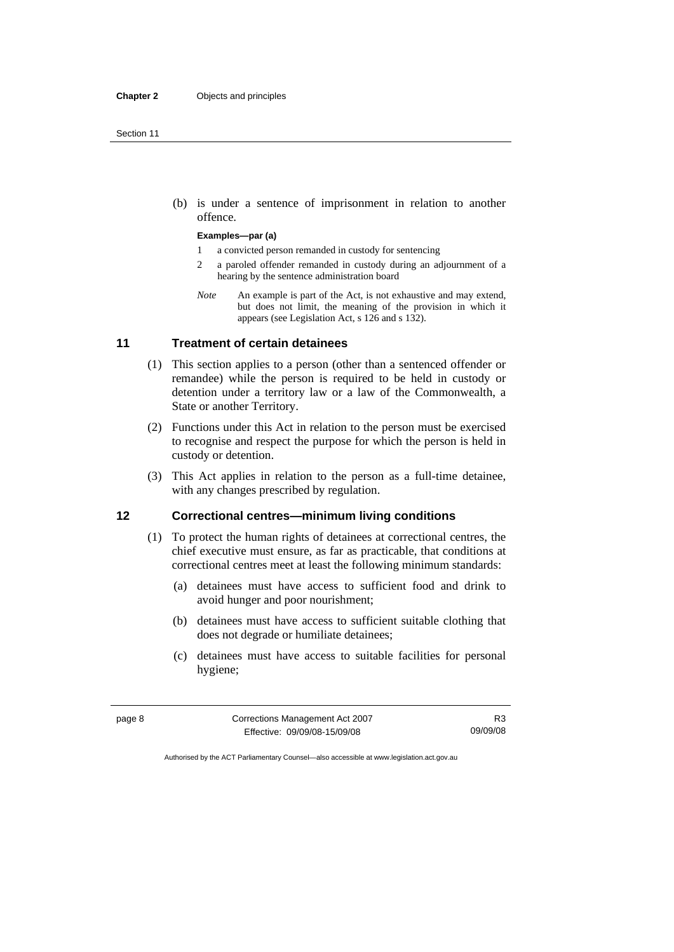<span id="page-21-0"></span> (b) is under a sentence of imprisonment in relation to another offence.

#### **Examples—par (a)**

- 1 a convicted person remanded in custody for sentencing
- 2 a paroled offender remanded in custody during an adjournment of a hearing by the sentence administration board
- *Note* An example is part of the Act, is not exhaustive and may extend, but does not limit, the meaning of the provision in which it appears (see Legislation Act, s 126 and s 132).

#### **11 Treatment of certain detainees**

- (1) This section applies to a person (other than a sentenced offender or remandee) while the person is required to be held in custody or detention under a territory law or a law of the Commonwealth, a State or another Territory.
- (2) Functions under this Act in relation to the person must be exercised to recognise and respect the purpose for which the person is held in custody or detention.
- (3) This Act applies in relation to the person as a full-time detainee, with any changes prescribed by regulation.

#### **12 Correctional centres—minimum living conditions**

- (1) To protect the human rights of detainees at correctional centres, the chief executive must ensure, as far as practicable, that conditions at correctional centres meet at least the following minimum standards:
	- (a) detainees must have access to sufficient food and drink to avoid hunger and poor nourishment;
	- (b) detainees must have access to sufficient suitable clothing that does not degrade or humiliate detainees;
	- (c) detainees must have access to suitable facilities for personal hygiene;

| page 8 | Corrections Management Act 2007 |          |
|--------|---------------------------------|----------|
|        | Effective: 09/09/08-15/09/08    | 09/09/08 |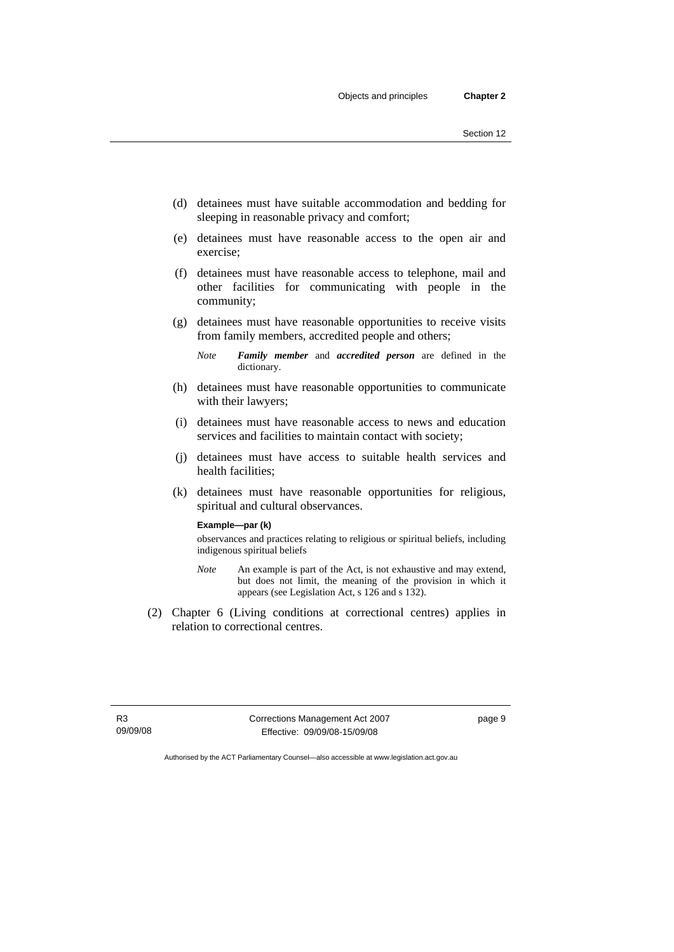- (d) detainees must have suitable accommodation and bedding for sleeping in reasonable privacy and comfort;
- (e) detainees must have reasonable access to the open air and exercise;
- (f) detainees must have reasonable access to telephone, mail and other facilities for communicating with people in the community;
- (g) detainees must have reasonable opportunities to receive visits from family members, accredited people and others;
	- *Note Family member* and *accredited person* are defined in the dictionary.
- (h) detainees must have reasonable opportunities to communicate with their lawyers;
- (i) detainees must have reasonable access to news and education services and facilities to maintain contact with society;
- (j) detainees must have access to suitable health services and health facilities;
- (k) detainees must have reasonable opportunities for religious, spiritual and cultural observances.

#### **Example—par (k)**

observances and practices relating to religious or spiritual beliefs, including indigenous spiritual beliefs

- *Note* An example is part of the Act, is not exhaustive and may extend, but does not limit, the meaning of the provision in which it appears (see Legislation Act, s 126 and s 132).
- (2) Chapter 6 (Living conditions at correctional centres) applies in relation to correctional centres.

R3 09/09/08 Corrections Management Act 2007 Effective: 09/09/08-15/09/08

page 9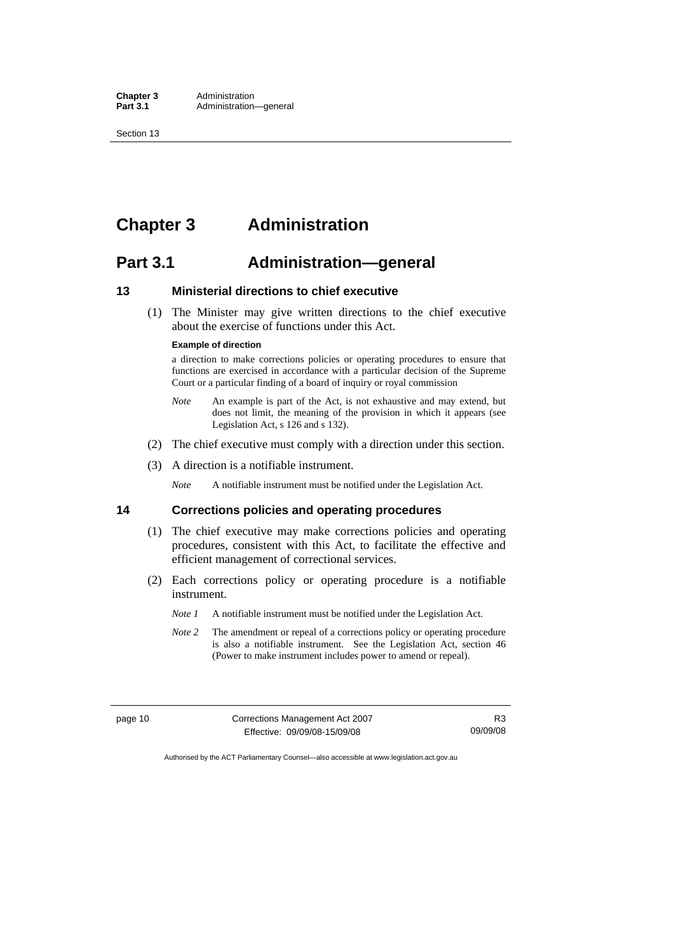<span id="page-23-0"></span>Section 13

# **Chapter 3 Administration**

### **Part 3.1 Administration—general**

#### **13 Ministerial directions to chief executive**

 (1) The Minister may give written directions to the chief executive about the exercise of functions under this Act.

#### **Example of direction**

a direction to make corrections policies or operating procedures to ensure that functions are exercised in accordance with a particular decision of the Supreme Court or a particular finding of a board of inquiry or royal commission

- *Note* An example is part of the Act, is not exhaustive and may extend, but does not limit, the meaning of the provision in which it appears (see Legislation Act, s 126 and s 132).
- (2) The chief executive must comply with a direction under this section.
- (3) A direction is a notifiable instrument.

*Note* A notifiable instrument must be notified under the Legislation Act.

#### **14 Corrections policies and operating procedures**

- (1) The chief executive may make corrections policies and operating procedures, consistent with this Act, to facilitate the effective and efficient management of correctional services.
- (2) Each corrections policy or operating procedure is a notifiable instrument.
	- *Note 1* A notifiable instrument must be notified under the Legislation Act.
	- *Note 2* The amendment or repeal of a corrections policy or operating procedure is also a notifiable instrument. See the Legislation Act, section 46 (Power to make instrument includes power to amend or repeal).

page 10 Corrections Management Act 2007 Effective: 09/09/08-15/09/08

R3 09/09/08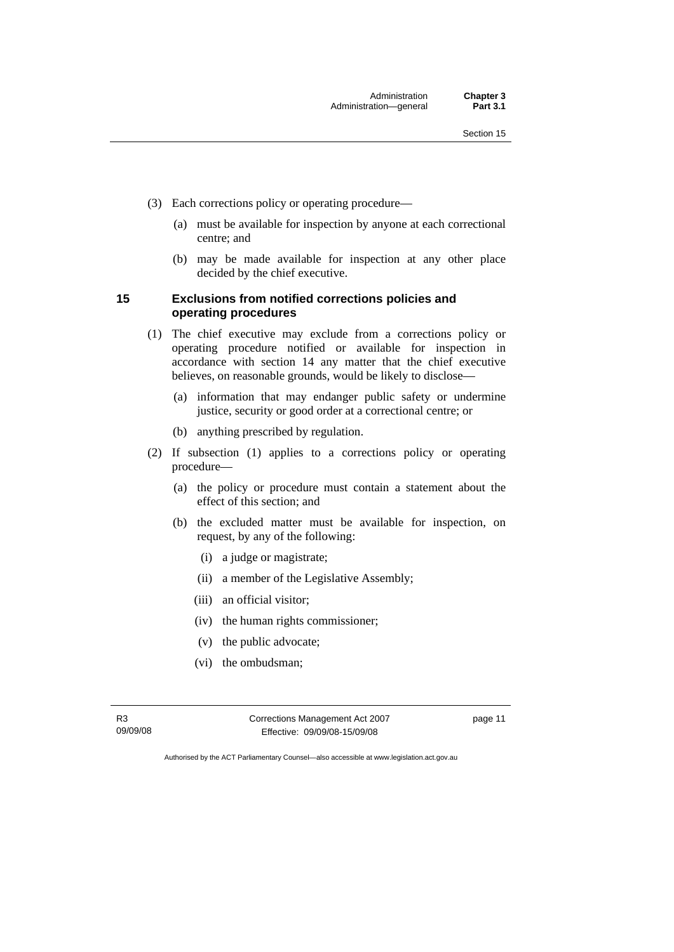- <span id="page-24-0"></span> (3) Each corrections policy or operating procedure—
	- (a) must be available for inspection by anyone at each correctional centre; and
	- (b) may be made available for inspection at any other place decided by the chief executive.

#### **15 Exclusions from notified corrections policies and operating procedures**

- (1) The chief executive may exclude from a corrections policy or operating procedure notified or available for inspection in accordance with section 14 any matter that the chief executive believes, on reasonable grounds, would be likely to disclose—
	- (a) information that may endanger public safety or undermine justice, security or good order at a correctional centre; or
	- (b) anything prescribed by regulation.
- (2) If subsection (1) applies to a corrections policy or operating procedure—
	- (a) the policy or procedure must contain a statement about the effect of this section; and
	- (b) the excluded matter must be available for inspection, on request, by any of the following:
		- (i) a judge or magistrate;
		- (ii) a member of the Legislative Assembly;
		- (iii) an official visitor;
		- (iv) the human rights commissioner;
		- (v) the public advocate;
		- (vi) the ombudsman;

R3 09/09/08 Corrections Management Act 2007 Effective: 09/09/08-15/09/08

page 11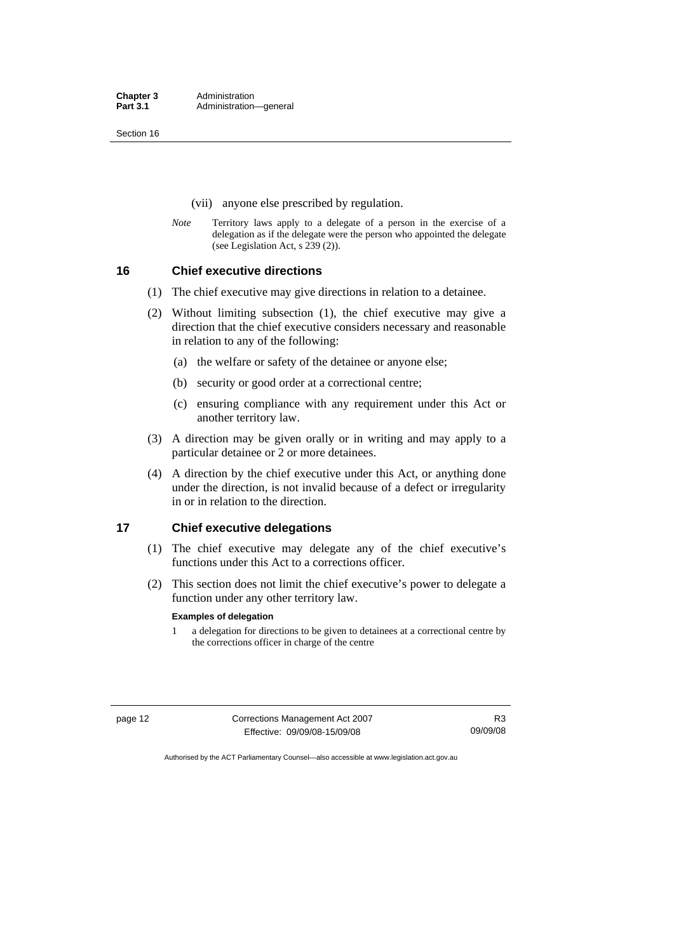<span id="page-25-0"></span>Section 16

- (vii) anyone else prescribed by regulation.
- *Note* Territory laws apply to a delegate of a person in the exercise of a delegation as if the delegate were the person who appointed the delegate (see Legislation Act, s 239 (2)).

**16 Chief executive directions** 

- (1) The chief executive may give directions in relation to a detainee.
- (2) Without limiting subsection (1), the chief executive may give a direction that the chief executive considers necessary and reasonable in relation to any of the following:
	- (a) the welfare or safety of the detainee or anyone else;
	- (b) security or good order at a correctional centre;
	- (c) ensuring compliance with any requirement under this Act or another territory law.
- (3) A direction may be given orally or in writing and may apply to a particular detainee or 2 or more detainees.
- (4) A direction by the chief executive under this Act, or anything done under the direction, is not invalid because of a defect or irregularity in or in relation to the direction.

#### **17 Chief executive delegations**

- (1) The chief executive may delegate any of the chief executive's functions under this Act to a corrections officer.
- (2) This section does not limit the chief executive's power to delegate a function under any other territory law.

#### **Examples of delegation**

1 a delegation for directions to be given to detainees at a correctional centre by the corrections officer in charge of the centre

page 12 Corrections Management Act 2007 Effective: 09/09/08-15/09/08

R3 09/09/08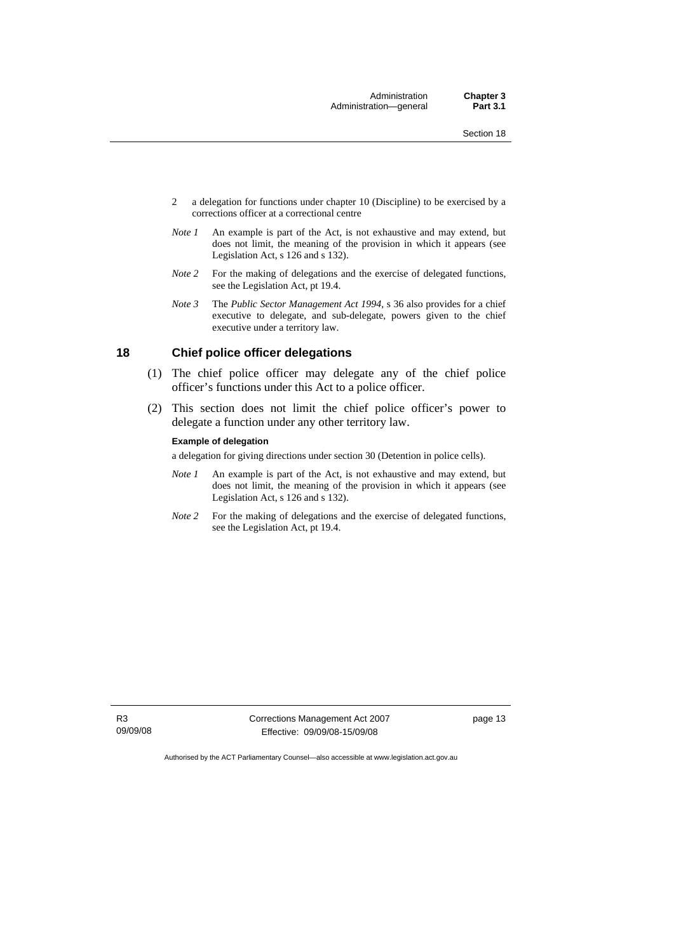Administration **Chapter 3**<br> **Chapter 3.1 Part 3.1** Administration-general

- <span id="page-26-0"></span>2 a delegation for functions under chapter 10 (Discipline) to be exercised by a corrections officer at a correctional centre
- *Note 1* An example is part of the Act, is not exhaustive and may extend, but does not limit, the meaning of the provision in which it appears (see Legislation Act, s 126 and s 132).
- *Note 2* For the making of delegations and the exercise of delegated functions, see the Legislation Act, pt 19.4.
- *Note 3* The *Public Sector Management Act 1994*, s 36 also provides for a chief executive to delegate, and sub-delegate, powers given to the chief executive under a territory law.

#### **18 Chief police officer delegations**

- (1) The chief police officer may delegate any of the chief police officer's functions under this Act to a police officer.
- (2) This section does not limit the chief police officer's power to delegate a function under any other territory law.

#### **Example of delegation**

a delegation for giving directions under section 30 (Detention in police cells).

- *Note 1* An example is part of the Act, is not exhaustive and may extend, but does not limit, the meaning of the provision in which it appears (see Legislation Act, s 126 and s 132).
- *Note 2* For the making of delegations and the exercise of delegated functions, see the Legislation Act, pt 19.4.

Corrections Management Act 2007 Effective: 09/09/08-15/09/08

page 13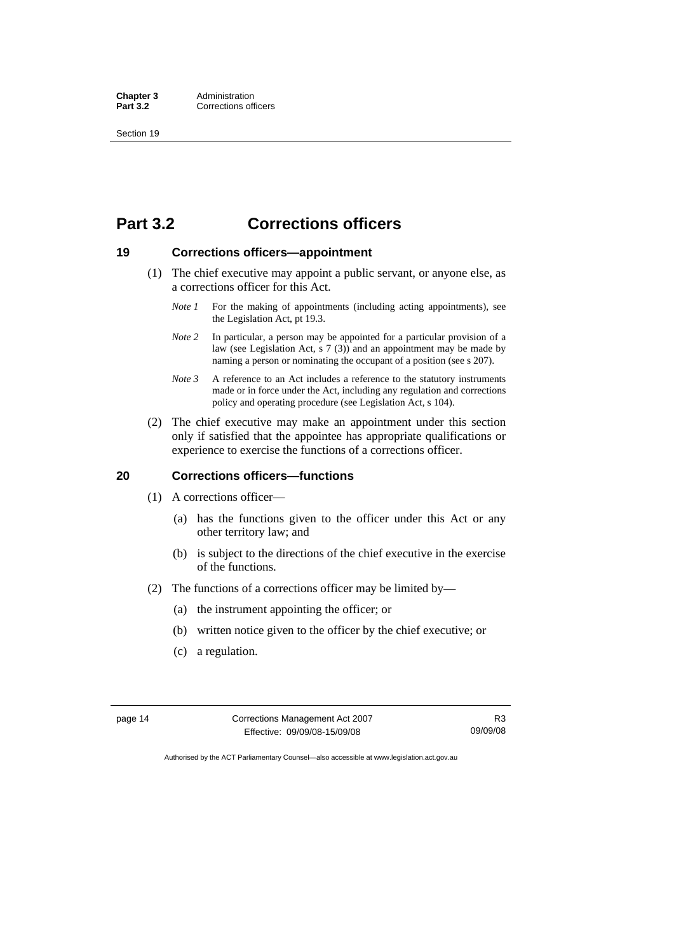<span id="page-27-0"></span>Section 19

## **Part 3.2 Corrections officers**

#### **19 Corrections officers—appointment**

- (1) The chief executive may appoint a public servant, or anyone else, as a corrections officer for this Act.
	- *Note 1* For the making of appointments (including acting appointments), see the Legislation Act, pt 19.3.
	- *Note 2* In particular, a person may be appointed for a particular provision of a law (see Legislation Act, s 7 (3)) and an appointment may be made by naming a person or nominating the occupant of a position (see s 207).
	- *Note 3* A reference to an Act includes a reference to the statutory instruments made or in force under the Act, including any regulation and corrections policy and operating procedure (see Legislation Act, s 104).
- (2) The chief executive may make an appointment under this section only if satisfied that the appointee has appropriate qualifications or experience to exercise the functions of a corrections officer.

#### **20 Corrections officers—functions**

- (1) A corrections officer—
	- (a) has the functions given to the officer under this Act or any other territory law; and
	- (b) is subject to the directions of the chief executive in the exercise of the functions.
- (2) The functions of a corrections officer may be limited by—
	- (a) the instrument appointing the officer; or
	- (b) written notice given to the officer by the chief executive; or
	- (c) a regulation.

page 14 Corrections Management Act 2007 Effective: 09/09/08-15/09/08

R3 09/09/08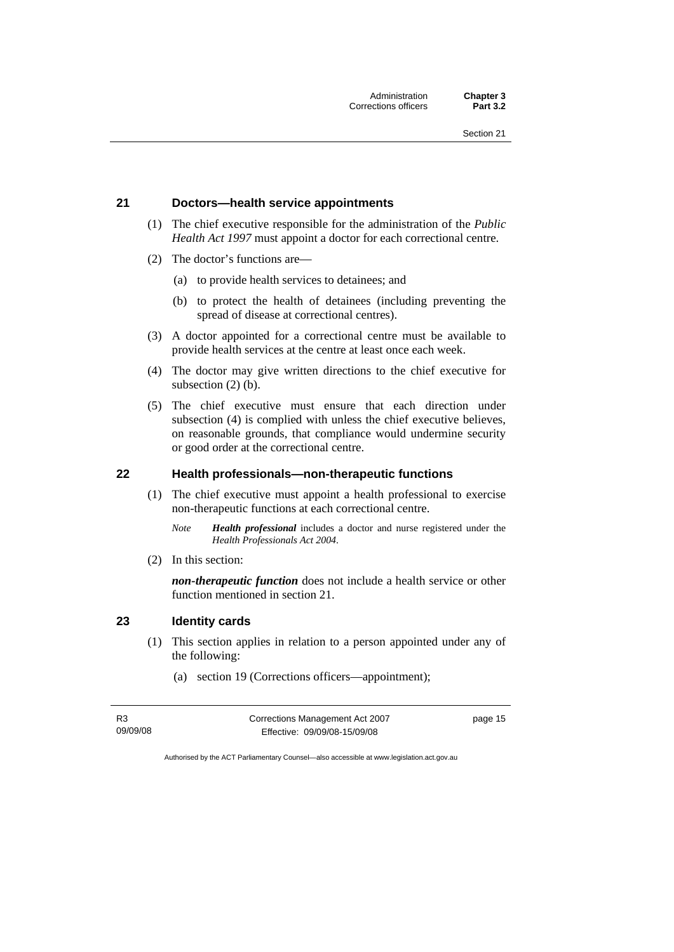#### <span id="page-28-0"></span>**21 Doctors—health service appointments**

- (1) The chief executive responsible for the administration of the *Public Health Act 1997* must appoint a doctor for each correctional centre.
- (2) The doctor's functions are—
	- (a) to provide health services to detainees; and
	- (b) to protect the health of detainees (including preventing the spread of disease at correctional centres).
- (3) A doctor appointed for a correctional centre must be available to provide health services at the centre at least once each week.
- (4) The doctor may give written directions to the chief executive for subsection (2) (b).
- (5) The chief executive must ensure that each direction under subsection (4) is complied with unless the chief executive believes, on reasonable grounds, that compliance would undermine security or good order at the correctional centre.

#### **22 Health professionals—non-therapeutic functions**

- (1) The chief executive must appoint a health professional to exercise non-therapeutic functions at each correctional centre.
	- *Note Health professional* includes a doctor and nurse registered under the *Health Professionals Act 2004*.
- (2) In this section:

*non-therapeutic function* does not include a health service or other function mentioned in section 21.

#### **23 Identity cards**

- (1) This section applies in relation to a person appointed under any of the following:
	- (a) section 19 (Corrections officers—appointment);

| R3       | Corrections Management Act 2007 | page 15 |
|----------|---------------------------------|---------|
| 09/09/08 | Effective: 09/09/08-15/09/08    |         |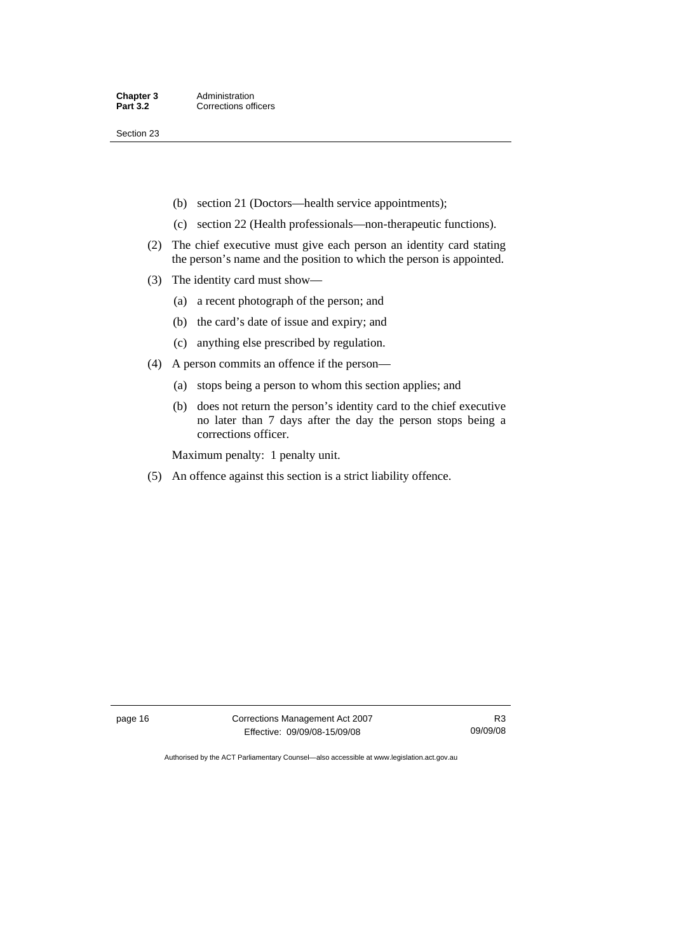Section 23

- (b) section 21 (Doctors—health service appointments);
- (c) section 22 (Health professionals—non-therapeutic functions).
- (2) The chief executive must give each person an identity card stating the person's name and the position to which the person is appointed.
- (3) The identity card must show—
	- (a) a recent photograph of the person; and
	- (b) the card's date of issue and expiry; and
	- (c) anything else prescribed by regulation.
- (4) A person commits an offence if the person—
	- (a) stops being a person to whom this section applies; and
	- (b) does not return the person's identity card to the chief executive no later than 7 days after the day the person stops being a corrections officer.

Maximum penalty: 1 penalty unit.

(5) An offence against this section is a strict liability offence.

page 16 Corrections Management Act 2007 Effective: 09/09/08-15/09/08

R3 09/09/08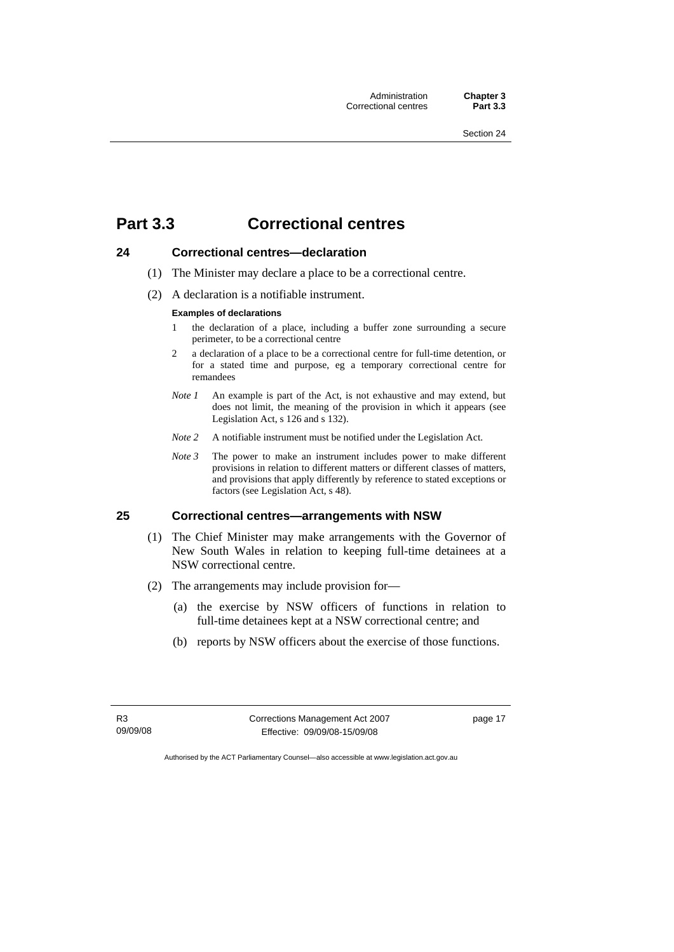Administration **Chapter 3**  Correctional centres

## <span id="page-30-0"></span>**Part 3.3 Correctional centres**

#### **24 Correctional centres—declaration**

- (1) The Minister may declare a place to be a correctional centre.
- (2) A declaration is a notifiable instrument.

#### **Examples of declarations**

- 1 the declaration of a place, including a buffer zone surrounding a secure perimeter, to be a correctional centre
- 2 a declaration of a place to be a correctional centre for full-time detention, or for a stated time and purpose, eg a temporary correctional centre for remandees
- *Note 1* An example is part of the Act, is not exhaustive and may extend, but does not limit, the meaning of the provision in which it appears (see Legislation Act, s 126 and s 132).
- *Note 2* A notifiable instrument must be notified under the Legislation Act.
- *Note 3* The power to make an instrument includes power to make different provisions in relation to different matters or different classes of matters, and provisions that apply differently by reference to stated exceptions or factors (see Legislation Act, s 48).

#### **25 Correctional centres—arrangements with NSW**

- (1) The Chief Minister may make arrangements with the Governor of New South Wales in relation to keeping full-time detainees at a NSW correctional centre.
- (2) The arrangements may include provision for—
	- (a) the exercise by NSW officers of functions in relation to full-time detainees kept at a NSW correctional centre; and
	- (b) reports by NSW officers about the exercise of those functions.

R3 09/09/08 Corrections Management Act 2007 Effective: 09/09/08-15/09/08

page 17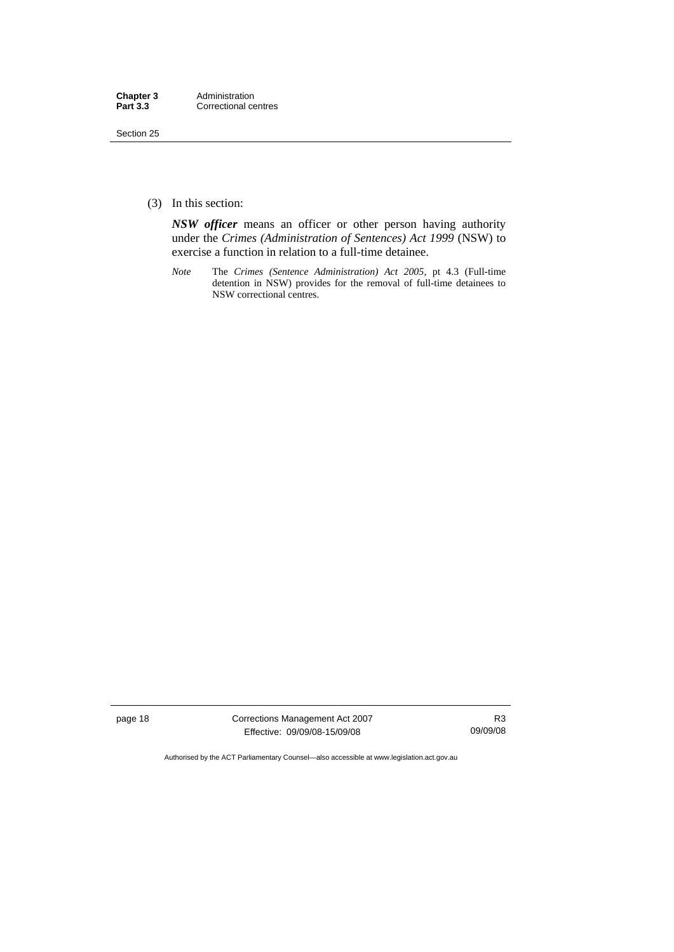Section 25

(3) In this section:

*NSW officer* means an officer or other person having authority under the *Crimes (Administration of Sentences) Act 1999* (NSW) to exercise a function in relation to a full-time detainee.

*Note* The *Crimes (Sentence Administration) Act 2005*, pt 4.3 (Full-time detention in NSW) provides for the removal of full-time detainees to NSW correctional centres.

page 18 Corrections Management Act 2007 Effective: 09/09/08-15/09/08

R3 09/09/08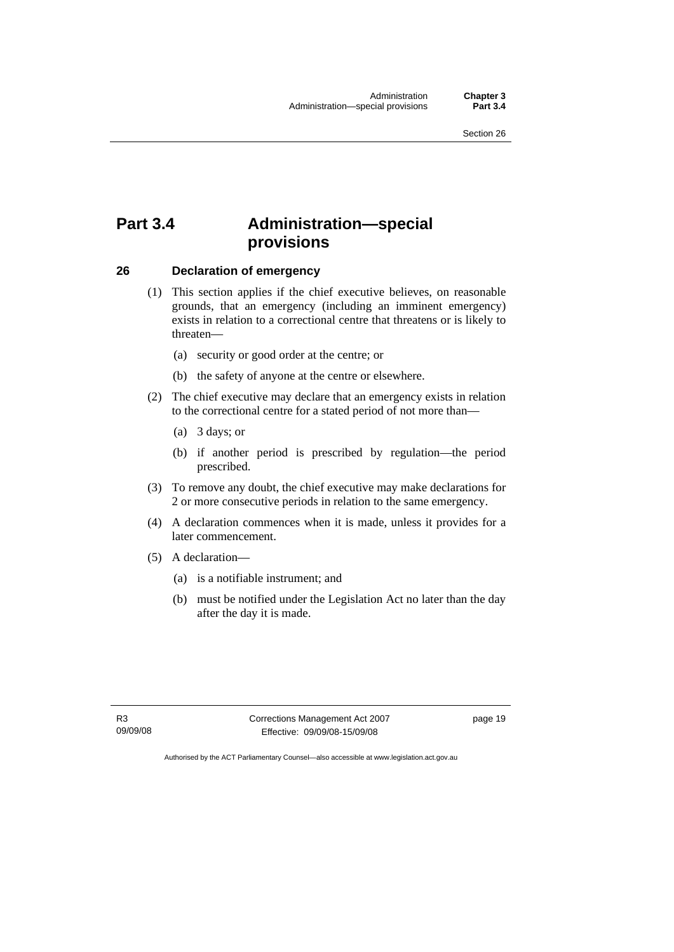# <span id="page-32-0"></span>**Part 3.4 Administration—special provisions**

#### **26 Declaration of emergency**

- (1) This section applies if the chief executive believes, on reasonable grounds, that an emergency (including an imminent emergency) exists in relation to a correctional centre that threatens or is likely to threaten—
	- (a) security or good order at the centre; or
	- (b) the safety of anyone at the centre or elsewhere.
- (2) The chief executive may declare that an emergency exists in relation to the correctional centre for a stated period of not more than—
	- (a) 3 days; or
	- (b) if another period is prescribed by regulation—the period prescribed.
- (3) To remove any doubt, the chief executive may make declarations for 2 or more consecutive periods in relation to the same emergency.
- (4) A declaration commences when it is made, unless it provides for a later commencement.
- (5) A declaration—
	- (a) is a notifiable instrument; and
	- (b) must be notified under the Legislation Act no later than the day after the day it is made.

R3 09/09/08 Corrections Management Act 2007 Effective: 09/09/08-15/09/08

page 19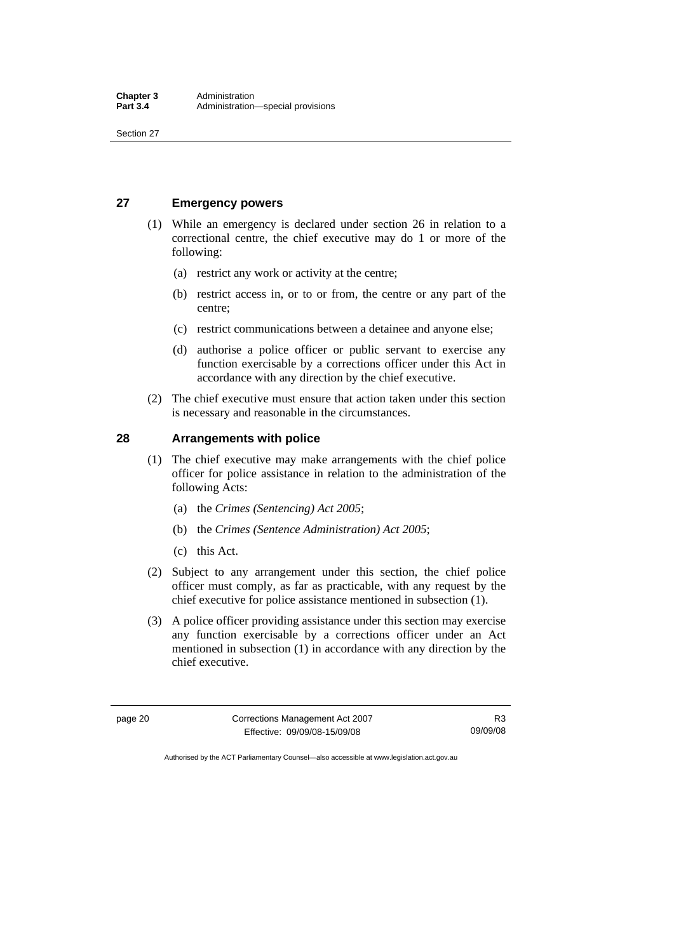<span id="page-33-0"></span>Section 27

#### **27 Emergency powers**

- (1) While an emergency is declared under section 26 in relation to a correctional centre, the chief executive may do 1 or more of the following:
	- (a) restrict any work or activity at the centre;
	- (b) restrict access in, or to or from, the centre or any part of the centre;
	- (c) restrict communications between a detainee and anyone else;
	- (d) authorise a police officer or public servant to exercise any function exercisable by a corrections officer under this Act in accordance with any direction by the chief executive.
- (2) The chief executive must ensure that action taken under this section is necessary and reasonable in the circumstances.

#### **28 Arrangements with police**

- (1) The chief executive may make arrangements with the chief police officer for police assistance in relation to the administration of the following Acts:
	- (a) the *Crimes (Sentencing) Act 2005*;
	- (b) the *Crimes (Sentence Administration) Act 2005*;
	- (c) this Act.
- (2) Subject to any arrangement under this section, the chief police officer must comply, as far as practicable, with any request by the chief executive for police assistance mentioned in subsection (1).
- (3) A police officer providing assistance under this section may exercise any function exercisable by a corrections officer under an Act mentioned in subsection (1) in accordance with any direction by the chief executive.

page 20 Corrections Management Act 2007 Effective: 09/09/08-15/09/08 R3 09/09/08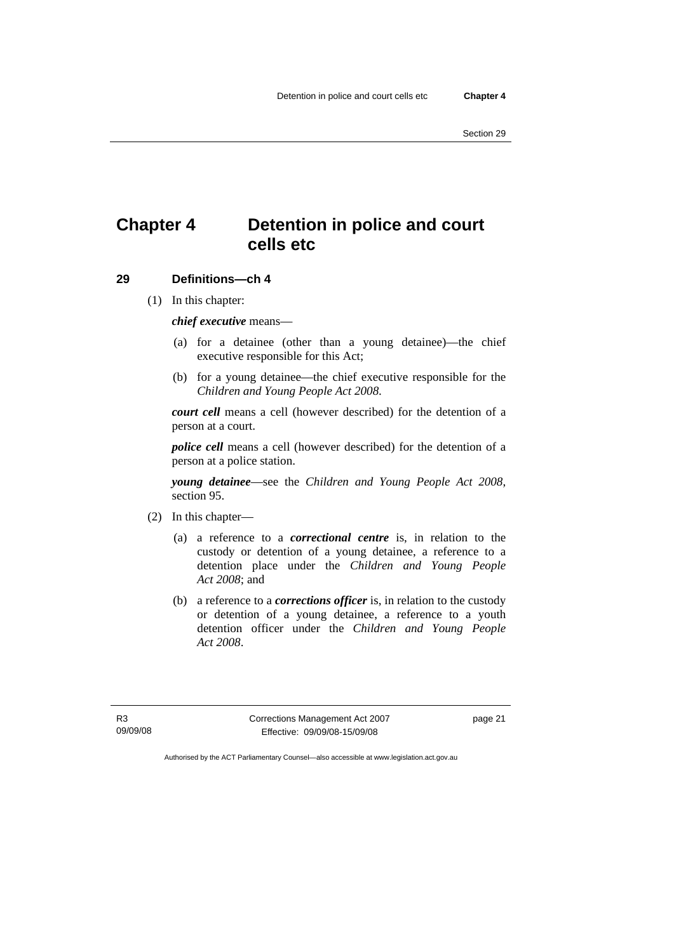# <span id="page-34-0"></span>**Chapter 4 Detention in police and court cells etc**

#### **29 Definitions—ch 4**

(1) In this chapter:

*chief executive* means—

- (a) for a detainee (other than a young detainee)—the chief executive responsible for this Act;
- (b) for a young detainee—the chief executive responsible for the *Children and Young People Act 2008*.

*court cell* means a cell (however described) for the detention of a person at a court.

*police cell* means a cell (however described) for the detention of a person at a police station.

*young detainee*—see the *Children and Young People Act 2008*, section 95.

- (2) In this chapter—
	- (a) a reference to a *correctional centre* is, in relation to the custody or detention of a young detainee, a reference to a detention place under the *Children and Young People Act 2008*; and
	- (b) a reference to a *corrections officer* is, in relation to the custody or detention of a young detainee, a reference to a youth detention officer under the *Children and Young People Act 2008*.

R3 09/09/08 Corrections Management Act 2007 Effective: 09/09/08-15/09/08

page 21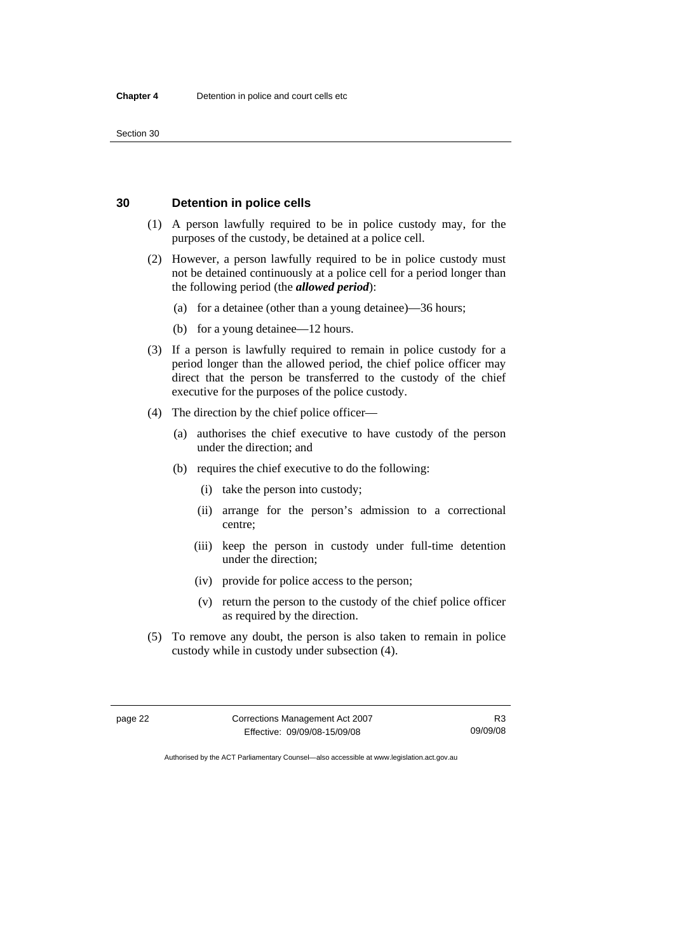#### <span id="page-35-0"></span>**30 Detention in police cells**

- (1) A person lawfully required to be in police custody may, for the purposes of the custody, be detained at a police cell.
- (2) However, a person lawfully required to be in police custody must not be detained continuously at a police cell for a period longer than the following period (the *allowed period*):
	- (a) for a detainee (other than a young detainee)—36 hours;
	- (b) for a young detainee—12 hours.
- (3) If a person is lawfully required to remain in police custody for a period longer than the allowed period, the chief police officer may direct that the person be transferred to the custody of the chief executive for the purposes of the police custody.
- (4) The direction by the chief police officer—
	- (a) authorises the chief executive to have custody of the person under the direction; and
	- (b) requires the chief executive to do the following:
		- (i) take the person into custody;
		- (ii) arrange for the person's admission to a correctional centre;
		- (iii) keep the person in custody under full-time detention under the direction;
		- (iv) provide for police access to the person;
		- (v) return the person to the custody of the chief police officer as required by the direction.
- (5) To remove any doubt, the person is also taken to remain in police custody while in custody under subsection (4).

page 22 Corrections Management Act 2007 Effective: 09/09/08-15/09/08

R3 09/09/08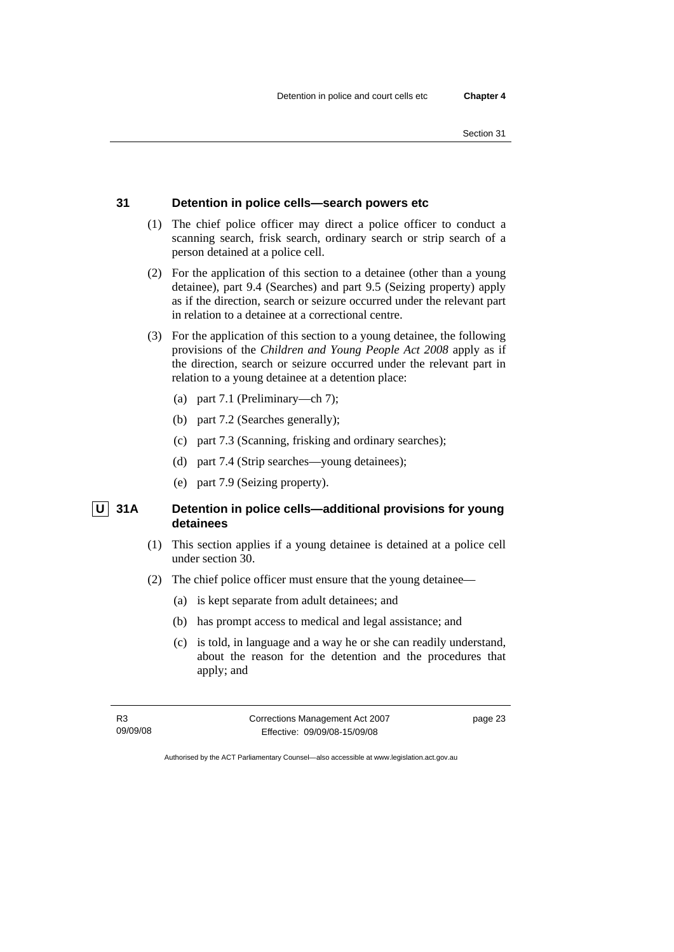# **31 Detention in police cells—search powers etc**

- (1) The chief police officer may direct a police officer to conduct a scanning search, frisk search, ordinary search or strip search of a person detained at a police cell.
- (2) For the application of this section to a detainee (other than a young detainee), part 9.4 (Searches) and part 9.5 (Seizing property) apply as if the direction, search or seizure occurred under the relevant part in relation to a detainee at a correctional centre.
- (3) For the application of this section to a young detainee, the following provisions of the *Children and Young People Act 2008* apply as if the direction, search or seizure occurred under the relevant part in relation to a young detainee at a detention place:
	- (a) part 7.1 (Preliminary—ch 7);
	- (b) part 7.2 (Searches generally);
	- (c) part 7.3 (Scanning, frisking and ordinary searches);
	- (d) part 7.4 (Strip searches—young detainees);
	- (e) part 7.9 (Seizing property).

# **U** 31A Detention in police cells—additional provisions for young **detainees**

- (1) This section applies if a young detainee is detained at a police cell under section 30.
- (2) The chief police officer must ensure that the young detainee—
	- (a) is kept separate from adult detainees; and
	- (b) has prompt access to medical and legal assistance; and
	- (c) is told, in language and a way he or she can readily understand, about the reason for the detention and the procedures that apply; and

R3 09/09/08 Corrections Management Act 2007 Effective: 09/09/08-15/09/08

page 23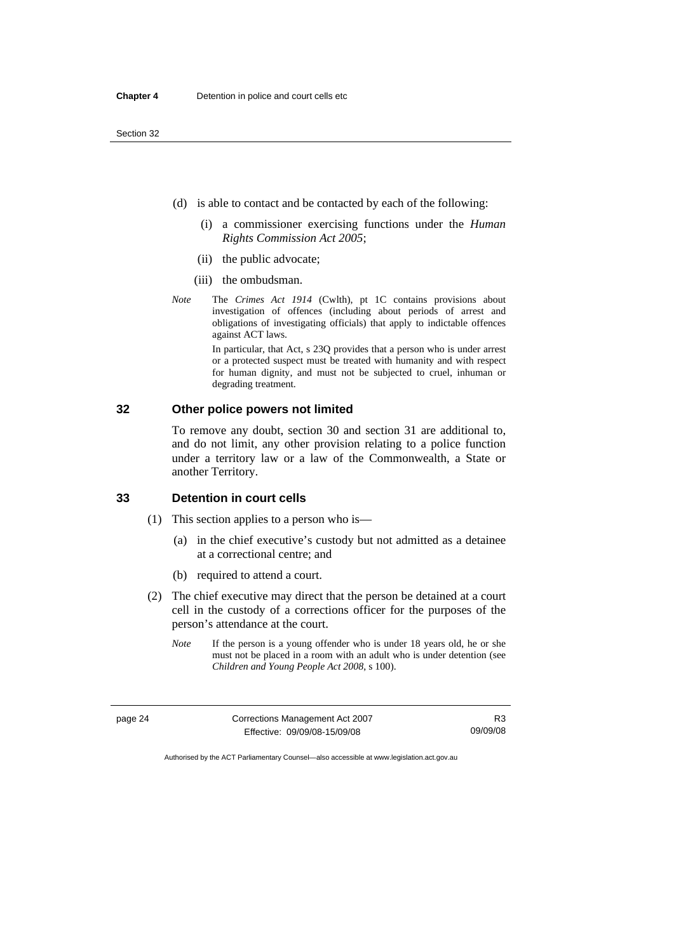- (d) is able to contact and be contacted by each of the following:
	- (i) a commissioner exercising functions under the *Human Rights Commission Act 2005*;
	- (ii) the public advocate;
	- (iii) the ombudsman.
- *Note* The *Crimes Act 1914* (Cwlth), pt 1C contains provisions about investigation of offences (including about periods of arrest and obligations of investigating officials) that apply to indictable offences against ACT laws.

In particular, that Act, s 23Q provides that a person who is under arrest or a protected suspect must be treated with humanity and with respect for human dignity, and must not be subjected to cruel, inhuman or degrading treatment.

#### **32 Other police powers not limited**

To remove any doubt, section 30 and section 31 are additional to, and do not limit, any other provision relating to a police function under a territory law or a law of the Commonwealth, a State or another Territory.

#### **33 Detention in court cells**

(1) This section applies to a person who is—

- (a) in the chief executive's custody but not admitted as a detainee at a correctional centre; and
- (b) required to attend a court.
- (2) The chief executive may direct that the person be detained at a court cell in the custody of a corrections officer for the purposes of the person's attendance at the court.
	- *Note* If the person is a young offender who is under 18 years old, he or she must not be placed in a room with an adult who is under detention (see *Children and Young People Act 2008*, s 100).

| page 24 | Corrections Management Act 2007 | R3       |
|---------|---------------------------------|----------|
|         | Effective: 09/09/08-15/09/08    | 09/09/08 |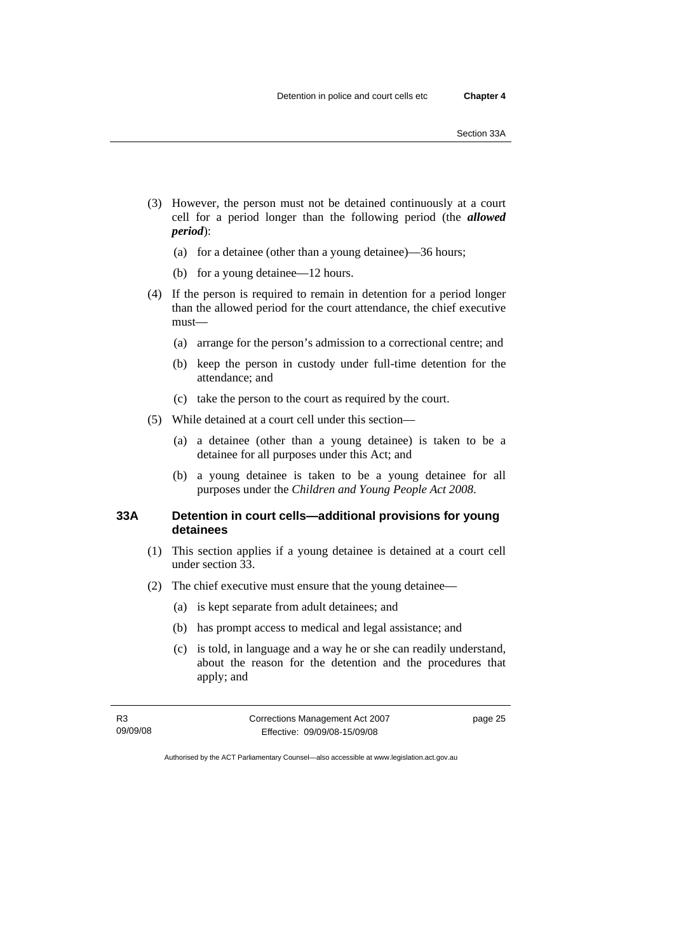- (3) However, the person must not be detained continuously at a court cell for a period longer than the following period (the *allowed period*):
	- (a) for a detainee (other than a young detainee)—36 hours;
	- (b) for a young detainee—12 hours.
- (4) If the person is required to remain in detention for a period longer than the allowed period for the court attendance, the chief executive must—
	- (a) arrange for the person's admission to a correctional centre; and
	- (b) keep the person in custody under full-time detention for the attendance; and
	- (c) take the person to the court as required by the court.
- (5) While detained at a court cell under this section—
	- (a) a detainee (other than a young detainee) is taken to be a detainee for all purposes under this Act; and
	- (b) a young detainee is taken to be a young detainee for all purposes under the *Children and Young People Act 2008*.

# **33A Detention in court cells—additional provisions for young detainees**

- (1) This section applies if a young detainee is detained at a court cell under section 33.
- (2) The chief executive must ensure that the young detainee—
	- (a) is kept separate from adult detainees; and
	- (b) has prompt access to medical and legal assistance; and
	- (c) is told, in language and a way he or she can readily understand, about the reason for the detention and the procedures that apply; and

R3 09/09/08 Corrections Management Act 2007 Effective: 09/09/08-15/09/08

page 25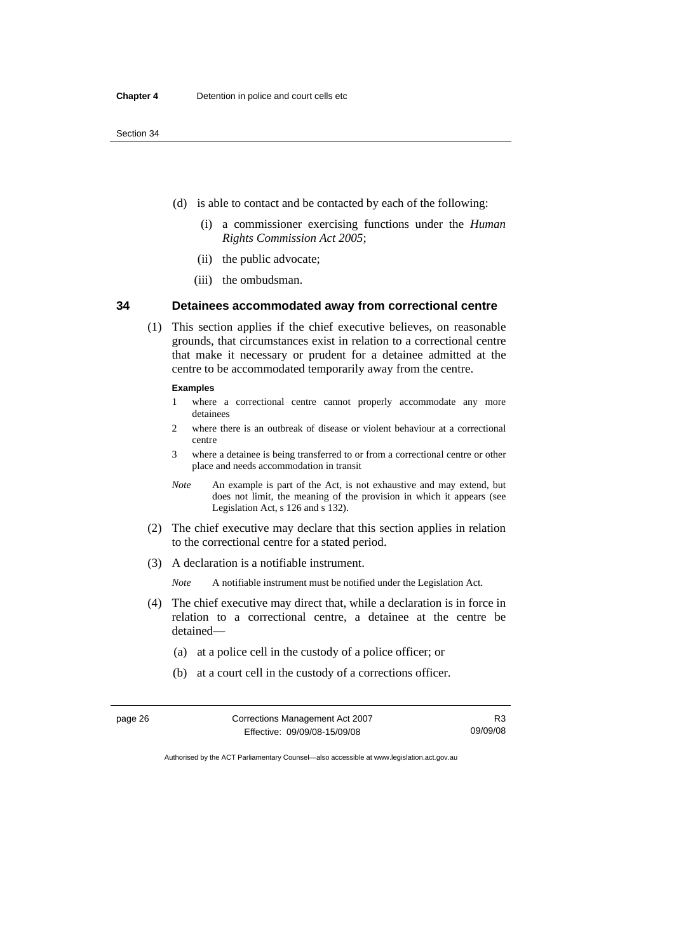- (d) is able to contact and be contacted by each of the following:
	- (i) a commissioner exercising functions under the *Human Rights Commission Act 2005*;
	- (ii) the public advocate;
	- (iii) the ombudsman.

#### **34 Detainees accommodated away from correctional centre**

 (1) This section applies if the chief executive believes, on reasonable grounds, that circumstances exist in relation to a correctional centre that make it necessary or prudent for a detainee admitted at the centre to be accommodated temporarily away from the centre.

#### **Examples**

- 1 where a correctional centre cannot properly accommodate any more detainees
- 2 where there is an outbreak of disease or violent behaviour at a correctional centre
- 3 where a detainee is being transferred to or from a correctional centre or other place and needs accommodation in transit
- *Note* An example is part of the Act, is not exhaustive and may extend, but does not limit, the meaning of the provision in which it appears (see Legislation Act, s 126 and s 132).
- (2) The chief executive may declare that this section applies in relation to the correctional centre for a stated period.
- (3) A declaration is a notifiable instrument.

*Note* A notifiable instrument must be notified under the Legislation Act.

- (4) The chief executive may direct that, while a declaration is in force in relation to a correctional centre, a detainee at the centre be detained—
	- (a) at a police cell in the custody of a police officer; or
	- (b) at a court cell in the custody of a corrections officer.

| page 26 | Corrections Management Act 2007 | R3       |
|---------|---------------------------------|----------|
|         | Effective: 09/09/08-15/09/08    | 09/09/08 |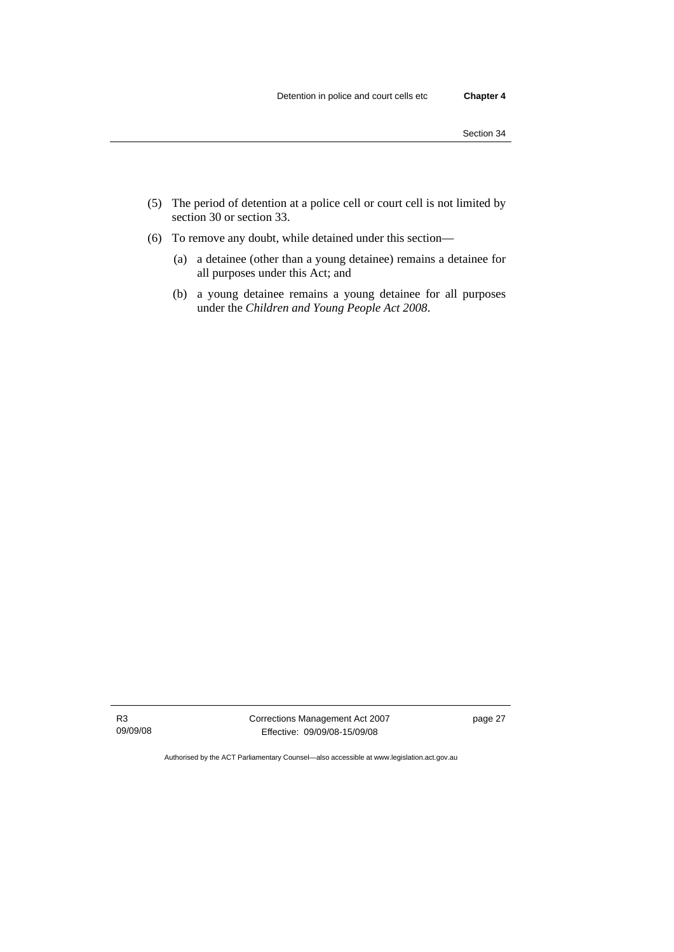- (5) The period of detention at a police cell or court cell is not limited by section 30 or section 33.
- (6) To remove any doubt, while detained under this section—
	- (a) a detainee (other than a young detainee) remains a detainee for all purposes under this Act; and
	- (b) a young detainee remains a young detainee for all purposes under the *Children and Young People Act 2008*.

Corrections Management Act 2007 Effective: 09/09/08-15/09/08

page 27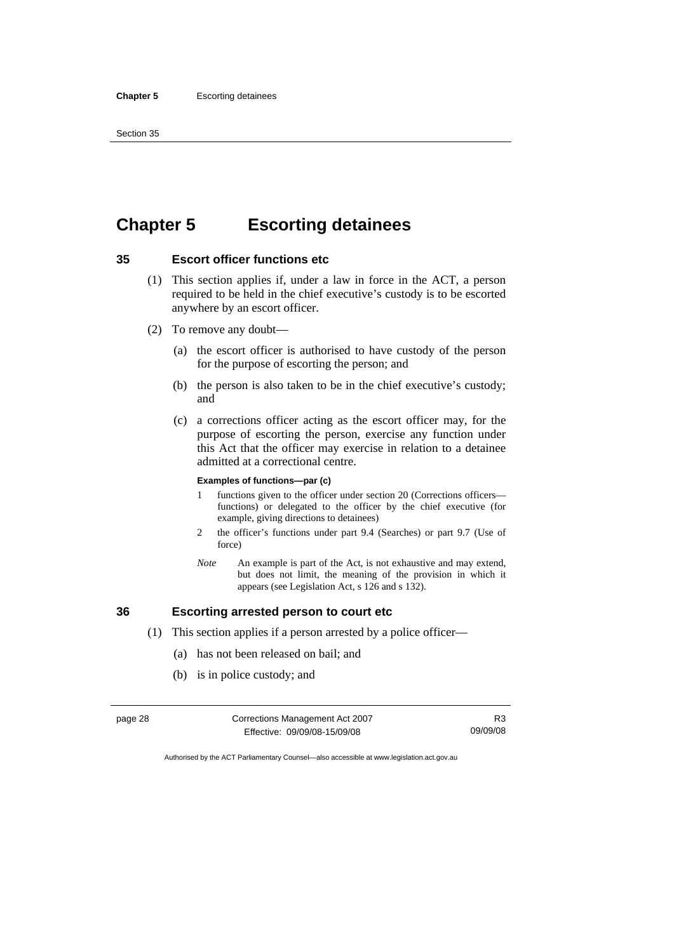# **Chapter 5 Escorting detainees**

# **35 Escort officer functions etc**

- (1) This section applies if, under a law in force in the ACT, a person required to be held in the chief executive's custody is to be escorted anywhere by an escort officer.
- (2) To remove any doubt—
	- (a) the escort officer is authorised to have custody of the person for the purpose of escorting the person; and
	- (b) the person is also taken to be in the chief executive's custody; and
	- (c) a corrections officer acting as the escort officer may, for the purpose of escorting the person, exercise any function under this Act that the officer may exercise in relation to a detainee admitted at a correctional centre.

#### **Examples of functions—par (c)**

- 1 functions given to the officer under section 20 (Corrections officers functions) or delegated to the officer by the chief executive (for example, giving directions to detainees)
- 2 the officer's functions under part 9.4 (Searches) or part 9.7 (Use of force)
- *Note* An example is part of the Act, is not exhaustive and may extend, but does not limit, the meaning of the provision in which it appears (see Legislation Act, s 126 and s 132).

# **36 Escorting arrested person to court etc**

- (1) This section applies if a person arrested by a police officer—
	- (a) has not been released on bail; and
	- (b) is in police custody; and

| page 28 | Corrections Management Act 2007 |          |
|---------|---------------------------------|----------|
|         | Effective: 09/09/08-15/09/08    | 09/09/08 |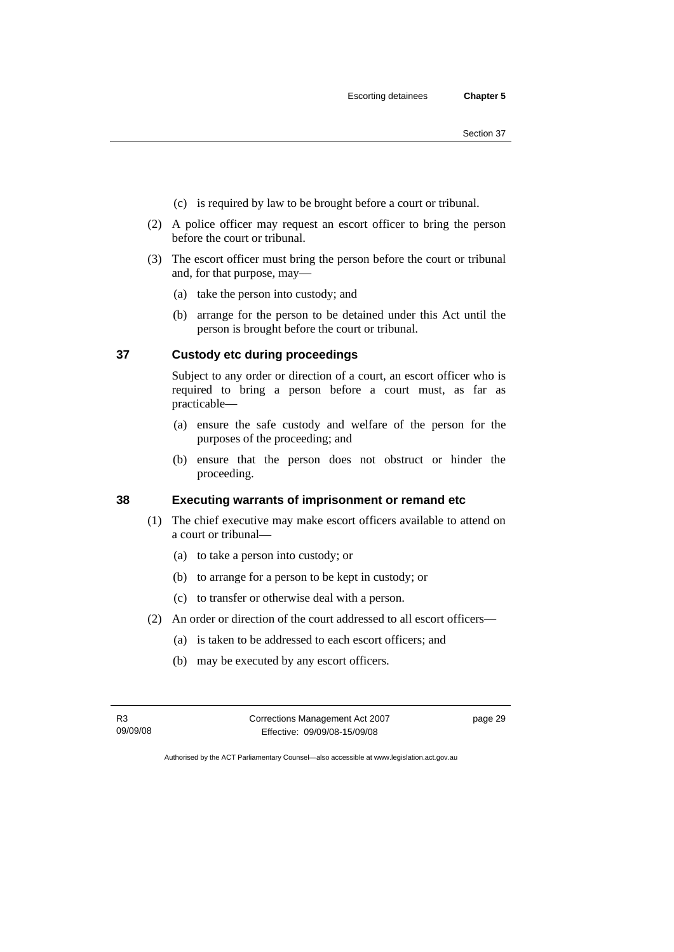- (c) is required by law to be brought before a court or tribunal.
- (2) A police officer may request an escort officer to bring the person before the court or tribunal.
- (3) The escort officer must bring the person before the court or tribunal and, for that purpose, may—
	- (a) take the person into custody; and
	- (b) arrange for the person to be detained under this Act until the person is brought before the court or tribunal.

#### **37 Custody etc during proceedings**

Subject to any order or direction of a court, an escort officer who is required to bring a person before a court must, as far as practicable—

- (a) ensure the safe custody and welfare of the person for the purposes of the proceeding; and
- (b) ensure that the person does not obstruct or hinder the proceeding.

# **38 Executing warrants of imprisonment or remand etc**

- (1) The chief executive may make escort officers available to attend on a court or tribunal—
	- (a) to take a person into custody; or
	- (b) to arrange for a person to be kept in custody; or
	- (c) to transfer or otherwise deal with a person.
- (2) An order or direction of the court addressed to all escort officers—
	- (a) is taken to be addressed to each escort officers; and
	- (b) may be executed by any escort officers.

R3 09/09/08 Corrections Management Act 2007 Effective: 09/09/08-15/09/08

page 29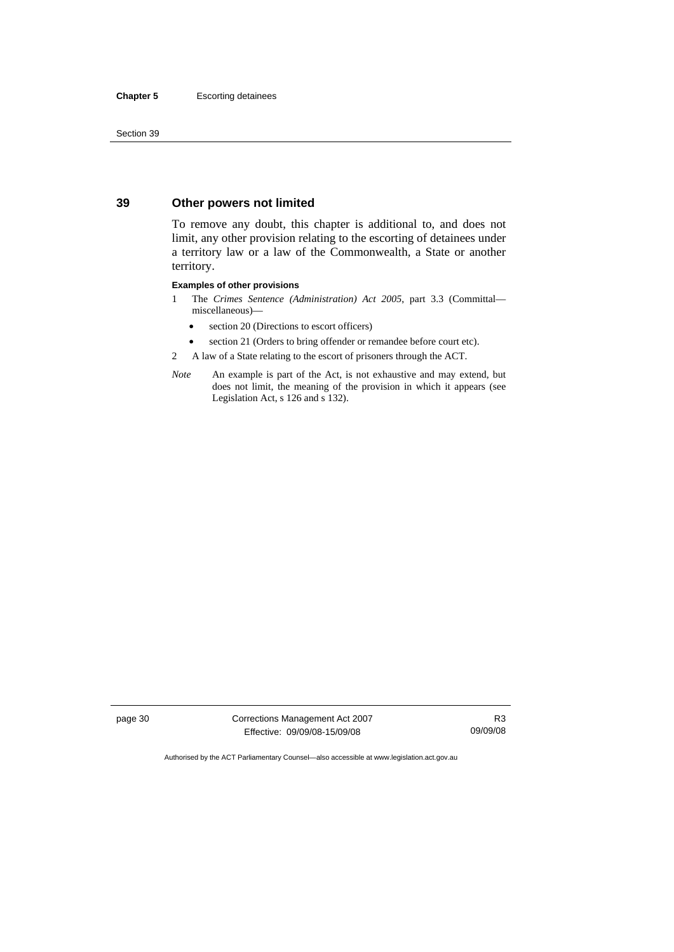#### **39 Other powers not limited**

To remove any doubt, this chapter is additional to, and does not limit, any other provision relating to the escorting of detainees under a territory law or a law of the Commonwealth, a State or another territory.

#### **Examples of other provisions**

- 1 The *Crimes Sentence (Administration) Act 2005*, part 3.3 (Committal miscellaneous)—
	- section 20 (Directions to escort officers)
	- section 21 (Orders to bring offender or remandee before court etc).
- 2 A law of a State relating to the escort of prisoners through the ACT.
- *Note* An example is part of the Act, is not exhaustive and may extend, but does not limit, the meaning of the provision in which it appears (see Legislation Act, s 126 and s 132).

page 30 Corrections Management Act 2007 Effective: 09/09/08-15/09/08

R3 09/09/08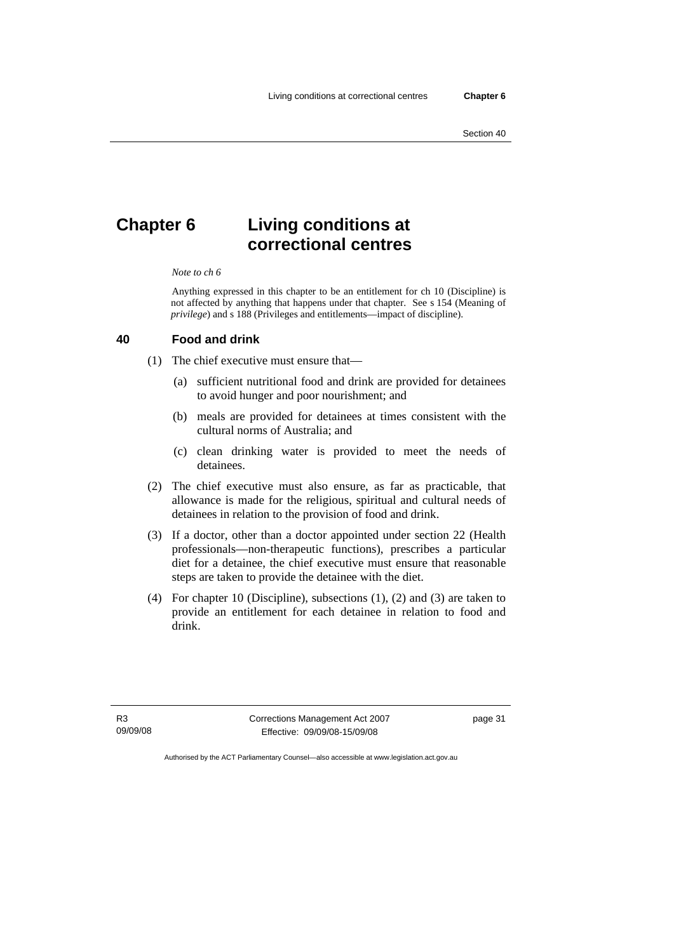# **Chapter 6 Living conditions at correctional centres**

#### *Note to ch 6*

Anything expressed in this chapter to be an entitlement for ch 10 (Discipline) is not affected by anything that happens under that chapter. See s 154 (Meaning of *privilege*) and s 188 (Privileges and entitlements—impact of discipline).

#### **40 Food and drink**

(1) The chief executive must ensure that—

- (a) sufficient nutritional food and drink are provided for detainees to avoid hunger and poor nourishment; and
- (b) meals are provided for detainees at times consistent with the cultural norms of Australia; and
- (c) clean drinking water is provided to meet the needs of detainees.
- (2) The chief executive must also ensure, as far as practicable, that allowance is made for the religious, spiritual and cultural needs of detainees in relation to the provision of food and drink.
- (3) If a doctor, other than a doctor appointed under section 22 (Health professionals—non-therapeutic functions), prescribes a particular diet for a detainee, the chief executive must ensure that reasonable steps are taken to provide the detainee with the diet.
- (4) For chapter 10 (Discipline), subsections (1), (2) and (3) are taken to provide an entitlement for each detainee in relation to food and drink.

R3 09/09/08 Corrections Management Act 2007 Effective: 09/09/08-15/09/08

page 31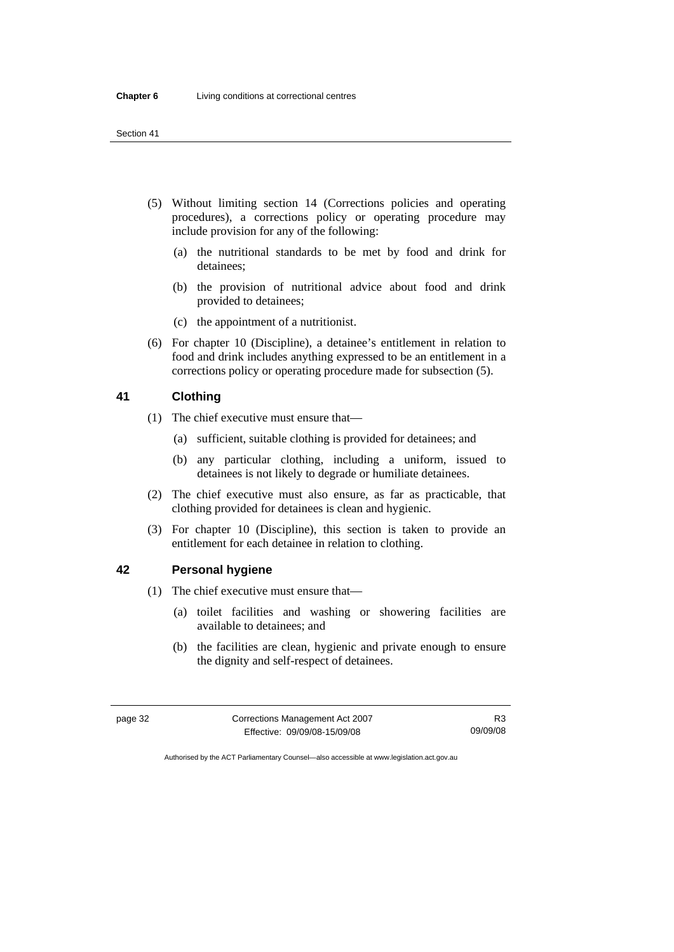- (5) Without limiting section 14 (Corrections policies and operating procedures), a corrections policy or operating procedure may include provision for any of the following:
	- (a) the nutritional standards to be met by food and drink for detainees;
	- (b) the provision of nutritional advice about food and drink provided to detainees;
	- (c) the appointment of a nutritionist.
- (6) For chapter 10 (Discipline), a detainee's entitlement in relation to food and drink includes anything expressed to be an entitlement in a corrections policy or operating procedure made for subsection (5).

#### **41 Clothing**

- (1) The chief executive must ensure that—
	- (a) sufficient, suitable clothing is provided for detainees; and
	- (b) any particular clothing, including a uniform, issued to detainees is not likely to degrade or humiliate detainees.
- (2) The chief executive must also ensure, as far as practicable, that clothing provided for detainees is clean and hygienic.
- (3) For chapter 10 (Discipline), this section is taken to provide an entitlement for each detainee in relation to clothing.

#### **42 Personal hygiene**

- (1) The chief executive must ensure that—
	- (a) toilet facilities and washing or showering facilities are available to detainees; and
	- (b) the facilities are clean, hygienic and private enough to ensure the dignity and self-respect of detainees.

| page 32 | Corrections Management Act 2007 | R3       |
|---------|---------------------------------|----------|
|         | Effective: 09/09/08-15/09/08    | 09/09/08 |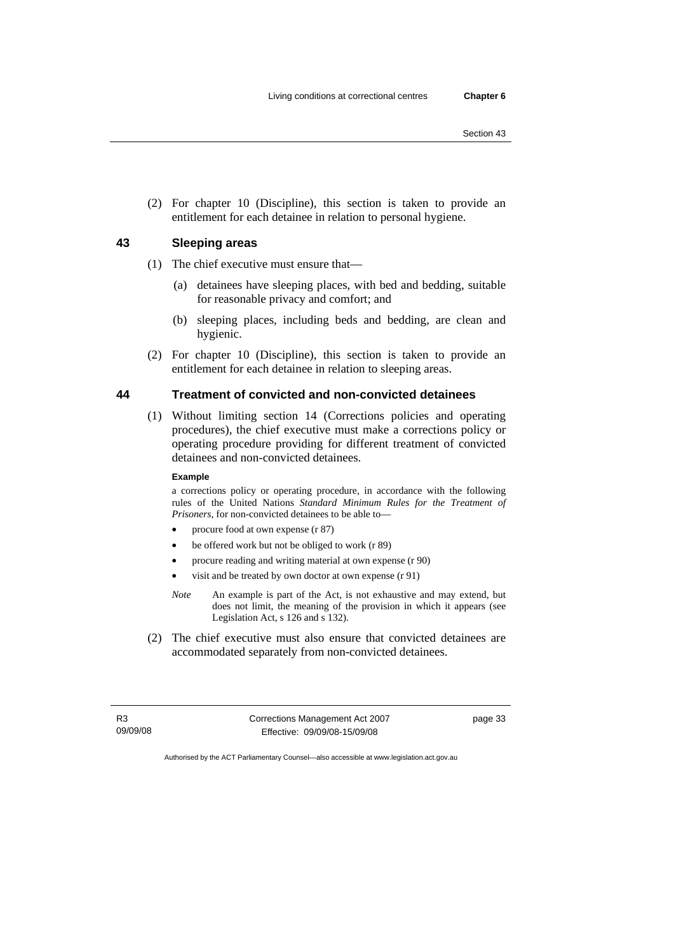(2) For chapter 10 (Discipline), this section is taken to provide an entitlement for each detainee in relation to personal hygiene.

# **43 Sleeping areas**

(1) The chief executive must ensure that—

- (a) detainees have sleeping places, with bed and bedding, suitable for reasonable privacy and comfort; and
- (b) sleeping places, including beds and bedding, are clean and hygienic.
- (2) For chapter 10 (Discipline), this section is taken to provide an entitlement for each detainee in relation to sleeping areas.

# **44 Treatment of convicted and non-convicted detainees**

 (1) Without limiting section 14 (Corrections policies and operating procedures), the chief executive must make a corrections policy or operating procedure providing for different treatment of convicted detainees and non-convicted detainees.

#### **Example**

a corrections policy or operating procedure, in accordance with the following rules of the United Nations *Standard Minimum Rules for the Treatment of Prisoners*, for non-convicted detainees to be able to—

- procure food at own expense (r 87)
- be offered work but not be obliged to work (r 89)
- procure reading and writing material at own expense (r 90)
- visit and be treated by own doctor at own expense (r 91)
- *Note* An example is part of the Act, is not exhaustive and may extend, but does not limit, the meaning of the provision in which it appears (see Legislation Act, s 126 and s 132).
- (2) The chief executive must also ensure that convicted detainees are accommodated separately from non-convicted detainees.

R3 09/09/08 Corrections Management Act 2007 Effective: 09/09/08-15/09/08

page 33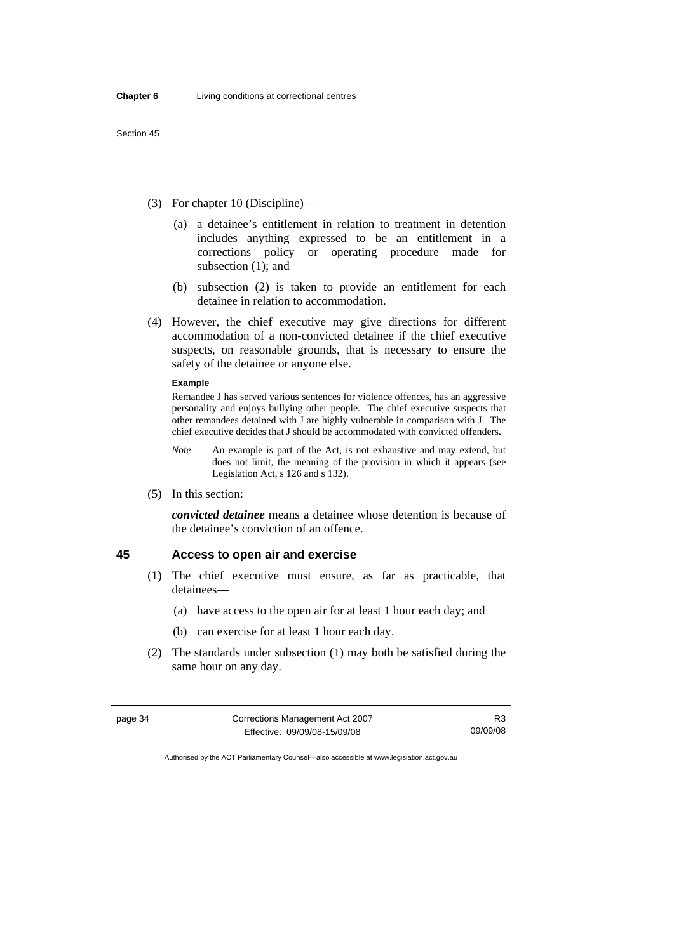- (3) For chapter 10 (Discipline)—
	- (a) a detainee's entitlement in relation to treatment in detention includes anything expressed to be an entitlement in a corrections policy or operating procedure made for subsection (1); and
	- (b) subsection (2) is taken to provide an entitlement for each detainee in relation to accommodation.
- (4) However, the chief executive may give directions for different accommodation of a non-convicted detainee if the chief executive suspects, on reasonable grounds, that is necessary to ensure the safety of the detainee or anyone else.

#### **Example**

Remandee J has served various sentences for violence offences, has an aggressive personality and enjoys bullying other people. The chief executive suspects that other remandees detained with J are highly vulnerable in comparison with J. The chief executive decides that J should be accommodated with convicted offenders.

- *Note* An example is part of the Act, is not exhaustive and may extend, but does not limit, the meaning of the provision in which it appears (see Legislation Act, s 126 and s 132).
- (5) In this section:

*convicted detainee* means a detainee whose detention is because of the detainee's conviction of an offence.

# **45 Access to open air and exercise**

- (1) The chief executive must ensure, as far as practicable, that detainees—
	- (a) have access to the open air for at least 1 hour each day; and
	- (b) can exercise for at least 1 hour each day.
- (2) The standards under subsection (1) may both be satisfied during the same hour on any day.

| page 34 | Corrections Management Act 2007 | R3       |
|---------|---------------------------------|----------|
|         | Effective: 09/09/08-15/09/08    | 09/09/08 |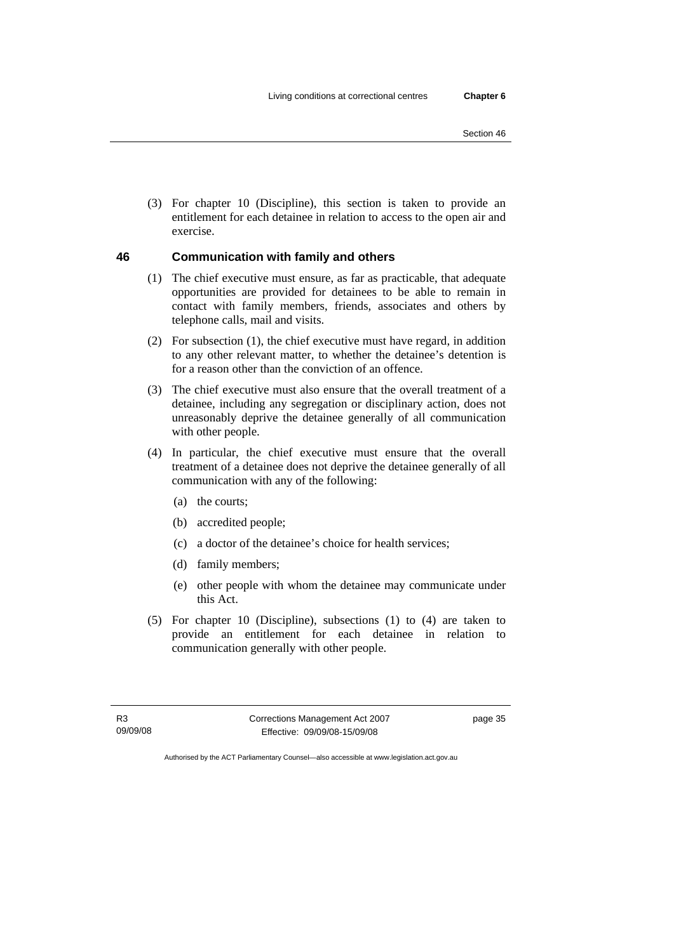(3) For chapter 10 (Discipline), this section is taken to provide an entitlement for each detainee in relation to access to the open air and exercise.

#### **46 Communication with family and others**

- (1) The chief executive must ensure, as far as practicable, that adequate opportunities are provided for detainees to be able to remain in contact with family members, friends, associates and others by telephone calls, mail and visits.
- (2) For subsection (1), the chief executive must have regard, in addition to any other relevant matter, to whether the detainee's detention is for a reason other than the conviction of an offence.
- (3) The chief executive must also ensure that the overall treatment of a detainee, including any segregation or disciplinary action, does not unreasonably deprive the detainee generally of all communication with other people.
- (4) In particular, the chief executive must ensure that the overall treatment of a detainee does not deprive the detainee generally of all communication with any of the following:
	- (a) the courts;
	- (b) accredited people;
	- (c) a doctor of the detainee's choice for health services;
	- (d) family members;
	- (e) other people with whom the detainee may communicate under this Act.
- (5) For chapter 10 (Discipline), subsections (1) to (4) are taken to provide an entitlement for each detainee in relation to communication generally with other people.

R3 09/09/08 Corrections Management Act 2007 Effective: 09/09/08-15/09/08

page 35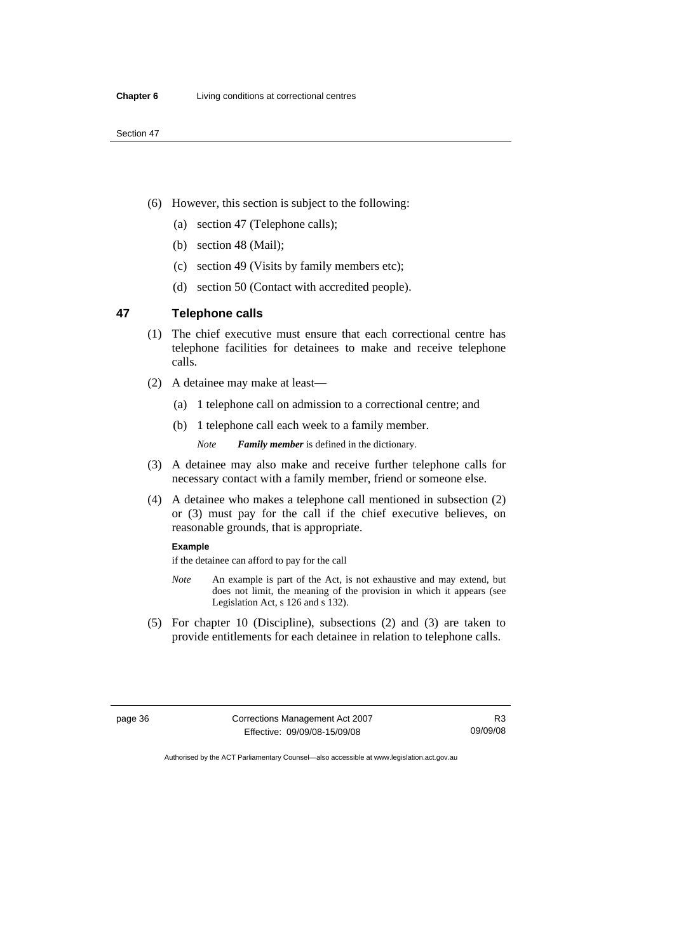- (6) However, this section is subject to the following:
	- (a) section 47 (Telephone calls);
	- (b) section 48 (Mail);
	- (c) section 49 (Visits by family members etc);
	- (d) section 50 (Contact with accredited people).

# **47 Telephone calls**

- (1) The chief executive must ensure that each correctional centre has telephone facilities for detainees to make and receive telephone calls.
- (2) A detainee may make at least—
	- (a) 1 telephone call on admission to a correctional centre; and
	- (b) 1 telephone call each week to a family member.

*Note Family member* is defined in the dictionary.

- (3) A detainee may also make and receive further telephone calls for necessary contact with a family member, friend or someone else.
- (4) A detainee who makes a telephone call mentioned in subsection (2) or (3) must pay for the call if the chief executive believes, on reasonable grounds, that is appropriate.

#### **Example**

if the detainee can afford to pay for the call

- *Note* An example is part of the Act, is not exhaustive and may extend, but does not limit, the meaning of the provision in which it appears (see Legislation Act, s 126 and s 132).
- (5) For chapter 10 (Discipline), subsections (2) and (3) are taken to provide entitlements for each detainee in relation to telephone calls.

page 36 Corrections Management Act 2007 Effective: 09/09/08-15/09/08

R3 09/09/08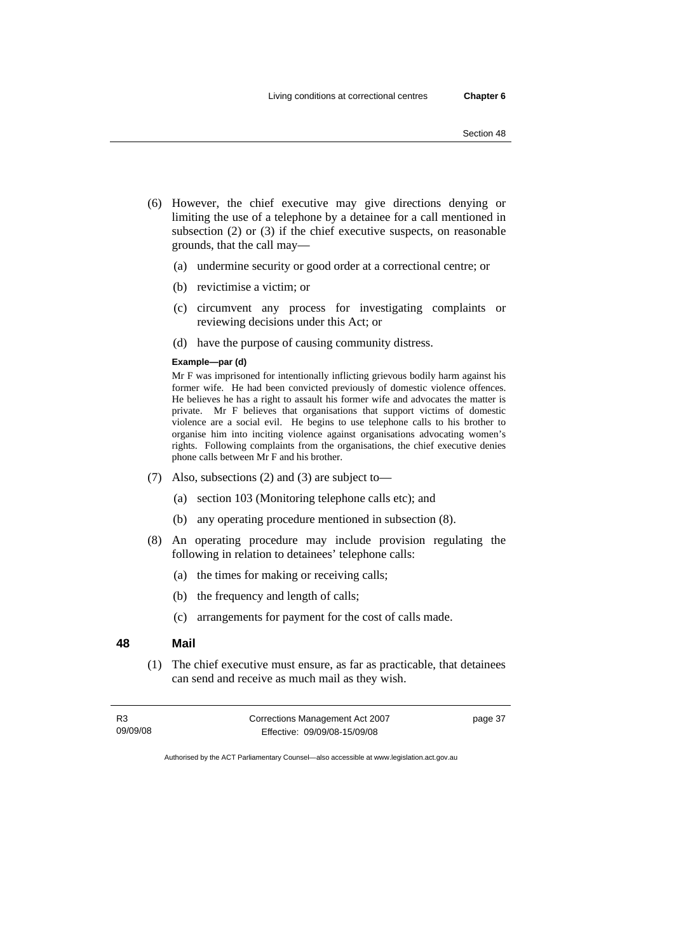- (6) However, the chief executive may give directions denying or limiting the use of a telephone by a detainee for a call mentioned in subsection (2) or (3) if the chief executive suspects, on reasonable grounds, that the call may—
	- (a) undermine security or good order at a correctional centre; or
	- (b) revictimise a victim; or
	- (c) circumvent any process for investigating complaints or reviewing decisions under this Act; or
	- (d) have the purpose of causing community distress.

#### **Example—par (d)**

Mr F was imprisoned for intentionally inflicting grievous bodily harm against his former wife. He had been convicted previously of domestic violence offences. He believes he has a right to assault his former wife and advocates the matter is private. Mr F believes that organisations that support victims of domestic violence are a social evil. He begins to use telephone calls to his brother to organise him into inciting violence against organisations advocating women's rights. Following complaints from the organisations, the chief executive denies phone calls between Mr F and his brother.

- (7) Also, subsections (2) and (3) are subject to—
	- (a) section 103 (Monitoring telephone calls etc); and
	- (b) any operating procedure mentioned in subsection (8).
- (8) An operating procedure may include provision regulating the following in relation to detainees' telephone calls:
	- (a) the times for making or receiving calls;
	- (b) the frequency and length of calls;
	- (c) arrangements for payment for the cost of calls made.

### **48 Mail**

 (1) The chief executive must ensure, as far as practicable, that detainees can send and receive as much mail as they wish.

| R3       | Corrections Management Act 2007 | page 37 |
|----------|---------------------------------|---------|
| 09/09/08 | Effective: 09/09/08-15/09/08    |         |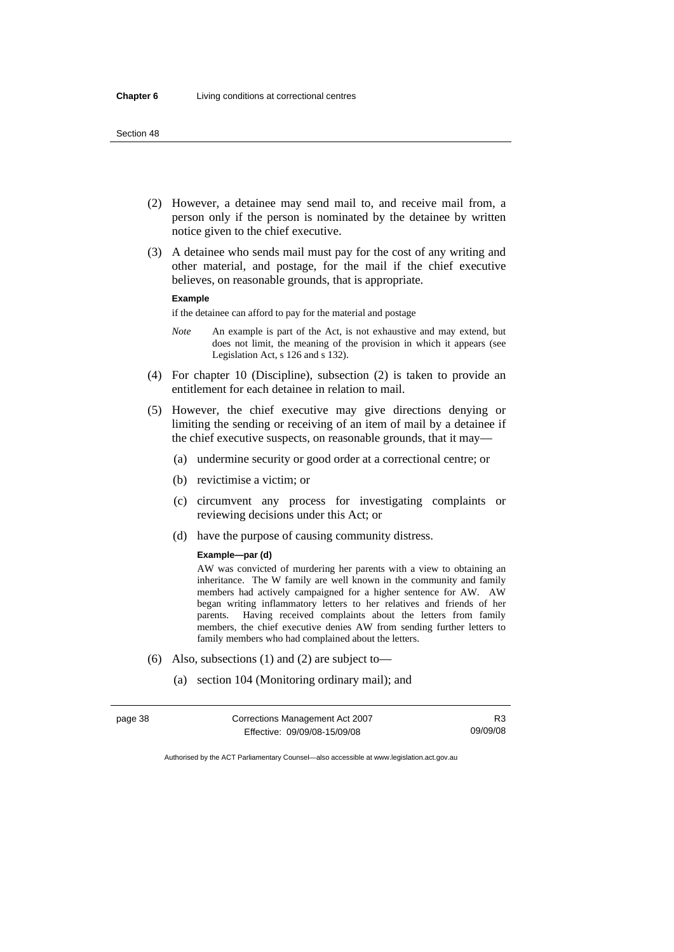- (2) However, a detainee may send mail to, and receive mail from, a person only if the person is nominated by the detainee by written notice given to the chief executive.
- (3) A detainee who sends mail must pay for the cost of any writing and other material, and postage, for the mail if the chief executive believes, on reasonable grounds, that is appropriate.

#### **Example**

if the detainee can afford to pay for the material and postage

- *Note* An example is part of the Act, is not exhaustive and may extend, but does not limit, the meaning of the provision in which it appears (see Legislation Act, s 126 and s 132).
- (4) For chapter 10 (Discipline), subsection (2) is taken to provide an entitlement for each detainee in relation to mail.
- (5) However, the chief executive may give directions denying or limiting the sending or receiving of an item of mail by a detainee if the chief executive suspects, on reasonable grounds, that it may—
	- (a) undermine security or good order at a correctional centre; or
	- (b) revictimise a victim; or
	- (c) circumvent any process for investigating complaints or reviewing decisions under this Act; or
	- (d) have the purpose of causing community distress.

#### **Example—par (d)**

AW was convicted of murdering her parents with a view to obtaining an inheritance. The W family are well known in the community and family members had actively campaigned for a higher sentence for AW. AW began writing inflammatory letters to her relatives and friends of her parents. Having received complaints about the letters from family members, the chief executive denies AW from sending further letters to family members who had complained about the letters.

- (6) Also, subsections (1) and (2) are subject to—
	- (a) section 104 (Monitoring ordinary mail); and

| page 38 | Corrections Management Act 2007 | R3       |
|---------|---------------------------------|----------|
|         | Effective: 09/09/08-15/09/08    | 09/09/08 |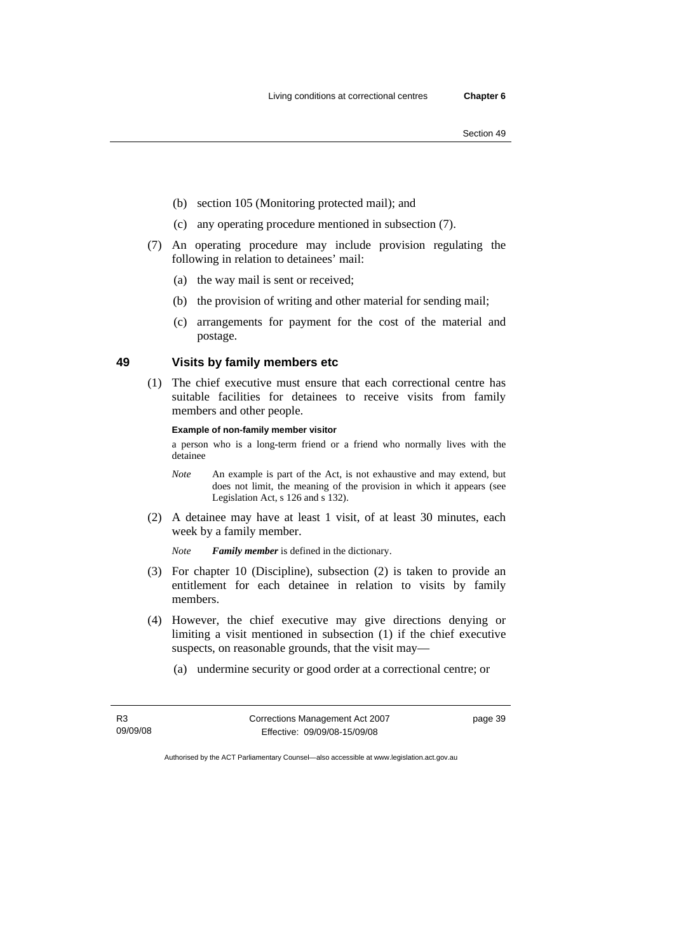- (b) section 105 (Monitoring protected mail); and
- (c) any operating procedure mentioned in subsection (7).
- (7) An operating procedure may include provision regulating the following in relation to detainees' mail:
	- (a) the way mail is sent or received;
	- (b) the provision of writing and other material for sending mail;
	- (c) arrangements for payment for the cost of the material and postage.

#### **49 Visits by family members etc**

 (1) The chief executive must ensure that each correctional centre has suitable facilities for detainees to receive visits from family members and other people.

#### **Example of non-family member visitor**

a person who is a long-term friend or a friend who normally lives with the detainee

- *Note* An example is part of the Act, is not exhaustive and may extend, but does not limit, the meaning of the provision in which it appears (see Legislation Act, s 126 and s 132).
- (2) A detainee may have at least 1 visit, of at least 30 minutes, each week by a family member.

*Note Family member* is defined in the dictionary.

- (3) For chapter 10 (Discipline), subsection (2) is taken to provide an entitlement for each detainee in relation to visits by family members.
- (4) However, the chief executive may give directions denying or limiting a visit mentioned in subsection (1) if the chief executive suspects, on reasonable grounds, that the visit may—
	- (a) undermine security or good order at a correctional centre; or

R3 09/09/08 Corrections Management Act 2007 Effective: 09/09/08-15/09/08

page 39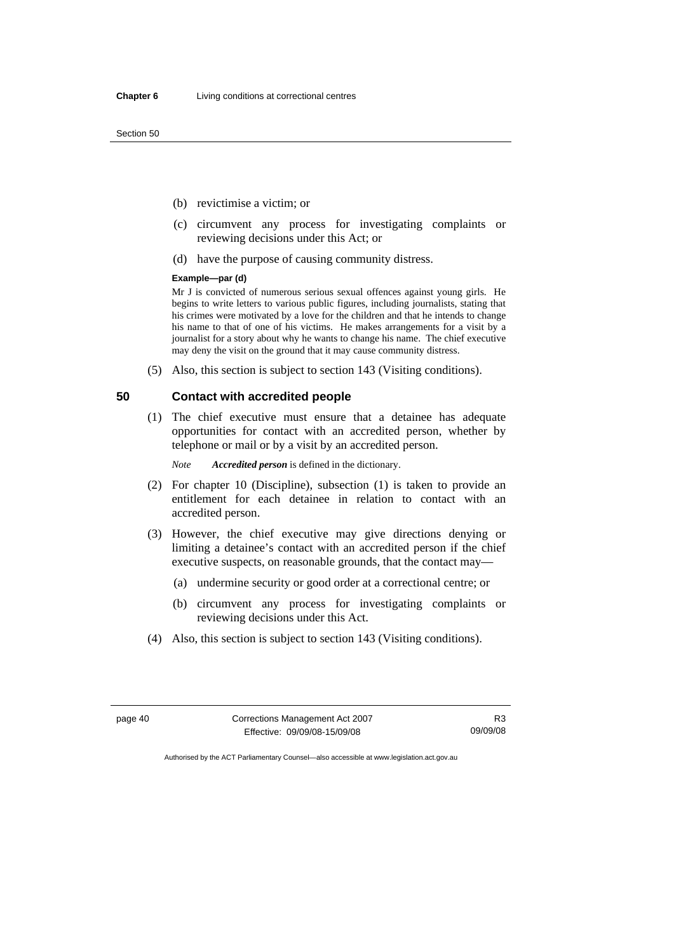- (b) revictimise a victim; or
- (c) circumvent any process for investigating complaints or reviewing decisions under this Act; or
- (d) have the purpose of causing community distress.

#### **Example—par (d)**

Mr J is convicted of numerous serious sexual offences against young girls. He begins to write letters to various public figures, including journalists, stating that his crimes were motivated by a love for the children and that he intends to change his name to that of one of his victims. He makes arrangements for a visit by a journalist for a story about why he wants to change his name. The chief executive may deny the visit on the ground that it may cause community distress.

(5) Also, this section is subject to section 143 (Visiting conditions).

#### **50 Contact with accredited people**

 (1) The chief executive must ensure that a detainee has adequate opportunities for contact with an accredited person, whether by telephone or mail or by a visit by an accredited person.

*Note Accredited person* is defined in the dictionary.

- (2) For chapter 10 (Discipline), subsection (1) is taken to provide an entitlement for each detainee in relation to contact with an accredited person.
- (3) However, the chief executive may give directions denying or limiting a detainee's contact with an accredited person if the chief executive suspects, on reasonable grounds, that the contact may—
	- (a) undermine security or good order at a correctional centre; or
	- (b) circumvent any process for investigating complaints or reviewing decisions under this Act.
- (4) Also, this section is subject to section 143 (Visiting conditions).

page 40 Corrections Management Act 2007 Effective: 09/09/08-15/09/08

R3 09/09/08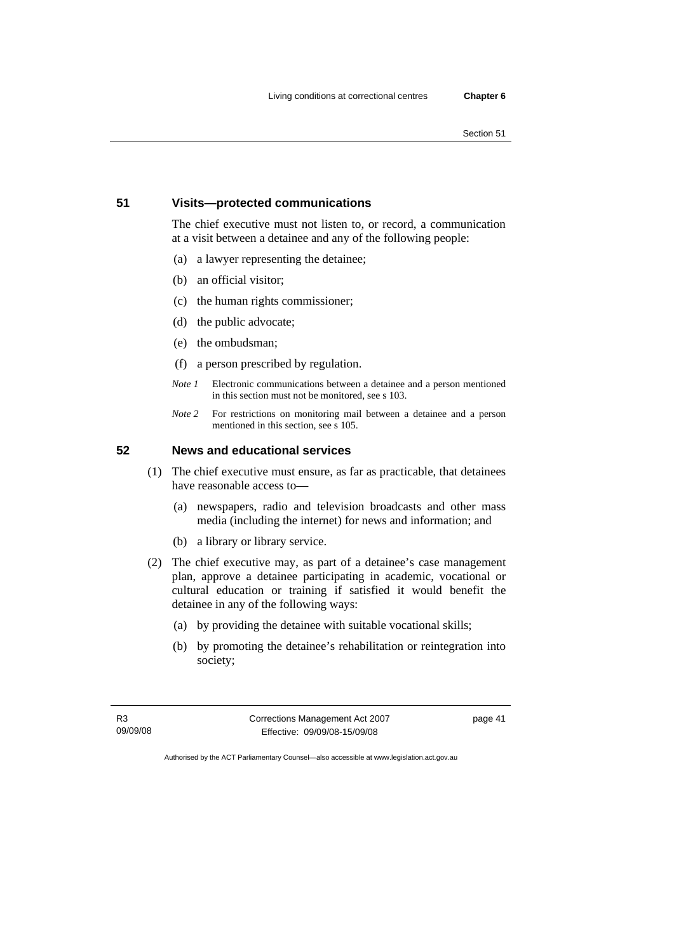# **51 Visits—protected communications**

The chief executive must not listen to, or record, a communication at a visit between a detainee and any of the following people:

- (a) a lawyer representing the detainee;
- (b) an official visitor;
- (c) the human rights commissioner;
- (d) the public advocate;
- (e) the ombudsman;
- (f) a person prescribed by regulation.
- *Note 1* Electronic communications between a detainee and a person mentioned in this section must not be monitored, see s 103.
- *Note 2* For restrictions on monitoring mail between a detainee and a person mentioned in this section, see s 105.

#### **52 News and educational services**

- (1) The chief executive must ensure, as far as practicable, that detainees have reasonable access to—
	- (a) newspapers, radio and television broadcasts and other mass media (including the internet) for news and information; and
	- (b) a library or library service.
- (2) The chief executive may, as part of a detainee's case management plan, approve a detainee participating in academic, vocational or cultural education or training if satisfied it would benefit the detainee in any of the following ways:
	- (a) by providing the detainee with suitable vocational skills;
	- (b) by promoting the detainee's rehabilitation or reintegration into society;

R3 09/09/08 Corrections Management Act 2007 Effective: 09/09/08-15/09/08

page 41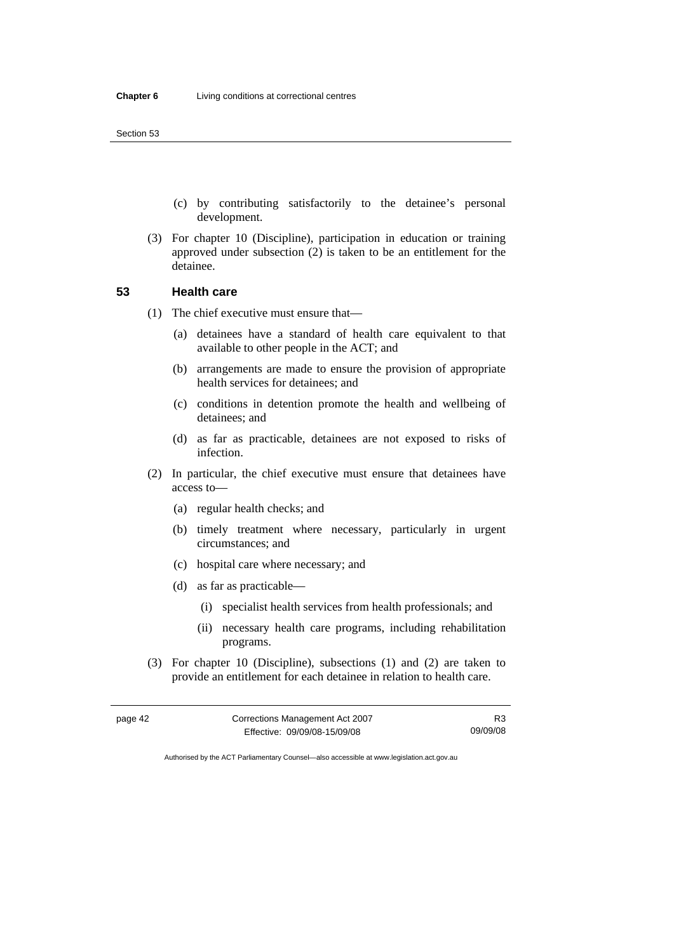- (c) by contributing satisfactorily to the detainee's personal development.
- (3) For chapter 10 (Discipline), participation in education or training approved under subsection (2) is taken to be an entitlement for the detainee.

# **53 Health care**

- (1) The chief executive must ensure that—
	- (a) detainees have a standard of health care equivalent to that available to other people in the ACT; and
	- (b) arrangements are made to ensure the provision of appropriate health services for detainees; and
	- (c) conditions in detention promote the health and wellbeing of detainees; and
	- (d) as far as practicable, detainees are not exposed to risks of infection.
- (2) In particular, the chief executive must ensure that detainees have access to—
	- (a) regular health checks; and
	- (b) timely treatment where necessary, particularly in urgent circumstances; and
	- (c) hospital care where necessary; and
	- (d) as far as practicable—
		- (i) specialist health services from health professionals; and
		- (ii) necessary health care programs, including rehabilitation programs.
- (3) For chapter 10 (Discipline), subsections (1) and (2) are taken to provide an entitlement for each detainee in relation to health care.

| page 42 | Corrections Management Act 2007 | R3       |
|---------|---------------------------------|----------|
|         | Effective: 09/09/08-15/09/08    | 09/09/08 |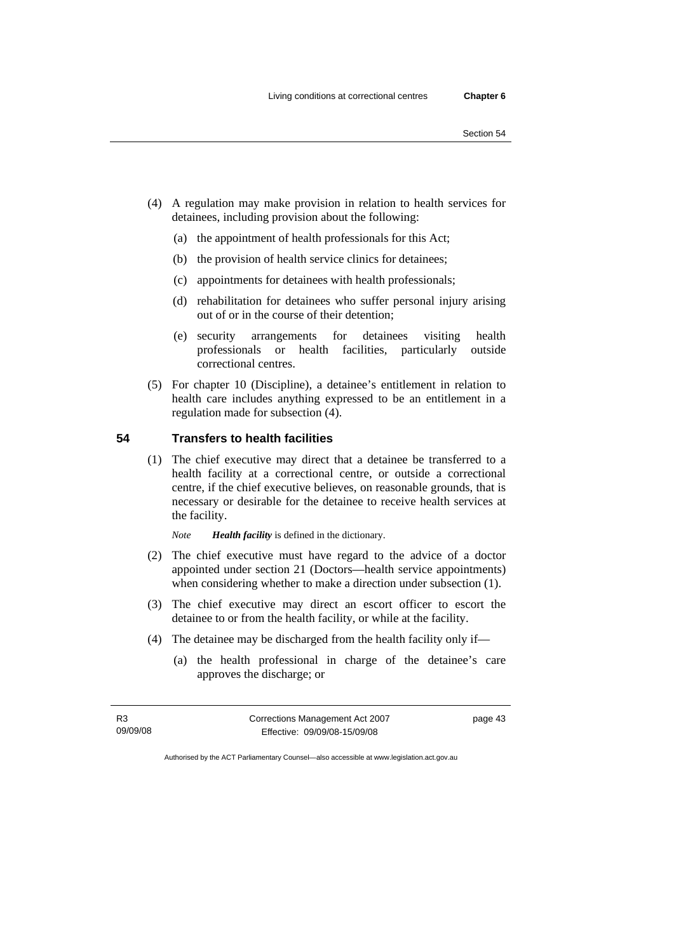- (4) A regulation may make provision in relation to health services for detainees, including provision about the following:
	- (a) the appointment of health professionals for this Act;
	- (b) the provision of health service clinics for detainees;
	- (c) appointments for detainees with health professionals;
	- (d) rehabilitation for detainees who suffer personal injury arising out of or in the course of their detention;
	- (e) security arrangements for detainees visiting health professionals or health facilities, particularly outside correctional centres.
- (5) For chapter 10 (Discipline), a detainee's entitlement in relation to health care includes anything expressed to be an entitlement in a regulation made for subsection (4).

#### **54 Transfers to health facilities**

- (1) The chief executive may direct that a detainee be transferred to a health facility at a correctional centre, or outside a correctional centre, if the chief executive believes, on reasonable grounds, that is necessary or desirable for the detainee to receive health services at the facility.
	- *Note Health facility* is defined in the dictionary.
- (2) The chief executive must have regard to the advice of a doctor appointed under section 21 (Doctors—health service appointments) when considering whether to make a direction under subsection (1).
- (3) The chief executive may direct an escort officer to escort the detainee to or from the health facility, or while at the facility.
- (4) The detainee may be discharged from the health facility only if—
	- (a) the health professional in charge of the detainee's care approves the discharge; or

R3 09/09/08 Corrections Management Act 2007 Effective: 09/09/08-15/09/08 page 43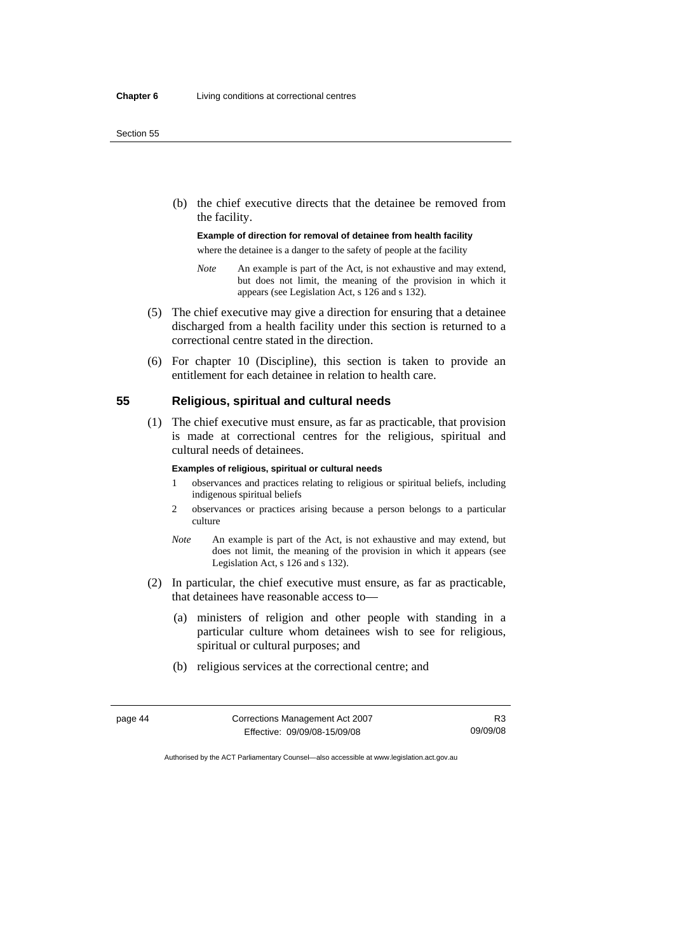(b) the chief executive directs that the detainee be removed from the facility.

#### **Example of direction for removal of detainee from health facility**

where the detainee is a danger to the safety of people at the facility

- *Note* An example is part of the Act, is not exhaustive and may extend, but does not limit, the meaning of the provision in which it appears (see Legislation Act, s 126 and s 132).
- (5) The chief executive may give a direction for ensuring that a detainee discharged from a health facility under this section is returned to a correctional centre stated in the direction.
- (6) For chapter 10 (Discipline), this section is taken to provide an entitlement for each detainee in relation to health care.

# **55 Religious, spiritual and cultural needs**

 (1) The chief executive must ensure, as far as practicable, that provision is made at correctional centres for the religious, spiritual and cultural needs of detainees.

#### **Examples of religious, spiritual or cultural needs**

- 1 observances and practices relating to religious or spiritual beliefs, including indigenous spiritual beliefs
- 2 observances or practices arising because a person belongs to a particular culture
- *Note* An example is part of the Act, is not exhaustive and may extend, but does not limit, the meaning of the provision in which it appears (see Legislation Act, s 126 and s 132).
- (2) In particular, the chief executive must ensure, as far as practicable, that detainees have reasonable access to—
	- (a) ministers of religion and other people with standing in a particular culture whom detainees wish to see for religious, spiritual or cultural purposes; and
	- (b) religious services at the correctional centre; and

| page 44 | Corrections Management Act 2007 |          |
|---------|---------------------------------|----------|
|         | Effective: 09/09/08-15/09/08    | 09/09/08 |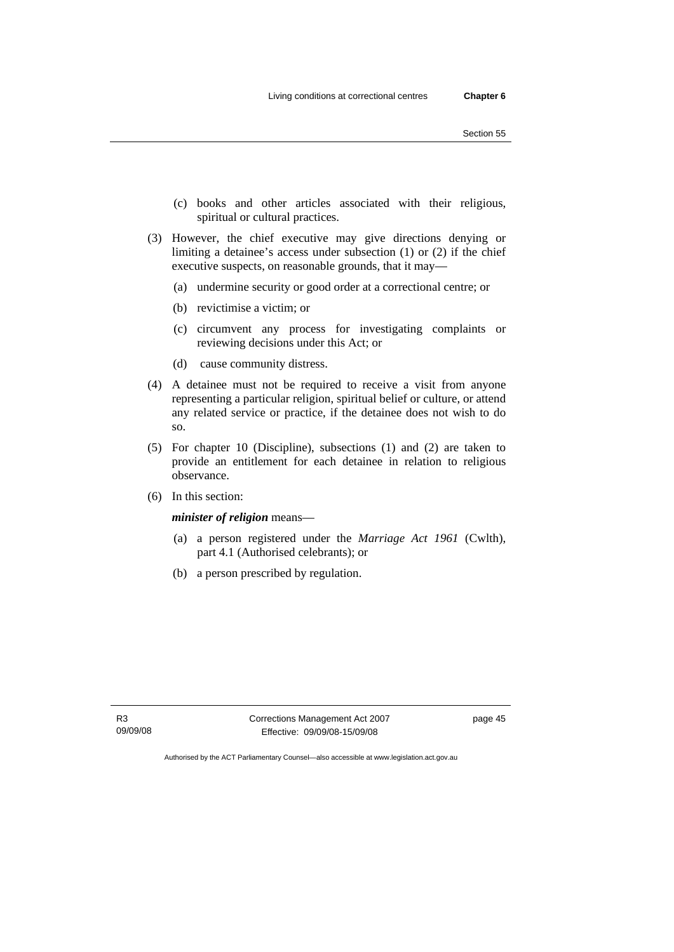- (c) books and other articles associated with their religious, spiritual or cultural practices.
- (3) However, the chief executive may give directions denying or limiting a detainee's access under subsection (1) or (2) if the chief executive suspects, on reasonable grounds, that it may—
	- (a) undermine security or good order at a correctional centre; or
	- (b) revictimise a victim; or
	- (c) circumvent any process for investigating complaints or reviewing decisions under this Act; or
	- (d) cause community distress.
- (4) A detainee must not be required to receive a visit from anyone representing a particular religion, spiritual belief or culture, or attend any related service or practice, if the detainee does not wish to do so.
- (5) For chapter 10 (Discipline), subsections (1) and (2) are taken to provide an entitlement for each detainee in relation to religious observance.
- (6) In this section:

*minister of religion* means—

- (a) a person registered under the *Marriage Act 1961* (Cwlth), part 4.1 (Authorised celebrants); or
- (b) a person prescribed by regulation.

Corrections Management Act 2007 Effective: 09/09/08-15/09/08

page 45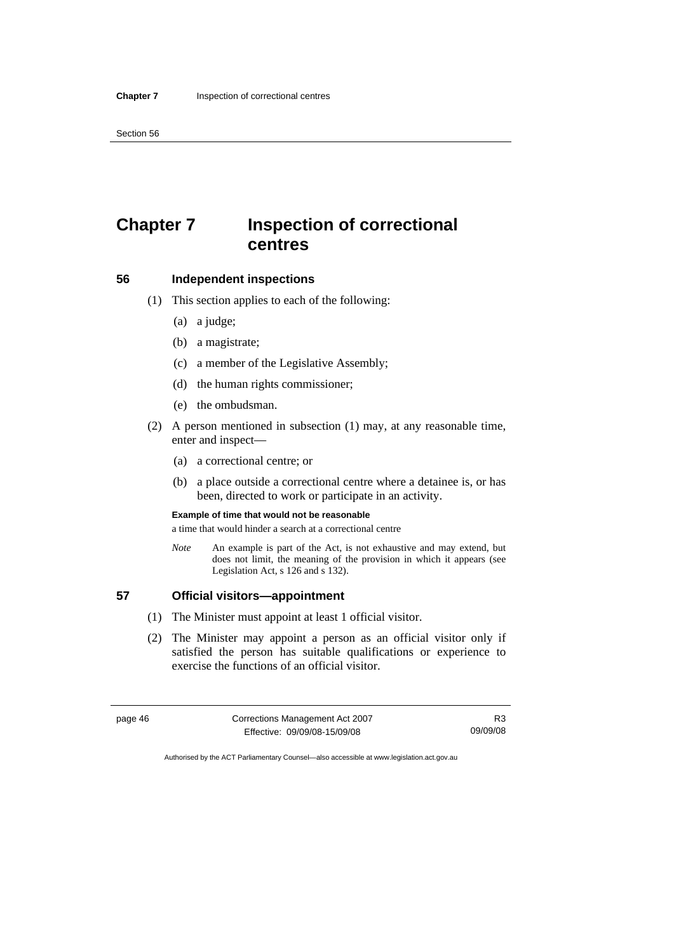# **Chapter 7 Inspection of correctional centres**

# **56 Independent inspections**

- (1) This section applies to each of the following:
	- (a) a judge;
	- (b) a magistrate;
	- (c) a member of the Legislative Assembly;
	- (d) the human rights commissioner;
	- (e) the ombudsman.
- (2) A person mentioned in subsection (1) may, at any reasonable time, enter and inspect—
	- (a) a correctional centre; or
	- (b) a place outside a correctional centre where a detainee is, or has been, directed to work or participate in an activity.

#### **Example of time that would not be reasonable**

a time that would hinder a search at a correctional centre

*Note* An example is part of the Act, is not exhaustive and may extend, but does not limit, the meaning of the provision in which it appears (see Legislation Act, s 126 and s 132).

#### **57 Official visitors—appointment**

- (1) The Minister must appoint at least 1 official visitor.
- (2) The Minister may appoint a person as an official visitor only if satisfied the person has suitable qualifications or experience to exercise the functions of an official visitor.

| page 46 | Corrections Management Act 2007 |          |
|---------|---------------------------------|----------|
|         | Effective: 09/09/08-15/09/08    | 09/09/08 |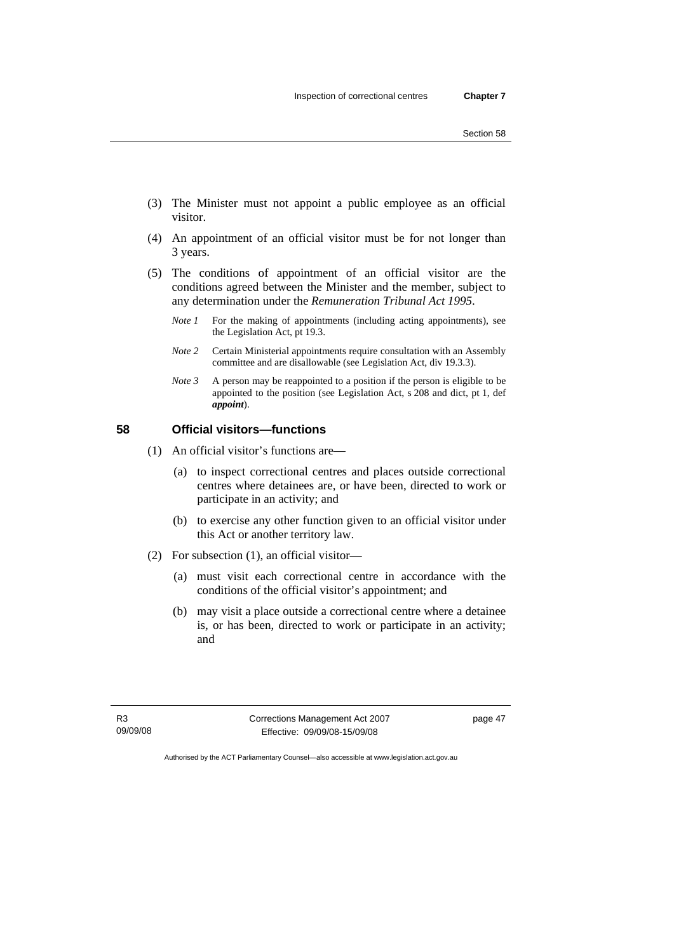- (3) The Minister must not appoint a public employee as an official visitor.
- (4) An appointment of an official visitor must be for not longer than 3 years.
- (5) The conditions of appointment of an official visitor are the conditions agreed between the Minister and the member, subject to any determination under the *Remuneration Tribunal Act 1995*.
	- *Note 1* For the making of appointments (including acting appointments), see the Legislation Act, pt 19.3.
	- *Note 2* Certain Ministerial appointments require consultation with an Assembly committee and are disallowable (see Legislation Act, div 19.3.3).
	- *Note* 3 A person may be reappointed to a position if the person is eligible to be appointed to the position (see Legislation Act, s 208 and dict, pt 1, def *appoint*).

# **58 Official visitors—functions**

- (1) An official visitor's functions are—
	- (a) to inspect correctional centres and places outside correctional centres where detainees are, or have been, directed to work or participate in an activity; and
	- (b) to exercise any other function given to an official visitor under this Act or another territory law.
- (2) For subsection (1), an official visitor—
	- (a) must visit each correctional centre in accordance with the conditions of the official visitor's appointment; and
	- (b) may visit a place outside a correctional centre where a detainee is, or has been, directed to work or participate in an activity; and

R3 09/09/08 Corrections Management Act 2007 Effective: 09/09/08-15/09/08

page 47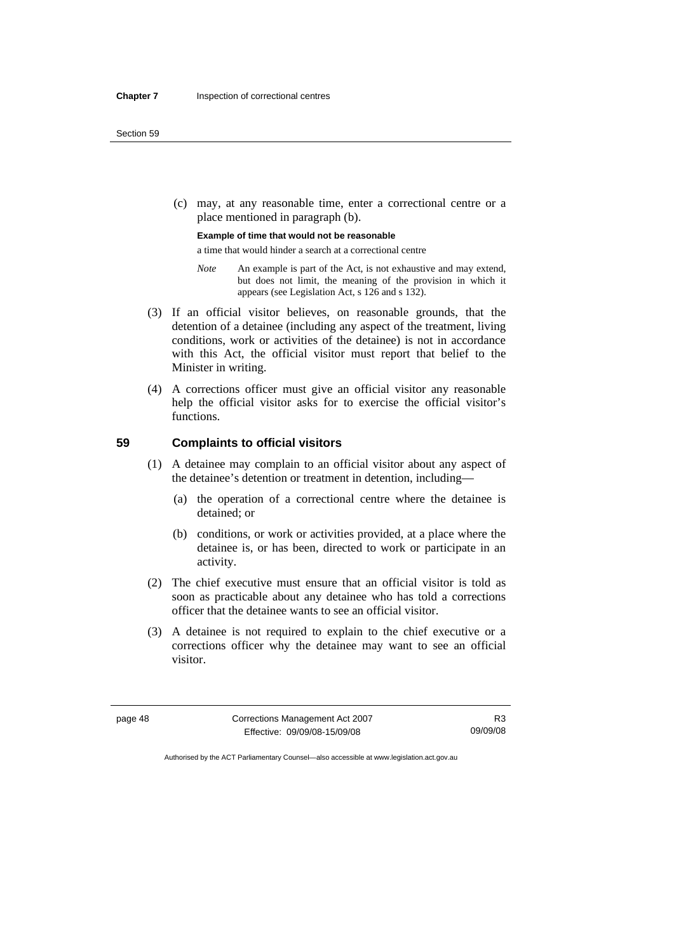(c) may, at any reasonable time, enter a correctional centre or a place mentioned in paragraph (b).

**Example of time that would not be reasonable** 

a time that would hinder a search at a correctional centre

- *Note* An example is part of the Act, is not exhaustive and may extend, but does not limit, the meaning of the provision in which it appears (see Legislation Act, s 126 and s 132).
- (3) If an official visitor believes, on reasonable grounds, that the detention of a detainee (including any aspect of the treatment, living conditions, work or activities of the detainee) is not in accordance with this Act, the official visitor must report that belief to the Minister in writing.
- (4) A corrections officer must give an official visitor any reasonable help the official visitor asks for to exercise the official visitor's functions.

#### **59 Complaints to official visitors**

- (1) A detainee may complain to an official visitor about any aspect of the detainee's detention or treatment in detention, including—
	- (a) the operation of a correctional centre where the detainee is detained; or
	- (b) conditions, or work or activities provided, at a place where the detainee is, or has been, directed to work or participate in an activity.
- (2) The chief executive must ensure that an official visitor is told as soon as practicable about any detainee who has told a corrections officer that the detainee wants to see an official visitor.
- (3) A detainee is not required to explain to the chief executive or a corrections officer why the detainee may want to see an official visitor.

page 48 Corrections Management Act 2007 Effective: 09/09/08-15/09/08

R3 09/09/08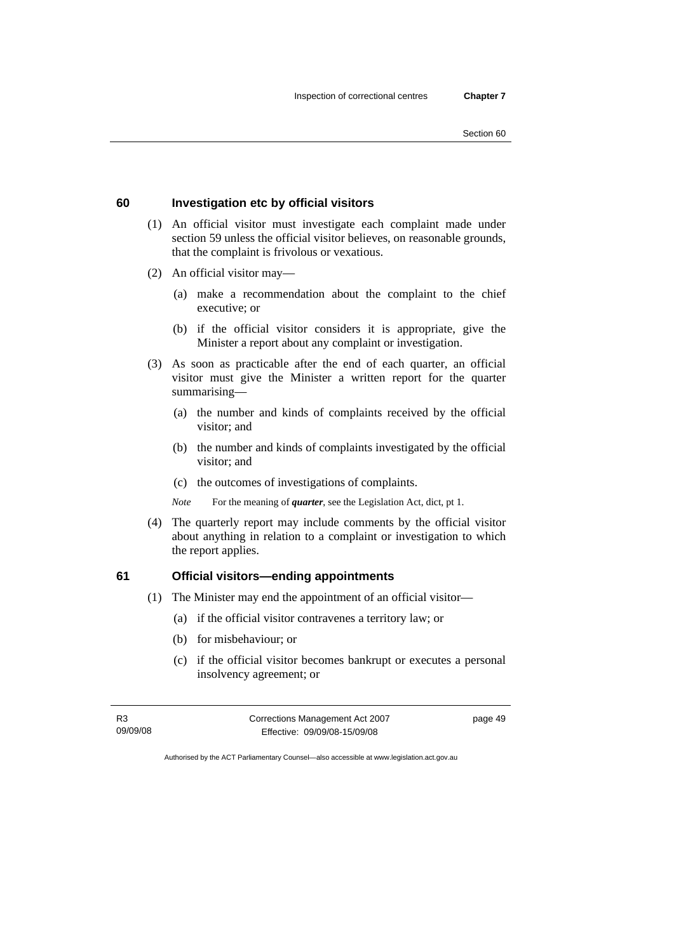#### **60 Investigation etc by official visitors**

- (1) An official visitor must investigate each complaint made under section 59 unless the official visitor believes, on reasonable grounds, that the complaint is frivolous or vexatious.
- (2) An official visitor may—
	- (a) make a recommendation about the complaint to the chief executive; or
	- (b) if the official visitor considers it is appropriate, give the Minister a report about any complaint or investigation.
- (3) As soon as practicable after the end of each quarter, an official visitor must give the Minister a written report for the quarter summarising—
	- (a) the number and kinds of complaints received by the official visitor; and
	- (b) the number and kinds of complaints investigated by the official visitor; and
	- (c) the outcomes of investigations of complaints.

*Note* For the meaning of *quarter*, see the Legislation Act, dict, pt 1.

 (4) The quarterly report may include comments by the official visitor about anything in relation to a complaint or investigation to which the report applies.

# **61 Official visitors—ending appointments**

- (1) The Minister may end the appointment of an official visitor—
	- (a) if the official visitor contravenes a territory law; or
	- (b) for misbehaviour; or
	- (c) if the official visitor becomes bankrupt or executes a personal insolvency agreement; or

R3 09/09/08 Corrections Management Act 2007 Effective: 09/09/08-15/09/08 page 49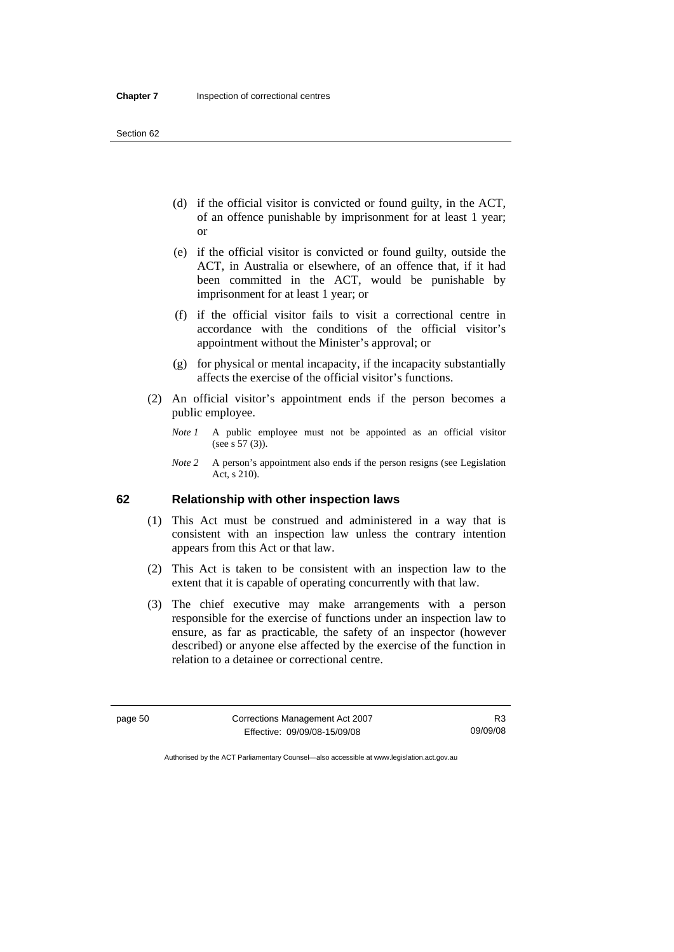- (d) if the official visitor is convicted or found guilty, in the ACT, of an offence punishable by imprisonment for at least 1 year; or
- (e) if the official visitor is convicted or found guilty, outside the ACT, in Australia or elsewhere, of an offence that, if it had been committed in the ACT, would be punishable by imprisonment for at least 1 year; or
- (f) if the official visitor fails to visit a correctional centre in accordance with the conditions of the official visitor's appointment without the Minister's approval; or
- (g) for physical or mental incapacity, if the incapacity substantially affects the exercise of the official visitor's functions.
- (2) An official visitor's appointment ends if the person becomes a public employee.
	- *Note 1* A public employee must not be appointed as an official visitor (see s 57 (3)).
	- *Note 2* A person's appointment also ends if the person resigns (see Legislation Act, s 210).

#### **62 Relationship with other inspection laws**

- (1) This Act must be construed and administered in a way that is consistent with an inspection law unless the contrary intention appears from this Act or that law.
- (2) This Act is taken to be consistent with an inspection law to the extent that it is capable of operating concurrently with that law.
- (3) The chief executive may make arrangements with a person responsible for the exercise of functions under an inspection law to ensure, as far as practicable, the safety of an inspector (however described) or anyone else affected by the exercise of the function in relation to a detainee or correctional centre.

page 50 Corrections Management Act 2007 Effective: 09/09/08-15/09/08

R3 09/09/08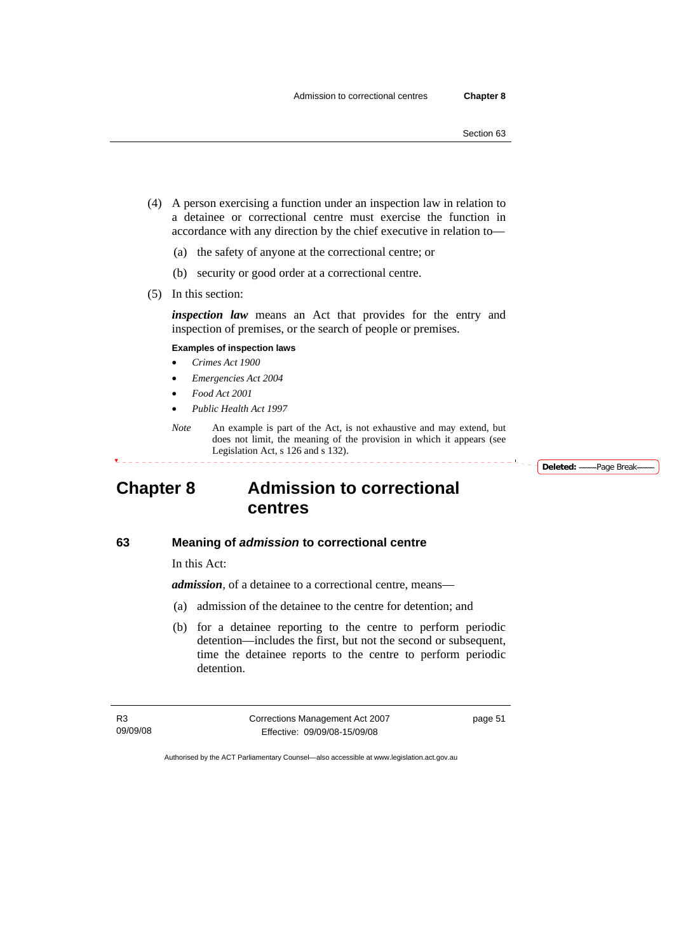- (4) A person exercising a function under an inspection law in relation to a detainee or correctional centre must exercise the function in accordance with any direction by the chief executive in relation to—
	- (a) the safety of anyone at the correctional centre; or
	- (b) security or good order at a correctional centre.
- (5) In this section:

*inspection law* means an Act that provides for the entry and inspection of premises, or the search of people or premises.

#### **Examples of inspection laws**

- *Crimes Act 1900*
- *Emergencies Act 2004*
- *Food Act 2001*
- *Public Health Act 1997*
- *Note* An example is part of the Act, is not exhaustive and may extend, but does not limit, the meaning of the provision in which it appears (see Legislation Act, s 126 and s 132).

<sup>-</sup> Deleted: ——Page Break-

# **Chapter 8 Admission to correctional centres**

#### **63 Meaning of** *admission* **to correctional centre**

In this Act:

*admission,* of a detainee to a correctional centre, means—

- (a) admission of the detainee to the centre for detention; and
- (b) for a detainee reporting to the centre to perform periodic detention—includes the first, but not the second or subsequent, time the detainee reports to the centre to perform periodic detention.

R3 09/09/08 Corrections Management Act 2007 Effective: 09/09/08-15/09/08

page 51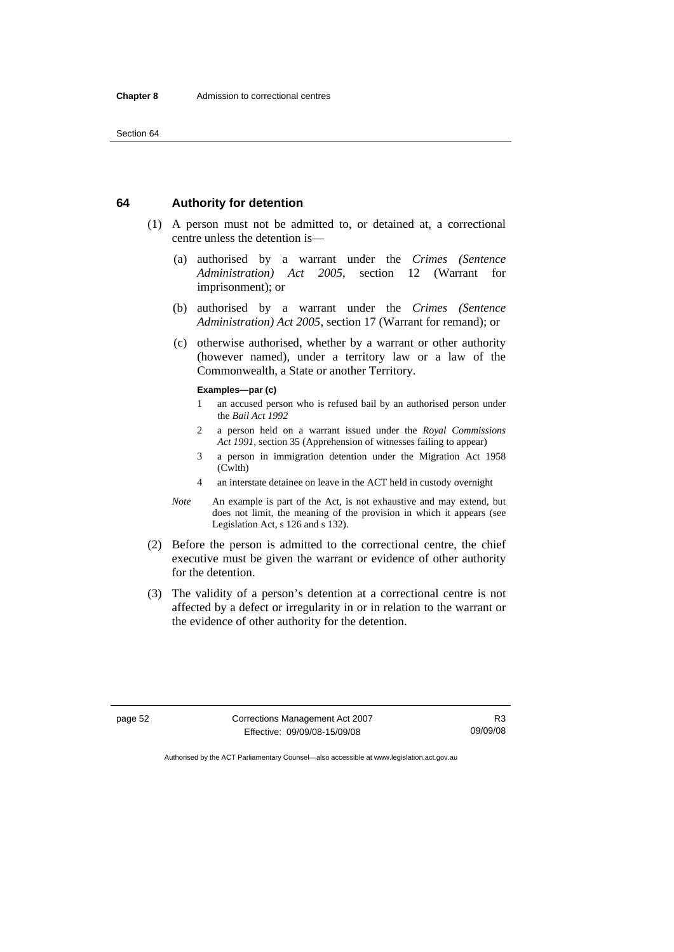#### **64 Authority for detention**

- (1) A person must not be admitted to, or detained at, a correctional centre unless the detention is—
	- (a) authorised by a warrant under the *Crimes (Sentence Administration) Act 2005*, section 12 (Warrant for imprisonment); or
	- (b) authorised by a warrant under the *Crimes (Sentence Administration) Act 2005*, section 17 (Warrant for remand); or
	- (c) otherwise authorised, whether by a warrant or other authority (however named), under a territory law or a law of the Commonwealth, a State or another Territory.

#### **Examples—par (c)**

- 1 an accused person who is refused bail by an authorised person under the *Bail Act 1992*
- 2 a person held on a warrant issued under the *Royal Commissions Act 1991*, section 35 (Apprehension of witnesses failing to appear)
- 3 a person in immigration detention under the Migration Act 1958 (Cwlth)
- 4 an interstate detainee on leave in the ACT held in custody overnight
- *Note* An example is part of the Act, is not exhaustive and may extend, but does not limit, the meaning of the provision in which it appears (see Legislation Act, s 126 and s 132).
- (2) Before the person is admitted to the correctional centre, the chief executive must be given the warrant or evidence of other authority for the detention.
- (3) The validity of a person's detention at a correctional centre is not affected by a defect or irregularity in or in relation to the warrant or the evidence of other authority for the detention.

page 52 Corrections Management Act 2007 Effective: 09/09/08-15/09/08

R3 09/09/08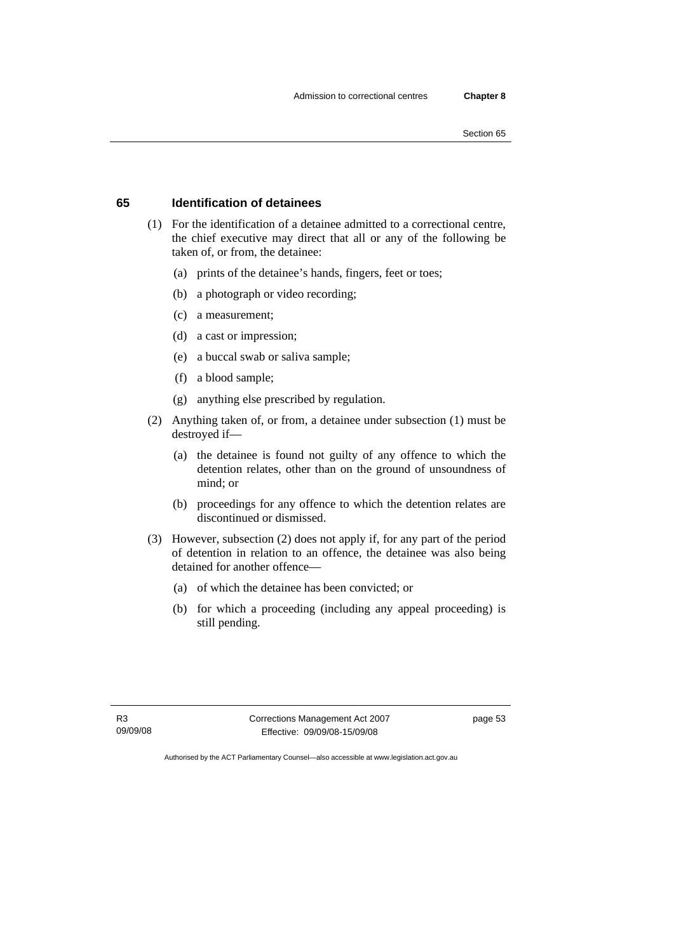# **65 Identification of detainees**

- (1) For the identification of a detainee admitted to a correctional centre, the chief executive may direct that all or any of the following be taken of, or from, the detainee:
	- (a) prints of the detainee's hands, fingers, feet or toes;
	- (b) a photograph or video recording;
	- (c) a measurement;
	- (d) a cast or impression;
	- (e) a buccal swab or saliva sample;
	- (f) a blood sample;
	- (g) anything else prescribed by regulation.
- (2) Anything taken of, or from, a detainee under subsection (1) must be destroyed if—
	- (a) the detainee is found not guilty of any offence to which the detention relates, other than on the ground of unsoundness of mind; or
	- (b) proceedings for any offence to which the detention relates are discontinued or dismissed.
- (3) However, subsection (2) does not apply if, for any part of the period of detention in relation to an offence, the detainee was also being detained for another offence—
	- (a) of which the detainee has been convicted; or
	- (b) for which a proceeding (including any appeal proceeding) is still pending.

R3 09/09/08 Corrections Management Act 2007 Effective: 09/09/08-15/09/08

page 53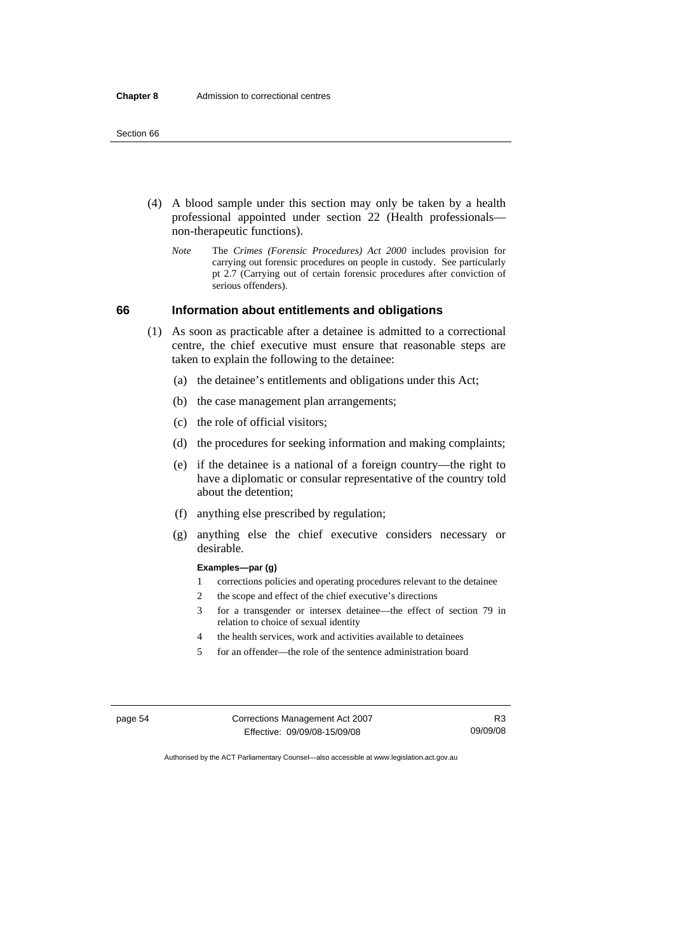- (4) A blood sample under this section may only be taken by a health professional appointed under section 22 (Health professionals non-therapeutic functions).
	- *Note* The *Crimes (Forensic Procedures) Act 2000* includes provision for carrying out forensic procedures on people in custody. See particularly pt 2.7 (Carrying out of certain forensic procedures after conviction of serious offenders).

# **66 Information about entitlements and obligations**

- (1) As soon as practicable after a detainee is admitted to a correctional centre, the chief executive must ensure that reasonable steps are taken to explain the following to the detainee:
	- (a) the detainee's entitlements and obligations under this Act;
	- (b) the case management plan arrangements;
	- (c) the role of official visitors;
	- (d) the procedures for seeking information and making complaints;
	- (e) if the detainee is a national of a foreign country—the right to have a diplomatic or consular representative of the country told about the detention;
	- (f) anything else prescribed by regulation;
	- (g) anything else the chief executive considers necessary or desirable.

#### **Examples—par (g)**

- 1 corrections policies and operating procedures relevant to the detainee
- 2 the scope and effect of the chief executive's directions
- 3 for a transgender or intersex detainee—the effect of section 79 in relation to choice of sexual identity
- 4 the health services, work and activities available to detainees
- 5 for an offender—the role of the sentence administration board

page 54 Corrections Management Act 2007 Effective: 09/09/08-15/09/08

R3 09/09/08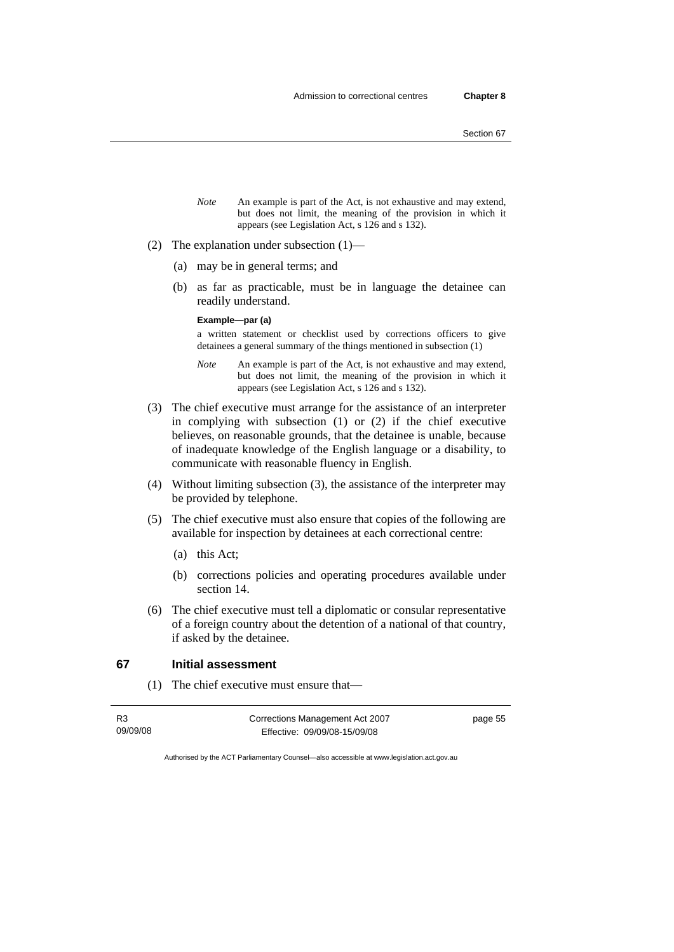- *Note* An example is part of the Act, is not exhaustive and may extend, but does not limit, the meaning of the provision in which it appears (see Legislation Act, s 126 and s 132).
- (2) The explanation under subsection (1)—
	- (a) may be in general terms; and
	- (b) as far as practicable, must be in language the detainee can readily understand.

#### **Example—par (a)**

a written statement or checklist used by corrections officers to give detainees a general summary of the things mentioned in subsection (1)

- *Note* An example is part of the Act, is not exhaustive and may extend, but does not limit, the meaning of the provision in which it appears (see Legislation Act, s 126 and s 132).
- (3) The chief executive must arrange for the assistance of an interpreter in complying with subsection (1) or (2) if the chief executive believes, on reasonable grounds, that the detainee is unable, because of inadequate knowledge of the English language or a disability, to communicate with reasonable fluency in English.
- (4) Without limiting subsection (3), the assistance of the interpreter may be provided by telephone.
- (5) The chief executive must also ensure that copies of the following are available for inspection by detainees at each correctional centre:
	- (a) this Act;
	- (b) corrections policies and operating procedures available under section 14.
- (6) The chief executive must tell a diplomatic or consular representative of a foreign country about the detention of a national of that country, if asked by the detainee.

# **67 Initial assessment**

(1) The chief executive must ensure that—

| R <sub>3</sub> | Corrections Management Act 2007 | page 55 |
|----------------|---------------------------------|---------|
| 09/09/08       | Effective: 09/09/08-15/09/08    |         |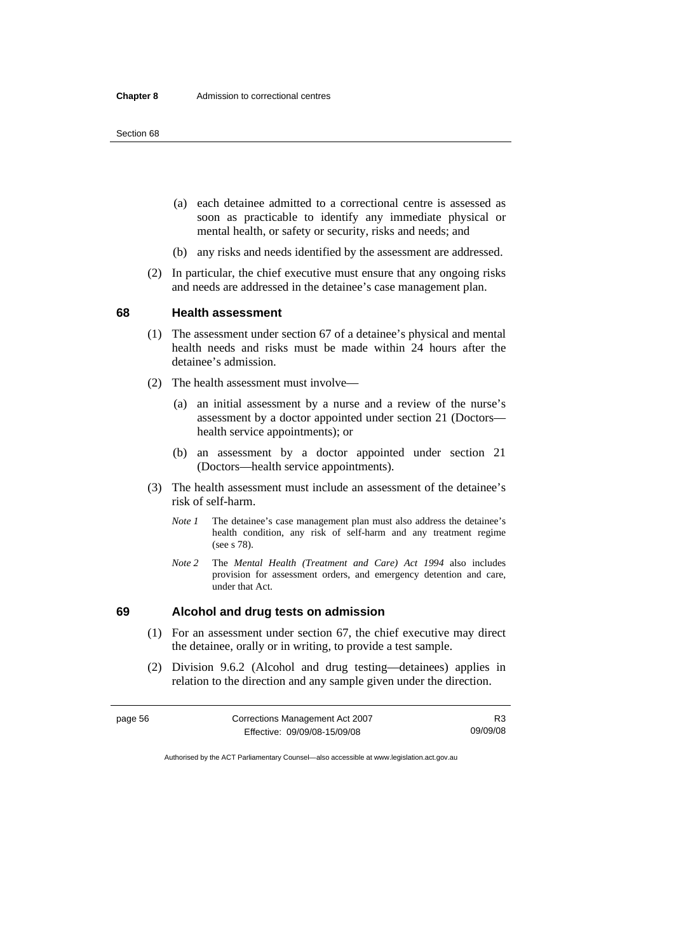- (a) each detainee admitted to a correctional centre is assessed as soon as practicable to identify any immediate physical or mental health, or safety or security, risks and needs; and
- (b) any risks and needs identified by the assessment are addressed.
- (2) In particular, the chief executive must ensure that any ongoing risks and needs are addressed in the detainee's case management plan.

#### **68 Health assessment**

- (1) The assessment under section 67 of a detainee's physical and mental health needs and risks must be made within 24 hours after the detainee's admission.
- (2) The health assessment must involve—
	- (a) an initial assessment by a nurse and a review of the nurse's assessment by a doctor appointed under section 21 (Doctors health service appointments); or
	- (b) an assessment by a doctor appointed under section 21 (Doctors—health service appointments).
- (3) The health assessment must include an assessment of the detainee's risk of self-harm.
	- *Note 1* The detainee's case management plan must also address the detainee's health condition, any risk of self-harm and any treatment regime (see s 78).
	- *Note 2* The *Mental Health (Treatment and Care) Act 1994* also includes provision for assessment orders, and emergency detention and care, under that Act.

# **69 Alcohol and drug tests on admission**

- (1) For an assessment under section 67, the chief executive may direct the detainee, orally or in writing, to provide a test sample.
- (2) Division 9.6.2 (Alcohol and drug testing—detainees) applies in relation to the direction and any sample given under the direction.

| page 56 | Corrections Management Act 2007 | R3       |
|---------|---------------------------------|----------|
|         | Effective: 09/09/08-15/09/08    | 09/09/08 |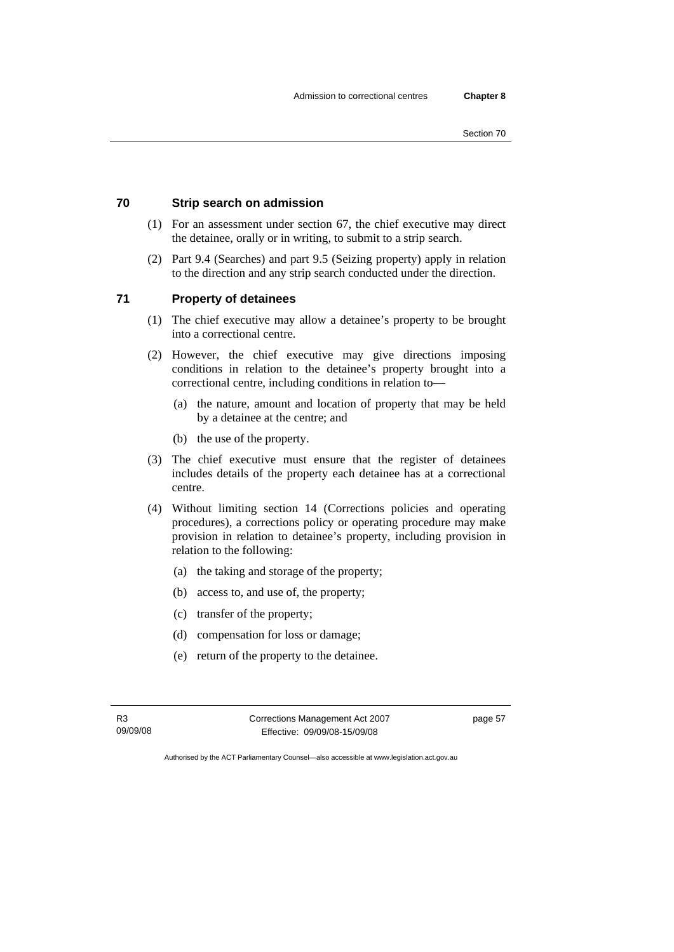# **70 Strip search on admission**

- (1) For an assessment under section 67, the chief executive may direct the detainee, orally or in writing, to submit to a strip search.
- (2) Part 9.4 (Searches) and part 9.5 (Seizing property) apply in relation to the direction and any strip search conducted under the direction.

# **71 Property of detainees**

- (1) The chief executive may allow a detainee's property to be brought into a correctional centre.
- (2) However, the chief executive may give directions imposing conditions in relation to the detainee's property brought into a correctional centre, including conditions in relation to—
	- (a) the nature, amount and location of property that may be held by a detainee at the centre; and
	- (b) the use of the property.
- (3) The chief executive must ensure that the register of detainees includes details of the property each detainee has at a correctional centre.
- (4) Without limiting section 14 (Corrections policies and operating procedures), a corrections policy or operating procedure may make provision in relation to detainee's property, including provision in relation to the following:
	- (a) the taking and storage of the property;
	- (b) access to, and use of, the property;
	- (c) transfer of the property;
	- (d) compensation for loss or damage;
	- (e) return of the property to the detainee.

R3 09/09/08 Corrections Management Act 2007 Effective: 09/09/08-15/09/08

page 57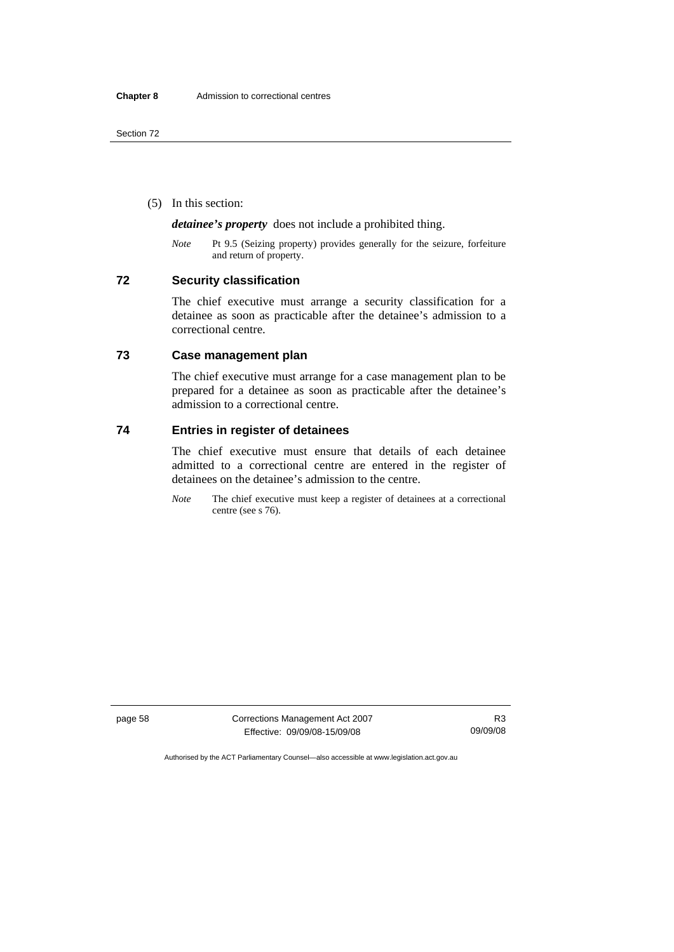(5) In this section:

*detainee's property* does not include a prohibited thing.

*Note* Pt 9.5 (Seizing property) provides generally for the seizure, forfeiture and return of property.

# **72 Security classification**

The chief executive must arrange a security classification for a detainee as soon as practicable after the detainee's admission to a correctional centre.

# **73 Case management plan**

The chief executive must arrange for a case management plan to be prepared for a detainee as soon as practicable after the detainee's admission to a correctional centre.

# **74 Entries in register of detainees**

The chief executive must ensure that details of each detainee admitted to a correctional centre are entered in the register of detainees on the detainee's admission to the centre.

*Note* The chief executive must keep a register of detainees at a correctional centre (see s 76).

page 58 Corrections Management Act 2007 Effective: 09/09/08-15/09/08

R3 09/09/08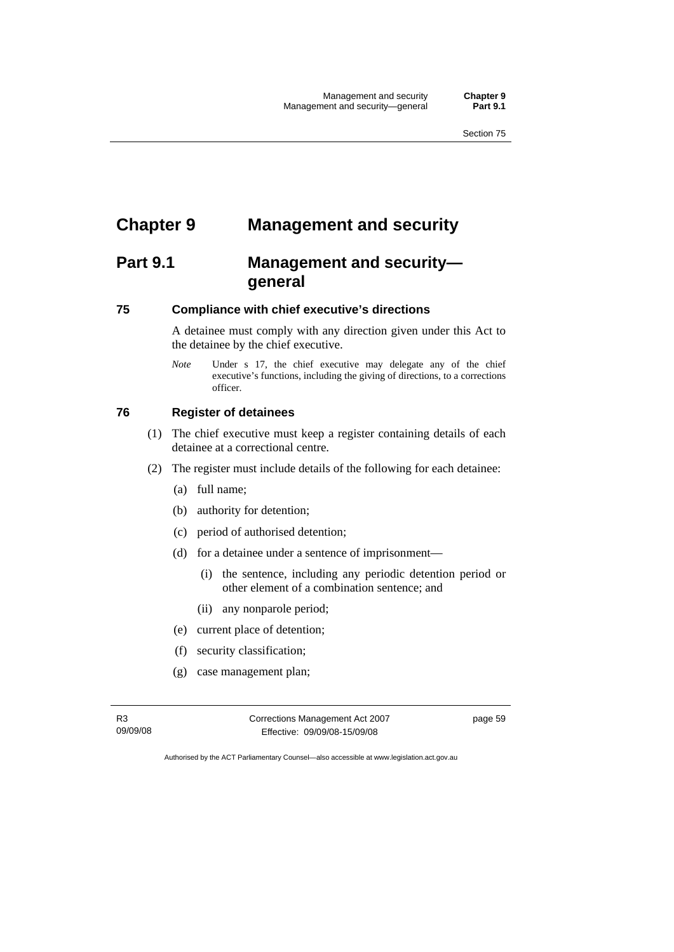# **Chapter 9 Management and security**

# **Part 9.1 Management and security general**

# **75 Compliance with chief executive's directions**

A detainee must comply with any direction given under this Act to the detainee by the chief executive.

*Note* Under s 17, the chief executive may delegate any of the chief executive's functions, including the giving of directions, to a corrections officer.

# **76 Register of detainees**

- (1) The chief executive must keep a register containing details of each detainee at a correctional centre.
- (2) The register must include details of the following for each detainee:
	- (a) full name;
	- (b) authority for detention;
	- (c) period of authorised detention;
	- (d) for a detainee under a sentence of imprisonment—
		- (i) the sentence, including any periodic detention period or other element of a combination sentence; and
		- (ii) any nonparole period;
	- (e) current place of detention;
	- (f) security classification;
	- (g) case management plan;

R3 09/09/08 Corrections Management Act 2007 Effective: 09/09/08-15/09/08

page 59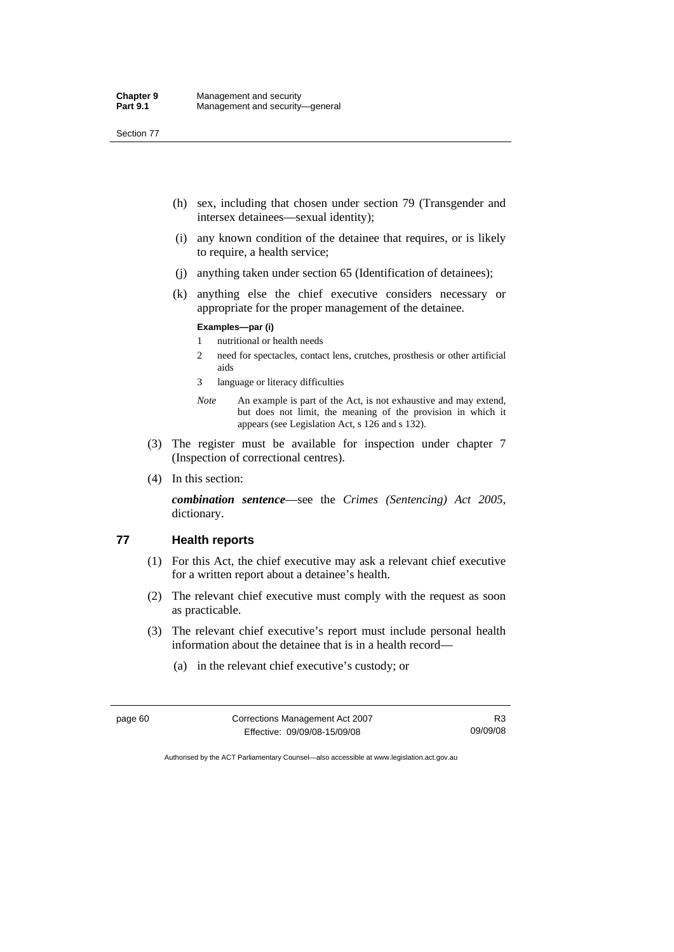- (h) sex, including that chosen under section 79 (Transgender and intersex detainees—sexual identity);
- (i) any known condition of the detainee that requires, or is likely to require, a health service;
- (j) anything taken under section 65 (Identification of detainees);
- (k) anything else the chief executive considers necessary or appropriate for the proper management of the detainee.

### **Examples—par (i)**

- 1 nutritional or health needs
- 2 need for spectacles, contact lens, crutches, prosthesis or other artificial aids
- 3 language or literacy difficulties
- *Note* An example is part of the Act, is not exhaustive and may extend, but does not limit, the meaning of the provision in which it appears (see Legislation Act, s 126 and s 132).
- (3) The register must be available for inspection under chapter 7 (Inspection of correctional centres).
- (4) In this section:

*combination sentence*—see the *Crimes (Sentencing) Act 2005*, dictionary.

### **77 Health reports**

- (1) For this Act, the chief executive may ask a relevant chief executive for a written report about a detainee's health.
- (2) The relevant chief executive must comply with the request as soon as practicable.
- (3) The relevant chief executive's report must include personal health information about the detainee that is in a health record—
	- (a) in the relevant chief executive's custody; or

| page 60 | Corrections Management Act 2007 | R3       |
|---------|---------------------------------|----------|
|         | Effective: 09/09/08-15/09/08    | 09/09/08 |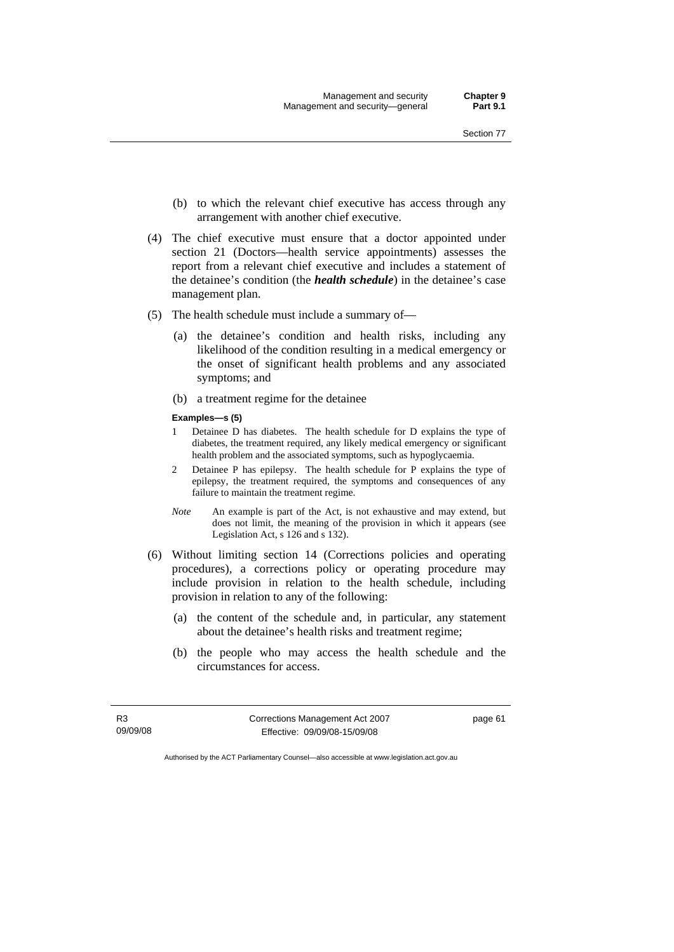- (b) to which the relevant chief executive has access through any arrangement with another chief executive.
- (4) The chief executive must ensure that a doctor appointed under section 21 (Doctors—health service appointments) assesses the report from a relevant chief executive and includes a statement of the detainee's condition (the *health schedule*) in the detainee's case management plan.
- (5) The health schedule must include a summary of—
	- (a) the detainee's condition and health risks, including any likelihood of the condition resulting in a medical emergency or the onset of significant health problems and any associated symptoms; and
	- (b) a treatment regime for the detainee
	- **Examples—s (5)**
	- 1 Detainee D has diabetes. The health schedule for D explains the type of diabetes, the treatment required, any likely medical emergency or significant health problem and the associated symptoms, such as hypoglycaemia.
	- 2 Detainee P has epilepsy. The health schedule for P explains the type of epilepsy, the treatment required, the symptoms and consequences of any failure to maintain the treatment regime.
	- *Note* An example is part of the Act, is not exhaustive and may extend, but does not limit, the meaning of the provision in which it appears (see Legislation Act, s 126 and s 132).
- (6) Without limiting section 14 (Corrections policies and operating procedures), a corrections policy or operating procedure may include provision in relation to the health schedule, including provision in relation to any of the following:
	- (a) the content of the schedule and, in particular, any statement about the detainee's health risks and treatment regime;
	- (b) the people who may access the health schedule and the circumstances for access.

R3 09/09/08 Corrections Management Act 2007 Effective: 09/09/08-15/09/08

page 61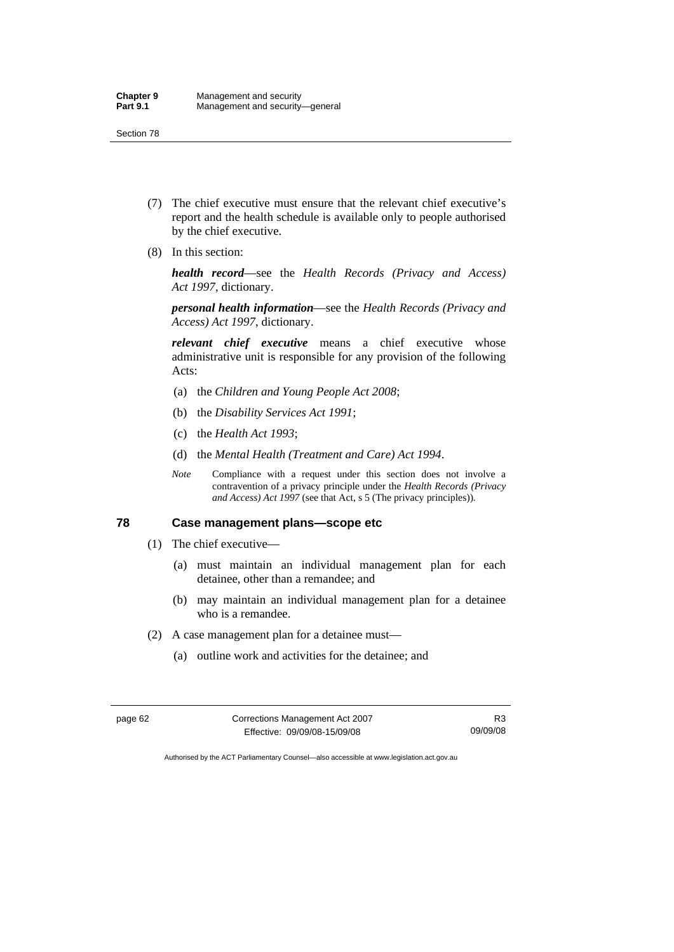- (7) The chief executive must ensure that the relevant chief executive's report and the health schedule is available only to people authorised by the chief executive.
- (8) In this section:

*health record*—see the *Health Records (Privacy and Access) Act 1997*, dictionary.

*personal health information*—see the *Health Records (Privacy and Access) Act 1997*, dictionary.

*relevant chief executive* means a chief executive whose administrative unit is responsible for any provision of the following Acts:

- (a) the *Children and Young People Act 2008*;
- (b) the *Disability Services Act 1991*;
- (c) the *Health Act 1993*;
- (d) the *Mental Health (Treatment and Care) Act 1994*.
- *Note* Compliance with a request under this section does not involve a contravention of a privacy principle under the *Health Records (Privacy and Access) Act 1997* (see that Act, s 5 (The privacy principles))*.*

### **78 Case management plans—scope etc**

- (1) The chief executive—
	- (a) must maintain an individual management plan for each detainee, other than a remandee; and
	- (b) may maintain an individual management plan for a detainee who is a remandee.
- (2) A case management plan for a detainee must—
	- (a) outline work and activities for the detainee; and

| page 62 | Corrections Management Act 2007 |          |
|---------|---------------------------------|----------|
|         | Effective: 09/09/08-15/09/08    | 09/09/08 |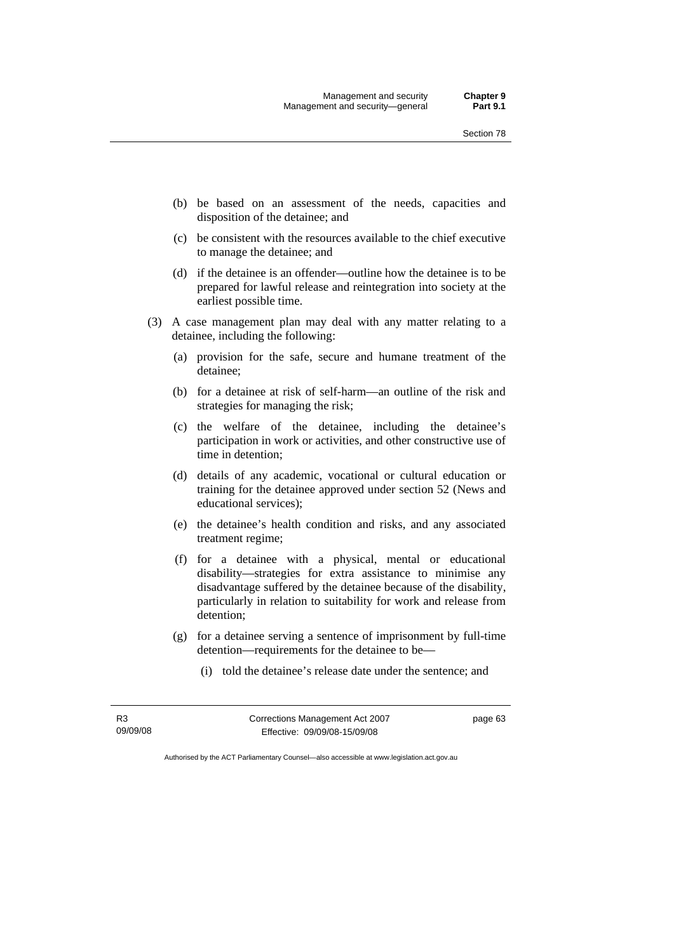- (b) be based on an assessment of the needs, capacities and disposition of the detainee; and
- (c) be consistent with the resources available to the chief executive to manage the detainee; and
- (d) if the detainee is an offender—outline how the detainee is to be prepared for lawful release and reintegration into society at the earliest possible time.
- (3) A case management plan may deal with any matter relating to a detainee, including the following:
	- (a) provision for the safe, secure and humane treatment of the detainee;
	- (b) for a detainee at risk of self-harm—an outline of the risk and strategies for managing the risk;
	- (c) the welfare of the detainee, including the detainee's participation in work or activities, and other constructive use of time in detention;
	- (d) details of any academic, vocational or cultural education or training for the detainee approved under section 52 (News and educational services);
	- (e) the detainee's health condition and risks, and any associated treatment regime;
	- (f) for a detainee with a physical, mental or educational disability—strategies for extra assistance to minimise any disadvantage suffered by the detainee because of the disability, particularly in relation to suitability for work and release from detention;
	- (g) for a detainee serving a sentence of imprisonment by full-time detention—requirements for the detainee to be—
		- (i) told the detainee's release date under the sentence; and

R3 09/09/08 Corrections Management Act 2007 Effective: 09/09/08-15/09/08

page 63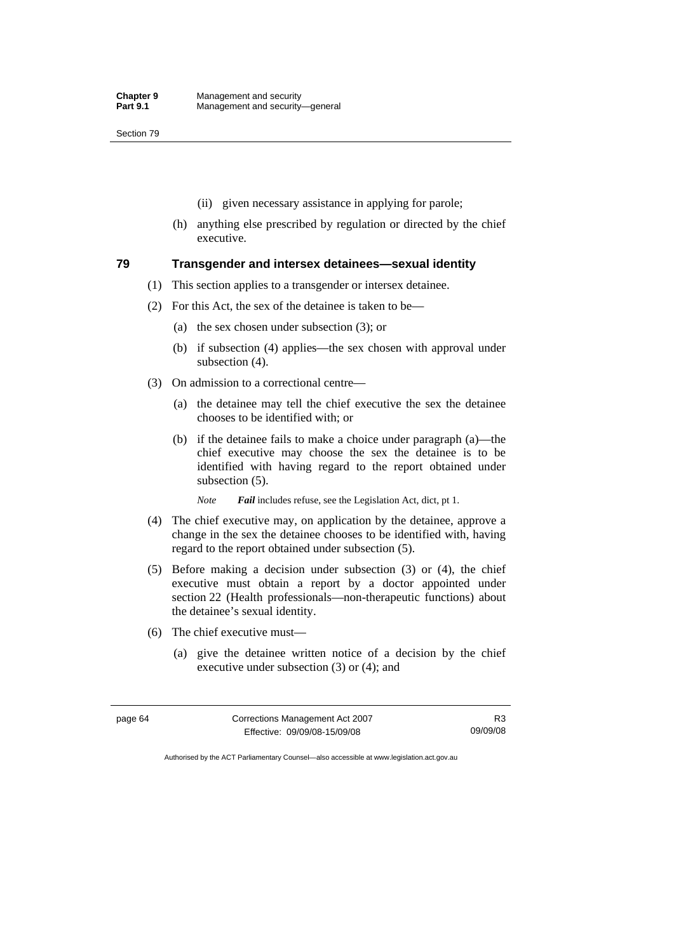Section 79

- (ii) given necessary assistance in applying for parole;
- (h) anything else prescribed by regulation or directed by the chief executive.

### **79 Transgender and intersex detainees—sexual identity**

- (1) This section applies to a transgender or intersex detainee.
- (2) For this Act, the sex of the detainee is taken to be—
	- (a) the sex chosen under subsection (3); or
	- (b) if subsection (4) applies—the sex chosen with approval under subsection (4).
- (3) On admission to a correctional centre—
	- (a) the detainee may tell the chief executive the sex the detainee chooses to be identified with; or
	- (b) if the detainee fails to make a choice under paragraph (a)—the chief executive may choose the sex the detainee is to be identified with having regard to the report obtained under subsection (5).

*Note Fail* includes refuse, see the Legislation Act, dict, pt 1.

- (4) The chief executive may, on application by the detainee, approve a change in the sex the detainee chooses to be identified with, having regard to the report obtained under subsection (5).
- (5) Before making a decision under subsection (3) or (4), the chief executive must obtain a report by a doctor appointed under section 22 (Health professionals—non-therapeutic functions) about the detainee's sexual identity.
- (6) The chief executive must—
	- (a) give the detainee written notice of a decision by the chief executive under subsection (3) or (4); and

| page 64 | Corrections Management Act 2007 | R3       |
|---------|---------------------------------|----------|
|         | Effective: 09/09/08-15/09/08    | 09/09/08 |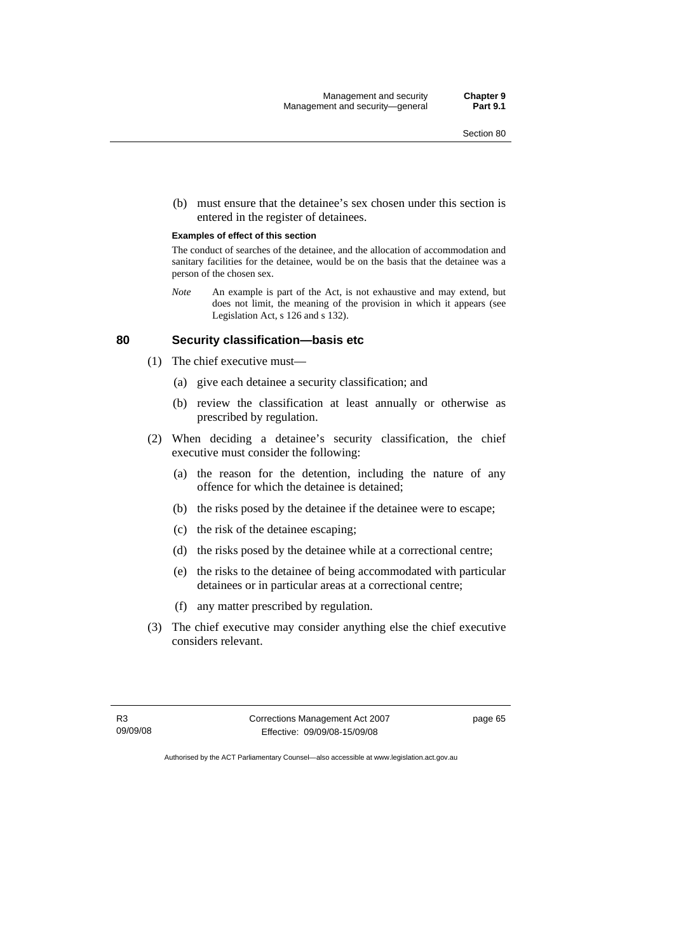(b) must ensure that the detainee's sex chosen under this section is entered in the register of detainees.

### **Examples of effect of this section**

The conduct of searches of the detainee, and the allocation of accommodation and sanitary facilities for the detainee, would be on the basis that the detainee was a person of the chosen sex.

*Note* An example is part of the Act, is not exhaustive and may extend, but does not limit, the meaning of the provision in which it appears (see Legislation Act, s 126 and s 132).

### **80 Security classification—basis etc**

- (1) The chief executive must—
	- (a) give each detainee a security classification; and
	- (b) review the classification at least annually or otherwise as prescribed by regulation.
- (2) When deciding a detainee's security classification, the chief executive must consider the following:
	- (a) the reason for the detention, including the nature of any offence for which the detainee is detained;
	- (b) the risks posed by the detainee if the detainee were to escape;
	- (c) the risk of the detainee escaping;
	- (d) the risks posed by the detainee while at a correctional centre;
	- (e) the risks to the detainee of being accommodated with particular detainees or in particular areas at a correctional centre;
	- (f) any matter prescribed by regulation.
- (3) The chief executive may consider anything else the chief executive considers relevant.

R3 09/09/08 Corrections Management Act 2007 Effective: 09/09/08-15/09/08

page 65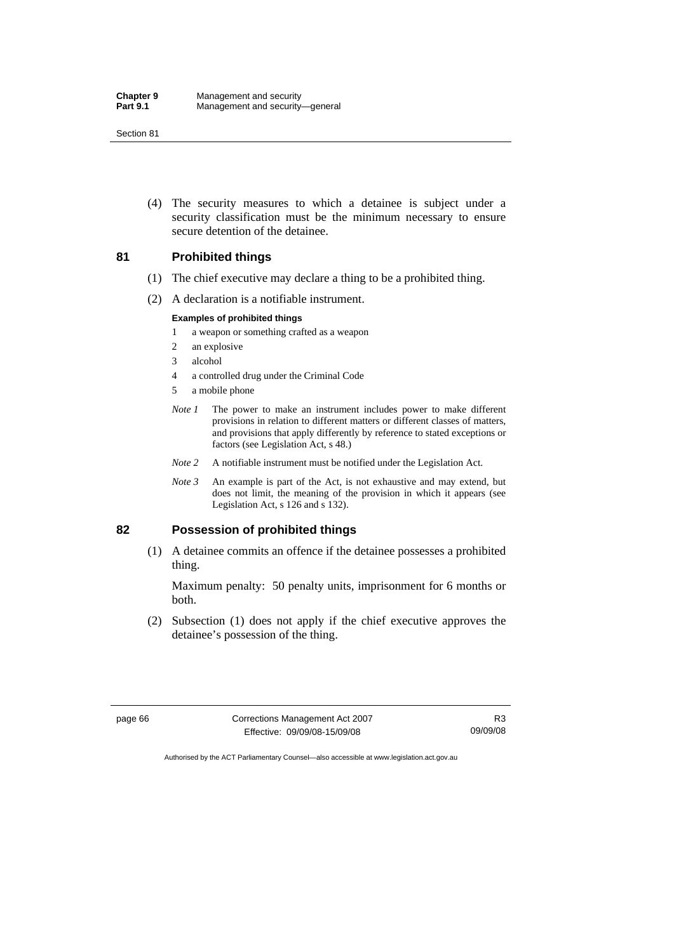Section 81

 (4) The security measures to which a detainee is subject under a security classification must be the minimum necessary to ensure secure detention of the detainee.

### **81 Prohibited things**

- (1) The chief executive may declare a thing to be a prohibited thing.
- (2) A declaration is a notifiable instrument.

### **Examples of prohibited things**

- 1 a weapon or something crafted as a weapon
- 2 an explosive
- 3 alcohol
- 4 a controlled drug under the Criminal Code
- 5 a mobile phone
- *Note 1* The power to make an instrument includes power to make different provisions in relation to different matters or different classes of matters, and provisions that apply differently by reference to stated exceptions or factors (see Legislation Act, s 48.)
- *Note 2* A notifiable instrument must be notified under the Legislation Act.
- *Note 3* An example is part of the Act, is not exhaustive and may extend, but does not limit, the meaning of the provision in which it appears (see Legislation Act, s 126 and s 132).

### **82 Possession of prohibited things**

 (1) A detainee commits an offence if the detainee possesses a prohibited thing.

Maximum penalty: 50 penalty units, imprisonment for 6 months or both.

 (2) Subsection (1) does not apply if the chief executive approves the detainee's possession of the thing.

page 66 Corrections Management Act 2007 Effective: 09/09/08-15/09/08

R3 09/09/08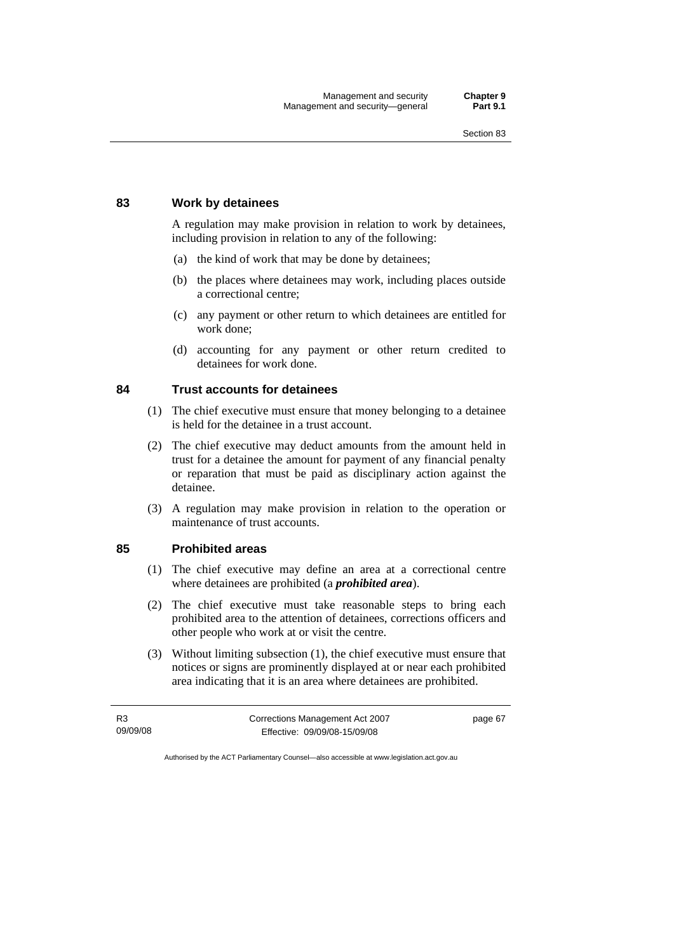# **83 Work by detainees**

A regulation may make provision in relation to work by detainees, including provision in relation to any of the following:

- (a) the kind of work that may be done by detainees;
- (b) the places where detainees may work, including places outside a correctional centre;
- (c) any payment or other return to which detainees are entitled for work done;
- (d) accounting for any payment or other return credited to detainees for work done.

# **84 Trust accounts for detainees**

- (1) The chief executive must ensure that money belonging to a detainee is held for the detainee in a trust account.
- (2) The chief executive may deduct amounts from the amount held in trust for a detainee the amount for payment of any financial penalty or reparation that must be paid as disciplinary action against the detainee.
- (3) A regulation may make provision in relation to the operation or maintenance of trust accounts.

### **85 Prohibited areas**

- (1) The chief executive may define an area at a correctional centre where detainees are prohibited (a *prohibited area*).
- (2) The chief executive must take reasonable steps to bring each prohibited area to the attention of detainees, corrections officers and other people who work at or visit the centre.
- (3) Without limiting subsection (1), the chief executive must ensure that notices or signs are prominently displayed at or near each prohibited area indicating that it is an area where detainees are prohibited.

| R3       | Corrections Management Act 2007 | page 67 |
|----------|---------------------------------|---------|
| 09/09/08 | Effective: 09/09/08-15/09/08    |         |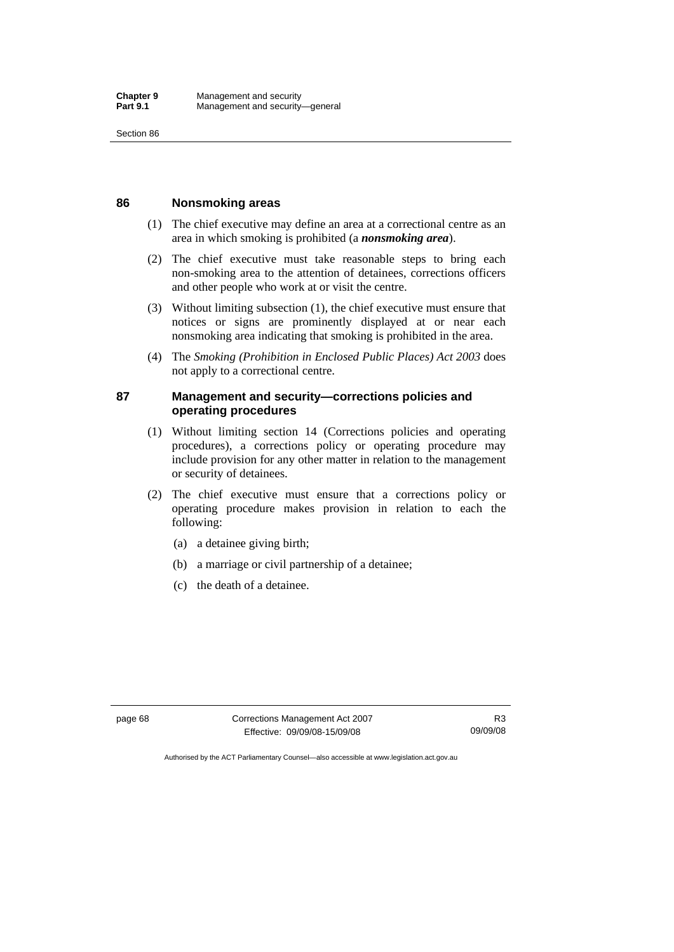Section 86

### **86 Nonsmoking areas**

- (1) The chief executive may define an area at a correctional centre as an area in which smoking is prohibited (a *nonsmoking area*).
- (2) The chief executive must take reasonable steps to bring each non-smoking area to the attention of detainees, corrections officers and other people who work at or visit the centre.
- (3) Without limiting subsection (1), the chief executive must ensure that notices or signs are prominently displayed at or near each nonsmoking area indicating that smoking is prohibited in the area.
- (4) The *Smoking (Prohibition in Enclosed Public Places) Act 2003* does not apply to a correctional centre.

### **87 Management and security—corrections policies and operating procedures**

- (1) Without limiting section 14 (Corrections policies and operating procedures), a corrections policy or operating procedure may include provision for any other matter in relation to the management or security of detainees.
- (2) The chief executive must ensure that a corrections policy or operating procedure makes provision in relation to each the following:
	- (a) a detainee giving birth;
	- (b) a marriage or civil partnership of a detainee;
	- (c) the death of a detainee.

page 68 Corrections Management Act 2007 Effective: 09/09/08-15/09/08

R3 09/09/08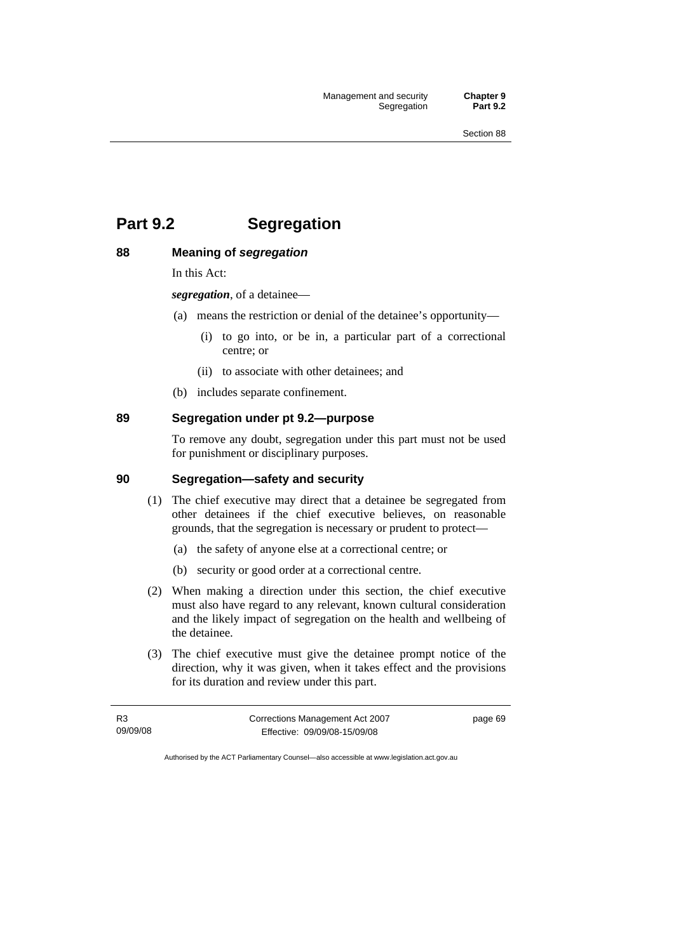# **Part 9.2 Segregation**

# **88 Meaning of** *segregation*

In this Act:

*segregation*, of a detainee—

- (a) means the restriction or denial of the detainee's opportunity—
	- (i) to go into, or be in, a particular part of a correctional centre; or
	- (ii) to associate with other detainees; and
- (b) includes separate confinement.

# **89 Segregation under pt 9.2—purpose**

To remove any doubt, segregation under this part must not be used for punishment or disciplinary purposes.

### **90 Segregation—safety and security**

- (1) The chief executive may direct that a detainee be segregated from other detainees if the chief executive believes, on reasonable grounds, that the segregation is necessary or prudent to protect—
	- (a) the safety of anyone else at a correctional centre; or
	- (b) security or good order at a correctional centre.
- (2) When making a direction under this section, the chief executive must also have regard to any relevant, known cultural consideration and the likely impact of segregation on the health and wellbeing of the detainee.
- (3) The chief executive must give the detainee prompt notice of the direction, why it was given, when it takes effect and the provisions for its duration and review under this part.

| R3       | Corrections Management Act 2007 | page 69 |
|----------|---------------------------------|---------|
| 09/09/08 | Effective: 09/09/08-15/09/08    |         |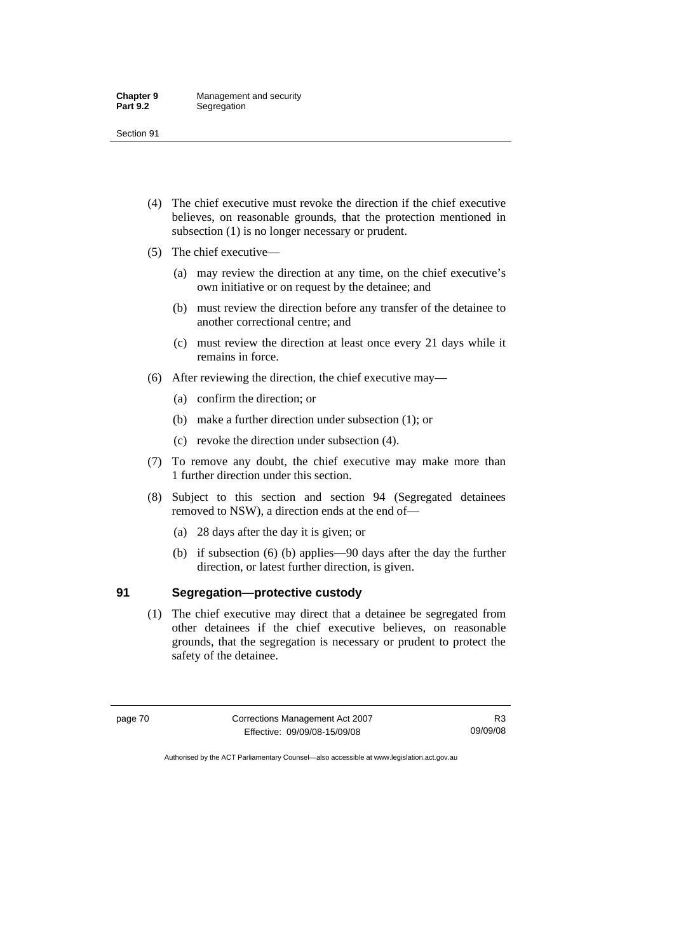- (4) The chief executive must revoke the direction if the chief executive believes, on reasonable grounds, that the protection mentioned in subsection (1) is no longer necessary or prudent.
- (5) The chief executive—
	- (a) may review the direction at any time, on the chief executive's own initiative or on request by the detainee; and
	- (b) must review the direction before any transfer of the detainee to another correctional centre; and
	- (c) must review the direction at least once every 21 days while it remains in force.
- (6) After reviewing the direction, the chief executive may—
	- (a) confirm the direction; or
	- (b) make a further direction under subsection (1); or
	- (c) revoke the direction under subsection (4).
- (7) To remove any doubt, the chief executive may make more than 1 further direction under this section.
- (8) Subject to this section and section 94 (Segregated detainees removed to NSW), a direction ends at the end of—
	- (a) 28 days after the day it is given; or
	- (b) if subsection (6) (b) applies—90 days after the day the further direction, or latest further direction, is given.

### **91 Segregation—protective custody**

 (1) The chief executive may direct that a detainee be segregated from other detainees if the chief executive believes, on reasonable grounds, that the segregation is necessary or prudent to protect the safety of the detainee.

page 70 Corrections Management Act 2007 Effective: 09/09/08-15/09/08

R3 09/09/08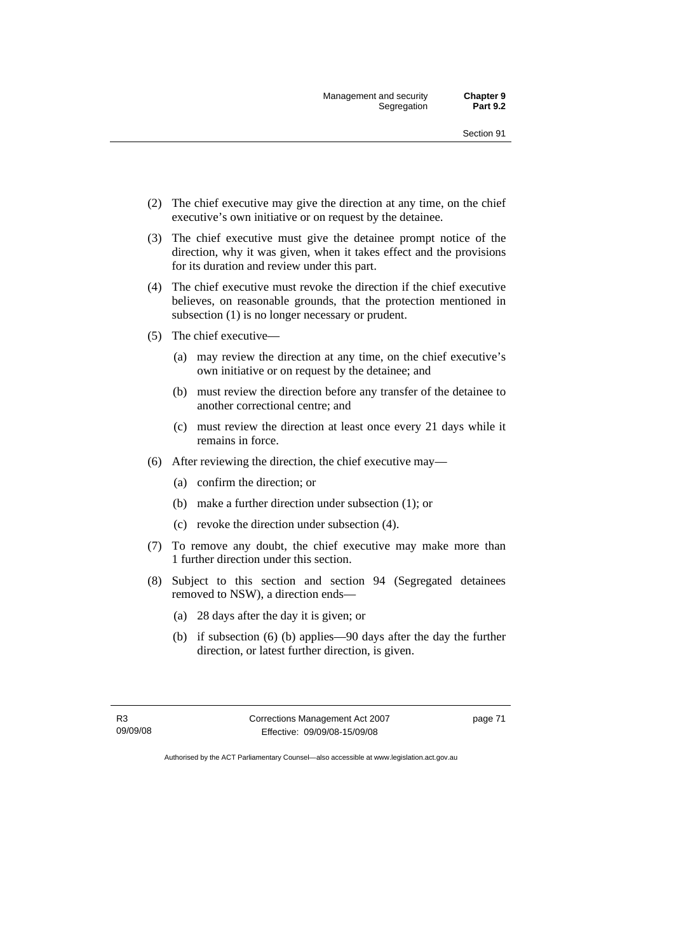Management and security **Chapter 9**  Segregation

- (2) The chief executive may give the direction at any time, on the chief executive's own initiative or on request by the detainee.
- (3) The chief executive must give the detainee prompt notice of the direction, why it was given, when it takes effect and the provisions for its duration and review under this part.
- (4) The chief executive must revoke the direction if the chief executive believes, on reasonable grounds, that the protection mentioned in subsection (1) is no longer necessary or prudent.
- (5) The chief executive—
	- (a) may review the direction at any time, on the chief executive's own initiative or on request by the detainee; and
	- (b) must review the direction before any transfer of the detainee to another correctional centre; and
	- (c) must review the direction at least once every 21 days while it remains in force.
- (6) After reviewing the direction, the chief executive may—
	- (a) confirm the direction; or
	- (b) make a further direction under subsection (1); or
	- (c) revoke the direction under subsection (4).
- (7) To remove any doubt, the chief executive may make more than 1 further direction under this section.
- (8) Subject to this section and section 94 (Segregated detainees removed to NSW), a direction ends—
	- (a) 28 days after the day it is given; or
	- (b) if subsection (6) (b) applies—90 days after the day the further direction, or latest further direction, is given.

R3 09/09/08 Corrections Management Act 2007 Effective: 09/09/08-15/09/08

page 71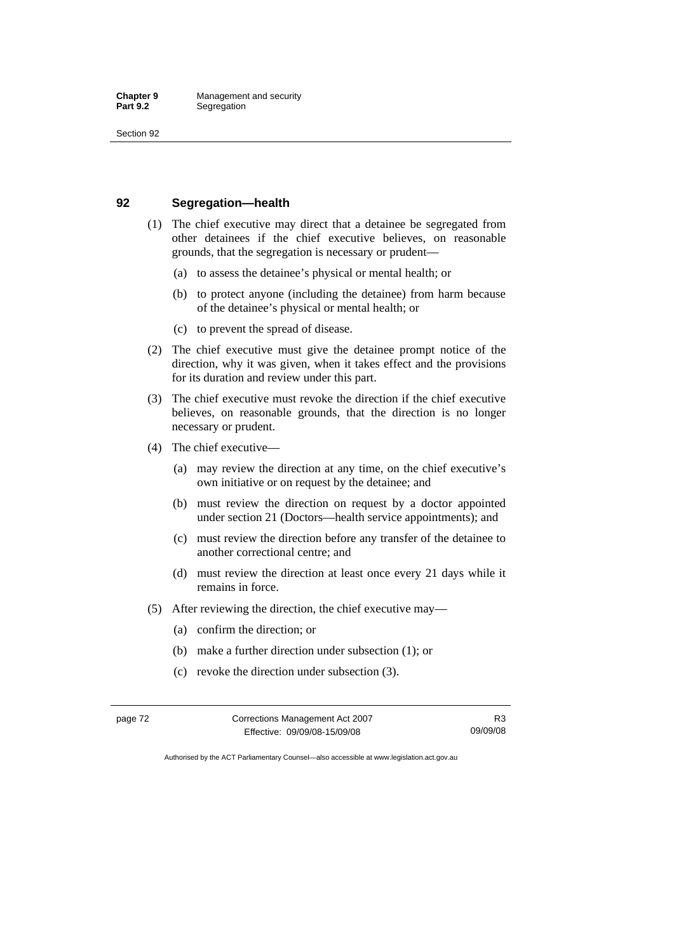### **92 Segregation—health**

- (1) The chief executive may direct that a detainee be segregated from other detainees if the chief executive believes, on reasonable grounds, that the segregation is necessary or prudent—
	- (a) to assess the detainee's physical or mental health; or
	- (b) to protect anyone (including the detainee) from harm because of the detainee's physical or mental health; or
	- (c) to prevent the spread of disease.
- (2) The chief executive must give the detainee prompt notice of the direction, why it was given, when it takes effect and the provisions for its duration and review under this part.
- (3) The chief executive must revoke the direction if the chief executive believes, on reasonable grounds, that the direction is no longer necessary or prudent.
- (4) The chief executive—
	- (a) may review the direction at any time, on the chief executive's own initiative or on request by the detainee; and
	- (b) must review the direction on request by a doctor appointed under section 21 (Doctors—health service appointments); and
	- (c) must review the direction before any transfer of the detainee to another correctional centre; and
	- (d) must review the direction at least once every 21 days while it remains in force.
- (5) After reviewing the direction, the chief executive may—
	- (a) confirm the direction; or
	- (b) make a further direction under subsection (1); or
	- (c) revoke the direction under subsection (3).

| page 72 | Corrections Management Act 2007 |          |
|---------|---------------------------------|----------|
|         | Effective: 09/09/08-15/09/08    | 09/09/08 |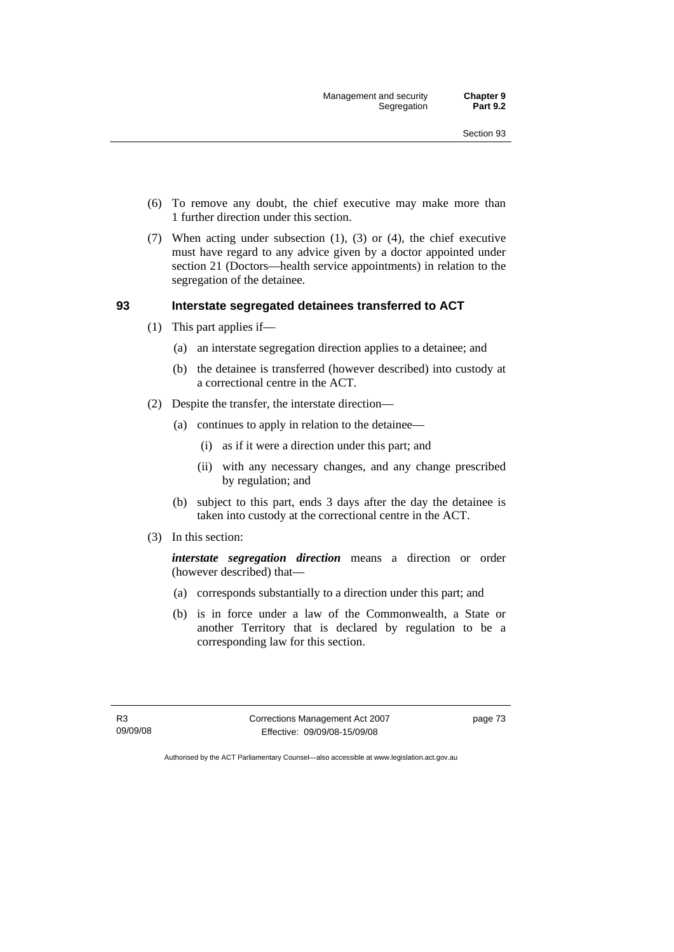Management and security **Chapter 9**  Segregation

- (6) To remove any doubt, the chief executive may make more than 1 further direction under this section.
- (7) When acting under subsection (1), (3) or (4), the chief executive must have regard to any advice given by a doctor appointed under section 21 (Doctors—health service appointments) in relation to the segregation of the detainee.

### **93 Interstate segregated detainees transferred to ACT**

- (1) This part applies if—
	- (a) an interstate segregation direction applies to a detainee; and
	- (b) the detainee is transferred (however described) into custody at a correctional centre in the ACT.
- (2) Despite the transfer, the interstate direction—
	- (a) continues to apply in relation to the detainee—
		- (i) as if it were a direction under this part; and
		- (ii) with any necessary changes, and any change prescribed by regulation; and
	- (b) subject to this part, ends 3 days after the day the detainee is taken into custody at the correctional centre in the ACT.
- (3) In this section:

*interstate segregation direction* means a direction or order (however described) that—

- (a) corresponds substantially to a direction under this part; and
- (b) is in force under a law of the Commonwealth, a State or another Territory that is declared by regulation to be a corresponding law for this section.

R3 09/09/08 Corrections Management Act 2007 Effective: 09/09/08-15/09/08

page 73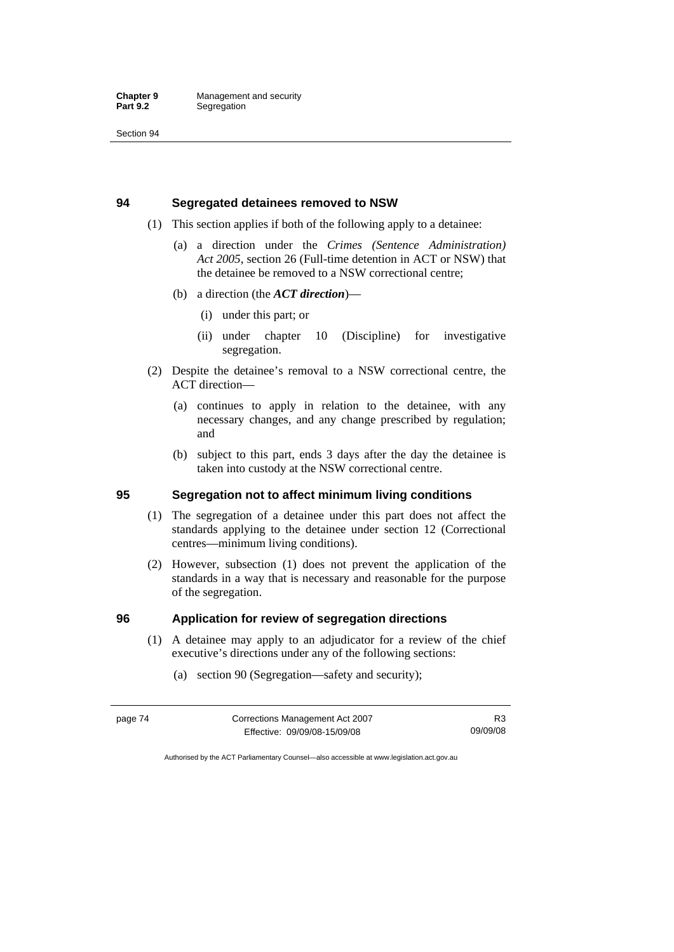Section 94

### **94 Segregated detainees removed to NSW**

- (1) This section applies if both of the following apply to a detainee:
	- (a) a direction under the *Crimes (Sentence Administration) Act 2005*, section 26 (Full-time detention in ACT or NSW) that the detainee be removed to a NSW correctional centre;
	- (b) a direction (the *ACT direction*)—
		- (i) under this part; or
		- (ii) under chapter 10 (Discipline) for investigative segregation.
- (2) Despite the detainee's removal to a NSW correctional centre, the ACT direction—
	- (a) continues to apply in relation to the detainee, with any necessary changes, and any change prescribed by regulation; and
	- (b) subject to this part, ends 3 days after the day the detainee is taken into custody at the NSW correctional centre.

# **95 Segregation not to affect minimum living conditions**

- (1) The segregation of a detainee under this part does not affect the standards applying to the detainee under section 12 (Correctional centres—minimum living conditions).
- (2) However, subsection (1) does not prevent the application of the standards in a way that is necessary and reasonable for the purpose of the segregation.

### **96 Application for review of segregation directions**

- (1) A detainee may apply to an adjudicator for a review of the chief executive's directions under any of the following sections:
	- (a) section 90 (Segregation—safety and security);

| page 74 | Corrections Management Act 2007 | R3       |
|---------|---------------------------------|----------|
|         | Effective: 09/09/08-15/09/08    | 09/09/08 |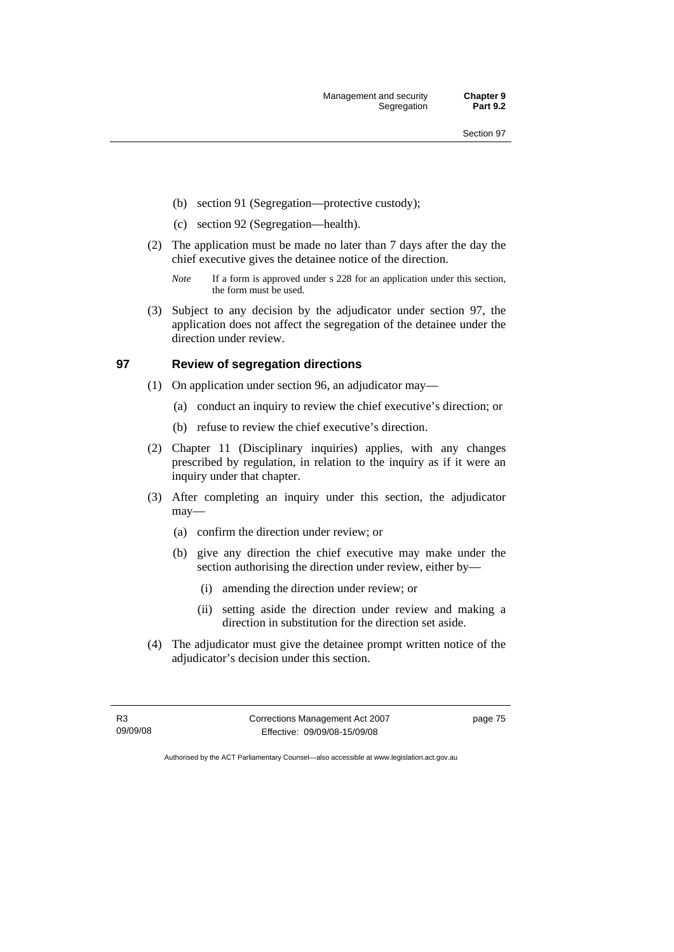Management and security **Chapter 9**  Segregation

- (b) section 91 (Segregation—protective custody);
- (c) section 92 (Segregation—health).
- (2) The application must be made no later than 7 days after the day the chief executive gives the detainee notice of the direction.
	- *Note* If a form is approved under s 228 for an application under this section, the form must be used.
- (3) Subject to any decision by the adjudicator under section 97, the application does not affect the segregation of the detainee under the direction under review.

### **97 Review of segregation directions**

- (1) On application under section 96, an adjudicator may—
	- (a) conduct an inquiry to review the chief executive's direction; or
	- (b) refuse to review the chief executive's direction.
- (2) Chapter 11 (Disciplinary inquiries) applies, with any changes prescribed by regulation, in relation to the inquiry as if it were an inquiry under that chapter.
- (3) After completing an inquiry under this section, the adjudicator may—
	- (a) confirm the direction under review; or
	- (b) give any direction the chief executive may make under the section authorising the direction under review, either by—
		- (i) amending the direction under review; or
		- (ii) setting aside the direction under review and making a direction in substitution for the direction set aside.
- (4) The adjudicator must give the detainee prompt written notice of the adjudicator's decision under this section.

R3 09/09/08 Corrections Management Act 2007 Effective: 09/09/08-15/09/08

page 75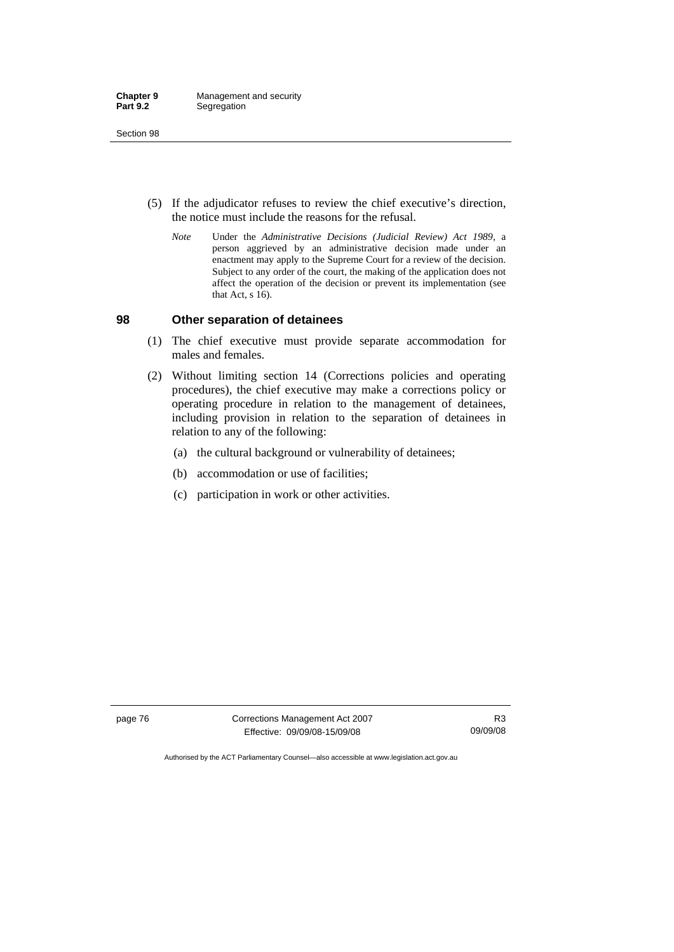- (5) If the adjudicator refuses to review the chief executive's direction, the notice must include the reasons for the refusal.
	- *Note* Under the *Administrative Decisions (Judicial Review) Act 1989*, a person aggrieved by an administrative decision made under an enactment may apply to the Supreme Court for a review of the decision. Subject to any order of the court, the making of the application does not affect the operation of the decision or prevent its implementation (see that Act, s 16).

### **98 Other separation of detainees**

- (1) The chief executive must provide separate accommodation for males and females.
- (2) Without limiting section 14 (Corrections policies and operating procedures), the chief executive may make a corrections policy or operating procedure in relation to the management of detainees, including provision in relation to the separation of detainees in relation to any of the following:
	- (a) the cultural background or vulnerability of detainees;
	- (b) accommodation or use of facilities;
	- (c) participation in work or other activities.

page 76 Corrections Management Act 2007 Effective: 09/09/08-15/09/08

R3 09/09/08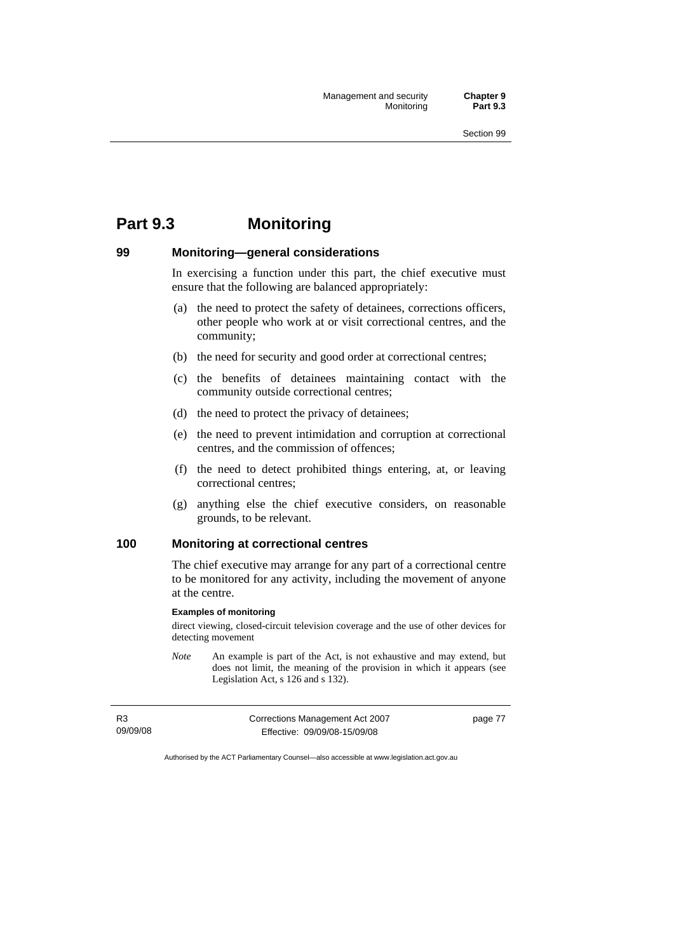# **Part 9.3 Monitoring**

### **99 Monitoring—general considerations**

In exercising a function under this part, the chief executive must ensure that the following are balanced appropriately:

- (a) the need to protect the safety of detainees, corrections officers, other people who work at or visit correctional centres, and the community;
- (b) the need for security and good order at correctional centres;
- (c) the benefits of detainees maintaining contact with the community outside correctional centres;
- (d) the need to protect the privacy of detainees;
- (e) the need to prevent intimidation and corruption at correctional centres, and the commission of offences;
- (f) the need to detect prohibited things entering, at, or leaving correctional centres;
- (g) anything else the chief executive considers, on reasonable grounds, to be relevant.

# **100 Monitoring at correctional centres**

The chief executive may arrange for any part of a correctional centre to be monitored for any activity, including the movement of anyone at the centre.

### **Examples of monitoring**

direct viewing, closed-circuit television coverage and the use of other devices for detecting movement

*Note* An example is part of the Act, is not exhaustive and may extend, but does not limit, the meaning of the provision in which it appears (see Legislation Act, s 126 and s 132).

R3 09/09/08 Corrections Management Act 2007 Effective: 09/09/08-15/09/08 page 77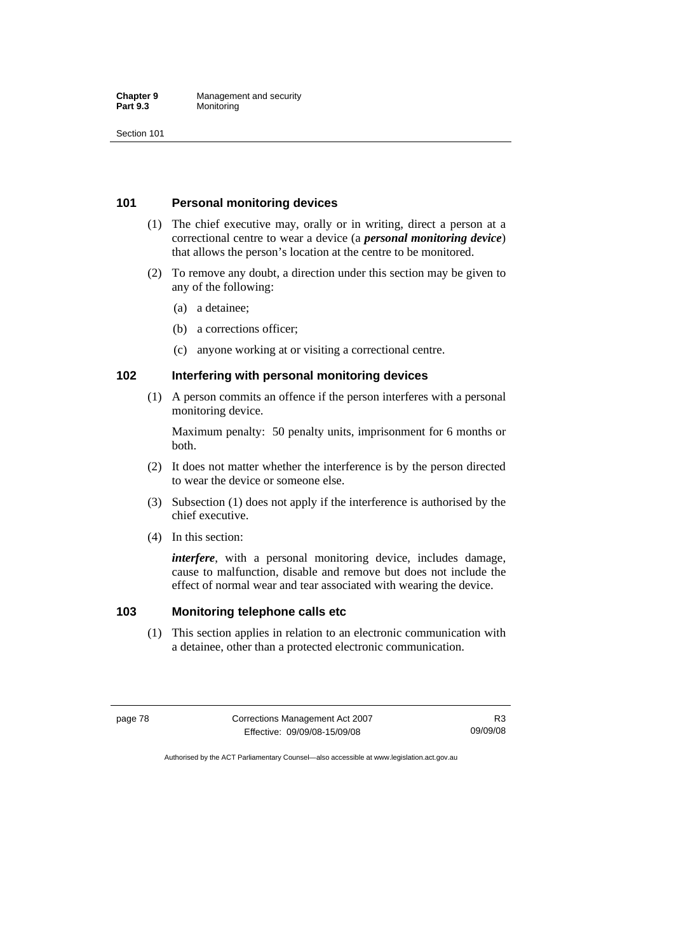### **101 Personal monitoring devices**

- (1) The chief executive may, orally or in writing, direct a person at a correctional centre to wear a device (a *personal monitoring device*) that allows the person's location at the centre to be monitored.
- (2) To remove any doubt, a direction under this section may be given to any of the following:
	- (a) a detainee;
	- (b) a corrections officer;
	- (c) anyone working at or visiting a correctional centre.

### **102 Interfering with personal monitoring devices**

 (1) A person commits an offence if the person interferes with a personal monitoring device.

Maximum penalty: 50 penalty units, imprisonment for 6 months or both.

- (2) It does not matter whether the interference is by the person directed to wear the device or someone else.
- (3) Subsection (1) does not apply if the interference is authorised by the chief executive.
- (4) In this section:

*interfere*, with a personal monitoring device, includes damage, cause to malfunction, disable and remove but does not include the effect of normal wear and tear associated with wearing the device.

### **103 Monitoring telephone calls etc**

 (1) This section applies in relation to an electronic communication with a detainee, other than a protected electronic communication.

page 78 Corrections Management Act 2007 Effective: 09/09/08-15/09/08 R3 09/09/08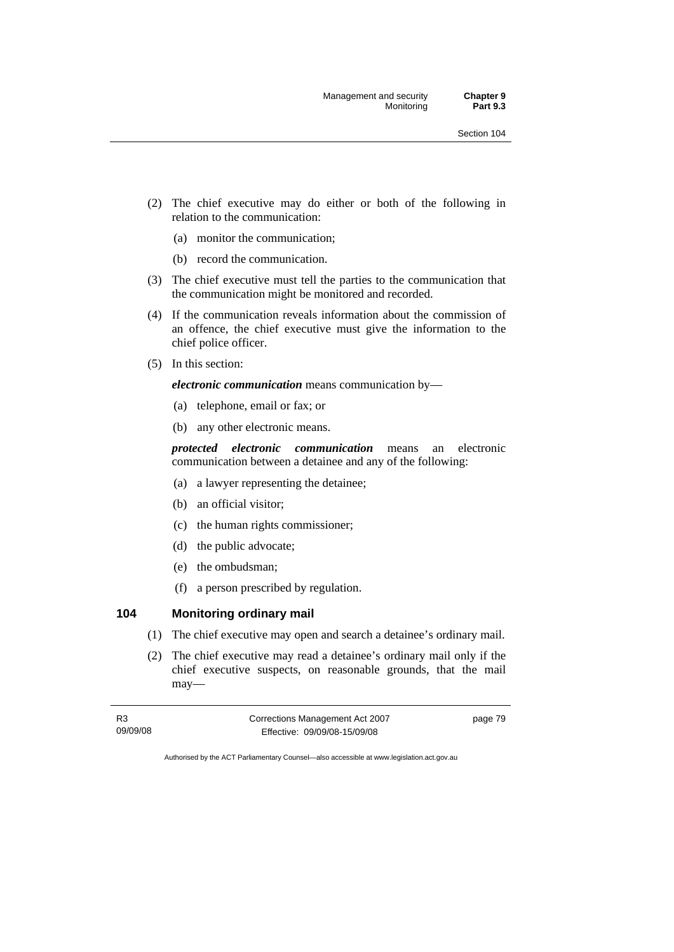- (2) The chief executive may do either or both of the following in relation to the communication:
	- (a) monitor the communication;
	- (b) record the communication.
- (3) The chief executive must tell the parties to the communication that the communication might be monitored and recorded.
- (4) If the communication reveals information about the commission of an offence, the chief executive must give the information to the chief police officer.
- (5) In this section:

*electronic communication* means communication by—

- (a) telephone, email or fax; or
- (b) any other electronic means.

*protected electronic communication* means an electronic communication between a detainee and any of the following:

- (a) a lawyer representing the detainee;
- (b) an official visitor;
- (c) the human rights commissioner;
- (d) the public advocate;
- (e) the ombudsman;
- (f) a person prescribed by regulation.

# **104 Monitoring ordinary mail**

- (1) The chief executive may open and search a detainee's ordinary mail.
- (2) The chief executive may read a detainee's ordinary mail only if the chief executive suspects, on reasonable grounds, that the mail may—

| R3       | Corrections Management Act 2007 | page 79 |
|----------|---------------------------------|---------|
| 09/09/08 | Effective: 09/09/08-15/09/08    |         |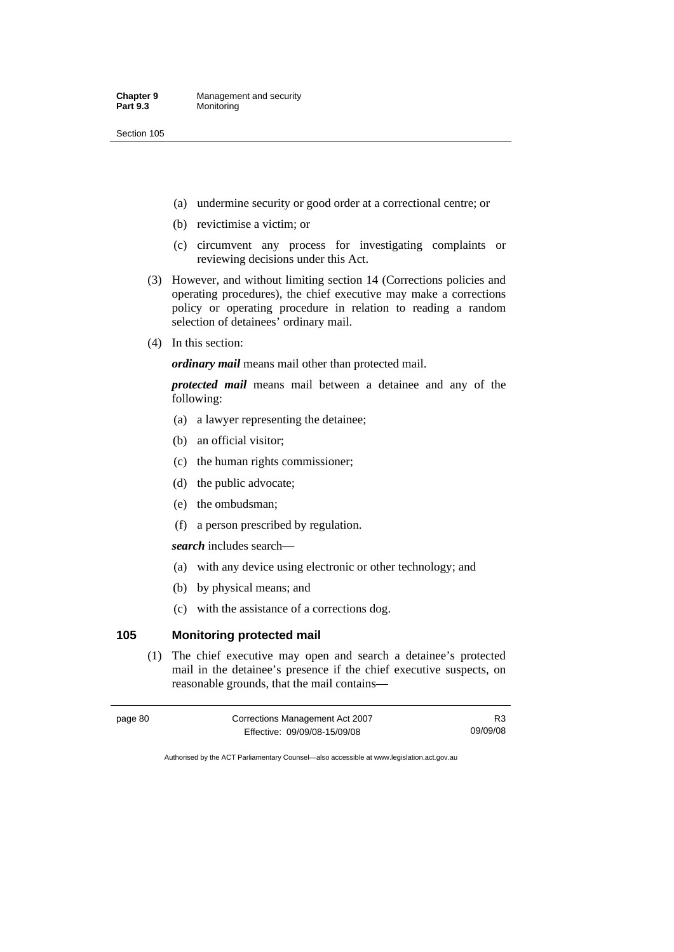- (a) undermine security or good order at a correctional centre; or
- (b) revictimise a victim; or
- (c) circumvent any process for investigating complaints or reviewing decisions under this Act.
- (3) However, and without limiting section 14 (Corrections policies and operating procedures), the chief executive may make a corrections policy or operating procedure in relation to reading a random selection of detainees' ordinary mail.
- (4) In this section:

*ordinary mail* means mail other than protected mail.

*protected mail* means mail between a detainee and any of the following:

- (a) a lawyer representing the detainee;
- (b) an official visitor;
- (c) the human rights commissioner;
- (d) the public advocate;
- (e) the ombudsman;
- (f) a person prescribed by regulation.

*search* includes search—

- (a) with any device using electronic or other technology; and
- (b) by physical means; and
- (c) with the assistance of a corrections dog.

# **105 Monitoring protected mail**

 (1) The chief executive may open and search a detainee's protected mail in the detainee's presence if the chief executive suspects, on reasonable grounds, that the mail contains—

| page 80 | Corrections Management Act 2007 | R3       |
|---------|---------------------------------|----------|
|         | Effective: 09/09/08-15/09/08    | 09/09/08 |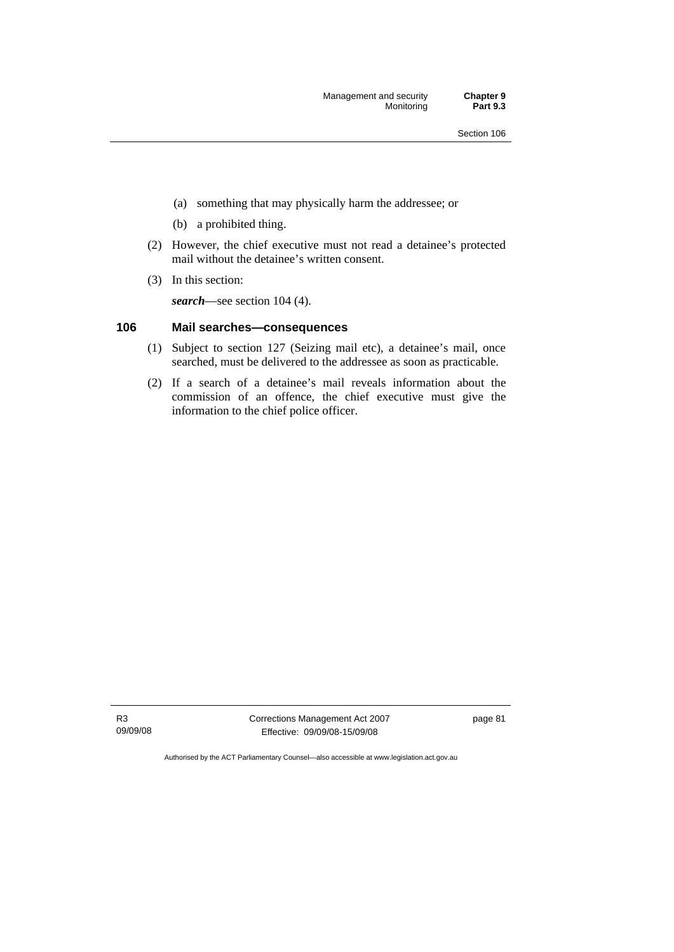Management and security **Chapter 9 Monitoring** 

- (a) something that may physically harm the addressee; or
- (b) a prohibited thing.
- (2) However, the chief executive must not read a detainee's protected mail without the detainee's written consent.
- (3) In this section:

*search*—see section 104 (4).

### **106 Mail searches—consequences**

- (1) Subject to section 127 (Seizing mail etc), a detainee's mail, once searched, must be delivered to the addressee as soon as practicable.
- (2) If a search of a detainee's mail reveals information about the commission of an offence, the chief executive must give the information to the chief police officer.

R3 09/09/08 Corrections Management Act 2007 Effective: 09/09/08-15/09/08

page 81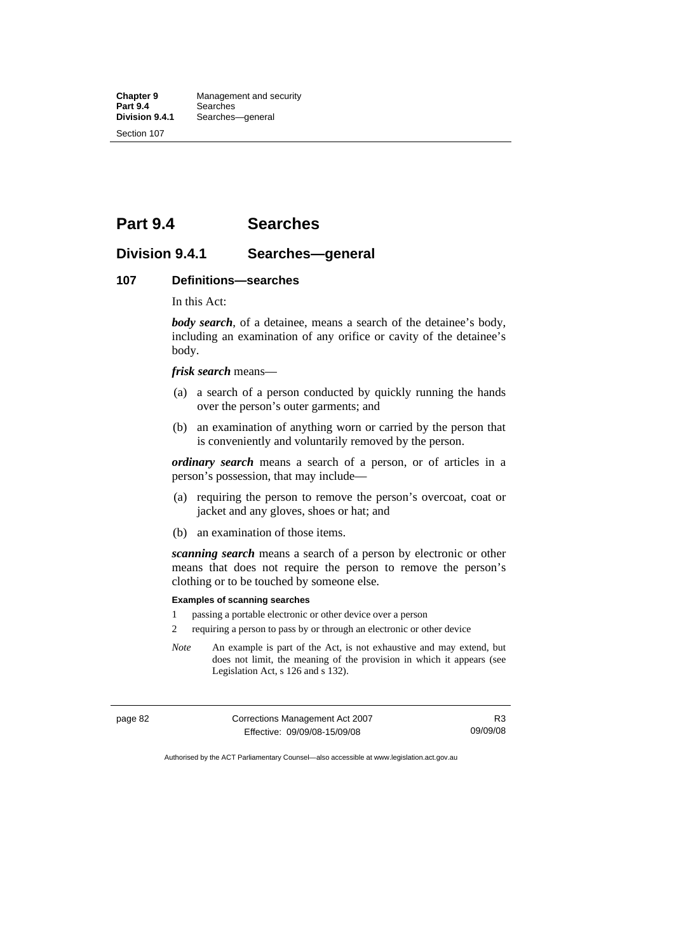# **Part 9.4 Searches**

# **Division 9.4.1 Searches—general**

### **107 Definitions—searches**

In this Act:

*body search*, of a detainee, means a search of the detainee's body, including an examination of any orifice or cavity of the detainee's body.

*frisk search* means—

- (a) a search of a person conducted by quickly running the hands over the person's outer garments; and
- (b) an examination of anything worn or carried by the person that is conveniently and voluntarily removed by the person.

*ordinary search* means a search of a person, or of articles in a person's possession, that may include—

- (a) requiring the person to remove the person's overcoat, coat or jacket and any gloves, shoes or hat; and
- (b) an examination of those items.

*scanning search* means a search of a person by electronic or other means that does not require the person to remove the person's clothing or to be touched by someone else.

### **Examples of scanning searches**

- 1 passing a portable electronic or other device over a person
- 2 requiring a person to pass by or through an electronic or other device
- *Note* An example is part of the Act, is not exhaustive and may extend, but does not limit, the meaning of the provision in which it appears (see Legislation Act, s 126 and s 132).

| page 82 | Corrections Management Act 2007 | R3       |
|---------|---------------------------------|----------|
|         | Effective: 09/09/08-15/09/08    | 09/09/08 |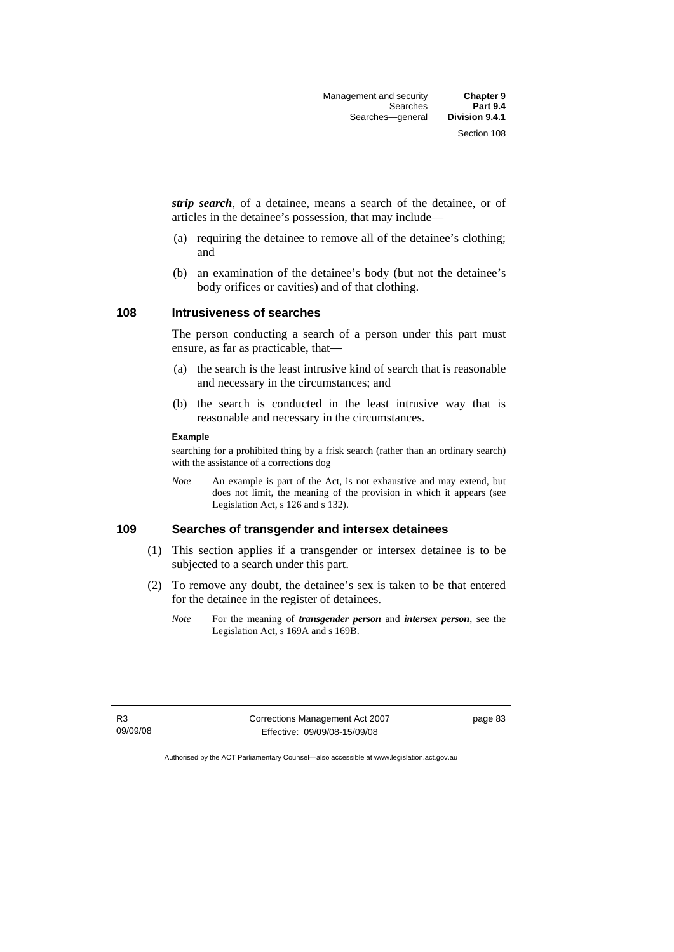*strip search*, of a detainee, means a search of the detainee, or of articles in the detainee's possession, that may include—

- (a) requiring the detainee to remove all of the detainee's clothing; and
- (b) an examination of the detainee's body (but not the detainee's body orifices or cavities) and of that clothing.

### **108 Intrusiveness of searches**

The person conducting a search of a person under this part must ensure, as far as practicable, that—

- (a) the search is the least intrusive kind of search that is reasonable and necessary in the circumstances; and
- (b) the search is conducted in the least intrusive way that is reasonable and necessary in the circumstances.

#### **Example**

searching for a prohibited thing by a frisk search (rather than an ordinary search) with the assistance of a corrections dog

*Note* An example is part of the Act, is not exhaustive and may extend, but does not limit, the meaning of the provision in which it appears (see Legislation Act, s 126 and s 132).

### **109 Searches of transgender and intersex detainees**

- (1) This section applies if a transgender or intersex detainee is to be subjected to a search under this part.
- (2) To remove any doubt, the detainee's sex is taken to be that entered for the detainee in the register of detainees.
	- *Note* For the meaning of *transgender person* and *intersex person*, see the Legislation Act, s 169A and s 169B.

R3 09/09/08 Corrections Management Act 2007 Effective: 09/09/08-15/09/08

page 83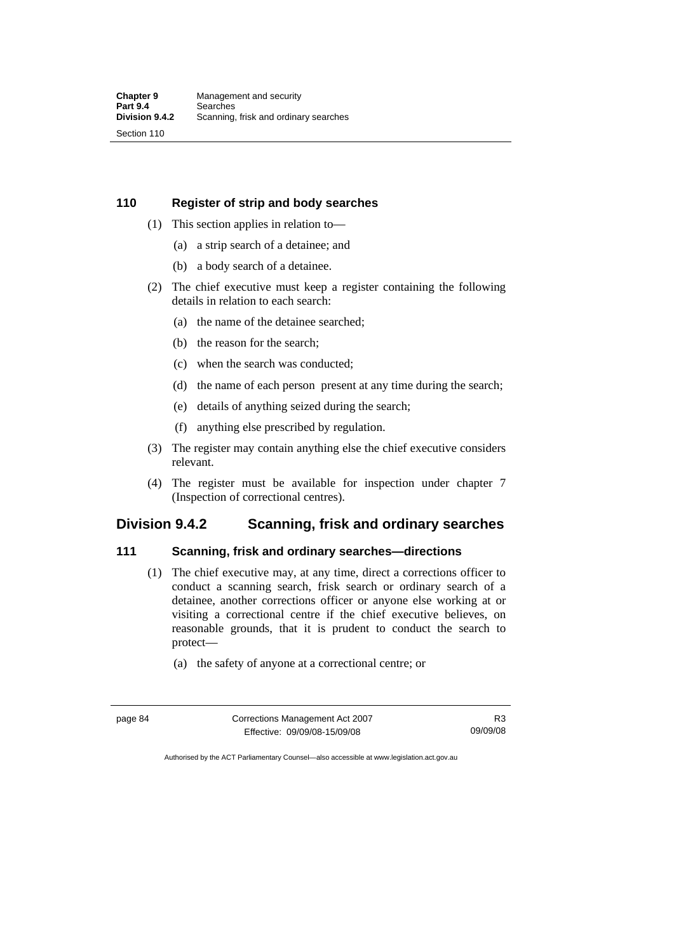### **110 Register of strip and body searches**

- (1) This section applies in relation to—
	- (a) a strip search of a detainee; and
	- (b) a body search of a detainee.
- (2) The chief executive must keep a register containing the following details in relation to each search:
	- (a) the name of the detainee searched;
	- (b) the reason for the search;
	- (c) when the search was conducted;
	- (d) the name of each person present at any time during the search;
	- (e) details of anything seized during the search;
	- (f) anything else prescribed by regulation.
- (3) The register may contain anything else the chief executive considers relevant.
- (4) The register must be available for inspection under chapter 7 (Inspection of correctional centres).

# **Division 9.4.2 Scanning, frisk and ordinary searches**

# **111 Scanning, frisk and ordinary searches—directions**

- (1) The chief executive may, at any time, direct a corrections officer to conduct a scanning search, frisk search or ordinary search of a detainee, another corrections officer or anyone else working at or visiting a correctional centre if the chief executive believes, on reasonable grounds, that it is prudent to conduct the search to protect—
	- (a) the safety of anyone at a correctional centre; or

| page 84 | Corrections Management Act 2007 | R3       |
|---------|---------------------------------|----------|
|         | Effective: 09/09/08-15/09/08    | 09/09/08 |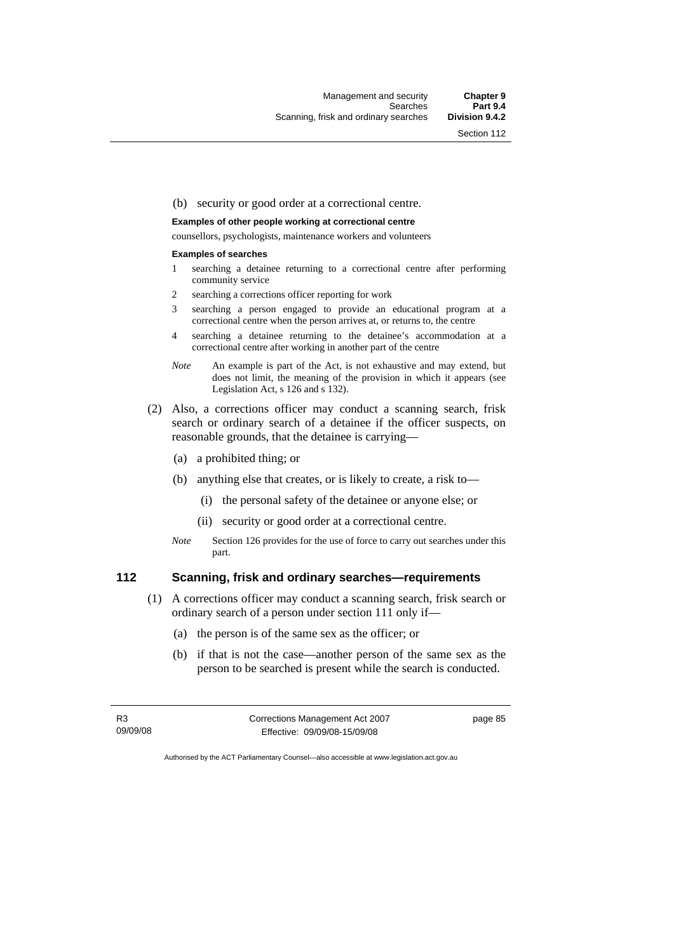Section 112

### (b) security or good order at a correctional centre.

### **Examples of other people working at correctional centre**

counsellors, psychologists, maintenance workers and volunteers

#### **Examples of searches**

- 1 searching a detainee returning to a correctional centre after performing community service
- 2 searching a corrections officer reporting for work
- 3 searching a person engaged to provide an educational program at a correctional centre when the person arrives at, or returns to, the centre
- 4 searching a detainee returning to the detainee's accommodation at a correctional centre after working in another part of the centre
- *Note* An example is part of the Act, is not exhaustive and may extend, but does not limit, the meaning of the provision in which it appears (see Legislation Act, s 126 and s 132).
- (2) Also, a corrections officer may conduct a scanning search, frisk search or ordinary search of a detainee if the officer suspects, on reasonable grounds, that the detainee is carrying—
	- (a) a prohibited thing; or
	- (b) anything else that creates, or is likely to create, a risk to—
		- (i) the personal safety of the detainee or anyone else; or
		- (ii) security or good order at a correctional centre.
	- *Note* Section 126 provides for the use of force to carry out searches under this part.

### **112 Scanning, frisk and ordinary searches—requirements**

- (1) A corrections officer may conduct a scanning search, frisk search or ordinary search of a person under section 111 only if—
	- (a) the person is of the same sex as the officer; or
	- (b) if that is not the case—another person of the same sex as the person to be searched is present while the search is conducted.

R3 09/09/08 Corrections Management Act 2007 Effective: 09/09/08-15/09/08

page 85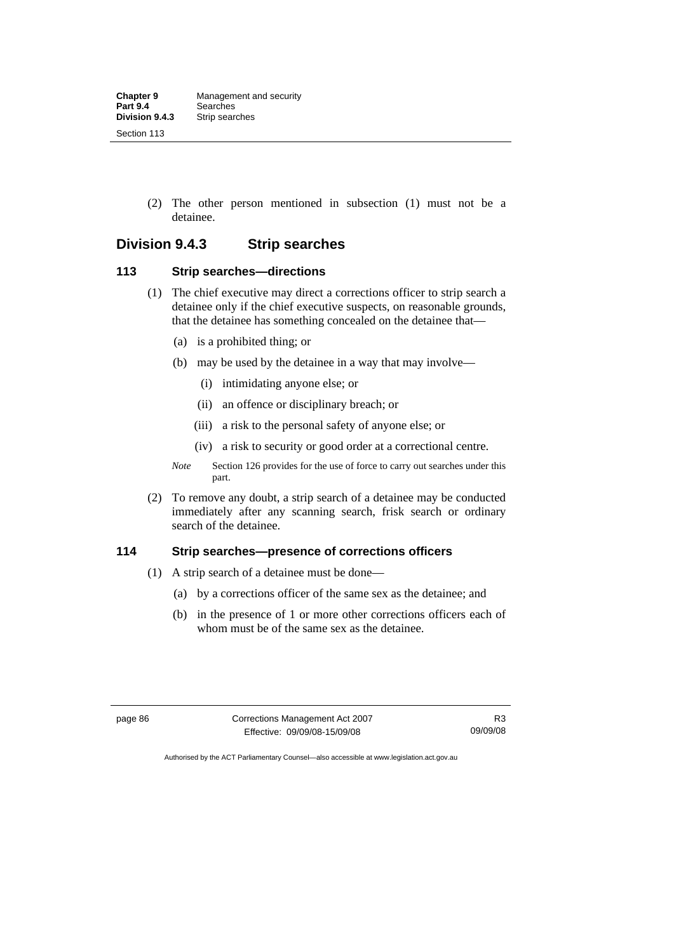(2) The other person mentioned in subsection (1) must not be a detainee.

# **Division 9.4.3 Strip searches**

### **113 Strip searches—directions**

- (1) The chief executive may direct a corrections officer to strip search a detainee only if the chief executive suspects, on reasonable grounds, that the detainee has something concealed on the detainee that—
	- (a) is a prohibited thing; or
	- (b) may be used by the detainee in a way that may involve—
		- (i) intimidating anyone else; or
		- (ii) an offence or disciplinary breach; or
		- (iii) a risk to the personal safety of anyone else; or
		- (iv) a risk to security or good order at a correctional centre.
	- *Note* Section 126 provides for the use of force to carry out searches under this part.
- (2) To remove any doubt, a strip search of a detainee may be conducted immediately after any scanning search, frisk search or ordinary search of the detainee.

# **114 Strip searches—presence of corrections officers**

- (1) A strip search of a detainee must be done—
	- (a) by a corrections officer of the same sex as the detainee; and
	- (b) in the presence of 1 or more other corrections officers each of whom must be of the same sex as the detainee.

page 86 Corrections Management Act 2007 Effective: 09/09/08-15/09/08

R3 09/09/08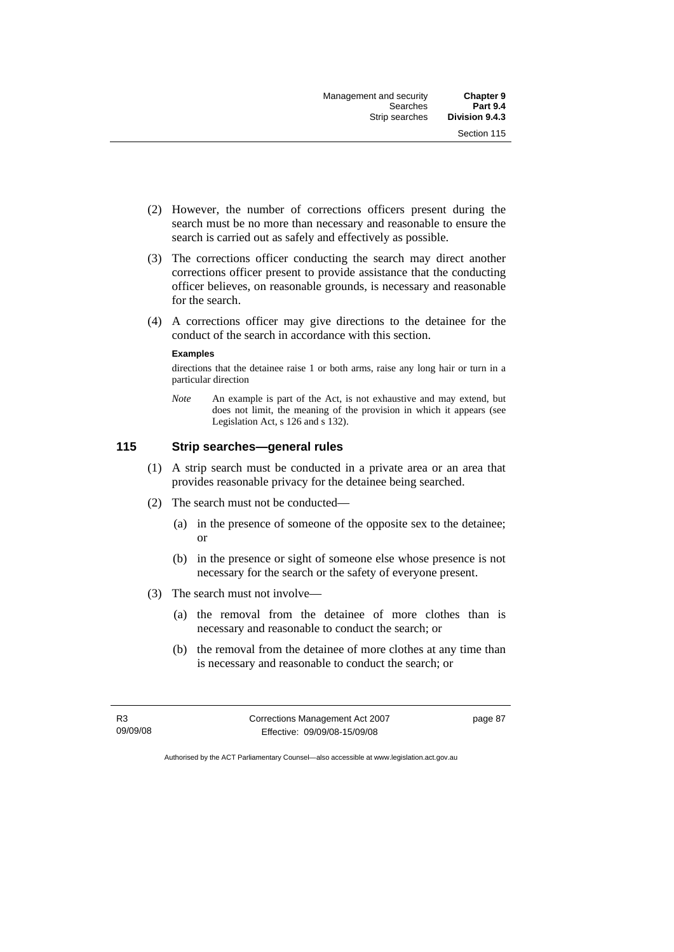- (2) However, the number of corrections officers present during the search must be no more than necessary and reasonable to ensure the search is carried out as safely and effectively as possible.
- (3) The corrections officer conducting the search may direct another corrections officer present to provide assistance that the conducting officer believes, on reasonable grounds, is necessary and reasonable for the search.
- (4) A corrections officer may give directions to the detainee for the conduct of the search in accordance with this section.

#### **Examples**

directions that the detainee raise 1 or both arms, raise any long hair or turn in a particular direction

*Note* An example is part of the Act, is not exhaustive and may extend, but does not limit, the meaning of the provision in which it appears (see Legislation Act, s 126 and s 132).

### **115 Strip searches—general rules**

- (1) A strip search must be conducted in a private area or an area that provides reasonable privacy for the detainee being searched.
- (2) The search must not be conducted—
	- (a) in the presence of someone of the opposite sex to the detainee; or
	- (b) in the presence or sight of someone else whose presence is not necessary for the search or the safety of everyone present.
- (3) The search must not involve—
	- (a) the removal from the detainee of more clothes than is necessary and reasonable to conduct the search; or
	- (b) the removal from the detainee of more clothes at any time than is necessary and reasonable to conduct the search; or

R3 09/09/08 Corrections Management Act 2007 Effective: 09/09/08-15/09/08

page 87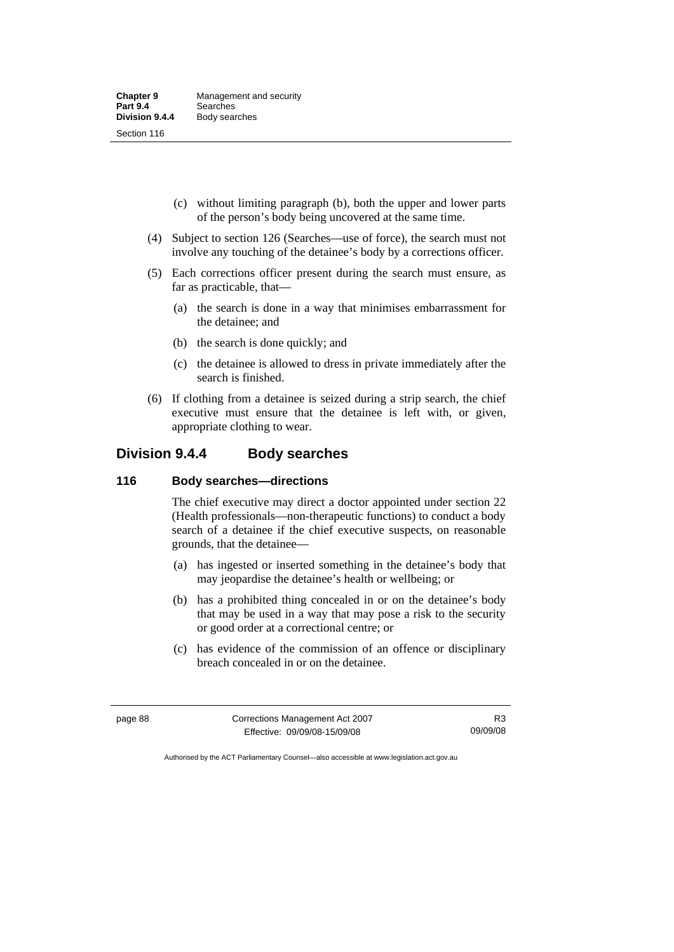- (c) without limiting paragraph (b), both the upper and lower parts of the person's body being uncovered at the same time.
- (4) Subject to section 126 (Searches—use of force), the search must not involve any touching of the detainee's body by a corrections officer.
- (5) Each corrections officer present during the search must ensure, as far as practicable, that—
	- (a) the search is done in a way that minimises embarrassment for the detainee; and
	- (b) the search is done quickly; and
	- (c) the detainee is allowed to dress in private immediately after the search is finished.
- (6) If clothing from a detainee is seized during a strip search, the chief executive must ensure that the detainee is left with, or given, appropriate clothing to wear.

# **Division 9.4.4 Body searches**

### **116 Body searches—directions**

The chief executive may direct a doctor appointed under section 22 (Health professionals—non-therapeutic functions) to conduct a body search of a detainee if the chief executive suspects, on reasonable grounds, that the detainee—

- (a) has ingested or inserted something in the detainee's body that may jeopardise the detainee's health or wellbeing; or
- (b) has a prohibited thing concealed in or on the detainee's body that may be used in a way that may pose a risk to the security or good order at a correctional centre; or
- (c) has evidence of the commission of an offence or disciplinary breach concealed in or on the detainee.

| page 88 | Corrections Management Act 2007 | R3       |
|---------|---------------------------------|----------|
|         | Effective: 09/09/08-15/09/08    | 09/09/08 |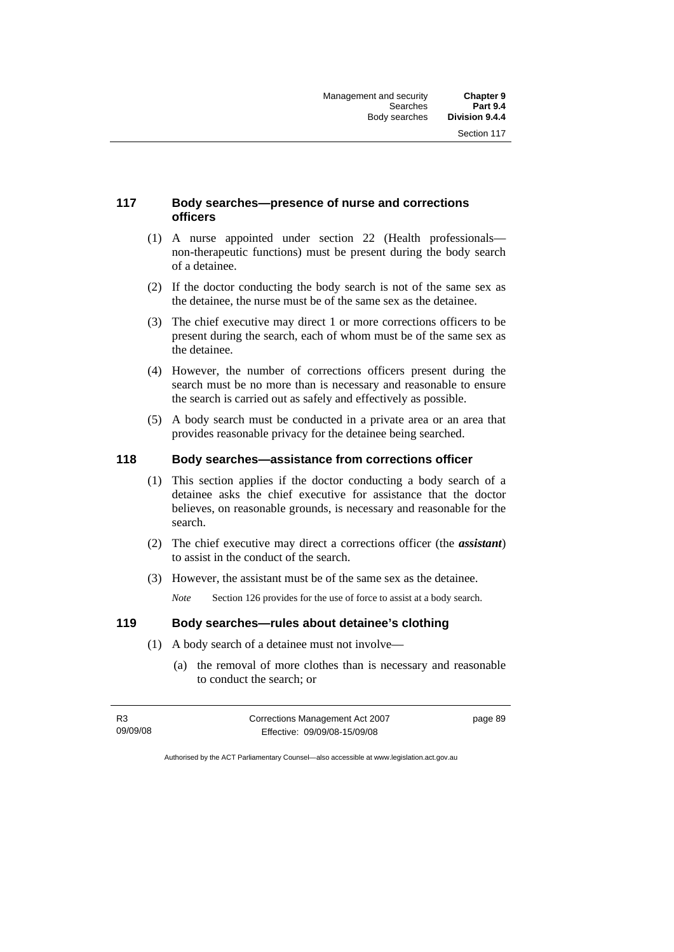# **117 Body searches—presence of nurse and corrections officers**

- (1) A nurse appointed under section 22 (Health professionals non-therapeutic functions) must be present during the body search of a detainee.
- (2) If the doctor conducting the body search is not of the same sex as the detainee, the nurse must be of the same sex as the detainee.
- (3) The chief executive may direct 1 or more corrections officers to be present during the search, each of whom must be of the same sex as the detainee.
- (4) However, the number of corrections officers present during the search must be no more than is necessary and reasonable to ensure the search is carried out as safely and effectively as possible.
- (5) A body search must be conducted in a private area or an area that provides reasonable privacy for the detainee being searched.

### **118 Body searches—assistance from corrections officer**

- (1) This section applies if the doctor conducting a body search of a detainee asks the chief executive for assistance that the doctor believes, on reasonable grounds, is necessary and reasonable for the search.
- (2) The chief executive may direct a corrections officer (the *assistant*) to assist in the conduct of the search.
- (3) However, the assistant must be of the same sex as the detainee.

*Note* Section 126 provides for the use of force to assist at a body search.

### **119 Body searches—rules about detainee's clothing**

- (1) A body search of a detainee must not involve—
	- (a) the removal of more clothes than is necessary and reasonable to conduct the search; or

| R3       | Corrections Management Act 2007 | page 89 |
|----------|---------------------------------|---------|
| 09/09/08 | Effective: 09/09/08-15/09/08    |         |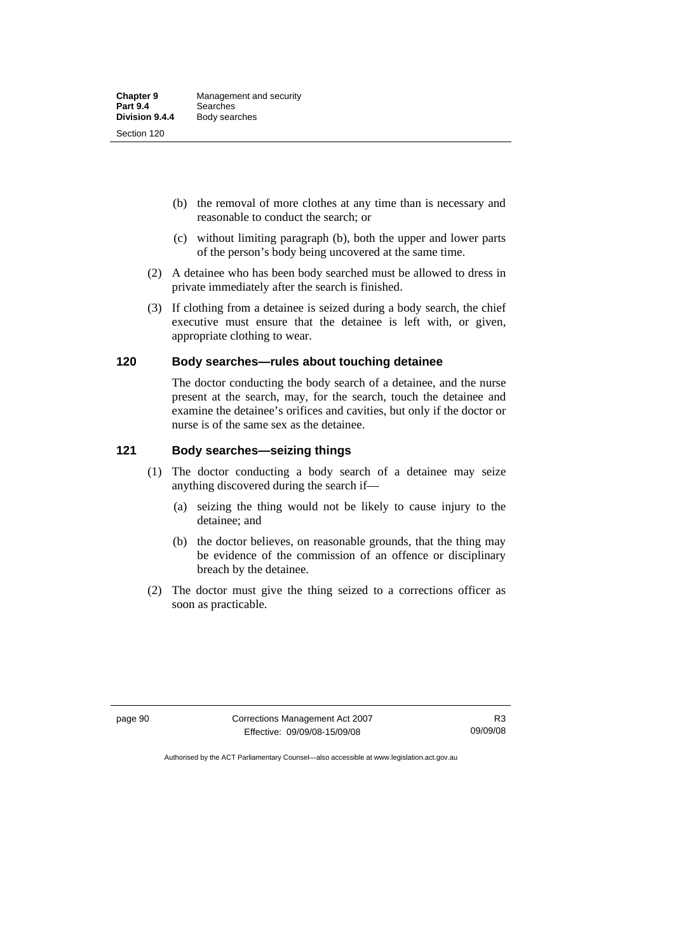- (b) the removal of more clothes at any time than is necessary and reasonable to conduct the search; or
- (c) without limiting paragraph (b), both the upper and lower parts of the person's body being uncovered at the same time.
- (2) A detainee who has been body searched must be allowed to dress in private immediately after the search is finished.
- (3) If clothing from a detainee is seized during a body search, the chief executive must ensure that the detainee is left with, or given, appropriate clothing to wear.

### **120 Body searches—rules about touching detainee**

The doctor conducting the body search of a detainee, and the nurse present at the search, may, for the search, touch the detainee and examine the detainee's orifices and cavities, but only if the doctor or nurse is of the same sex as the detainee.

### **121 Body searches—seizing things**

- (1) The doctor conducting a body search of a detainee may seize anything discovered during the search if—
	- (a) seizing the thing would not be likely to cause injury to the detainee; and
	- (b) the doctor believes, on reasonable grounds, that the thing may be evidence of the commission of an offence or disciplinary breach by the detainee.
- (2) The doctor must give the thing seized to a corrections officer as soon as practicable.

page 90 Corrections Management Act 2007 Effective: 09/09/08-15/09/08

R3 09/09/08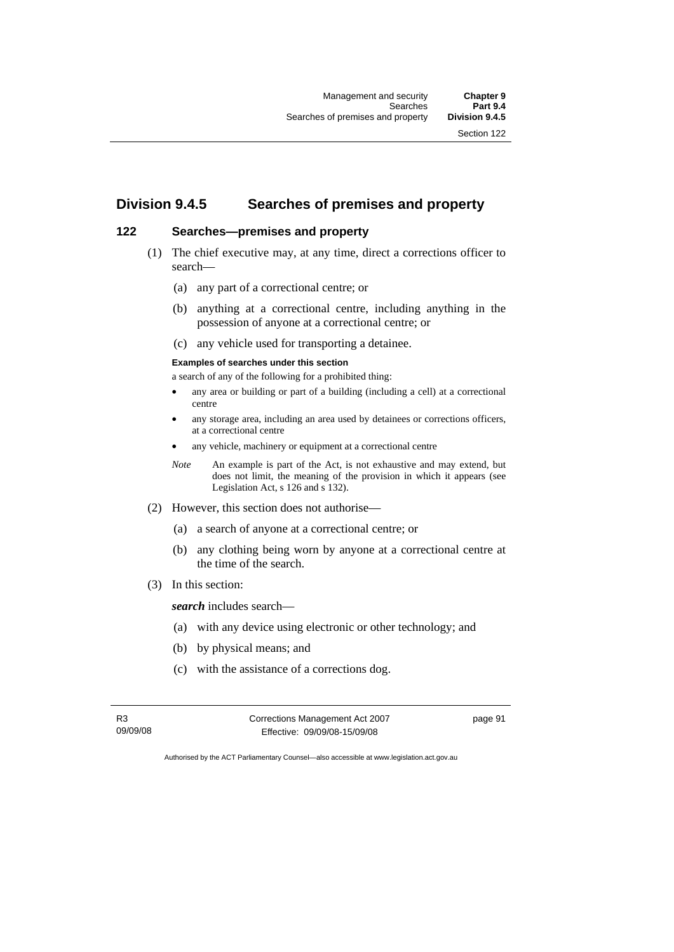Section 122

# **Division 9.4.5 Searches of premises and property**

# **122 Searches—premises and property**

- (1) The chief executive may, at any time, direct a corrections officer to search—
	- (a) any part of a correctional centre; or
	- (b) anything at a correctional centre, including anything in the possession of anyone at a correctional centre; or
	- (c) any vehicle used for transporting a detainee.

### **Examples of searches under this section**

a search of any of the following for a prohibited thing:

- any area or building or part of a building (including a cell) at a correctional centre
- any storage area, including an area used by detainees or corrections officers, at a correctional centre
- any vehicle, machinery or equipment at a correctional centre
- *Note* An example is part of the Act, is not exhaustive and may extend, but does not limit, the meaning of the provision in which it appears (see Legislation Act, s 126 and s 132).
- (2) However, this section does not authorise—
	- (a) a search of anyone at a correctional centre; or
	- (b) any clothing being worn by anyone at a correctional centre at the time of the search.
- (3) In this section:

*search* includes search—

- (a) with any device using electronic or other technology; and
- (b) by physical means; and
- (c) with the assistance of a corrections dog.

R3 09/09/08 Corrections Management Act 2007 Effective: 09/09/08-15/09/08

page 91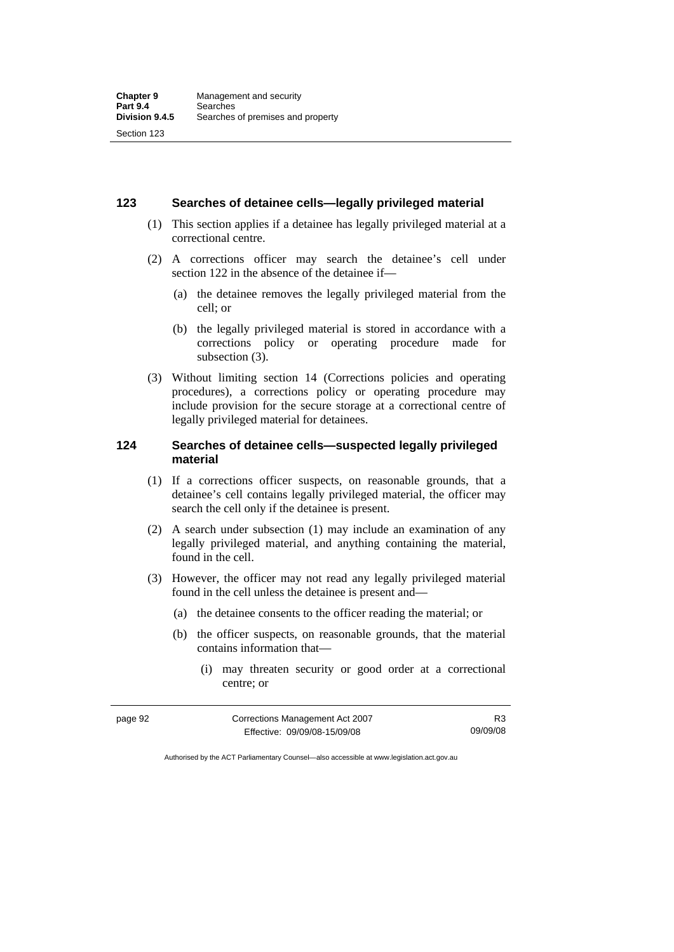### **123 Searches of detainee cells—legally privileged material**

- (1) This section applies if a detainee has legally privileged material at a correctional centre.
- (2) A corrections officer may search the detainee's cell under section 122 in the absence of the detainee if—
	- (a) the detainee removes the legally privileged material from the cell; or
	- (b) the legally privileged material is stored in accordance with a corrections policy or operating procedure made for subsection (3).
- (3) Without limiting section 14 (Corrections policies and operating procedures), a corrections policy or operating procedure may include provision for the secure storage at a correctional centre of legally privileged material for detainees.

### **124 Searches of detainee cells—suspected legally privileged material**

- (1) If a corrections officer suspects, on reasonable grounds, that a detainee's cell contains legally privileged material, the officer may search the cell only if the detainee is present.
- (2) A search under subsection (1) may include an examination of any legally privileged material, and anything containing the material, found in the cell.
- (3) However, the officer may not read any legally privileged material found in the cell unless the detainee is present and—
	- (a) the detainee consents to the officer reading the material; or
	- (b) the officer suspects, on reasonable grounds, that the material contains information that—
		- (i) may threaten security or good order at a correctional centre; or

| page 92 | Corrections Management Act 2007 | R3       |
|---------|---------------------------------|----------|
|         | Effective: 09/09/08-15/09/08    | 09/09/08 |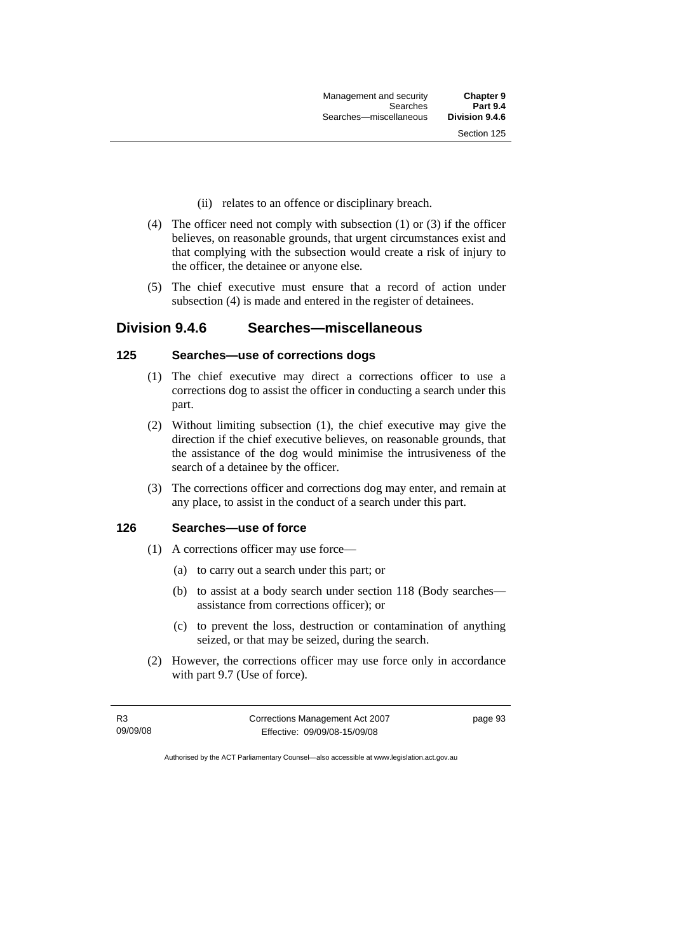- (ii) relates to an offence or disciplinary breach.
- (4) The officer need not comply with subsection (1) or (3) if the officer believes, on reasonable grounds, that urgent circumstances exist and that complying with the subsection would create a risk of injury to the officer, the detainee or anyone else.
- (5) The chief executive must ensure that a record of action under subsection (4) is made and entered in the register of detainees.

# **Division 9.4.6 Searches—miscellaneous**

### **125 Searches—use of corrections dogs**

- (1) The chief executive may direct a corrections officer to use a corrections dog to assist the officer in conducting a search under this part.
- (2) Without limiting subsection (1), the chief executive may give the direction if the chief executive believes, on reasonable grounds, that the assistance of the dog would minimise the intrusiveness of the search of a detainee by the officer.
- (3) The corrections officer and corrections dog may enter, and remain at any place, to assist in the conduct of a search under this part.

# **126 Searches—use of force**

- (1) A corrections officer may use force—
	- (a) to carry out a search under this part; or
	- (b) to assist at a body search under section 118 (Body searches assistance from corrections officer); or
	- (c) to prevent the loss, destruction or contamination of anything seized, or that may be seized, during the search.
- (2) However, the corrections officer may use force only in accordance with part 9.7 (Use of force).

| R3       | Corrections Management Act 2007 | page 93 |
|----------|---------------------------------|---------|
| 09/09/08 | Effective: 09/09/08-15/09/08    |         |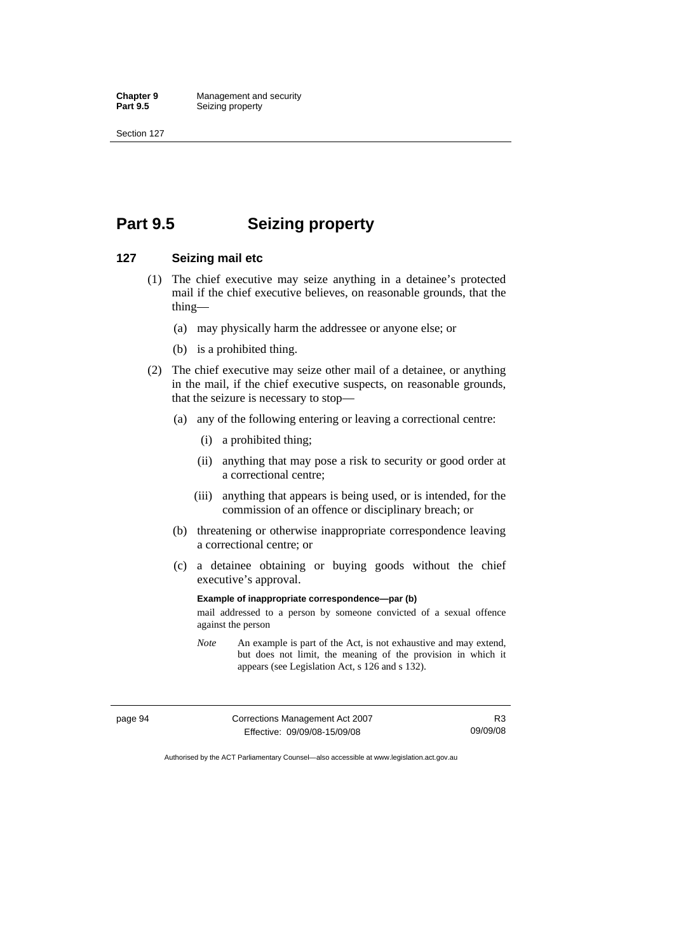Section 127

# **Part 9.5 Seizing property**

### **127 Seizing mail etc**

- (1) The chief executive may seize anything in a detainee's protected mail if the chief executive believes, on reasonable grounds, that the thing—
	- (a) may physically harm the addressee or anyone else; or
	- (b) is a prohibited thing.
- (2) The chief executive may seize other mail of a detainee, or anything in the mail, if the chief executive suspects, on reasonable grounds, that the seizure is necessary to stop—
	- (a) any of the following entering or leaving a correctional centre:
		- (i) a prohibited thing;
		- (ii) anything that may pose a risk to security or good order at a correctional centre;
		- (iii) anything that appears is being used, or is intended, for the commission of an offence or disciplinary breach; or
	- (b) threatening or otherwise inappropriate correspondence leaving a correctional centre; or
	- (c) a detainee obtaining or buying goods without the chief executive's approval.

**Example of inappropriate correspondence—par (b)** 

mail addressed to a person by someone convicted of a sexual offence against the person

*Note* An example is part of the Act, is not exhaustive and may extend, but does not limit, the meaning of the provision in which it appears (see Legislation Act, s 126 and s 132).

page 94 Corrections Management Act 2007 Effective: 09/09/08-15/09/08 R3 09/09/08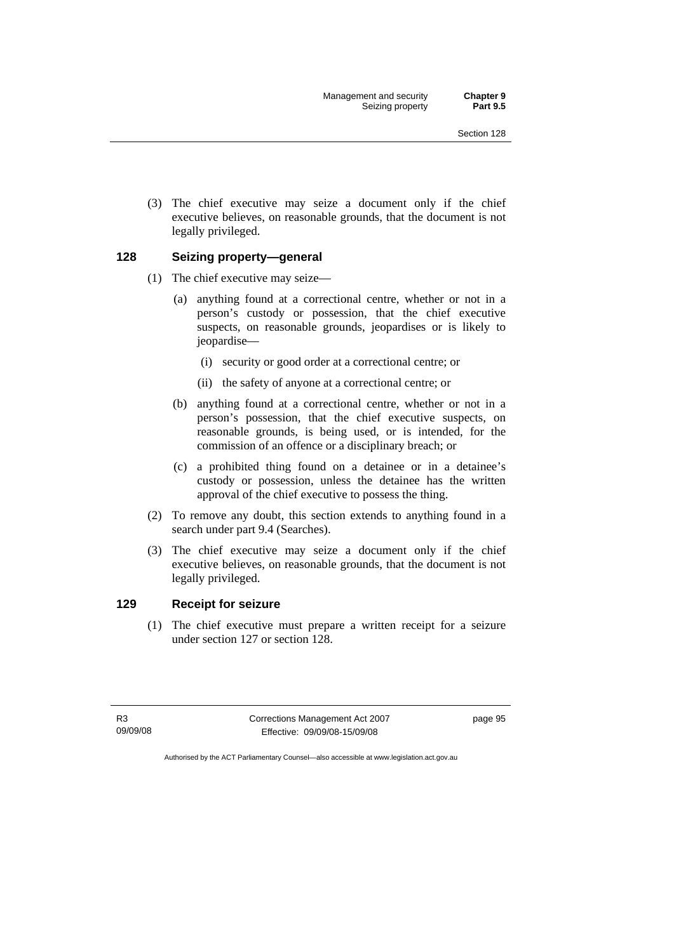(3) The chief executive may seize a document only if the chief executive believes, on reasonable grounds, that the document is not legally privileged.

#### **128 Seizing property—general**

- (1) The chief executive may seize—
	- (a) anything found at a correctional centre, whether or not in a person's custody or possession, that the chief executive suspects, on reasonable grounds, jeopardises or is likely to jeopardise—
		- (i) security or good order at a correctional centre; or
		- (ii) the safety of anyone at a correctional centre; or
	- (b) anything found at a correctional centre, whether or not in a person's possession, that the chief executive suspects, on reasonable grounds, is being used, or is intended, for the commission of an offence or a disciplinary breach; or
	- (c) a prohibited thing found on a detainee or in a detainee's custody or possession, unless the detainee has the written approval of the chief executive to possess the thing.
- (2) To remove any doubt, this section extends to anything found in a search under part 9.4 (Searches).
- (3) The chief executive may seize a document only if the chief executive believes, on reasonable grounds, that the document is not legally privileged.

#### **129 Receipt for seizure**

 (1) The chief executive must prepare a written receipt for a seizure under section 127 or section 128.

R3 09/09/08 Corrections Management Act 2007 Effective: 09/09/08-15/09/08

page 95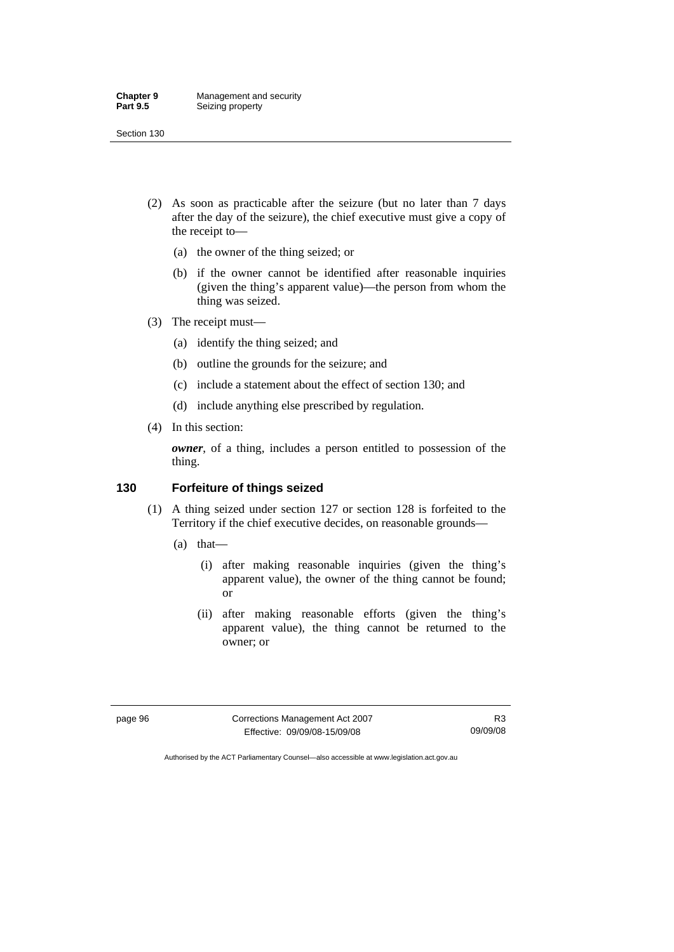- (2) As soon as practicable after the seizure (but no later than 7 days after the day of the seizure), the chief executive must give a copy of the receipt to—
	- (a) the owner of the thing seized; or
	- (b) if the owner cannot be identified after reasonable inquiries (given the thing's apparent value)—the person from whom the thing was seized.
- (3) The receipt must—
	- (a) identify the thing seized; and
	- (b) outline the grounds for the seizure; and
	- (c) include a statement about the effect of section 130; and
	- (d) include anything else prescribed by regulation.
- (4) In this section:

*owner*, of a thing, includes a person entitled to possession of the thing.

#### **130 Forfeiture of things seized**

- (1) A thing seized under section 127 or section 128 is forfeited to the Territory if the chief executive decides, on reasonable grounds—
	- (a) that—
		- (i) after making reasonable inquiries (given the thing's apparent value), the owner of the thing cannot be found; or
		- (ii) after making reasonable efforts (given the thing's apparent value), the thing cannot be returned to the owner; or

page 96 Corrections Management Act 2007 Effective: 09/09/08-15/09/08

R3 09/09/08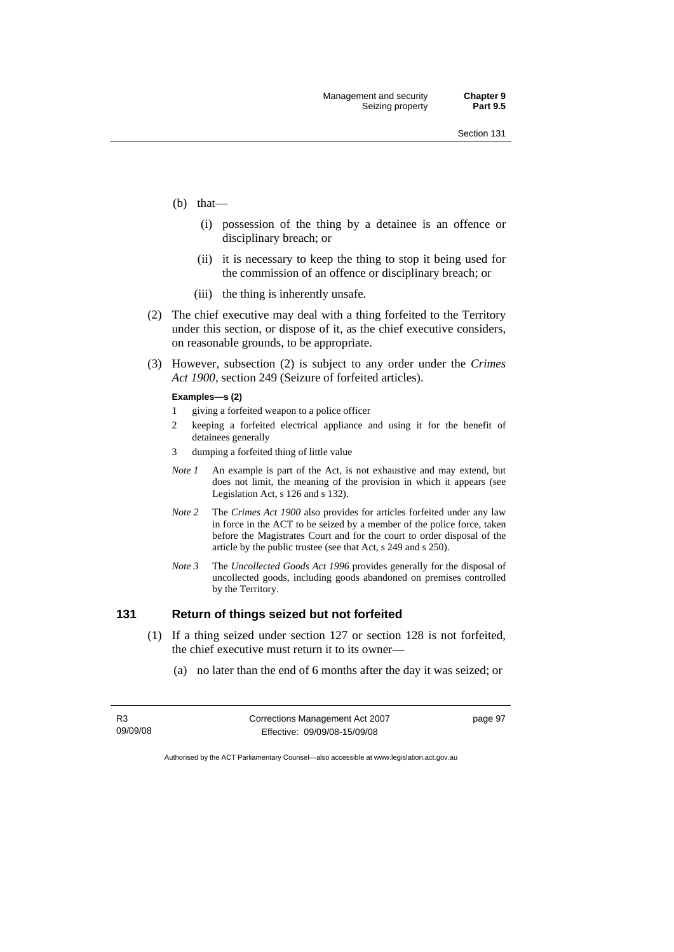- (b) that—
	- (i) possession of the thing by a detainee is an offence or disciplinary breach; or
	- (ii) it is necessary to keep the thing to stop it being used for the commission of an offence or disciplinary breach; or
	- (iii) the thing is inherently unsafe.
- (2) The chief executive may deal with a thing forfeited to the Territory under this section, or dispose of it, as the chief executive considers, on reasonable grounds, to be appropriate.
- (3) However, subsection (2) is subject to any order under the *Crimes Act 1900,* section 249 (Seizure of forfeited articles).

#### **Examples—s (2)**

- 1 giving a forfeited weapon to a police officer
- 2 keeping a forfeited electrical appliance and using it for the benefit of detainees generally
- 3 dumping a forfeited thing of little value
- *Note 1* An example is part of the Act, is not exhaustive and may extend, but does not limit, the meaning of the provision in which it appears (see Legislation Act, s 126 and s 132).
- *Note 2* The *Crimes Act 1900* also provides for articles forfeited under any law in force in the ACT to be seized by a member of the police force, taken before the Magistrates Court and for the court to order disposal of the article by the public trustee (see that Act, s 249 and s 250).
- *Note 3* The *Uncollected Goods Act 1996* provides generally for the disposal of uncollected goods, including goods abandoned on premises controlled by the Territory.

## **131 Return of things seized but not forfeited**

- (1) If a thing seized under section 127 or section 128 is not forfeited, the chief executive must return it to its owner—
	- (a) no later than the end of 6 months after the day it was seized; or

| R3       | Corrections Management Act 2007 | page 97 |
|----------|---------------------------------|---------|
| 09/09/08 | Effective: 09/09/08-15/09/08    |         |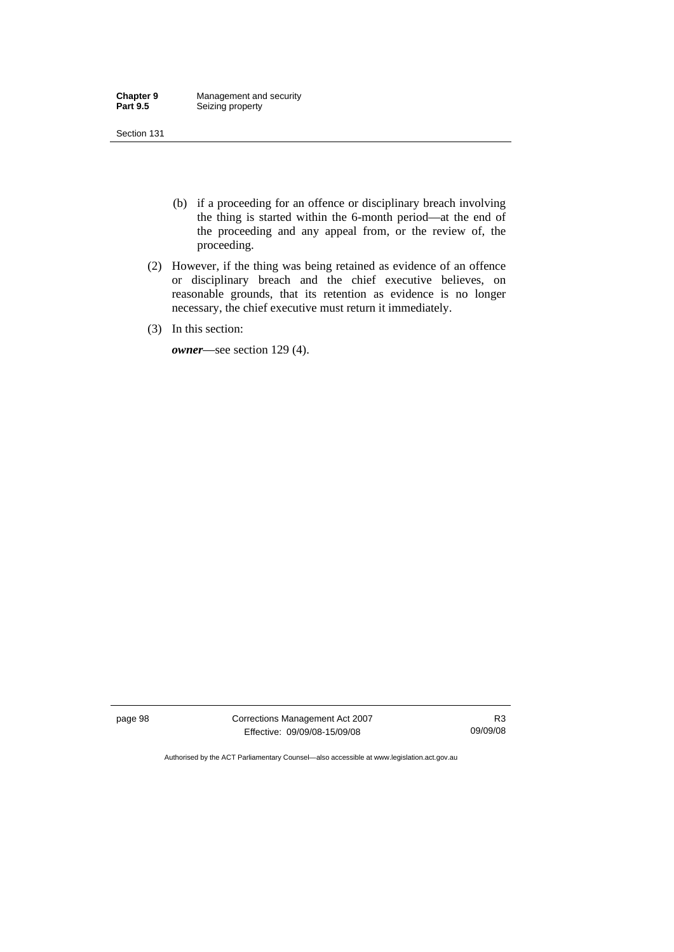- (b) if a proceeding for an offence or disciplinary breach involving the thing is started within the 6-month period—at the end of the proceeding and any appeal from, or the review of, the proceeding.
- (2) However, if the thing was being retained as evidence of an offence or disciplinary breach and the chief executive believes, on reasonable grounds, that its retention as evidence is no longer necessary, the chief executive must return it immediately.
- (3) In this section:

*owner*—see section 129 (4).

page 98 Corrections Management Act 2007 Effective: 09/09/08-15/09/08

R3 09/09/08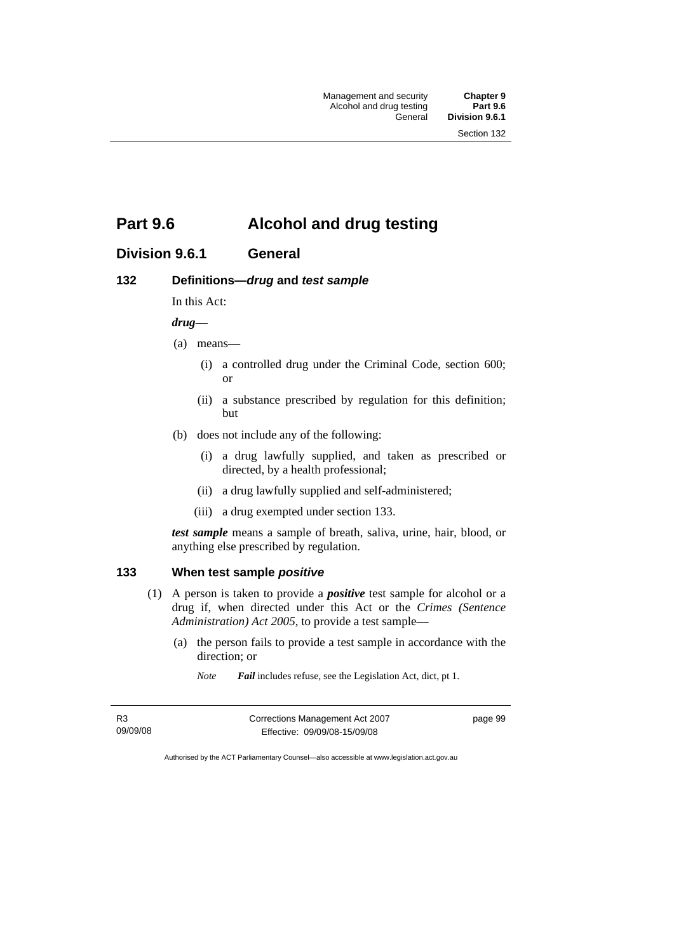Management and security **Chapter 9**  Alcohol and drug testing<br>General

Division 9.6.1

Section 132

# **Part 9.6 Alcohol and drug testing**

# **Division 9.6.1 General**

#### **132 Definitions—***drug* **and** *test sample*

In this Act:

*drug*—

- (a) means—
	- (i) a controlled drug under the Criminal Code, section 600; or
	- (ii) a substance prescribed by regulation for this definition; but
- (b) does not include any of the following:
	- (i) a drug lawfully supplied, and taken as prescribed or directed, by a health professional;
	- (ii) a drug lawfully supplied and self-administered;
	- (iii) a drug exempted under section 133.

*test sample* means a sample of breath, saliva, urine, hair, blood, or anything else prescribed by regulation.

### **133 When test sample** *positive*

- (1) A person is taken to provide a *positive* test sample for alcohol or a drug if, when directed under this Act or the *Crimes (Sentence Administration) Act 2005*, to provide a test sample—
	- (a) the person fails to provide a test sample in accordance with the direction; or
		- *Note Fail* includes refuse, see the Legislation Act, dict, pt 1.

| R3       | Corrections Management Act 2007 | page 99 |
|----------|---------------------------------|---------|
| 09/09/08 | Effective: 09/09/08-15/09/08    |         |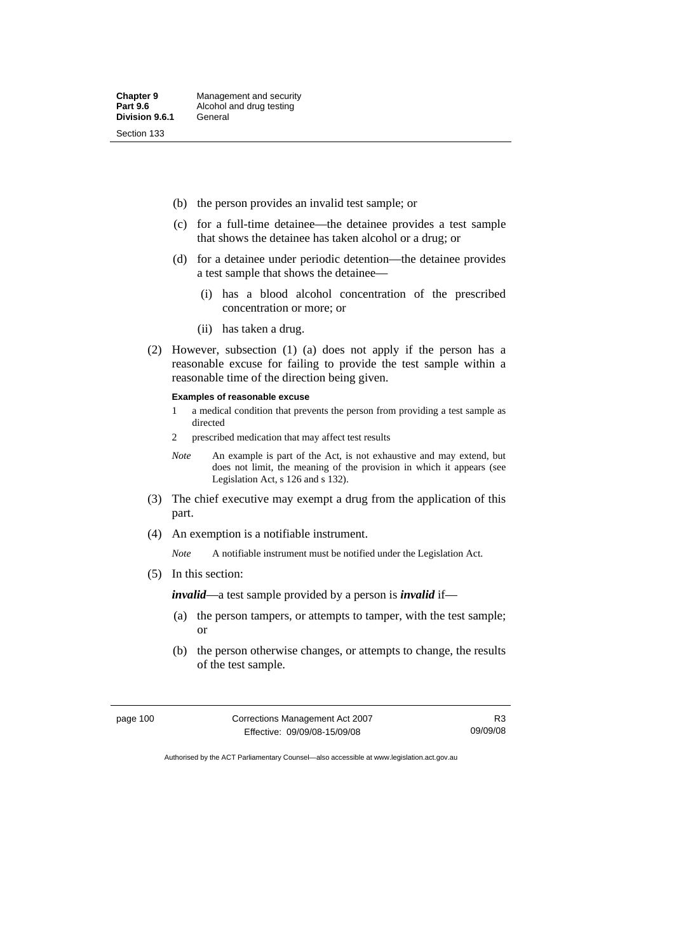- (b) the person provides an invalid test sample; or
- (c) for a full-time detainee—the detainee provides a test sample that shows the detainee has taken alcohol or a drug; or
- (d) for a detainee under periodic detention—the detainee provides a test sample that shows the detainee—
	- (i) has a blood alcohol concentration of the prescribed concentration or more; or
	- (ii) has taken a drug.
- (2) However, subsection (1) (a) does not apply if the person has a reasonable excuse for failing to provide the test sample within a reasonable time of the direction being given.

#### **Examples of reasonable excuse**

- 1 a medical condition that prevents the person from providing a test sample as directed
- 2 prescribed medication that may affect test results
- *Note* An example is part of the Act, is not exhaustive and may extend, but does not limit, the meaning of the provision in which it appears (see Legislation Act, s 126 and s 132).
- (3) The chief executive may exempt a drug from the application of this part.
- (4) An exemption is a notifiable instrument.

*Note* A notifiable instrument must be notified under the Legislation Act.

(5) In this section:

*invalid*—a test sample provided by a person is *invalid* if—

- (a) the person tampers, or attempts to tamper, with the test sample; or
- (b) the person otherwise changes, or attempts to change, the results of the test sample.

| page 100 | Corrections Management Act 2007 | R3       |
|----------|---------------------------------|----------|
|          | Effective: 09/09/08-15/09/08    | 09/09/08 |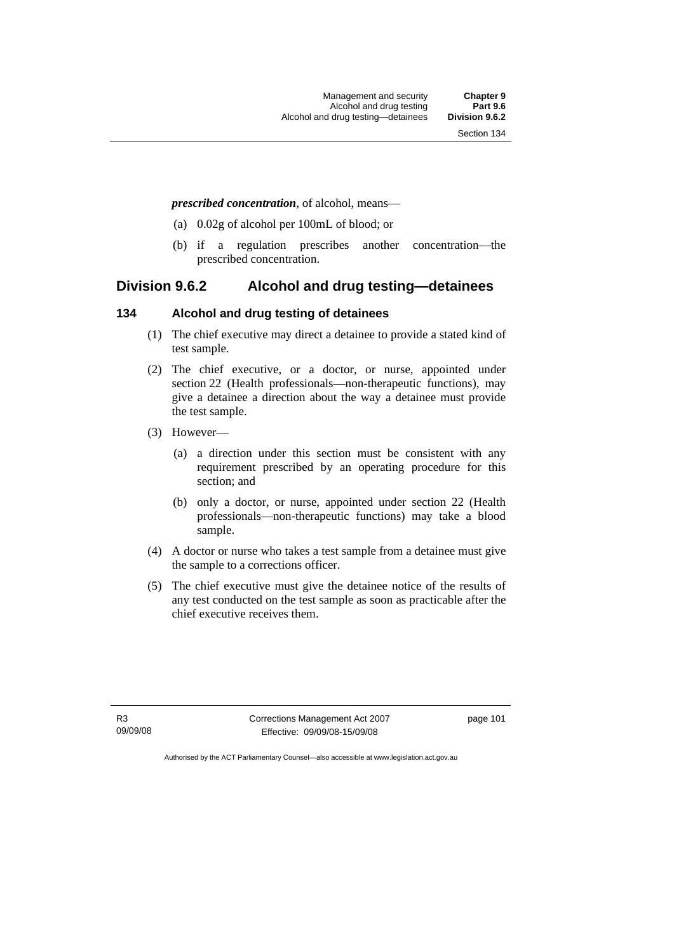#### *prescribed concentration*, of alcohol, means—

- (a) 0.02g of alcohol per 100mL of blood; or
- (b) if a regulation prescribes another concentration—the prescribed concentration.

## **Division 9.6.2 Alcohol and drug testing—detainees**

#### **134 Alcohol and drug testing of detainees**

- (1) The chief executive may direct a detainee to provide a stated kind of test sample.
- (2) The chief executive, or a doctor, or nurse, appointed under section 22 (Health professionals—non-therapeutic functions), may give a detainee a direction about the way a detainee must provide the test sample.
- (3) However—
	- (a) a direction under this section must be consistent with any requirement prescribed by an operating procedure for this section; and
	- (b) only a doctor, or nurse, appointed under section 22 (Health professionals—non-therapeutic functions) may take a blood sample.
- (4) A doctor or nurse who takes a test sample from a detainee must give the sample to a corrections officer.
- (5) The chief executive must give the detainee notice of the results of any test conducted on the test sample as soon as practicable after the chief executive receives them.

R3 09/09/08 Corrections Management Act 2007 Effective: 09/09/08-15/09/08

page 101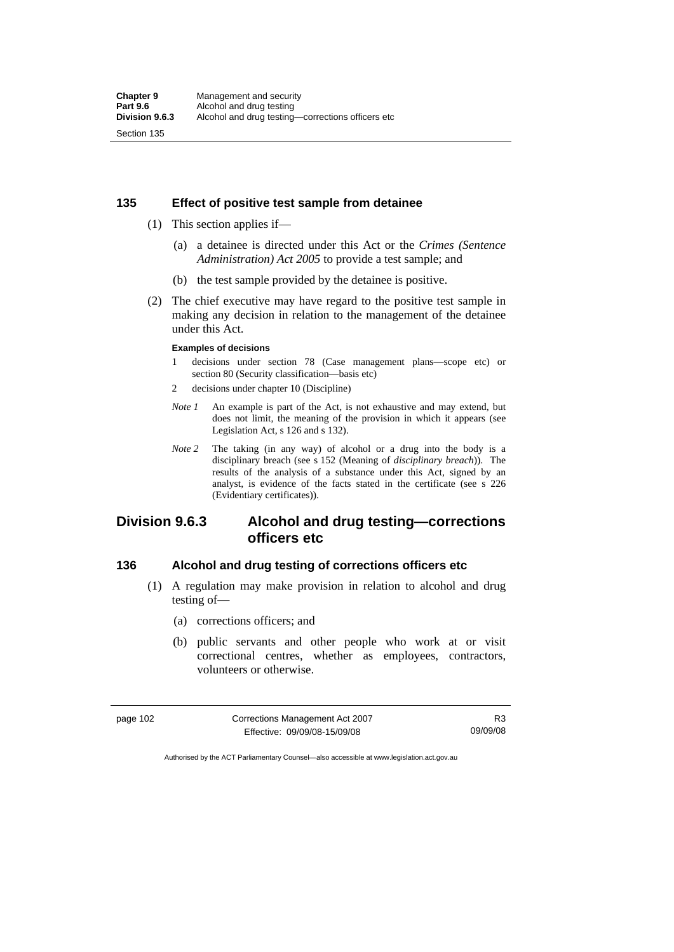#### **135 Effect of positive test sample from detainee**

- (1) This section applies if—
	- (a) a detainee is directed under this Act or the *Crimes (Sentence Administration) Act 2005* to provide a test sample; and
	- (b) the test sample provided by the detainee is positive.
- (2) The chief executive may have regard to the positive test sample in making any decision in relation to the management of the detainee under this Act.

#### **Examples of decisions**

- 1 decisions under section 78 (Case management plans—scope etc) or section 80 (Security classification—basis etc)
- 2 decisions under chapter 10 (Discipline)
- *Note 1* An example is part of the Act, is not exhaustive and may extend, but does not limit, the meaning of the provision in which it appears (see Legislation Act, s 126 and s 132).
- *Note 2* The taking (in any way) of alcohol or a drug into the body is a disciplinary breach (see s 152 (Meaning of *disciplinary breach*)). The results of the analysis of a substance under this Act, signed by an analyst, is evidence of the facts stated in the certificate (see s 226 (Evidentiary certificates)).

# **Division 9.6.3 Alcohol and drug testing—corrections officers etc**

#### **136 Alcohol and drug testing of corrections officers etc**

- (1) A regulation may make provision in relation to alcohol and drug testing of—
	- (a) corrections officers; and
	- (b) public servants and other people who work at or visit correctional centres, whether as employees, contractors, volunteers or otherwise.

| page 102 | Corrections Management Act 2007 | R3       |
|----------|---------------------------------|----------|
|          | Effective: 09/09/08-15/09/08    | 09/09/08 |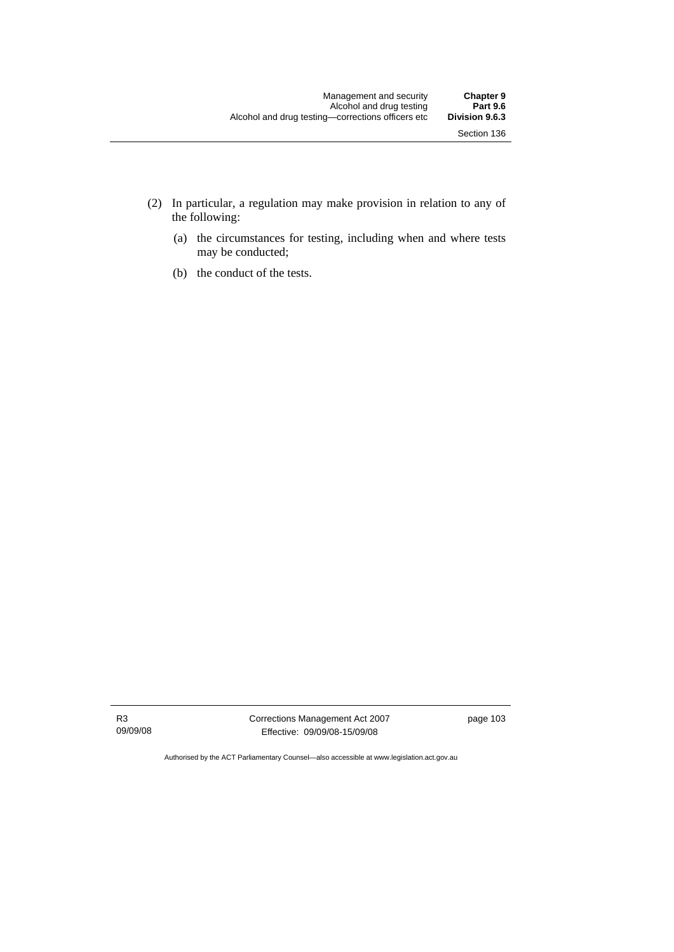- (2) In particular, a regulation may make provision in relation to any of the following:
	- (a) the circumstances for testing, including when and where tests may be conducted;
	- (b) the conduct of the tests.

R3 09/09/08 Corrections Management Act 2007 Effective: 09/09/08-15/09/08

page 103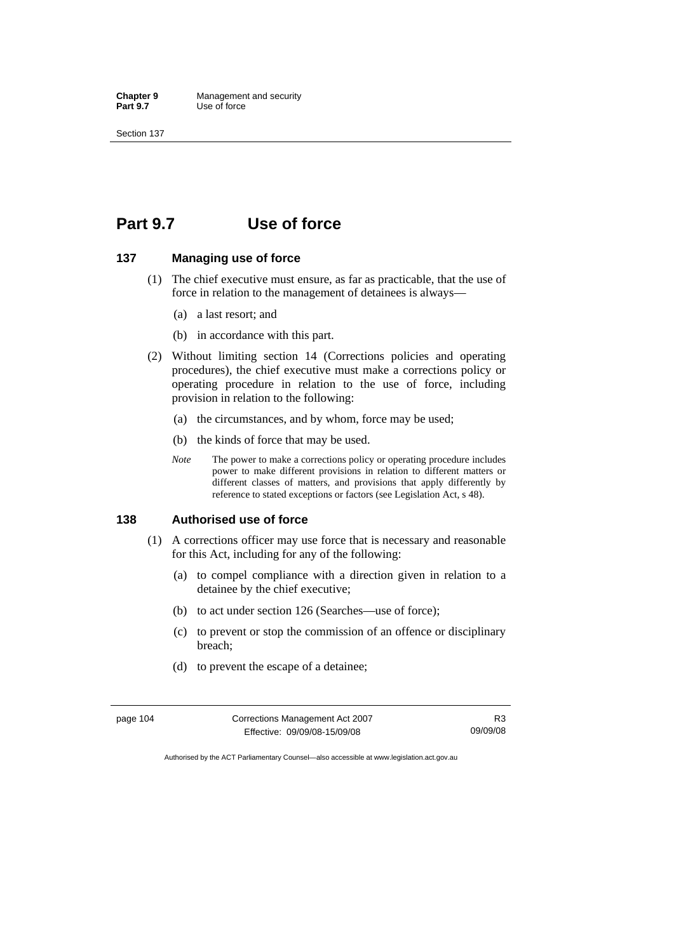# **Part 9.7 Use of force**

#### **137 Managing use of force**

- (1) The chief executive must ensure, as far as practicable, that the use of force in relation to the management of detainees is always—
	- (a) a last resort; and
	- (b) in accordance with this part.
- (2) Without limiting section 14 (Corrections policies and operating procedures), the chief executive must make a corrections policy or operating procedure in relation to the use of force, including provision in relation to the following:
	- (a) the circumstances, and by whom, force may be used;
	- (b) the kinds of force that may be used.
	- *Note* The power to make a corrections policy or operating procedure includes power to make different provisions in relation to different matters or different classes of matters, and provisions that apply differently by reference to stated exceptions or factors (see Legislation Act, s 48).

#### **138 Authorised use of force**

- (1) A corrections officer may use force that is necessary and reasonable for this Act, including for any of the following:
	- (a) to compel compliance with a direction given in relation to a detainee by the chief executive;
	- (b) to act under section 126 (Searches—use of force);
	- (c) to prevent or stop the commission of an offence or disciplinary breach;
	- (d) to prevent the escape of a detainee;

| page 104 | Corrections Management Act 2007 | R3       |
|----------|---------------------------------|----------|
|          | Effective: 09/09/08-15/09/08    | 09/09/08 |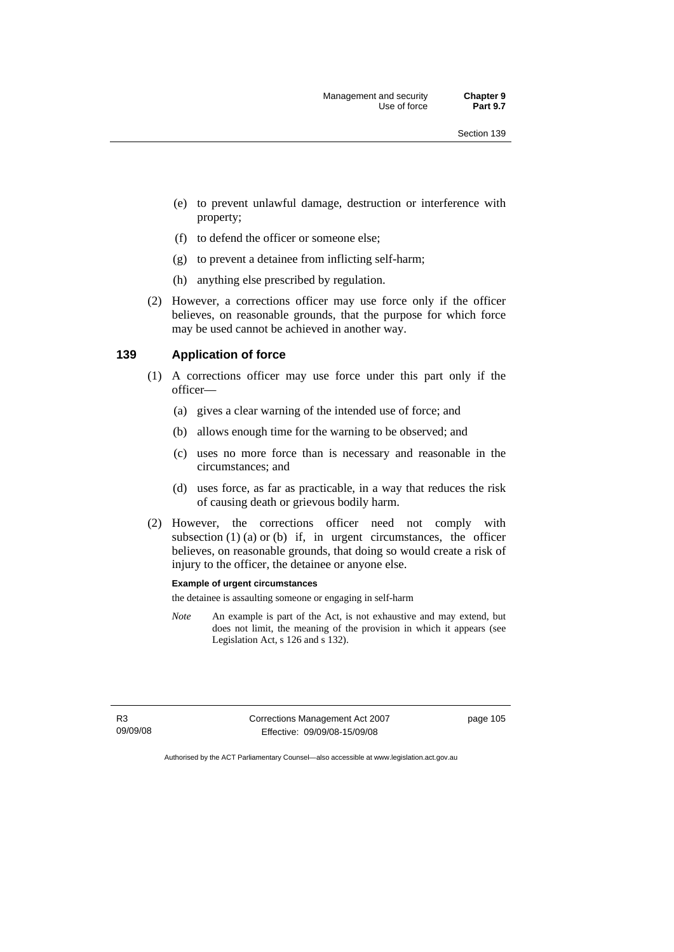- (e) to prevent unlawful damage, destruction or interference with property;
- (f) to defend the officer or someone else;
- (g) to prevent a detainee from inflicting self-harm;
- (h) anything else prescribed by regulation.
- (2) However, a corrections officer may use force only if the officer believes, on reasonable grounds, that the purpose for which force may be used cannot be achieved in another way.

#### **139 Application of force**

- (1) A corrections officer may use force under this part only if the officer—
	- (a) gives a clear warning of the intended use of force; and
	- (b) allows enough time for the warning to be observed; and
	- (c) uses no more force than is necessary and reasonable in the circumstances; and
	- (d) uses force, as far as practicable, in a way that reduces the risk of causing death or grievous bodily harm.
- (2) However, the corrections officer need not comply with subsection  $(1)$   $(a)$  or  $(b)$  if, in urgent circumstances, the officer believes, on reasonable grounds, that doing so would create a risk of injury to the officer, the detainee or anyone else.

#### **Example of urgent circumstances**

the detainee is assaulting someone or engaging in self-harm

*Note* An example is part of the Act, is not exhaustive and may extend, but does not limit, the meaning of the provision in which it appears (see Legislation Act, s 126 and s 132).

R3 09/09/08 Corrections Management Act 2007 Effective: 09/09/08-15/09/08

page 105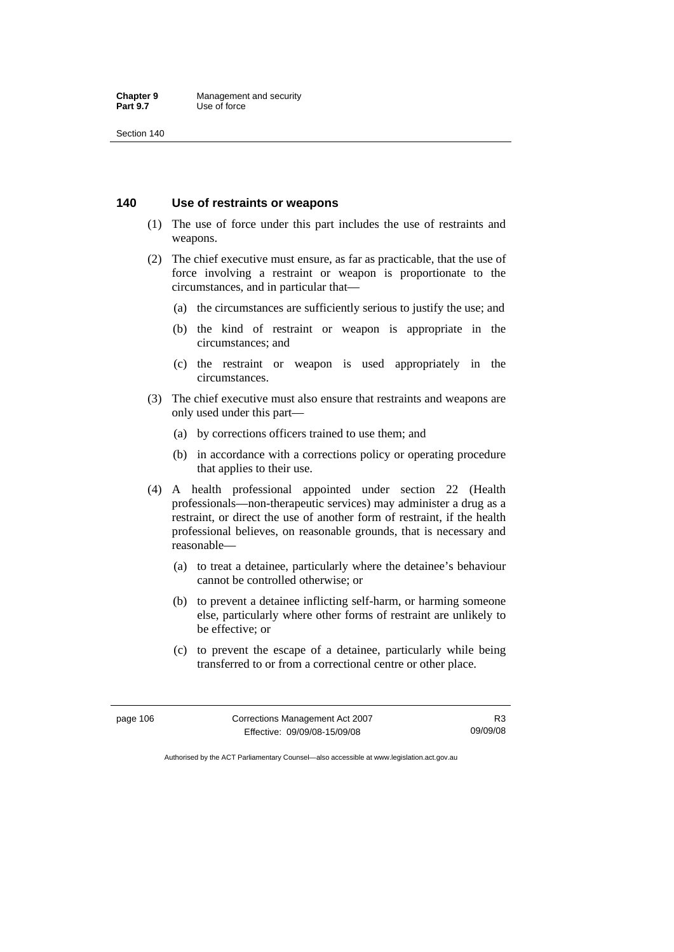#### **140 Use of restraints or weapons**

- (1) The use of force under this part includes the use of restraints and weapons.
- (2) The chief executive must ensure, as far as practicable, that the use of force involving a restraint or weapon is proportionate to the circumstances, and in particular that—
	- (a) the circumstances are sufficiently serious to justify the use; and
	- (b) the kind of restraint or weapon is appropriate in the circumstances; and
	- (c) the restraint or weapon is used appropriately in the circumstances.
- (3) The chief executive must also ensure that restraints and weapons are only used under this part—
	- (a) by corrections officers trained to use them; and
	- (b) in accordance with a corrections policy or operating procedure that applies to their use.
- (4) A health professional appointed under section 22 (Health professionals—non-therapeutic services) may administer a drug as a restraint, or direct the use of another form of restraint, if the health professional believes, on reasonable grounds, that is necessary and reasonable—
	- (a) to treat a detainee, particularly where the detainee's behaviour cannot be controlled otherwise; or
	- (b) to prevent a detainee inflicting self-harm, or harming someone else, particularly where other forms of restraint are unlikely to be effective; or
	- (c) to prevent the escape of a detainee, particularly while being transferred to or from a correctional centre or other place.

| page 106 | Corrections Management Act 2007 | R3       |
|----------|---------------------------------|----------|
|          | Effective: 09/09/08-15/09/08    | 09/09/08 |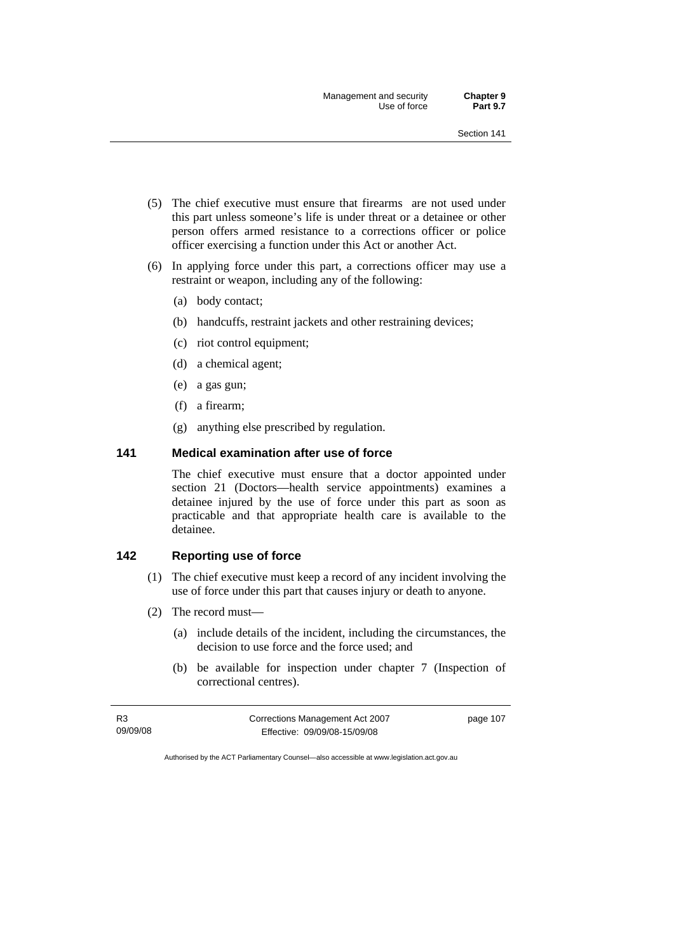- (5) The chief executive must ensure that firearms are not used under this part unless someone's life is under threat or a detainee or other person offers armed resistance to a corrections officer or police officer exercising a function under this Act or another Act.
- (6) In applying force under this part, a corrections officer may use a restraint or weapon, including any of the following:
	- (a) body contact;
	- (b) handcuffs, restraint jackets and other restraining devices;
	- (c) riot control equipment;
	- (d) a chemical agent;
	- (e) a gas gun;
	- (f) a firearm;
	- (g) anything else prescribed by regulation.

## **141 Medical examination after use of force**

The chief executive must ensure that a doctor appointed under section 21 (Doctors—health service appointments) examines a detainee injured by the use of force under this part as soon as practicable and that appropriate health care is available to the detainee.

#### **142 Reporting use of force**

- (1) The chief executive must keep a record of any incident involving the use of force under this part that causes injury or death to anyone.
- (2) The record must—
	- (a) include details of the incident, including the circumstances, the decision to use force and the force used; and
	- (b) be available for inspection under chapter 7 (Inspection of correctional centres).

| R3       | Corrections Management Act 2007 | page 107 |
|----------|---------------------------------|----------|
| 09/09/08 | Effective: 09/09/08-15/09/08    |          |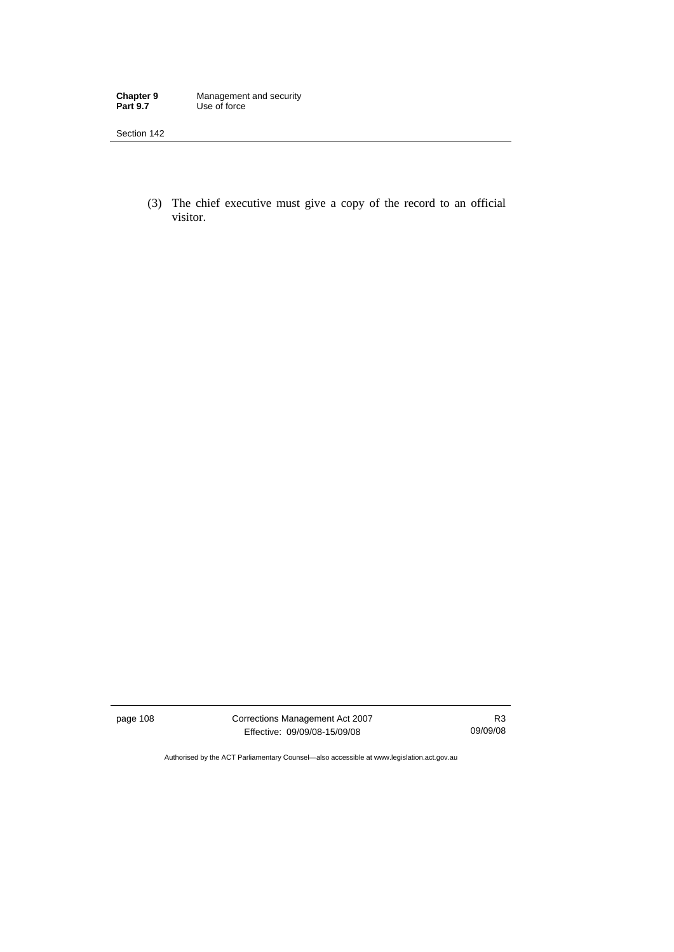**Chapter 9** Management and security **Part 9.7** Use of force

Section 142

 (3) The chief executive must give a copy of the record to an official visitor.

page 108 Corrections Management Act 2007 Effective: 09/09/08-15/09/08

R3 09/09/08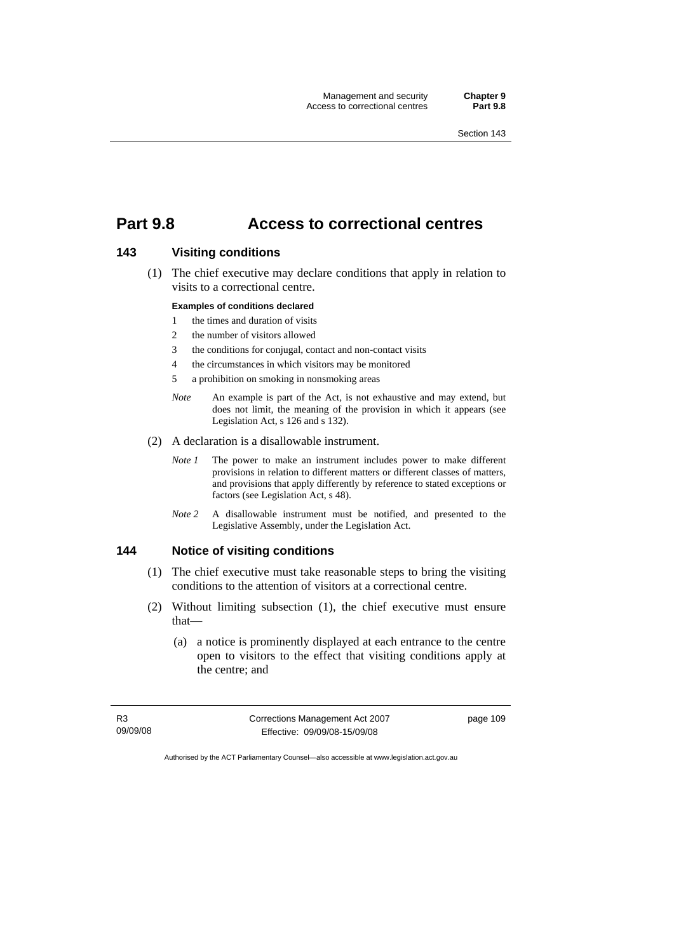# **Part 9.8 Access to correctional centres**

#### **143 Visiting conditions**

 (1) The chief executive may declare conditions that apply in relation to visits to a correctional centre.

#### **Examples of conditions declared**

- 1 the times and duration of visits
- 2 the number of visitors allowed
- 3 the conditions for conjugal, contact and non-contact visits
- 4 the circumstances in which visitors may be monitored
- 5 a prohibition on smoking in nonsmoking areas
- *Note* An example is part of the Act, is not exhaustive and may extend, but does not limit, the meaning of the provision in which it appears (see Legislation Act, s 126 and s 132).
- (2) A declaration is a disallowable instrument.
	- *Note 1* The power to make an instrument includes power to make different provisions in relation to different matters or different classes of matters, and provisions that apply differently by reference to stated exceptions or factors (see Legislation Act, s 48).
	- *Note 2* A disallowable instrument must be notified, and presented to the Legislative Assembly, under the Legislation Act.

## **144 Notice of visiting conditions**

- (1) The chief executive must take reasonable steps to bring the visiting conditions to the attention of visitors at a correctional centre.
- (2) Without limiting subsection (1), the chief executive must ensure that—
	- (a) a notice is prominently displayed at each entrance to the centre open to visitors to the effect that visiting conditions apply at the centre; and

R3 09/09/08 Corrections Management Act 2007 Effective: 09/09/08-15/09/08

page 109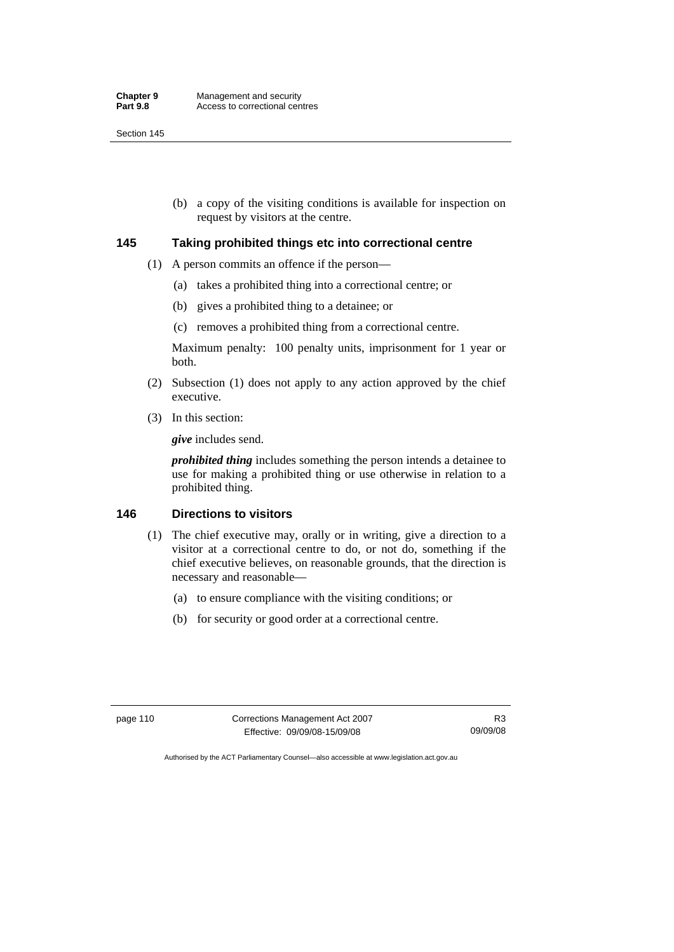(b) a copy of the visiting conditions is available for inspection on request by visitors at the centre.

### **145 Taking prohibited things etc into correctional centre**

- (1) A person commits an offence if the person—
	- (a) takes a prohibited thing into a correctional centre; or
	- (b) gives a prohibited thing to a detainee; or
	- (c) removes a prohibited thing from a correctional centre.

Maximum penalty: 100 penalty units, imprisonment for 1 year or both.

- (2) Subsection (1) does not apply to any action approved by the chief executive.
- (3) In this section:

*give* includes send.

*prohibited thing* includes something the person intends a detainee to use for making a prohibited thing or use otherwise in relation to a prohibited thing.

#### **146 Directions to visitors**

- (1) The chief executive may, orally or in writing, give a direction to a visitor at a correctional centre to do, or not do, something if the chief executive believes, on reasonable grounds, that the direction is necessary and reasonable—
	- (a) to ensure compliance with the visiting conditions; or
	- (b) for security or good order at a correctional centre.

page 110 Corrections Management Act 2007 Effective: 09/09/08-15/09/08

R3 09/09/08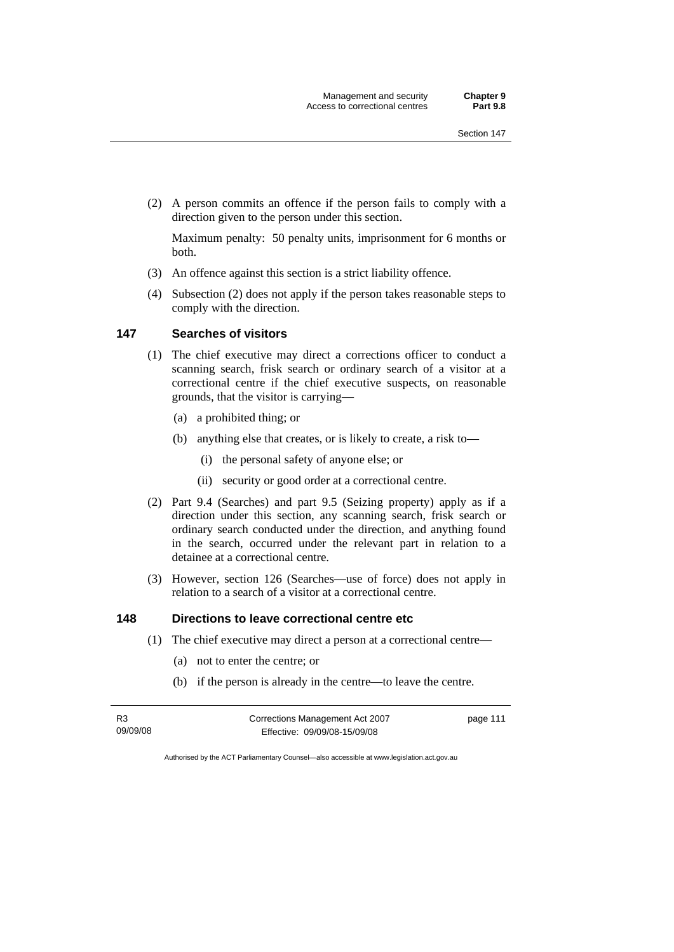(2) A person commits an offence if the person fails to comply with a direction given to the person under this section.

Maximum penalty: 50 penalty units, imprisonment for 6 months or both.

- (3) An offence against this section is a strict liability offence.
- (4) Subsection (2) does not apply if the person takes reasonable steps to comply with the direction.

## **147 Searches of visitors**

- (1) The chief executive may direct a corrections officer to conduct a scanning search, frisk search or ordinary search of a visitor at a correctional centre if the chief executive suspects, on reasonable grounds, that the visitor is carrying—
	- (a) a prohibited thing; or
	- (b) anything else that creates, or is likely to create, a risk to—
		- (i) the personal safety of anyone else; or
		- (ii) security or good order at a correctional centre.
- (2) Part 9.4 (Searches) and part 9.5 (Seizing property) apply as if a direction under this section, any scanning search, frisk search or ordinary search conducted under the direction, and anything found in the search, occurred under the relevant part in relation to a detainee at a correctional centre.
- (3) However, section 126 (Searches—use of force) does not apply in relation to a search of a visitor at a correctional centre.

## **148 Directions to leave correctional centre etc**

- (1) The chief executive may direct a person at a correctional centre—
	- (a) not to enter the centre; or
	- (b) if the person is already in the centre—to leave the centre.

| R3       | Corrections Management Act 2007 | page 111 |
|----------|---------------------------------|----------|
| 09/09/08 | Effective: 09/09/08-15/09/08    |          |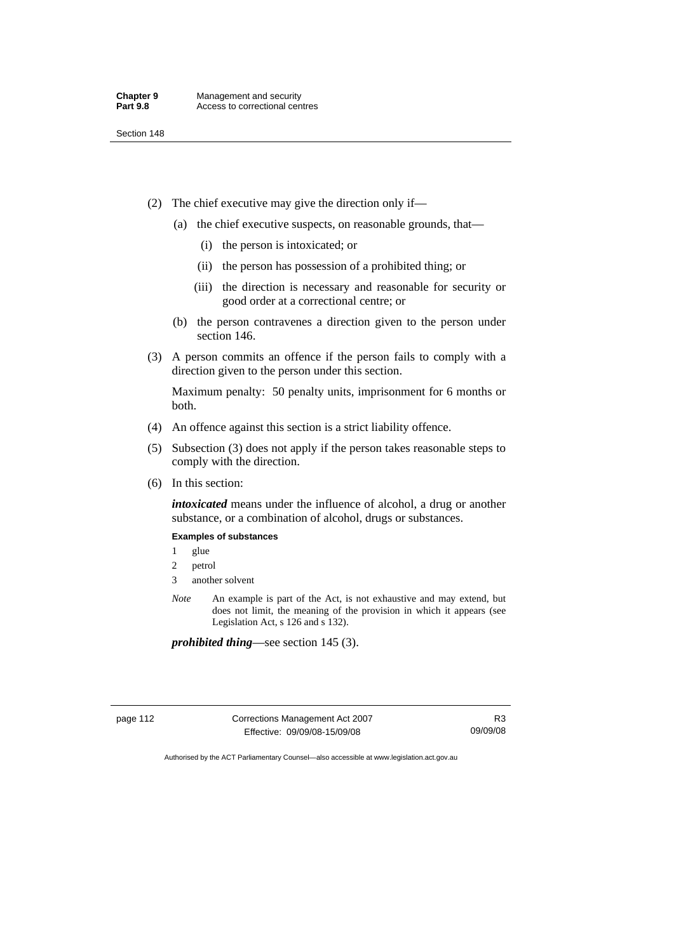- (2) The chief executive may give the direction only if—
	- (a) the chief executive suspects, on reasonable grounds, that—
		- (i) the person is intoxicated; or
		- (ii) the person has possession of a prohibited thing; or
		- (iii) the direction is necessary and reasonable for security or good order at a correctional centre; or
	- (b) the person contravenes a direction given to the person under section 146.
- (3) A person commits an offence if the person fails to comply with a direction given to the person under this section.

Maximum penalty: 50 penalty units, imprisonment for 6 months or both.

- (4) An offence against this section is a strict liability offence.
- (5) Subsection (3) does not apply if the person takes reasonable steps to comply with the direction.
- (6) In this section:

*intoxicated* means under the influence of alcohol, a drug or another substance, or a combination of alcohol, drugs or substances.

#### **Examples of substances**

- 1 glue
- 2 petrol
- 3 another solvent
- *Note* An example is part of the Act, is not exhaustive and may extend, but does not limit, the meaning of the provision in which it appears (see Legislation Act, s 126 and s 132).

*prohibited thing*—see section 145 (3).

page 112 Corrections Management Act 2007 Effective: 09/09/08-15/09/08

R3 09/09/08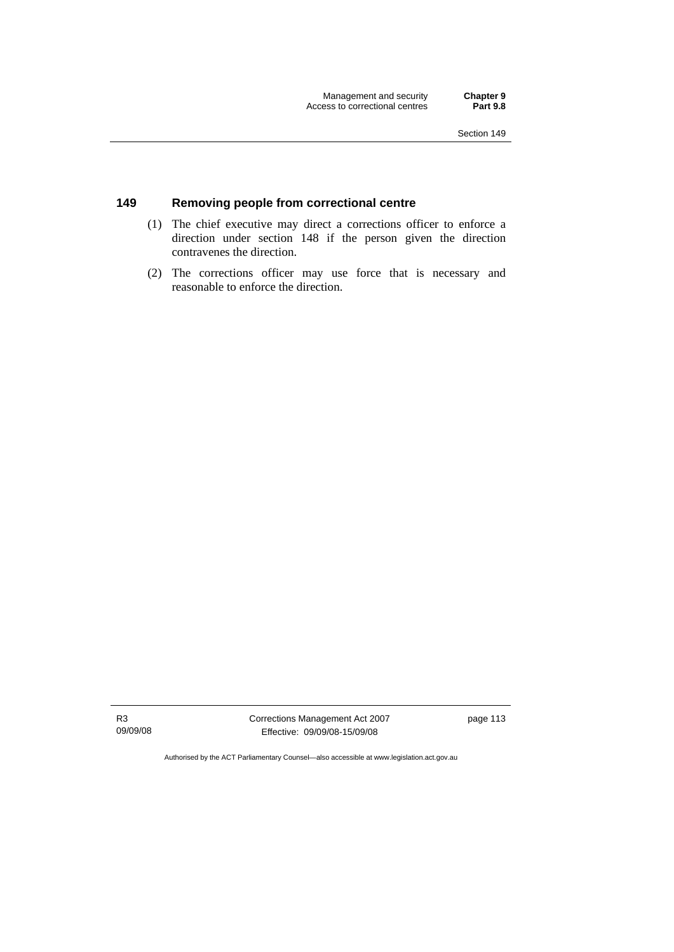## **149 Removing people from correctional centre**

- (1) The chief executive may direct a corrections officer to enforce a direction under section 148 if the person given the direction contravenes the direction.
- (2) The corrections officer may use force that is necessary and reasonable to enforce the direction.

R3 09/09/08 Corrections Management Act 2007 Effective: 09/09/08-15/09/08

page 113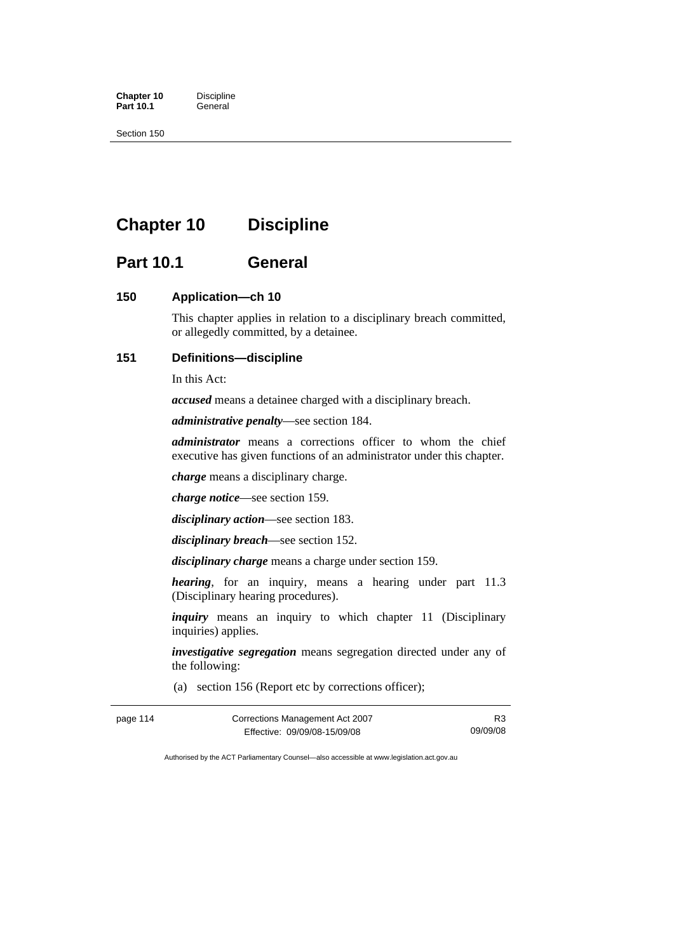**Chapter 10** Discipline<br>**Part 10.1** General **Part 10.1** 

Section 150

# **Chapter 10 Discipline**

# **Part 10.1 General**

### **150 Application—ch 10**

This chapter applies in relation to a disciplinary breach committed, or allegedly committed, by a detainee.

#### **151 Definitions—discipline**

In this Act:

*accused* means a detainee charged with a disciplinary breach.

*administrative penalty*—see section 184.

*administrator* means a corrections officer to whom the chief executive has given functions of an administrator under this chapter.

*charge* means a disciplinary charge.

*charge notice*—see section 159.

*disciplinary action*—see section 183.

*disciplinary breach*—see section 152.

*disciplinary charge* means a charge under section 159.

*hearing*, for an inquiry, means a hearing under part 11.3 (Disciplinary hearing procedures).

*inquiry* means an inquiry to which chapter 11 (Disciplinary inquiries) applies.

*investigative segregation* means segregation directed under any of the following:

(a) section 156 (Report etc by corrections officer);

| page 114 | Corrections Management Act 2007 |          |
|----------|---------------------------------|----------|
|          | Effective: 09/09/08-15/09/08    | 09/09/08 |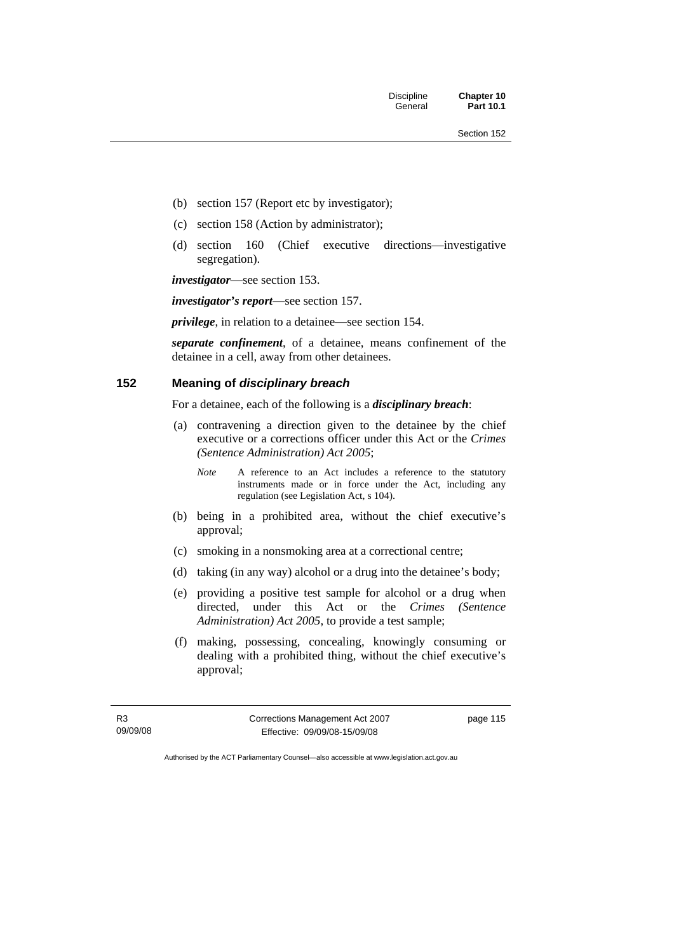Discipline **Chapter 10** 

- (b) section 157 (Report etc by investigator);
- (c) section 158 (Action by administrator);
- (d) section 160 (Chief executive directions—investigative segregation).

*investigator*—see section 153.

*investigator's report*—see section 157.

*privilege*, in relation to a detainee—see section 154.

*separate confinement*, of a detainee, means confinement of the detainee in a cell, away from other detainees.

### **152 Meaning of** *disciplinary breach*

For a detainee, each of the following is a *disciplinary breach*:

- (a) contravening a direction given to the detainee by the chief executive or a corrections officer under this Act or the *Crimes (Sentence Administration) Act 2005*;
	- *Note* A reference to an Act includes a reference to the statutory instruments made or in force under the Act, including any regulation (see Legislation Act, s 104).
- (b) being in a prohibited area, without the chief executive's approval;
- (c) smoking in a nonsmoking area at a correctional centre;
- (d) taking (in any way) alcohol or a drug into the detainee's body;
- (e) providing a positive test sample for alcohol or a drug when directed, under this Act or the *Crimes (Sentence Administration) Act 2005*, to provide a test sample;
- (f) making, possessing, concealing, knowingly consuming or dealing with a prohibited thing, without the chief executive's approval;

R3 09/09/08 Corrections Management Act 2007 Effective: 09/09/08-15/09/08

page 115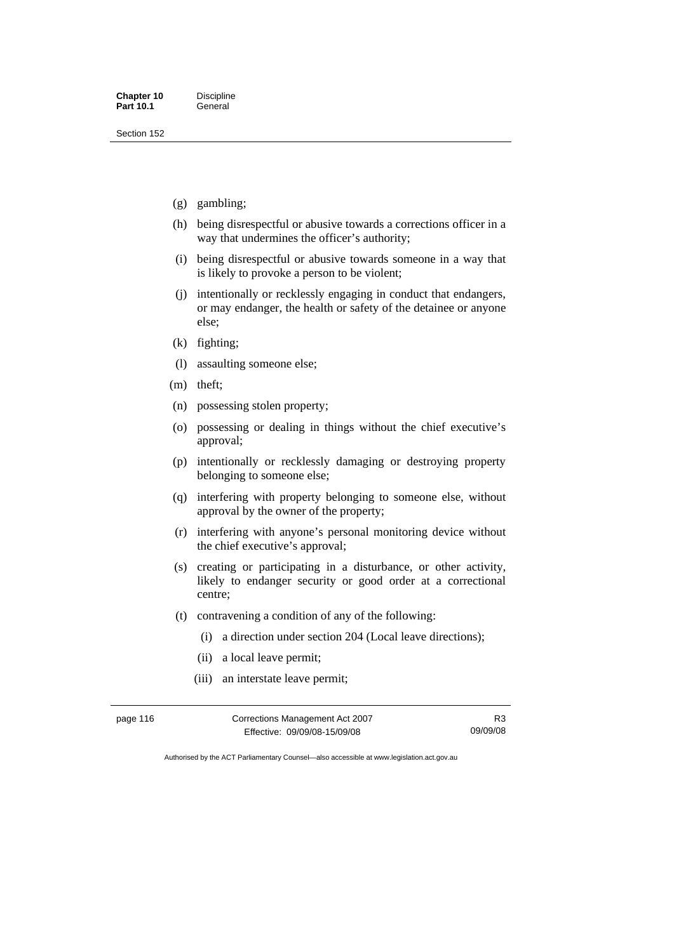- (g) gambling;
- (h) being disrespectful or abusive towards a corrections officer in a way that undermines the officer's authority;
- (i) being disrespectful or abusive towards someone in a way that is likely to provoke a person to be violent;
- (j) intentionally or recklessly engaging in conduct that endangers, or may endanger, the health or safety of the detainee or anyone else;
- (k) fighting;
- (l) assaulting someone else;
- (m) theft;
- (n) possessing stolen property;
- (o) possessing or dealing in things without the chief executive's approval;
- (p) intentionally or recklessly damaging or destroying property belonging to someone else;
- (q) interfering with property belonging to someone else, without approval by the owner of the property;
- (r) interfering with anyone's personal monitoring device without the chief executive's approval;
- (s) creating or participating in a disturbance, or other activity, likely to endanger security or good order at a correctional centre;
- (t) contravening a condition of any of the following:
	- (i) a direction under section 204 (Local leave directions);
	- (ii) a local leave permit;
	- (iii) an interstate leave permit;

| page 116 | Corrections Management Act 2007 | R <sub>3</sub> |
|----------|---------------------------------|----------------|
|          | Effective: 09/09/08-15/09/08    | 09/09/08       |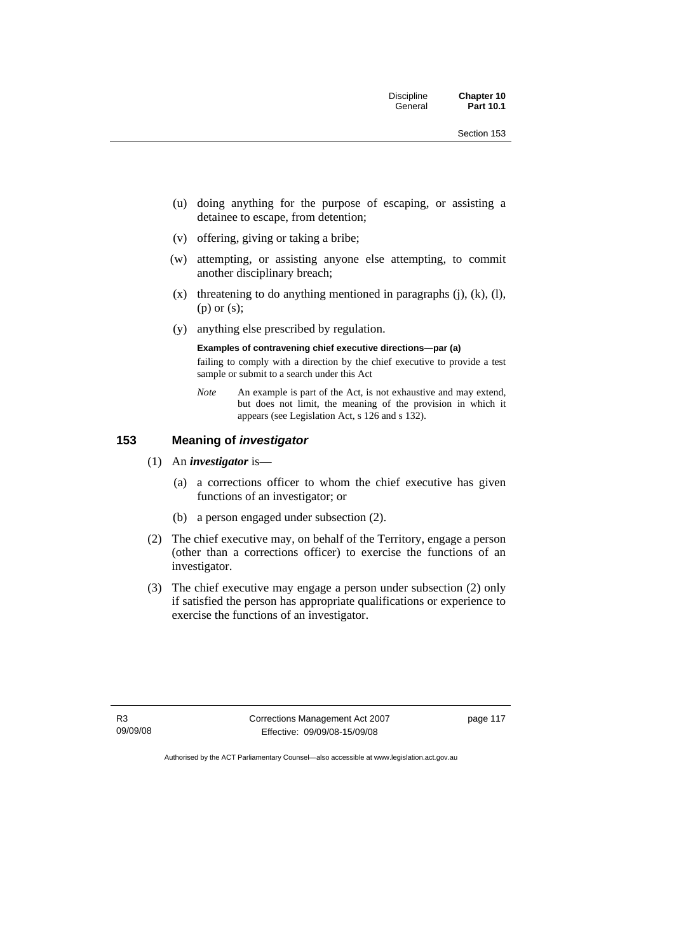- (u) doing anything for the purpose of escaping, or assisting a detainee to escape, from detention;
- (v) offering, giving or taking a bribe;
- (w) attempting, or assisting anyone else attempting, to commit another disciplinary breach;
- $(x)$  threatening to do anything mentioned in paragraphs  $(i)$ ,  $(k)$ ,  $(l)$ , (p) or (s);
- (y) anything else prescribed by regulation.

#### **Examples of contravening chief executive directions—par (a)**

failing to comply with a direction by the chief executive to provide a test sample or submit to a search under this Act

*Note* An example is part of the Act, is not exhaustive and may extend, but does not limit, the meaning of the provision in which it appears (see Legislation Act, s 126 and s 132).

### **153 Meaning of** *investigator*

- (1) An *investigator* is—
	- (a) a corrections officer to whom the chief executive has given functions of an investigator; or
	- (b) a person engaged under subsection (2).
- (2) The chief executive may, on behalf of the Territory, engage a person (other than a corrections officer) to exercise the functions of an investigator.
- (3) The chief executive may engage a person under subsection (2) only if satisfied the person has appropriate qualifications or experience to exercise the functions of an investigator.

R3 09/09/08 Corrections Management Act 2007 Effective: 09/09/08-15/09/08

page 117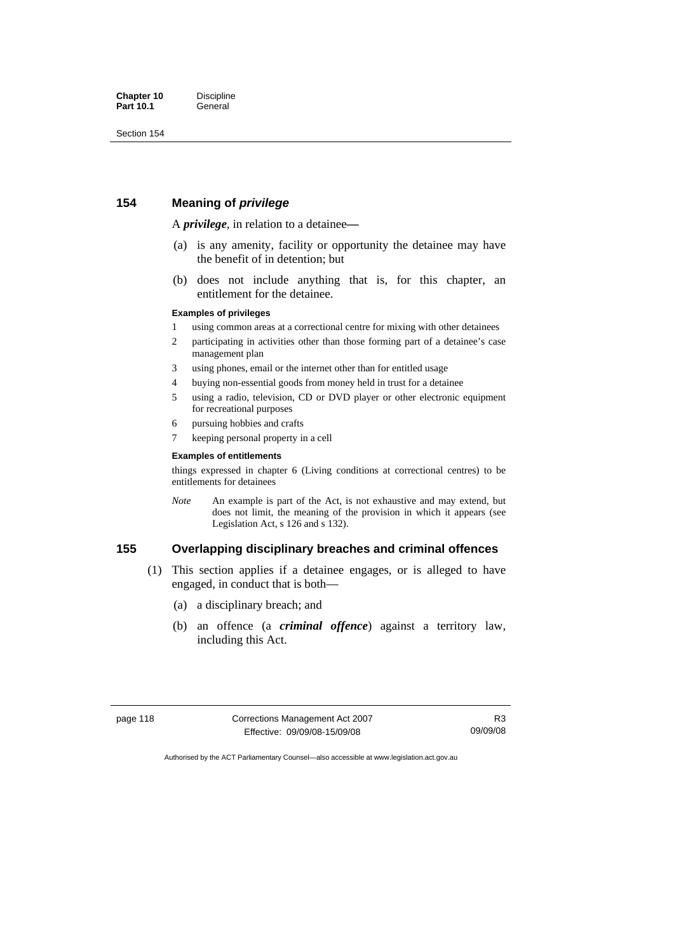#### **154 Meaning of** *privilege*

A *privilege*, in relation to a detainee*—*

- (a) is any amenity, facility or opportunity the detainee may have the benefit of in detention; but
- (b) does not include anything that is, for this chapter, an entitlement for the detainee.

#### **Examples of privileges**

- 1 using common areas at a correctional centre for mixing with other detainees
- 2 participating in activities other than those forming part of a detainee's case management plan
- 3 using phones, email or the internet other than for entitled usage
- 4 buying non-essential goods from money held in trust for a detainee
- 5 using a radio, television, CD or DVD player or other electronic equipment for recreational purposes
- 6 pursuing hobbies and crafts
- 7 keeping personal property in a cell

#### **Examples of entitlements**

things expressed in chapter 6 (Living conditions at correctional centres) to be entitlements for detainees

*Note* An example is part of the Act, is not exhaustive and may extend, but does not limit, the meaning of the provision in which it appears (see Legislation Act, s 126 and s 132).

#### **155 Overlapping disciplinary breaches and criminal offences**

- (1) This section applies if a detainee engages, or is alleged to have engaged, in conduct that is both—
	- (a) a disciplinary breach; and
	- (b) an offence (a *criminal offence*) against a territory law, including this Act.

| page 118 |  |  |  |
|----------|--|--|--|
|----------|--|--|--|

Corrections Management Act 2007 Effective: 09/09/08-15/09/08

R3 09/09/08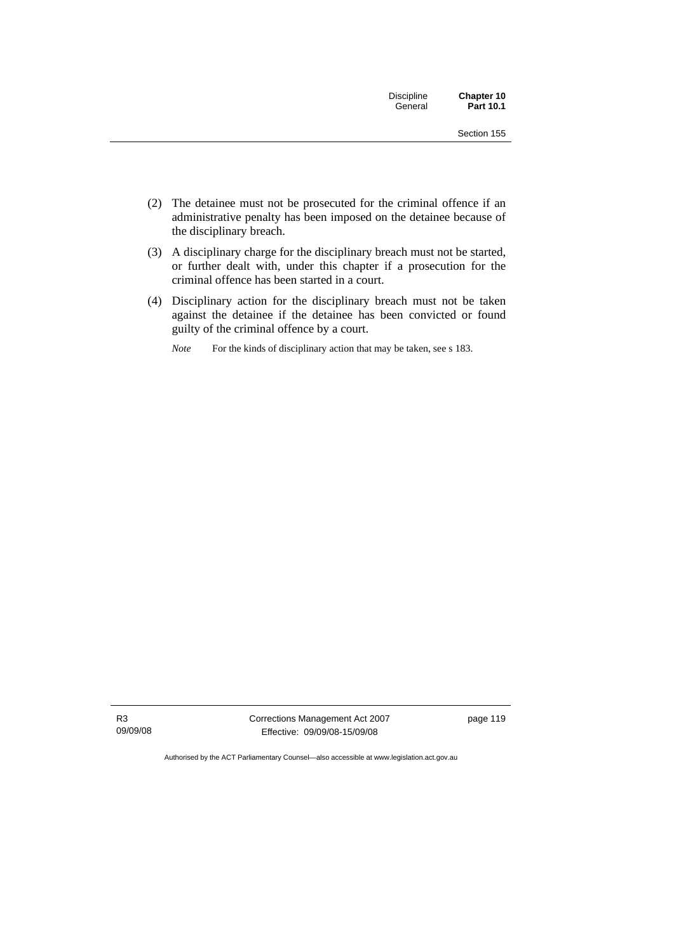| Discipline | Chapter 10       |
|------------|------------------|
| General    | <b>Part 10.1</b> |

- (2) The detainee must not be prosecuted for the criminal offence if an administrative penalty has been imposed on the detainee because of the disciplinary breach.
- (3) A disciplinary charge for the disciplinary breach must not be started, or further dealt with, under this chapter if a prosecution for the criminal offence has been started in a court.
- (4) Disciplinary action for the disciplinary breach must not be taken against the detainee if the detainee has been convicted or found guilty of the criminal offence by a court.
	- *Note* For the kinds of disciplinary action that may be taken, see s 183.

Corrections Management Act 2007 Effective: 09/09/08-15/09/08

page 119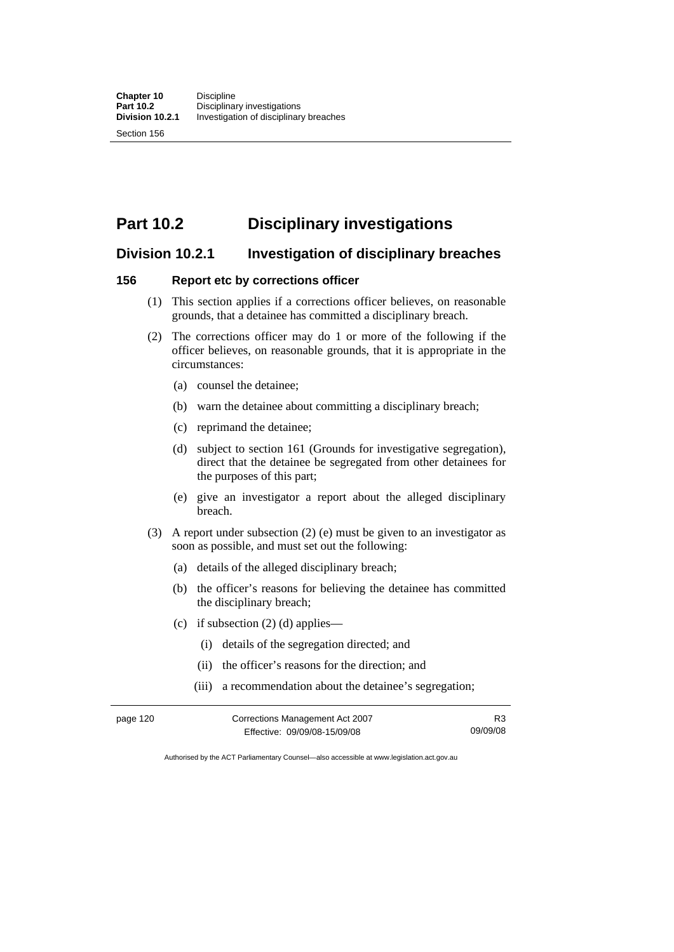# **Part 10.2 Disciplinary investigations**

# **Division 10.2.1 Investigation of disciplinary breaches**

#### **156 Report etc by corrections officer**

- (1) This section applies if a corrections officer believes, on reasonable grounds, that a detainee has committed a disciplinary breach.
- (2) The corrections officer may do 1 or more of the following if the officer believes, on reasonable grounds, that it is appropriate in the circumstances:
	- (a) counsel the detainee;
	- (b) warn the detainee about committing a disciplinary breach;
	- (c) reprimand the detainee;
	- (d) subject to section 161 (Grounds for investigative segregation), direct that the detainee be segregated from other detainees for the purposes of this part;
	- (e) give an investigator a report about the alleged disciplinary breach.
- (3) A report under subsection (2) (e) must be given to an investigator as soon as possible, and must set out the following:
	- (a) details of the alleged disciplinary breach;
	- (b) the officer's reasons for believing the detainee has committed the disciplinary breach;
	- (c) if subsection  $(2)$  (d) applies—
		- (i) details of the segregation directed; and
		- (ii) the officer's reasons for the direction; and
		- (iii) a recommendation about the detainee's segregation;

| page 120 | Corrections Management Act 2007 |          |
|----------|---------------------------------|----------|
|          | Effective: 09/09/08-15/09/08    | 09/09/08 |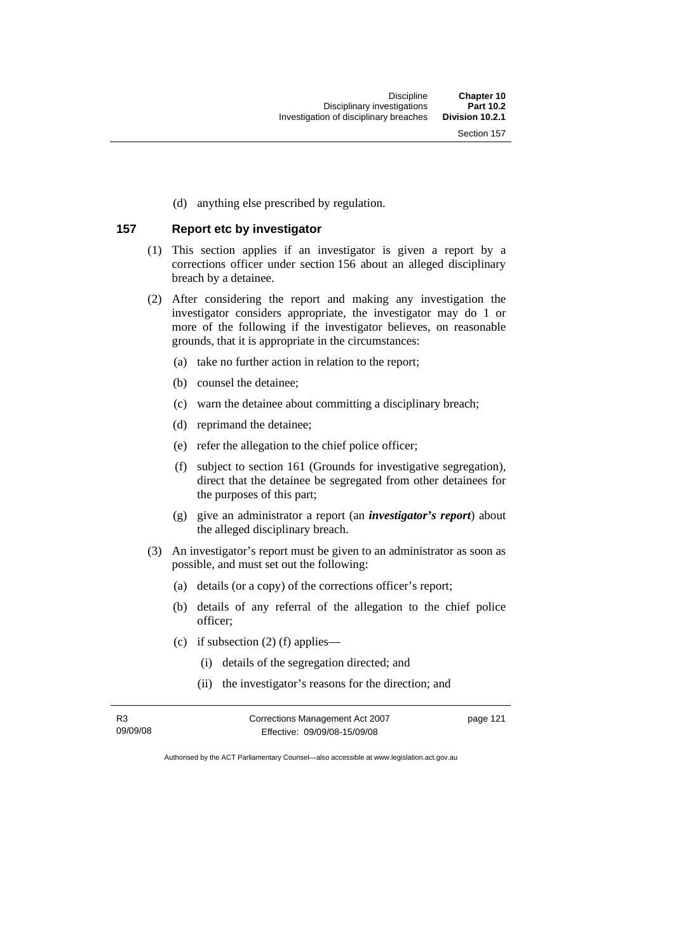(d) anything else prescribed by regulation.

#### **157 Report etc by investigator**

- (1) This section applies if an investigator is given a report by a corrections officer under section 156 about an alleged disciplinary breach by a detainee.
- (2) After considering the report and making any investigation the investigator considers appropriate, the investigator may do 1 or more of the following if the investigator believes, on reasonable grounds, that it is appropriate in the circumstances:
	- (a) take no further action in relation to the report;
	- (b) counsel the detainee;
	- (c) warn the detainee about committing a disciplinary breach;
	- (d) reprimand the detainee;
	- (e) refer the allegation to the chief police officer;
	- (f) subject to section 161 (Grounds for investigative segregation), direct that the detainee be segregated from other detainees for the purposes of this part;
	- (g) give an administrator a report (an *investigator's report*) about the alleged disciplinary breach.
- (3) An investigator's report must be given to an administrator as soon as possible, and must set out the following:
	- (a) details (or a copy) of the corrections officer's report;
	- (b) details of any referral of the allegation to the chief police officer;
	- (c) if subsection  $(2)$  (f) applies—
		- (i) details of the segregation directed; and
		- (ii) the investigator's reasons for the direction; and

R3 09/09/08 Corrections Management Act 2007 Effective: 09/09/08-15/09/08 page 121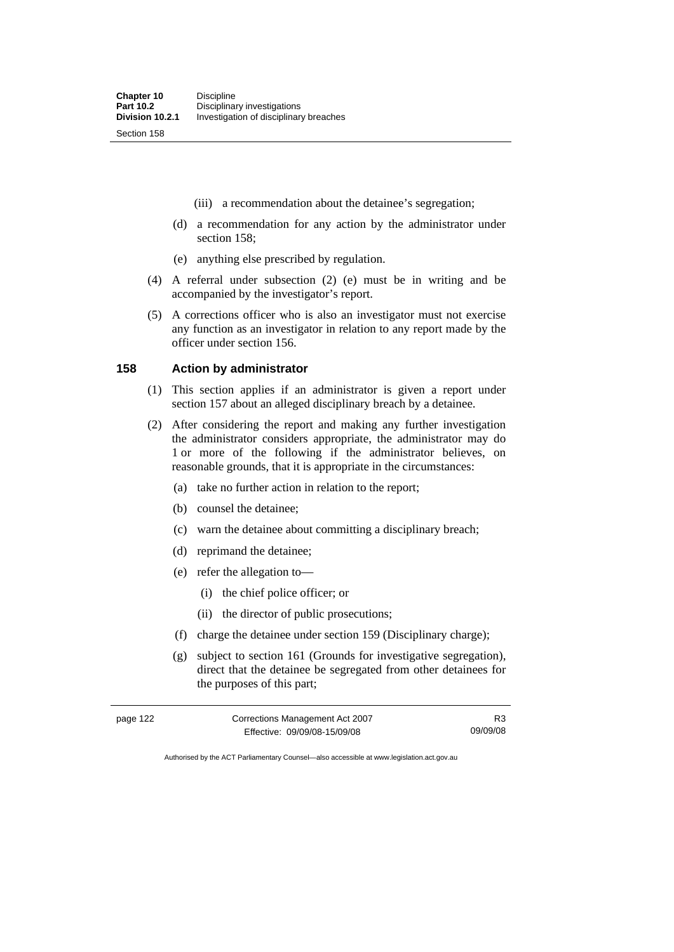- (iii) a recommendation about the detainee's segregation;
- (d) a recommendation for any action by the administrator under section 158;
- (e) anything else prescribed by regulation.
- (4) A referral under subsection (2) (e) must be in writing and be accompanied by the investigator's report.
- (5) A corrections officer who is also an investigator must not exercise any function as an investigator in relation to any report made by the officer under section 156.

#### **158 Action by administrator**

- (1) This section applies if an administrator is given a report under section 157 about an alleged disciplinary breach by a detainee.
- (2) After considering the report and making any further investigation the administrator considers appropriate, the administrator may do 1 or more of the following if the administrator believes, on reasonable grounds, that it is appropriate in the circumstances:
	- (a) take no further action in relation to the report;
	- (b) counsel the detainee;
	- (c) warn the detainee about committing a disciplinary breach;
	- (d) reprimand the detainee;
	- (e) refer the allegation to—
		- (i) the chief police officer; or
		- (ii) the director of public prosecutions;
	- (f) charge the detainee under section 159 (Disciplinary charge);
	- (g) subject to section 161 (Grounds for investigative segregation), direct that the detainee be segregated from other detainees for the purposes of this part;

| page 122 | Corrections Management Act 2007 | R3       |
|----------|---------------------------------|----------|
|          | Effective: 09/09/08-15/09/08    | 09/09/08 |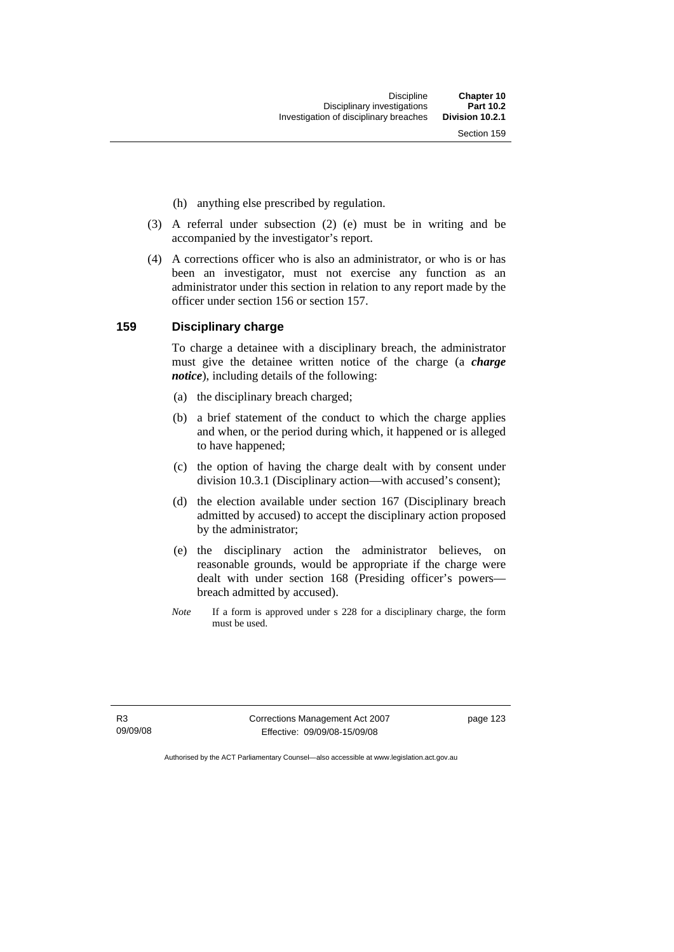- (h) anything else prescribed by regulation.
- (3) A referral under subsection (2) (e) must be in writing and be accompanied by the investigator's report.
- (4) A corrections officer who is also an administrator, or who is or has been an investigator, must not exercise any function as an administrator under this section in relation to any report made by the officer under section 156 or section 157.

#### **159 Disciplinary charge**

To charge a detainee with a disciplinary breach, the administrator must give the detainee written notice of the charge (a *charge notice*), including details of the following:

- (a) the disciplinary breach charged;
- (b) a brief statement of the conduct to which the charge applies and when, or the period during which, it happened or is alleged to have happened;
- (c) the option of having the charge dealt with by consent under division 10.3.1 (Disciplinary action—with accused's consent);
- (d) the election available under section 167 (Disciplinary breach admitted by accused) to accept the disciplinary action proposed by the administrator;
- (e) the disciplinary action the administrator believes, on reasonable grounds, would be appropriate if the charge were dealt with under section 168 (Presiding officer's powers breach admitted by accused).
- *Note* If a form is approved under s 228 for a disciplinary charge, the form must be used.

R3 09/09/08 Corrections Management Act 2007 Effective: 09/09/08-15/09/08

page 123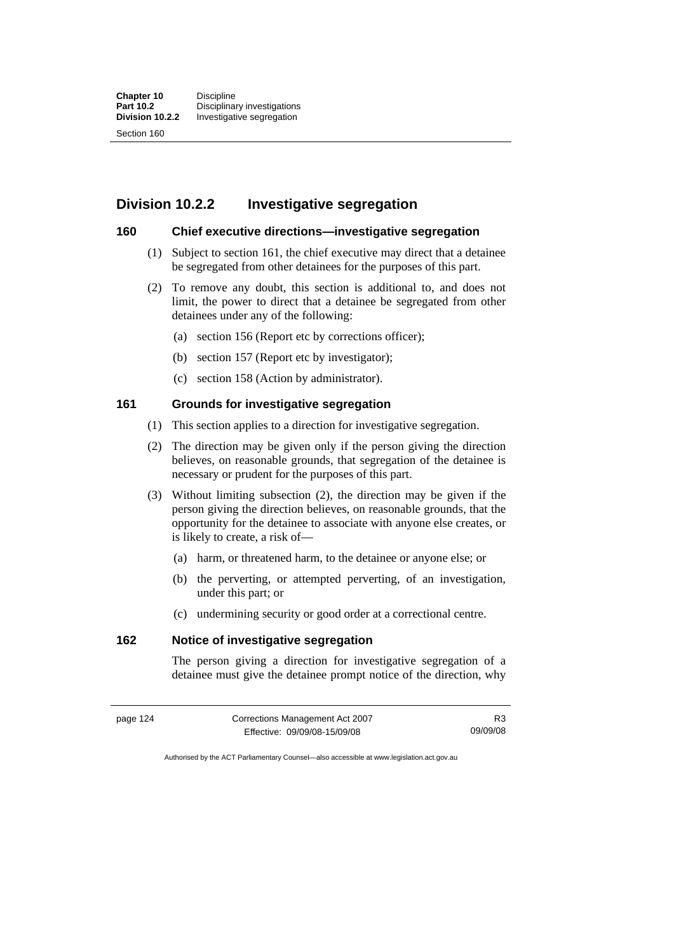# **Division 10.2.2 Investigative segregation**

## **160 Chief executive directions—investigative segregation**

- (1) Subject to section 161, the chief executive may direct that a detainee be segregated from other detainees for the purposes of this part.
- (2) To remove any doubt, this section is additional to, and does not limit, the power to direct that a detainee be segregated from other detainees under any of the following:
	- (a) section 156 (Report etc by corrections officer);
	- (b) section 157 (Report etc by investigator);
	- (c) section 158 (Action by administrator).

## **161 Grounds for investigative segregation**

- (1) This section applies to a direction for investigative segregation.
- (2) The direction may be given only if the person giving the direction believes, on reasonable grounds, that segregation of the detainee is necessary or prudent for the purposes of this part.
- (3) Without limiting subsection (2), the direction may be given if the person giving the direction believes, on reasonable grounds, that the opportunity for the detainee to associate with anyone else creates, or is likely to create, a risk of—
	- (a) harm, or threatened harm, to the detainee or anyone else; or
	- (b) the perverting, or attempted perverting, of an investigation, under this part; or
	- (c) undermining security or good order at a correctional centre.

# **162 Notice of investigative segregation**

The person giving a direction for investigative segregation of a detainee must give the detainee prompt notice of the direction, why

| page 124 | Corrections Management Act 2007 | R3       |
|----------|---------------------------------|----------|
|          | Effective: 09/09/08-15/09/08    | 09/09/08 |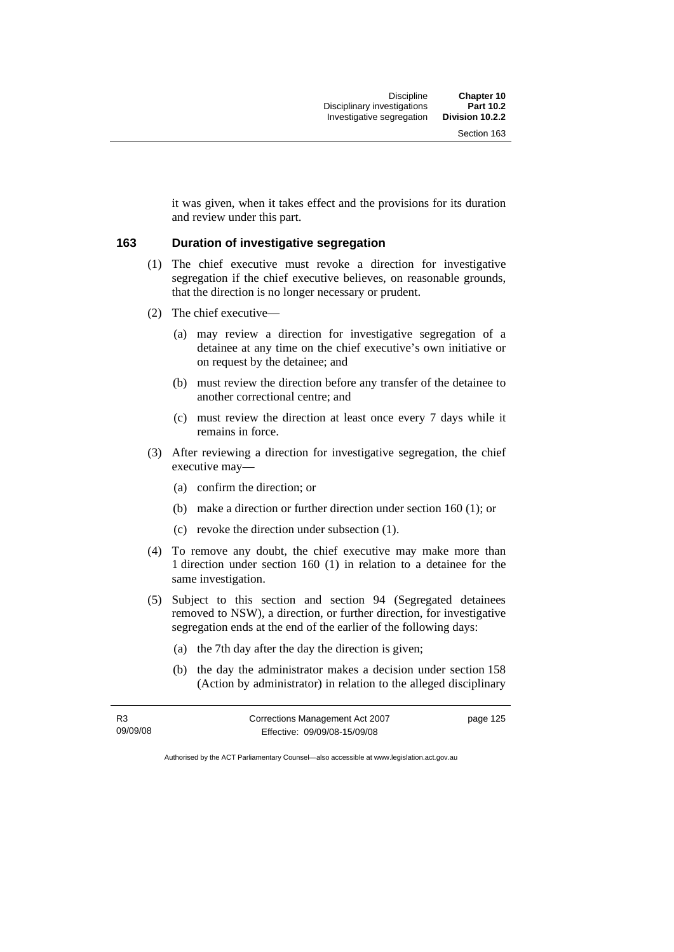it was given, when it takes effect and the provisions for its duration and review under this part.

#### **163 Duration of investigative segregation**

- (1) The chief executive must revoke a direction for investigative segregation if the chief executive believes, on reasonable grounds, that the direction is no longer necessary or prudent.
- (2) The chief executive—
	- (a) may review a direction for investigative segregation of a detainee at any time on the chief executive's own initiative or on request by the detainee; and
	- (b) must review the direction before any transfer of the detainee to another correctional centre; and
	- (c) must review the direction at least once every 7 days while it remains in force.
- (3) After reviewing a direction for investigative segregation, the chief executive may—
	- (a) confirm the direction; or
	- (b) make a direction or further direction under section 160 (1); or
	- (c) revoke the direction under subsection (1).
- (4) To remove any doubt, the chief executive may make more than 1 direction under section 160 (1) in relation to a detainee for the same investigation.
- (5) Subject to this section and section 94 (Segregated detainees removed to NSW), a direction, or further direction, for investigative segregation ends at the end of the earlier of the following days:
	- (a) the 7th day after the day the direction is given;
	- (b) the day the administrator makes a decision under section 158 (Action by administrator) in relation to the alleged disciplinary

| R3       | Corrections Management Act 2007 | page 125 |
|----------|---------------------------------|----------|
| 09/09/08 | Effective: 09/09/08-15/09/08    |          |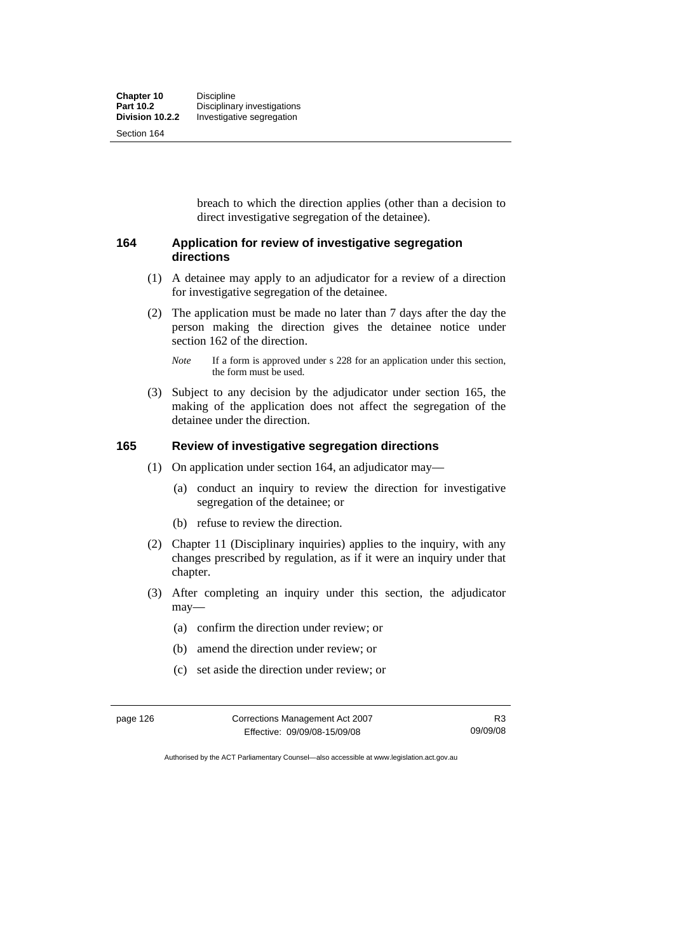breach to which the direction applies (other than a decision to direct investigative segregation of the detainee).

#### **164 Application for review of investigative segregation directions**

- (1) A detainee may apply to an adjudicator for a review of a direction for investigative segregation of the detainee.
- (2) The application must be made no later than 7 days after the day the person making the direction gives the detainee notice under section 162 of the direction.

 (3) Subject to any decision by the adjudicator under section 165, the making of the application does not affect the segregation of the detainee under the direction.

## **165 Review of investigative segregation directions**

- (1) On application under section 164, an adjudicator may—
	- (a) conduct an inquiry to review the direction for investigative segregation of the detainee; or
	- (b) refuse to review the direction.
- (2) Chapter 11 (Disciplinary inquiries) applies to the inquiry, with any changes prescribed by regulation, as if it were an inquiry under that chapter.
- (3) After completing an inquiry under this section, the adjudicator may—
	- (a) confirm the direction under review; or
	- (b) amend the direction under review; or
	- (c) set aside the direction under review; or

| page 126 | Corrections Management Act 2007 | R3       |
|----------|---------------------------------|----------|
|          | Effective: 09/09/08-15/09/08    | 09/09/08 |

*Note* If a form is approved under s 228 for an application under this section, the form must be used.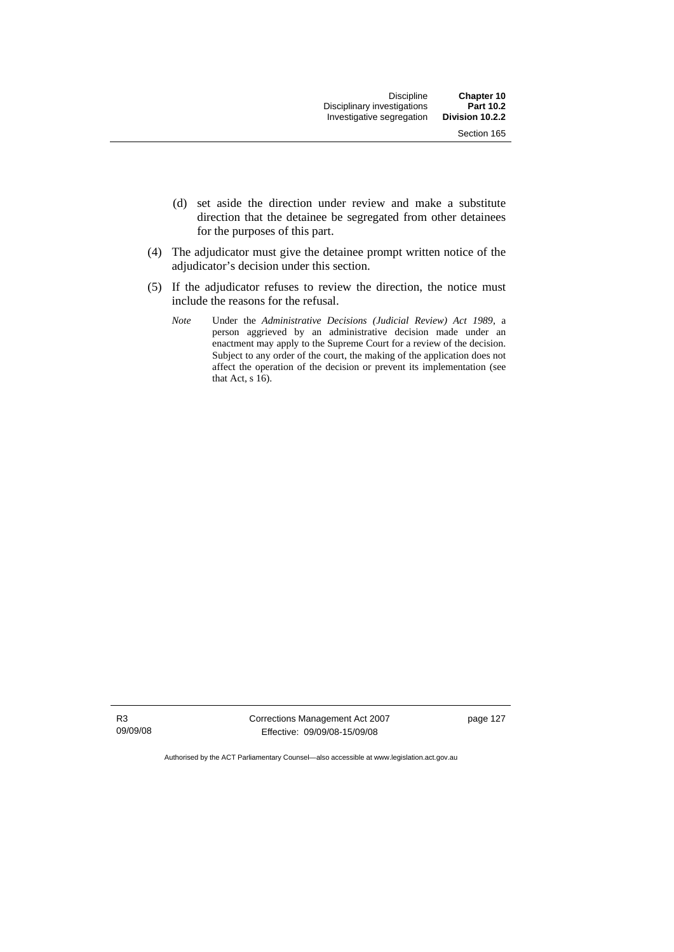- (d) set aside the direction under review and make a substitute direction that the detainee be segregated from other detainees for the purposes of this part.
- (4) The adjudicator must give the detainee prompt written notice of the adjudicator's decision under this section.
- (5) If the adjudicator refuses to review the direction, the notice must include the reasons for the refusal.
	- *Note* Under the *Administrative Decisions (Judicial Review) Act 1989*, a person aggrieved by an administrative decision made under an enactment may apply to the Supreme Court for a review of the decision. Subject to any order of the court, the making of the application does not affect the operation of the decision or prevent its implementation (see that Act,  $\sin 16$ .

R3 09/09/08 Corrections Management Act 2007 Effective: 09/09/08-15/09/08

page 127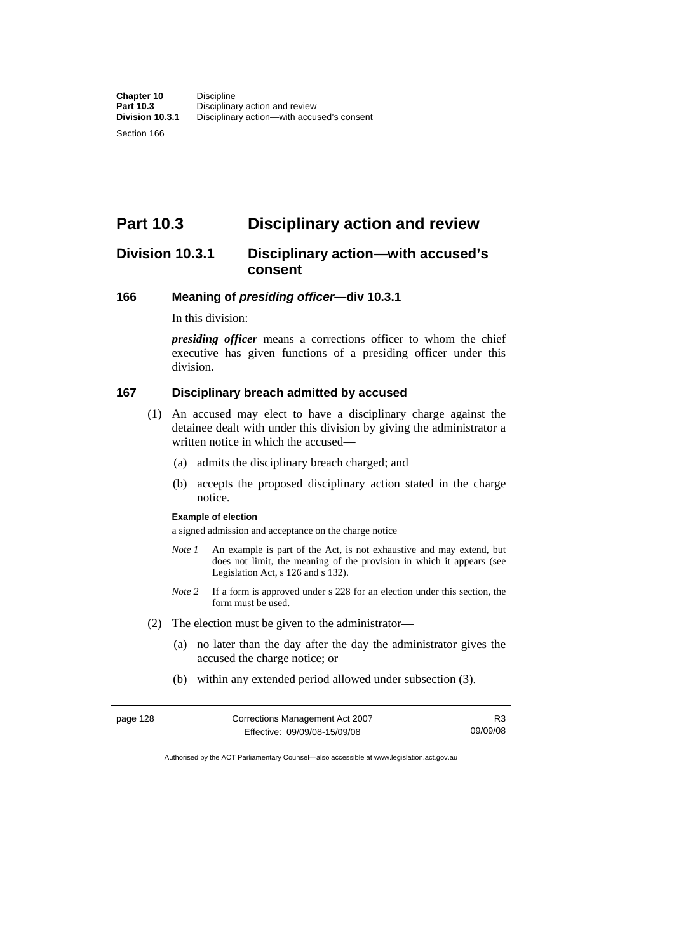# **Part 10.3 Disciplinary action and review**

# **Division 10.3.1 Disciplinary action—with accused's consent**

#### **166 Meaning of** *presiding officer***—div 10.3.1**

In this division:

*presiding officer* means a corrections officer to whom the chief executive has given functions of a presiding officer under this division.

## **167 Disciplinary breach admitted by accused**

- (1) An accused may elect to have a disciplinary charge against the detainee dealt with under this division by giving the administrator a written notice in which the accused-
	- (a) admits the disciplinary breach charged; and
	- (b) accepts the proposed disciplinary action stated in the charge notice.

#### **Example of election**

a signed admission and acceptance on the charge notice

- *Note 1* An example is part of the Act, is not exhaustive and may extend, but does not limit, the meaning of the provision in which it appears (see Legislation Act, s 126 and s 132).
- *Note 2* If a form is approved under s 228 for an election under this section, the form must be used.
- (2) The election must be given to the administrator—
	- (a) no later than the day after the day the administrator gives the accused the charge notice; or
	- (b) within any extended period allowed under subsection (3).

| page 128 | Corrections Management Act 2007 | R3       |
|----------|---------------------------------|----------|
|          | Effective: 09/09/08-15/09/08    | 09/09/08 |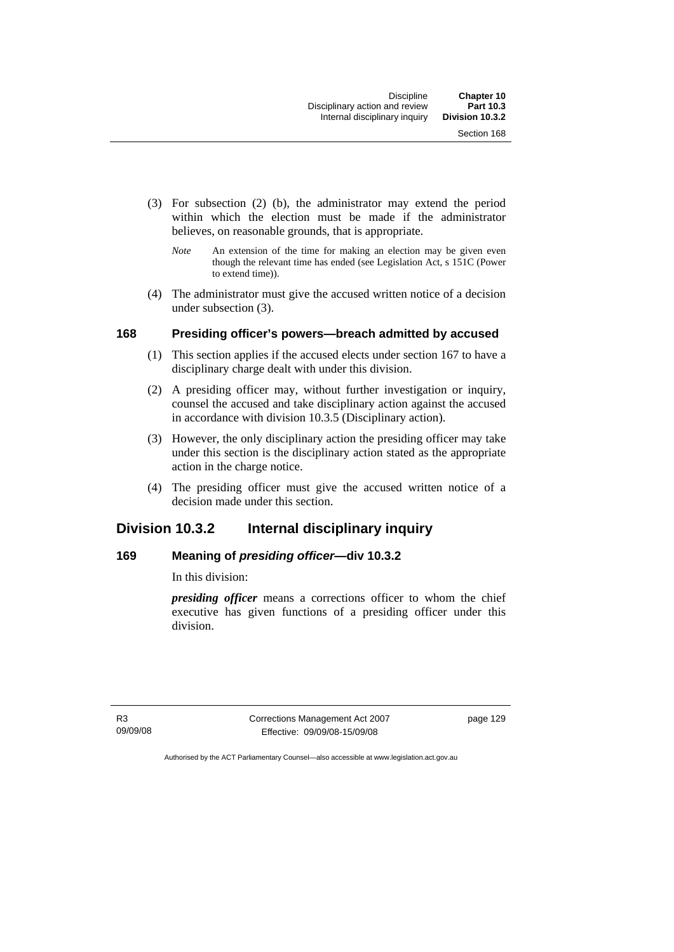- (3) For subsection (2) (b), the administrator may extend the period within which the election must be made if the administrator believes, on reasonable grounds, that is appropriate.
	- *Note* An extension of the time for making an election may be given even though the relevant time has ended (see Legislation Act, s 151C (Power to extend time)).
- (4) The administrator must give the accused written notice of a decision under subsection (3).

### **168 Presiding officer's powers—breach admitted by accused**

- (1) This section applies if the accused elects under section 167 to have a disciplinary charge dealt with under this division.
- (2) A presiding officer may, without further investigation or inquiry, counsel the accused and take disciplinary action against the accused in accordance with division 10.3.5 (Disciplinary action).
- (3) However, the only disciplinary action the presiding officer may take under this section is the disciplinary action stated as the appropriate action in the charge notice.
- (4) The presiding officer must give the accused written notice of a decision made under this section.

# **Division 10.3.2 Internal disciplinary inquiry**

## **169 Meaning of** *presiding officer***—div 10.3.2**

In this division:

*presiding officer* means a corrections officer to whom the chief executive has given functions of a presiding officer under this division.

R3 09/09/08 Corrections Management Act 2007 Effective: 09/09/08-15/09/08

page 129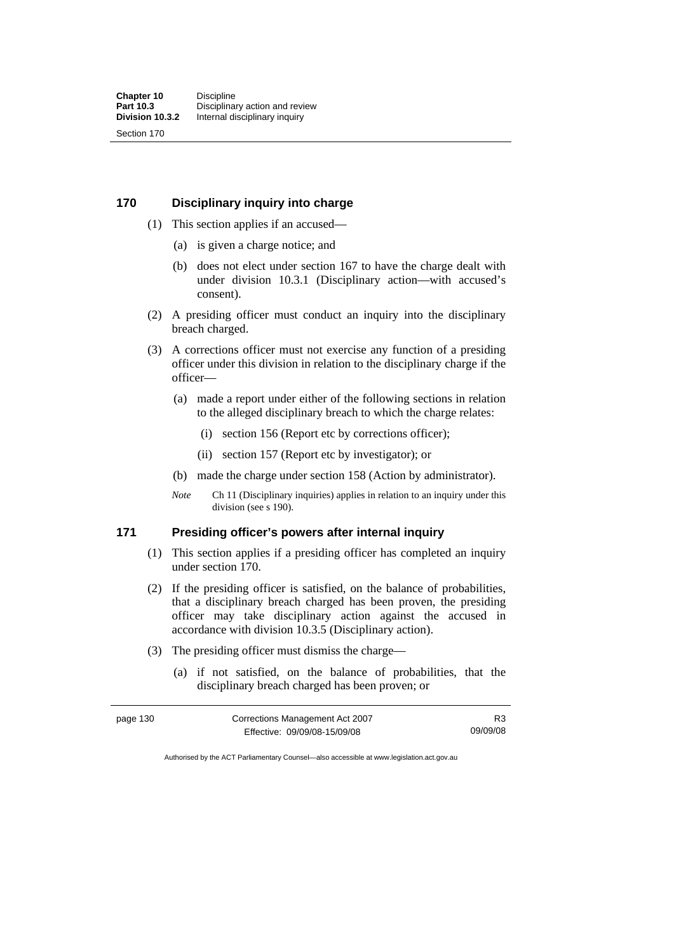#### **170 Disciplinary inquiry into charge**

- (1) This section applies if an accused—
	- (a) is given a charge notice; and
	- (b) does not elect under section 167 to have the charge dealt with under division 10.3.1 (Disciplinary action—with accused's consent).
- (2) A presiding officer must conduct an inquiry into the disciplinary breach charged.
- (3) A corrections officer must not exercise any function of a presiding officer under this division in relation to the disciplinary charge if the officer—
	- (a) made a report under either of the following sections in relation to the alleged disciplinary breach to which the charge relates:
		- (i) section 156 (Report etc by corrections officer);
		- (ii) section 157 (Report etc by investigator); or
	- (b) made the charge under section 158 (Action by administrator).
	- *Note* Ch 11 (Disciplinary inquiries) applies in relation to an inquiry under this division (see s 190).

## **171 Presiding officer's powers after internal inquiry**

- (1) This section applies if a presiding officer has completed an inquiry under section 170.
- (2) If the presiding officer is satisfied, on the balance of probabilities, that a disciplinary breach charged has been proven, the presiding officer may take disciplinary action against the accused in accordance with division 10.3.5 (Disciplinary action).
- (3) The presiding officer must dismiss the charge—
	- (a) if not satisfied, on the balance of probabilities, that the disciplinary breach charged has been proven; or

| page 130 | Corrections Management Act 2007 | R3       |
|----------|---------------------------------|----------|
|          | Effective: 09/09/08-15/09/08    | 09/09/08 |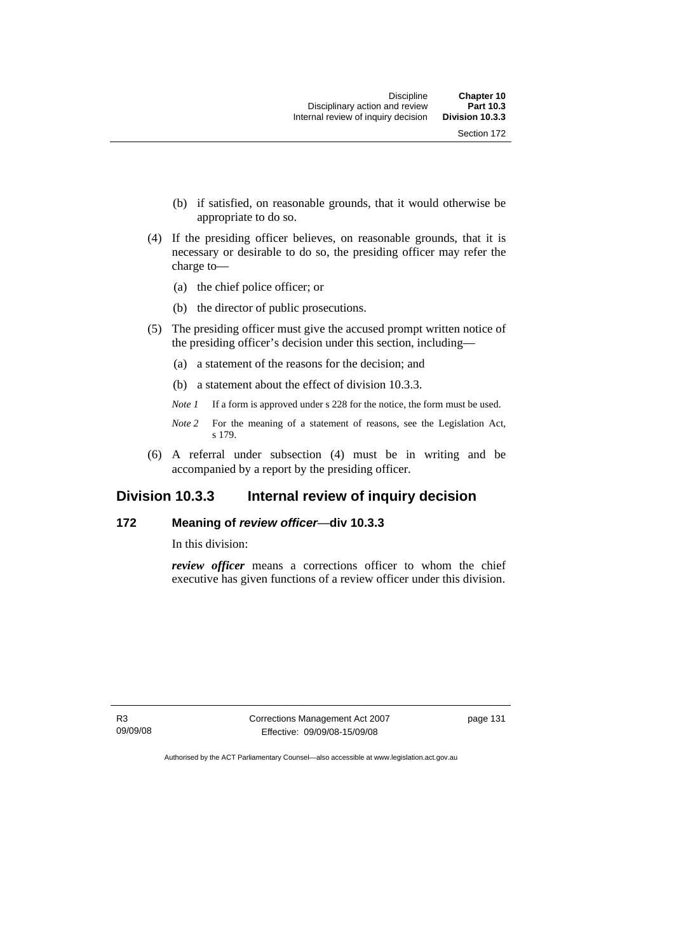- (b) if satisfied, on reasonable grounds, that it would otherwise be appropriate to do so.
- (4) If the presiding officer believes, on reasonable grounds, that it is necessary or desirable to do so, the presiding officer may refer the charge to—
	- (a) the chief police officer; or
	- (b) the director of public prosecutions.
- (5) The presiding officer must give the accused prompt written notice of the presiding officer's decision under this section, including—
	- (a) a statement of the reasons for the decision; and
	- (b) a statement about the effect of division 10.3.3.
	- *Note 1* If a form is approved under s 228 for the notice, the form must be used.
	- *Note 2* For the meaning of a statement of reasons, see the Legislation Act, s 179.
- (6) A referral under subsection (4) must be in writing and be accompanied by a report by the presiding officer.

# **Division 10.3.3 Internal review of inquiry decision**

# **172 Meaning of** *review officer*—**div 10.3.3**

In this division:

*review officer* means a corrections officer to whom the chief executive has given functions of a review officer under this division.

R3 09/09/08 Corrections Management Act 2007 Effective: 09/09/08-15/09/08

page 131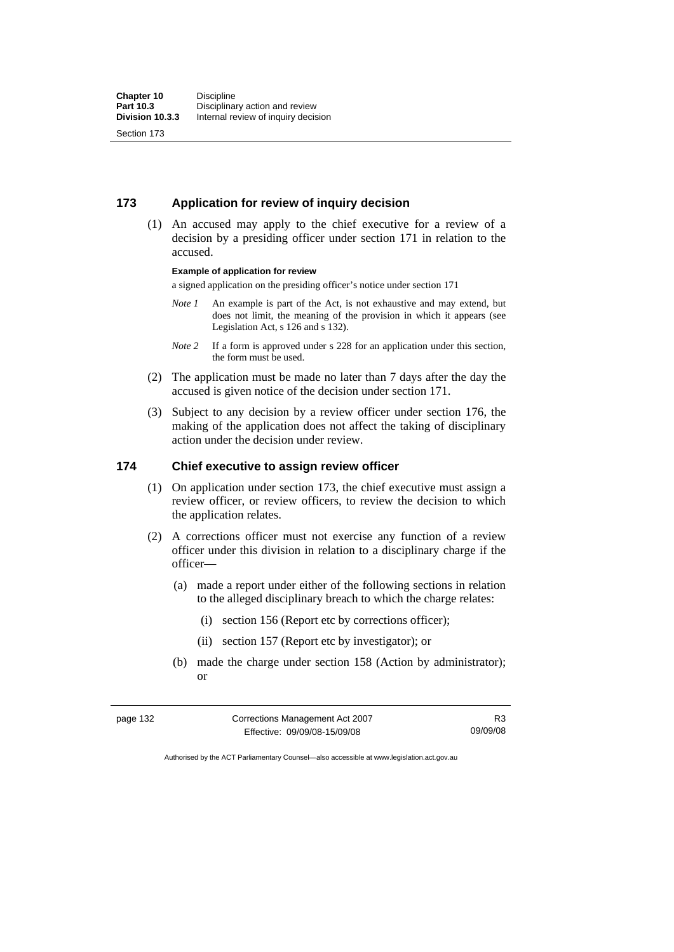# **173 Application for review of inquiry decision**

 (1) An accused may apply to the chief executive for a review of a decision by a presiding officer under section 171 in relation to the accused.

#### **Example of application for review**

a signed application on the presiding officer's notice under section 171

- *Note 1* An example is part of the Act, is not exhaustive and may extend, but does not limit, the meaning of the provision in which it appears (see Legislation Act, s 126 and s 132).
- *Note 2* If a form is approved under s 228 for an application under this section, the form must be used.
- (2) The application must be made no later than 7 days after the day the accused is given notice of the decision under section 171.
- (3) Subject to any decision by a review officer under section 176, the making of the application does not affect the taking of disciplinary action under the decision under review.

# **174 Chief executive to assign review officer**

- (1) On application under section 173, the chief executive must assign a review officer, or review officers, to review the decision to which the application relates.
- (2) A corrections officer must not exercise any function of a review officer under this division in relation to a disciplinary charge if the officer—
	- (a) made a report under either of the following sections in relation to the alleged disciplinary breach to which the charge relates:
		- (i) section 156 (Report etc by corrections officer);
		- (ii) section 157 (Report etc by investigator); or
	- (b) made the charge under section 158 (Action by administrator); or

| page 132 | Corrections Management Act 2007 | R <sub>3</sub> |
|----------|---------------------------------|----------------|
|          | Effective: 09/09/08-15/09/08    | 09/09/08       |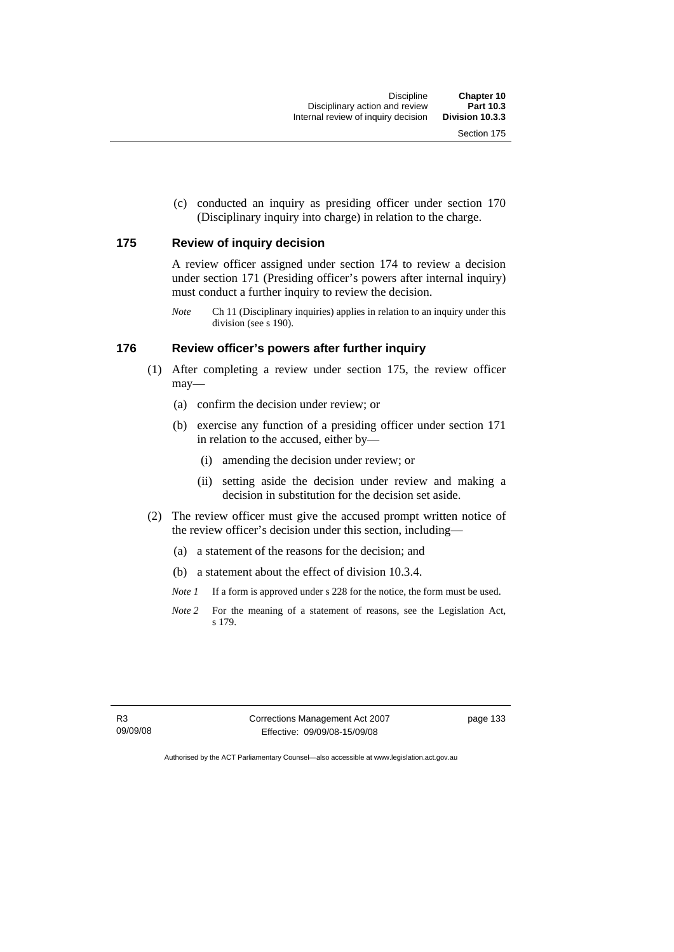(c) conducted an inquiry as presiding officer under section 170 (Disciplinary inquiry into charge) in relation to the charge.

# **175 Review of inquiry decision**

A review officer assigned under section 174 to review a decision under section 171 (Presiding officer's powers after internal inquiry) must conduct a further inquiry to review the decision.

*Note* Ch 11 (Disciplinary inquiries) applies in relation to an inquiry under this division (see s 190).

# **176 Review officer's powers after further inquiry**

- (1) After completing a review under section 175, the review officer may—
	- (a) confirm the decision under review; or
	- (b) exercise any function of a presiding officer under section 171 in relation to the accused, either by—
		- (i) amending the decision under review; or
		- (ii) setting aside the decision under review and making a decision in substitution for the decision set aside.
- (2) The review officer must give the accused prompt written notice of the review officer's decision under this section, including—
	- (a) a statement of the reasons for the decision; and
	- (b) a statement about the effect of division 10.3.4.
	- *Note 1* If a form is approved under s 228 for the notice, the form must be used.
	- *Note 2* For the meaning of a statement of reasons, see the Legislation Act, s 179.

Corrections Management Act 2007 Effective: 09/09/08-15/09/08

page 133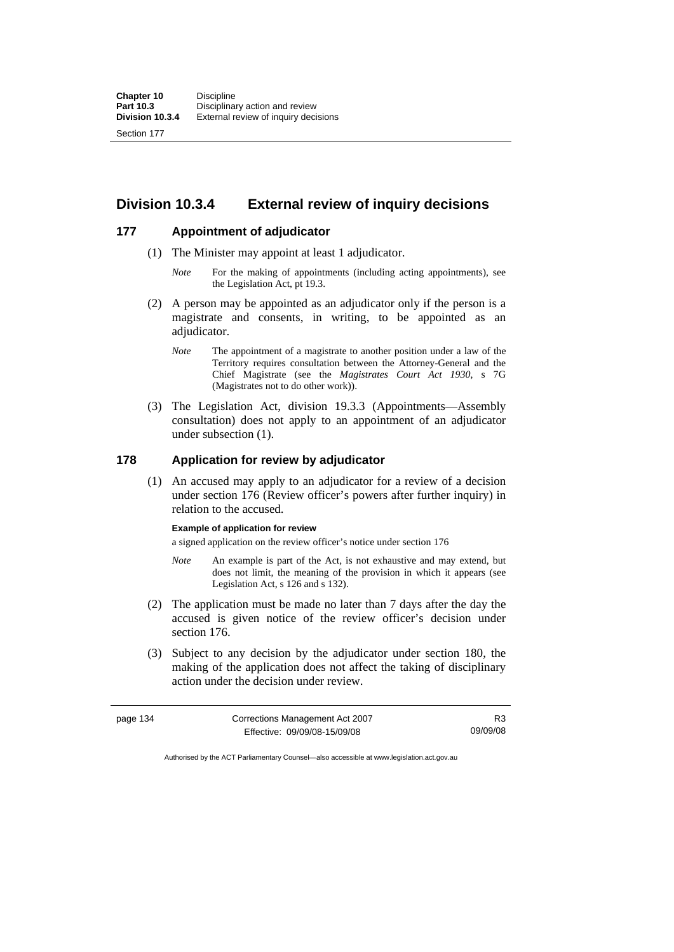# **Division 10.3.4 External review of inquiry decisions**

# **177 Appointment of adjudicator**

- (1) The Minister may appoint at least 1 adjudicator.
	- *Note* For the making of appointments (including acting appointments), see the Legislation Act, pt 19.3.
- (2) A person may be appointed as an adjudicator only if the person is a magistrate and consents, in writing, to be appointed as an adjudicator.
	- *Note* The appointment of a magistrate to another position under a law of the Territory requires consultation between the Attorney-General and the Chief Magistrate (see the *Magistrates Court Act 1930*, s 7G (Magistrates not to do other work)).
- (3) The Legislation Act, division 19.3.3 (Appointments—Assembly consultation) does not apply to an appointment of an adjudicator under subsection (1).

### **178 Application for review by adjudicator**

 (1) An accused may apply to an adjudicator for a review of a decision under section 176 (Review officer's powers after further inquiry) in relation to the accused.

#### **Example of application for review**

a signed application on the review officer's notice under section 176

- *Note* An example is part of the Act, is not exhaustive and may extend, but does not limit, the meaning of the provision in which it appears (see Legislation Act, s 126 and s 132).
- (2) The application must be made no later than 7 days after the day the accused is given notice of the review officer's decision under section 176.
- (3) Subject to any decision by the adjudicator under section 180, the making of the application does not affect the taking of disciplinary action under the decision under review.

| page 134 | Corrections Management Act 2007 | R <sub>3</sub> |
|----------|---------------------------------|----------------|
|          | Effective: 09/09/08-15/09/08    | 09/09/08       |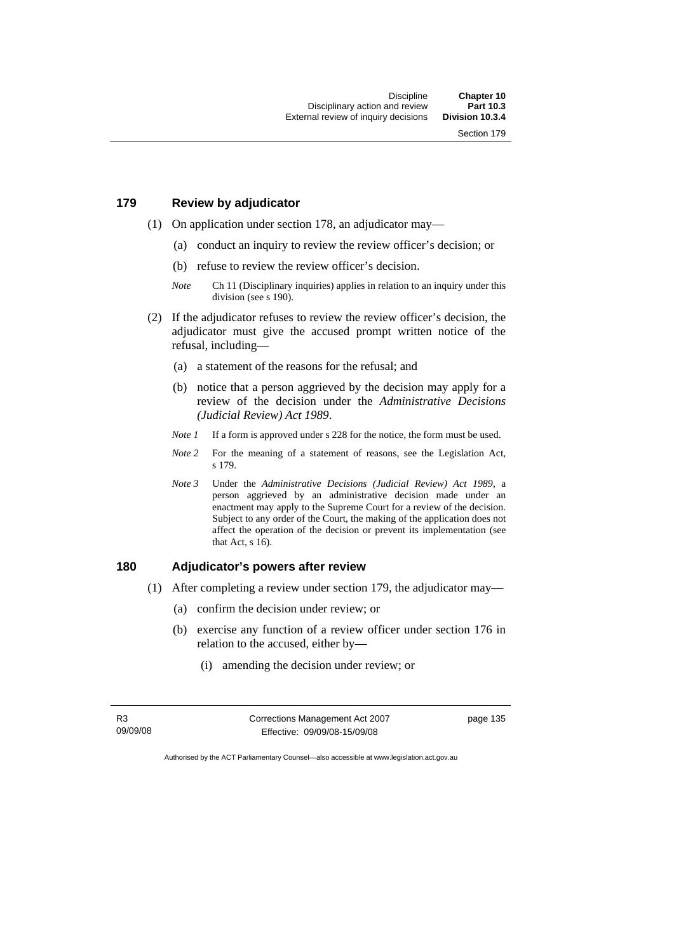# **179 Review by adjudicator**

- (1) On application under section 178, an adjudicator may—
	- (a) conduct an inquiry to review the review officer's decision; or
	- (b) refuse to review the review officer's decision.
	- *Note* Ch 11 (Disciplinary inquiries) applies in relation to an inquiry under this division (see s 190).
- (2) If the adjudicator refuses to review the review officer's decision, the adjudicator must give the accused prompt written notice of the refusal, including—
	- (a) a statement of the reasons for the refusal; and
	- (b) notice that a person aggrieved by the decision may apply for a review of the decision under the *Administrative Decisions (Judicial Review) Act 1989*.
	- *Note 1* If a form is approved under s 228 for the notice, the form must be used.
	- *Note* 2 For the meaning of a statement of reasons, see the Legislation Act, s 179.
	- *Note 3* Under the *Administrative Decisions (Judicial Review) Act 1989*, a person aggrieved by an administrative decision made under an enactment may apply to the Supreme Court for a review of the decision. Subject to any order of the Court, the making of the application does not affect the operation of the decision or prevent its implementation (see that Act, s 16).

# **180 Adjudicator's powers after review**

- (1) After completing a review under section 179, the adjudicator may—
	- (a) confirm the decision under review; or
	- (b) exercise any function of a review officer under section 176 in relation to the accused, either by—
		- (i) amending the decision under review; or

R3 09/09/08 Corrections Management Act 2007 Effective: 09/09/08-15/09/08

page 135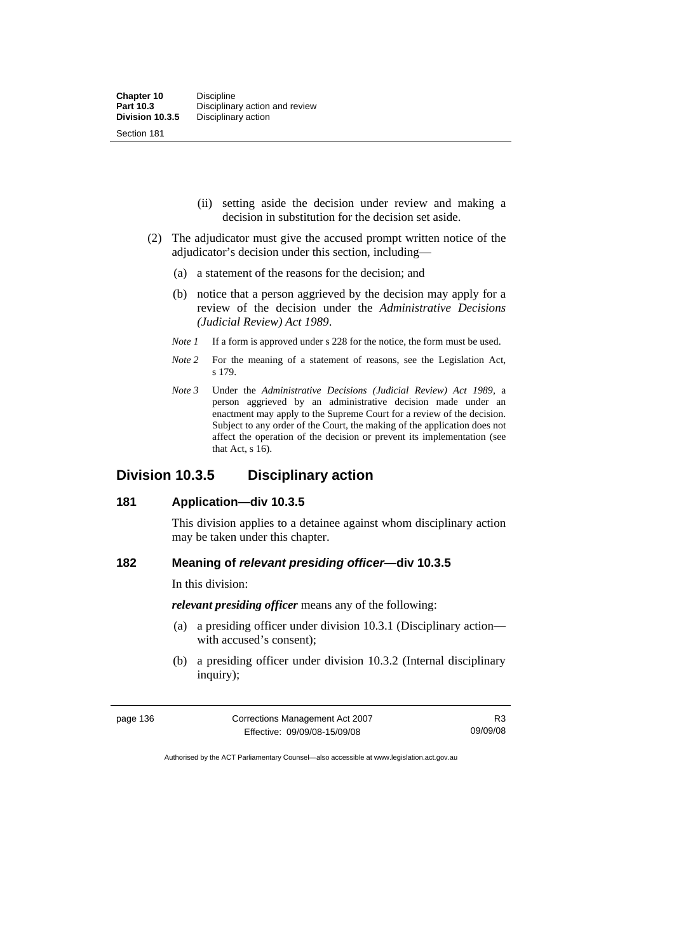- (ii) setting aside the decision under review and making a decision in substitution for the decision set aside.
- (2) The adjudicator must give the accused prompt written notice of the adjudicator's decision under this section, including—
	- (a) a statement of the reasons for the decision; and
	- (b) notice that a person aggrieved by the decision may apply for a review of the decision under the *Administrative Decisions (Judicial Review) Act 1989*.
	- *Note 1* If a form is approved under s 228 for the notice, the form must be used.
	- *Note 2* For the meaning of a statement of reasons, see the Legislation Act, s 179.
	- *Note 3* Under the *Administrative Decisions (Judicial Review) Act 1989*, a person aggrieved by an administrative decision made under an enactment may apply to the Supreme Court for a review of the decision. Subject to any order of the Court, the making of the application does not affect the operation of the decision or prevent its implementation (see that Act, s 16).

# **Division 10.3.5 Disciplinary action**

### **181 Application—div 10.3.5**

This division applies to a detainee against whom disciplinary action may be taken under this chapter.

# **182 Meaning of** *relevant presiding officer***—div 10.3.5**

In this division:

*relevant presiding officer* means any of the following:

- (a) a presiding officer under division 10.3.1 (Disciplinary action with accused's consent);
- (b) a presiding officer under division 10.3.2 (Internal disciplinary inquiry);

| page 136 | Corrections Management Act 2007 | R3       |
|----------|---------------------------------|----------|
|          | Effective: 09/09/08-15/09/08    | 09/09/08 |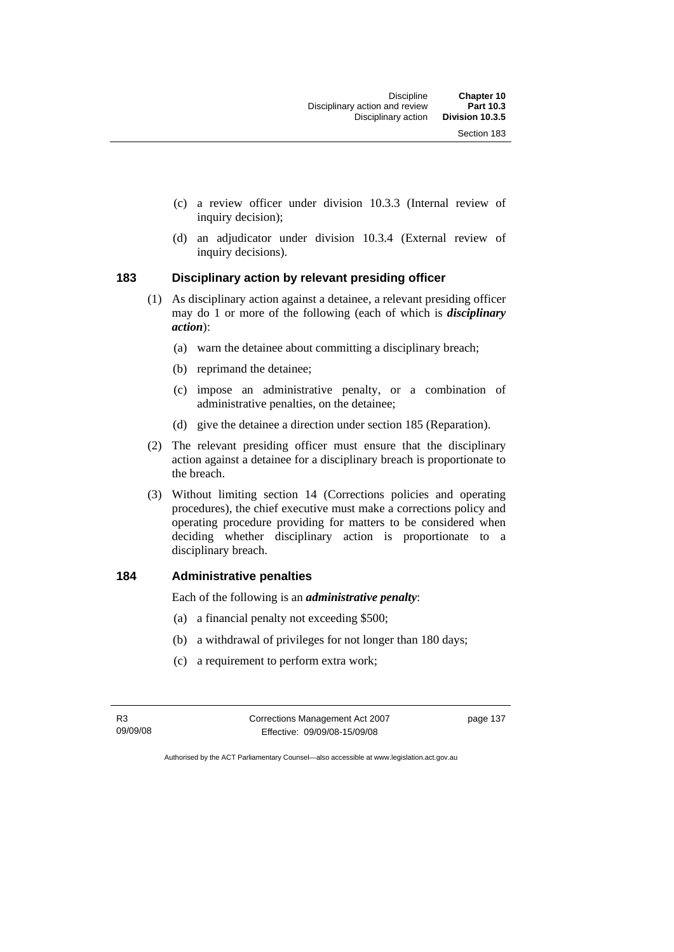- (c) a review officer under division 10.3.3 (Internal review of inquiry decision);
- (d) an adjudicator under division 10.3.4 (External review of inquiry decisions).

# **183 Disciplinary action by relevant presiding officer**

- (1) As disciplinary action against a detainee, a relevant presiding officer may do 1 or more of the following (each of which is *disciplinary action*):
	- (a) warn the detainee about committing a disciplinary breach;
	- (b) reprimand the detainee;
	- (c) impose an administrative penalty, or a combination of administrative penalties, on the detainee;
	- (d) give the detainee a direction under section 185 (Reparation).
- (2) The relevant presiding officer must ensure that the disciplinary action against a detainee for a disciplinary breach is proportionate to the breach.
- (3) Without limiting section 14 (Corrections policies and operating procedures), the chief executive must make a corrections policy and operating procedure providing for matters to be considered when deciding whether disciplinary action is proportionate to a disciplinary breach.

# **184 Administrative penalties**

Each of the following is an *administrative penalty*:

- (a) a financial penalty not exceeding \$500;
- (b) a withdrawal of privileges for not longer than 180 days;
- (c) a requirement to perform extra work;

R3 09/09/08 Corrections Management Act 2007 Effective: 09/09/08-15/09/08

page 137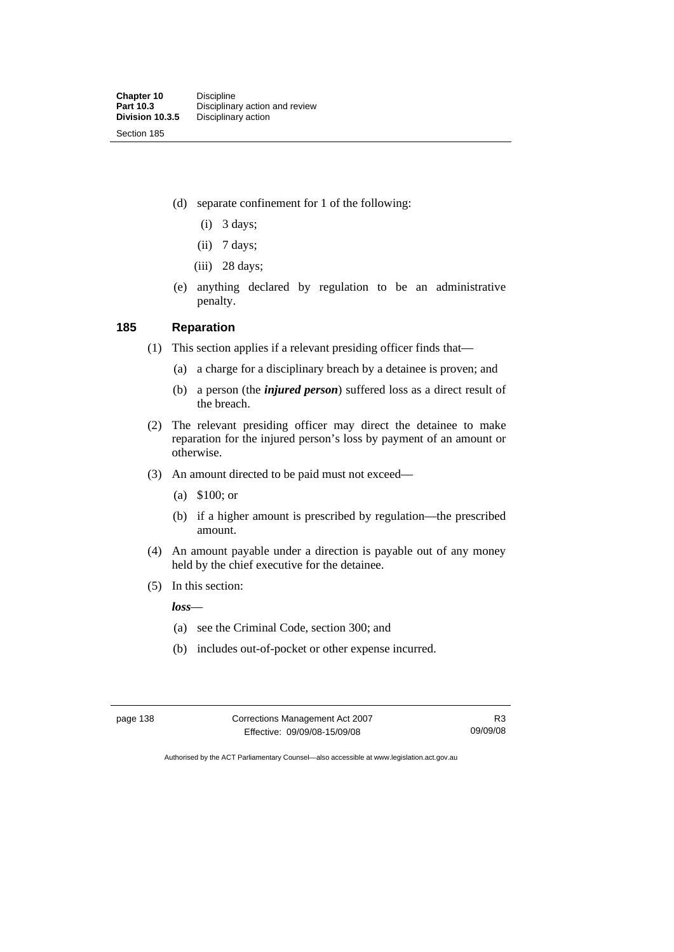- (d) separate confinement for 1 of the following:
	- (i) 3 days;
	- (ii) 7 days;
	- $(iii)$  28 days;
- (e) anything declared by regulation to be an administrative penalty.

# **185 Reparation**

- (1) This section applies if a relevant presiding officer finds that—
	- (a) a charge for a disciplinary breach by a detainee is proven; and
	- (b) a person (the *injured person*) suffered loss as a direct result of the breach.
- (2) The relevant presiding officer may direct the detainee to make reparation for the injured person's loss by payment of an amount or otherwise.
- (3) An amount directed to be paid must not exceed—
	- (a) \$100; or
	- (b) if a higher amount is prescribed by regulation—the prescribed amount.
- (4) An amount payable under a direction is payable out of any money held by the chief executive for the detainee.
- (5) In this section:

*loss*—

- (a) see the Criminal Code, section 300; and
- (b) includes out-of-pocket or other expense incurred.

page 138 Corrections Management Act 2007 Effective: 09/09/08-15/09/08

R3 09/09/08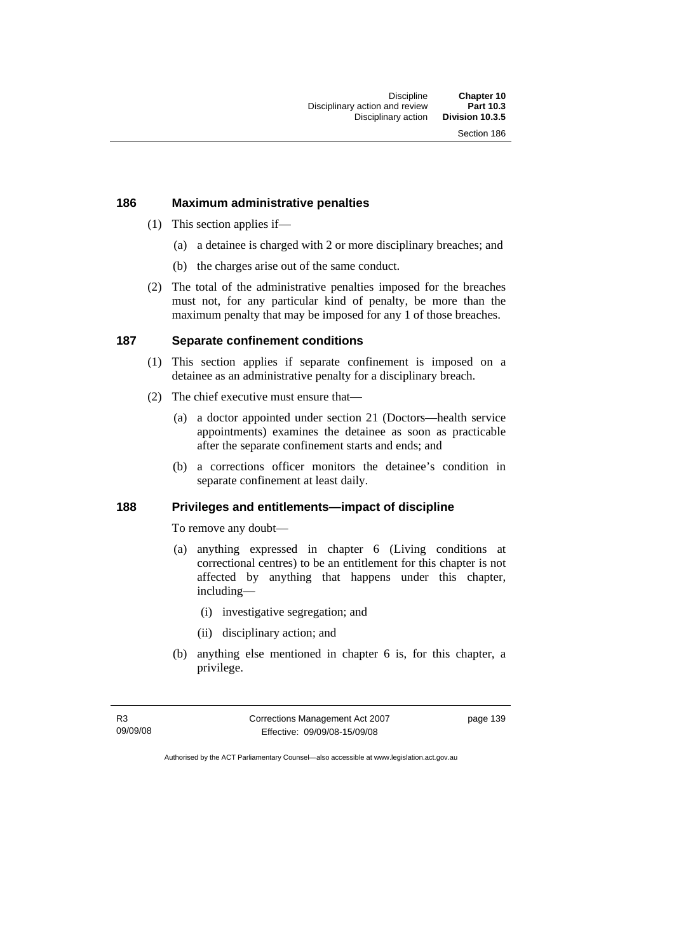#### **186 Maximum administrative penalties**

- (1) This section applies if—
	- (a) a detainee is charged with 2 or more disciplinary breaches; and
	- (b) the charges arise out of the same conduct.
- (2) The total of the administrative penalties imposed for the breaches must not, for any particular kind of penalty, be more than the maximum penalty that may be imposed for any 1 of those breaches.

# **187 Separate confinement conditions**

- (1) This section applies if separate confinement is imposed on a detainee as an administrative penalty for a disciplinary breach.
- (2) The chief executive must ensure that—
	- (a) a doctor appointed under section 21 (Doctors—health service appointments) examines the detainee as soon as practicable after the separate confinement starts and ends; and
	- (b) a corrections officer monitors the detainee's condition in separate confinement at least daily.

### **188 Privileges and entitlements—impact of discipline**

To remove any doubt—

- (a) anything expressed in chapter 6 (Living conditions at correctional centres) to be an entitlement for this chapter is not affected by anything that happens under this chapter, including—
	- (i) investigative segregation; and
	- (ii) disciplinary action; and
- (b) anything else mentioned in chapter 6 is, for this chapter, a privilege.

R3 09/09/08 Corrections Management Act 2007 Effective: 09/09/08-15/09/08

page 139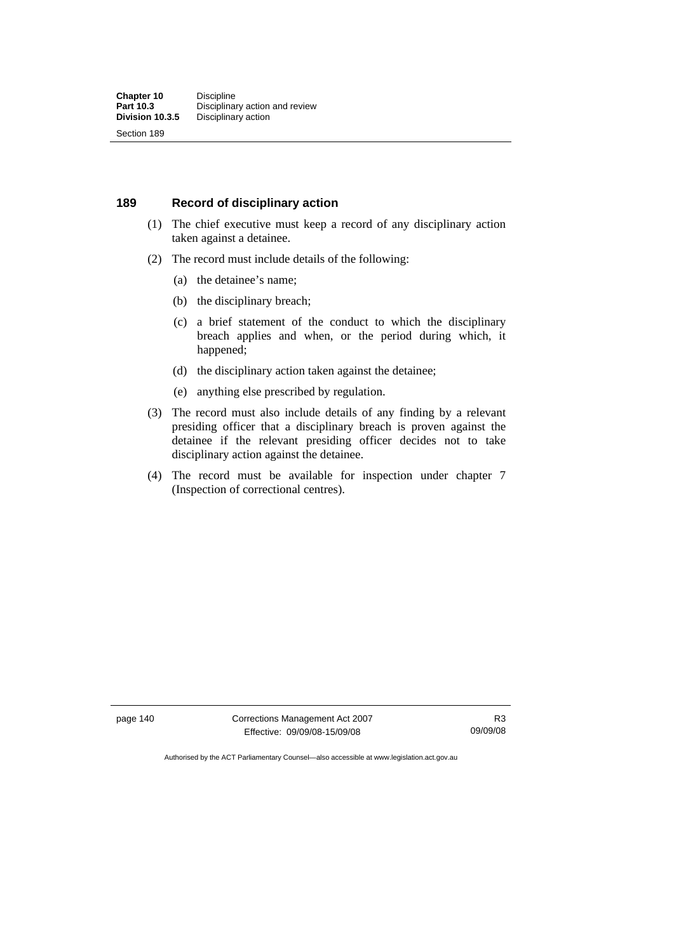#### **189 Record of disciplinary action**

- (1) The chief executive must keep a record of any disciplinary action taken against a detainee.
- (2) The record must include details of the following:
	- (a) the detainee's name;
	- (b) the disciplinary breach;
	- (c) a brief statement of the conduct to which the disciplinary breach applies and when, or the period during which, it happened;
	- (d) the disciplinary action taken against the detainee;
	- (e) anything else prescribed by regulation.
- (3) The record must also include details of any finding by a relevant presiding officer that a disciplinary breach is proven against the detainee if the relevant presiding officer decides not to take disciplinary action against the detainee.
- (4) The record must be available for inspection under chapter 7 (Inspection of correctional centres).

page 140 Corrections Management Act 2007 Effective: 09/09/08-15/09/08

R3 09/09/08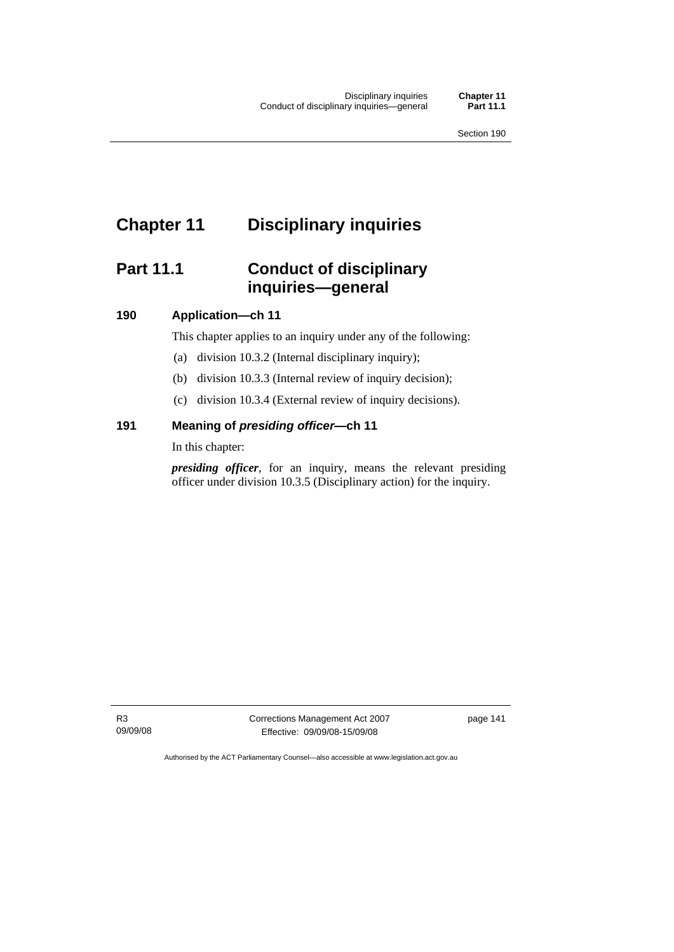# **Chapter 11 Disciplinary inquiries**

# **Part 11.1 Conduct of disciplinary inquiries—general**

# **190 Application—ch 11**

This chapter applies to an inquiry under any of the following:

- (a) division 10.3.2 (Internal disciplinary inquiry);
- (b) division 10.3.3 (Internal review of inquiry decision);
- (c) division 10.3.4 (External review of inquiry decisions).

# **191 Meaning of** *presiding officer—***ch 11**

In this chapter:

*presiding officer*, for an inquiry, means the relevant presiding officer under division 10.3.5 (Disciplinary action) for the inquiry.

R3 09/09/08 Corrections Management Act 2007 Effective: 09/09/08-15/09/08

page 141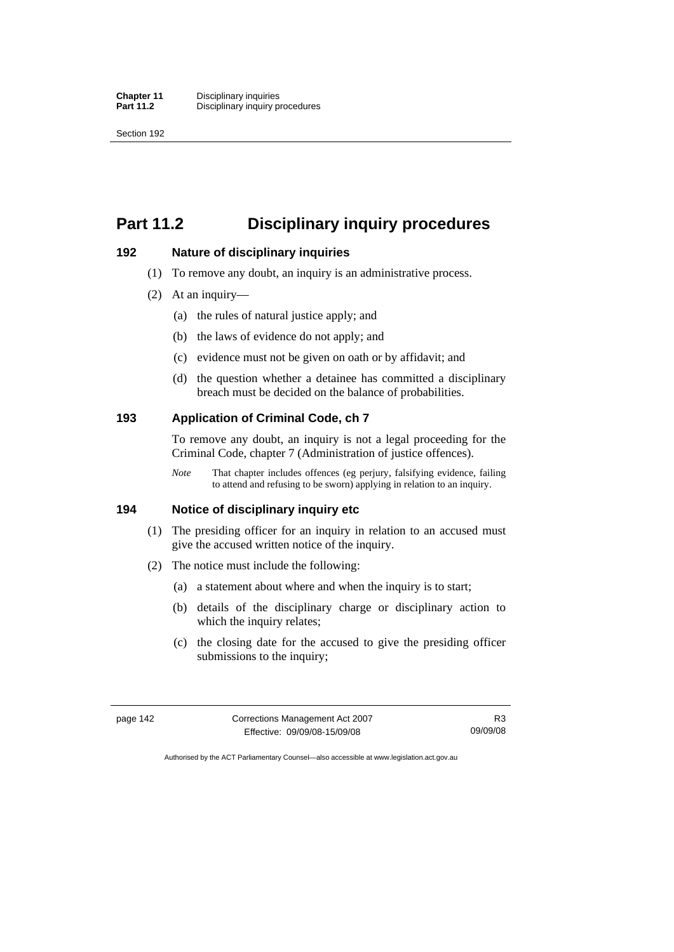# **Part 11.2 Disciplinary inquiry procedures**

#### **192 Nature of disciplinary inquiries**

- (1) To remove any doubt, an inquiry is an administrative process.
- (2) At an inquiry—
	- (a) the rules of natural justice apply; and
	- (b) the laws of evidence do not apply; and
	- (c) evidence must not be given on oath or by affidavit; and
	- (d) the question whether a detainee has committed a disciplinary breach must be decided on the balance of probabilities.

# **193 Application of Criminal Code, ch 7**

To remove any doubt, an inquiry is not a legal proceeding for the Criminal Code, chapter 7 (Administration of justice offences).

*Note* That chapter includes offences (eg perjury, falsifying evidence, failing to attend and refusing to be sworn) applying in relation to an inquiry.

# **194 Notice of disciplinary inquiry etc**

- (1) The presiding officer for an inquiry in relation to an accused must give the accused written notice of the inquiry.
- (2) The notice must include the following:
	- (a) a statement about where and when the inquiry is to start;
	- (b) details of the disciplinary charge or disciplinary action to which the inquiry relates;
	- (c) the closing date for the accused to give the presiding officer submissions to the inquiry;

| page 142 | Corrections Management Act 2007 | R3       |
|----------|---------------------------------|----------|
|          | Effective: 09/09/08-15/09/08    | 09/09/08 |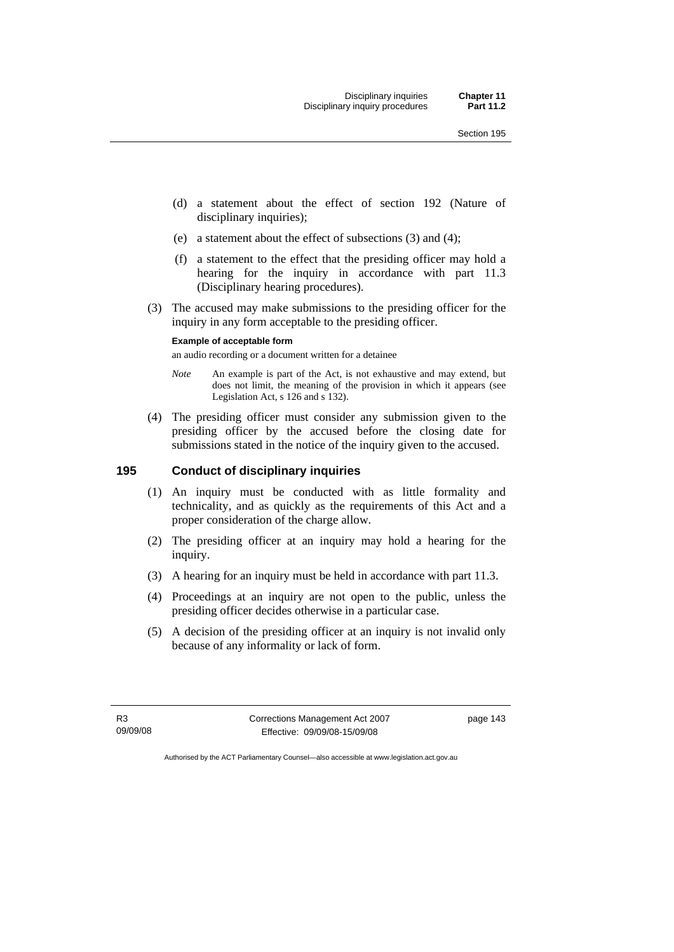- (d) a statement about the effect of section 192 (Nature of disciplinary inquiries);
- (e) a statement about the effect of subsections (3) and (4);
- (f) a statement to the effect that the presiding officer may hold a hearing for the inquiry in accordance with part 11.3 (Disciplinary hearing procedures).
- (3) The accused may make submissions to the presiding officer for the inquiry in any form acceptable to the presiding officer.

# **Example of acceptable form**

an audio recording or a document written for a detainee

- *Note* An example is part of the Act, is not exhaustive and may extend, but does not limit, the meaning of the provision in which it appears (see Legislation Act, s 126 and s 132).
- (4) The presiding officer must consider any submission given to the presiding officer by the accused before the closing date for submissions stated in the notice of the inquiry given to the accused.

# **195 Conduct of disciplinary inquiries**

- (1) An inquiry must be conducted with as little formality and technicality, and as quickly as the requirements of this Act and a proper consideration of the charge allow.
- (2) The presiding officer at an inquiry may hold a hearing for the inquiry.
- (3) A hearing for an inquiry must be held in accordance with part 11.3.
- (4) Proceedings at an inquiry are not open to the public, unless the presiding officer decides otherwise in a particular case.
- (5) A decision of the presiding officer at an inquiry is not invalid only because of any informality or lack of form.

R3 09/09/08 Corrections Management Act 2007 Effective: 09/09/08-15/09/08

page 143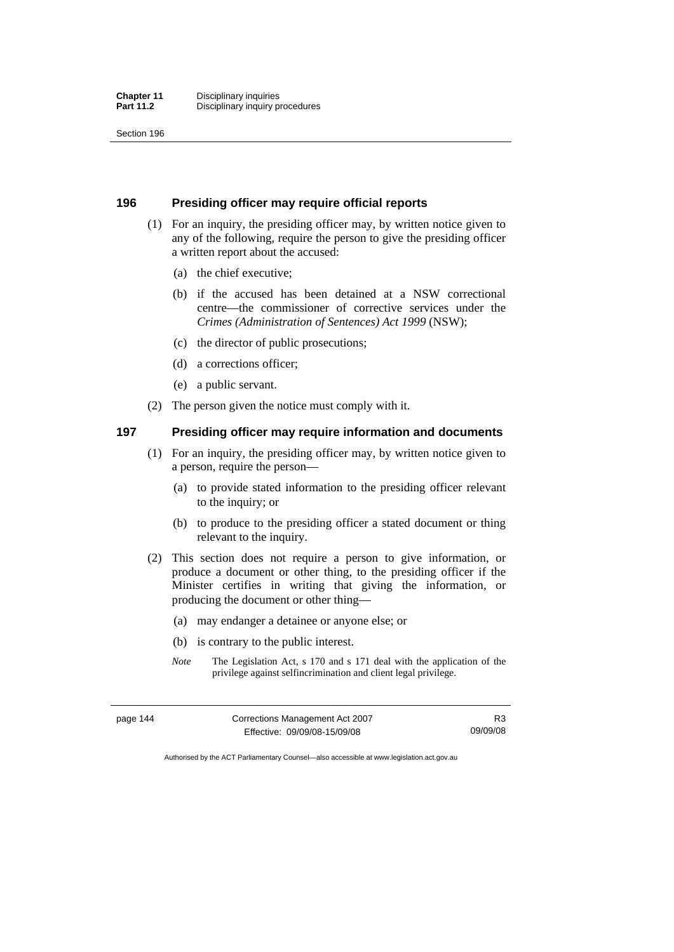#### **196 Presiding officer may require official reports**

- (1) For an inquiry, the presiding officer may, by written notice given to any of the following, require the person to give the presiding officer a written report about the accused:
	- (a) the chief executive;
	- (b) if the accused has been detained at a NSW correctional centre—the commissioner of corrective services under the *Crimes (Administration of Sentences) Act 1999* (NSW);
	- (c) the director of public prosecutions;
	- (d) a corrections officer;
	- (e) a public servant.
- (2) The person given the notice must comply with it.

# **197 Presiding officer may require information and documents**

- (1) For an inquiry, the presiding officer may, by written notice given to a person, require the person—
	- (a) to provide stated information to the presiding officer relevant to the inquiry; or
	- (b) to produce to the presiding officer a stated document or thing relevant to the inquiry.
- (2) This section does not require a person to give information, or produce a document or other thing, to the presiding officer if the Minister certifies in writing that giving the information, or producing the document or other thing—
	- (a) may endanger a detainee or anyone else; or
	- (b) is contrary to the public interest.
	- *Note* The Legislation Act, s 170 and s 171 deal with the application of the privilege against selfincrimination and client legal privilege.

| page 144 | Corrections Management Act 2007 | R <sub>3</sub> |
|----------|---------------------------------|----------------|
|          | Effective: 09/09/08-15/09/08    | 09/09/08       |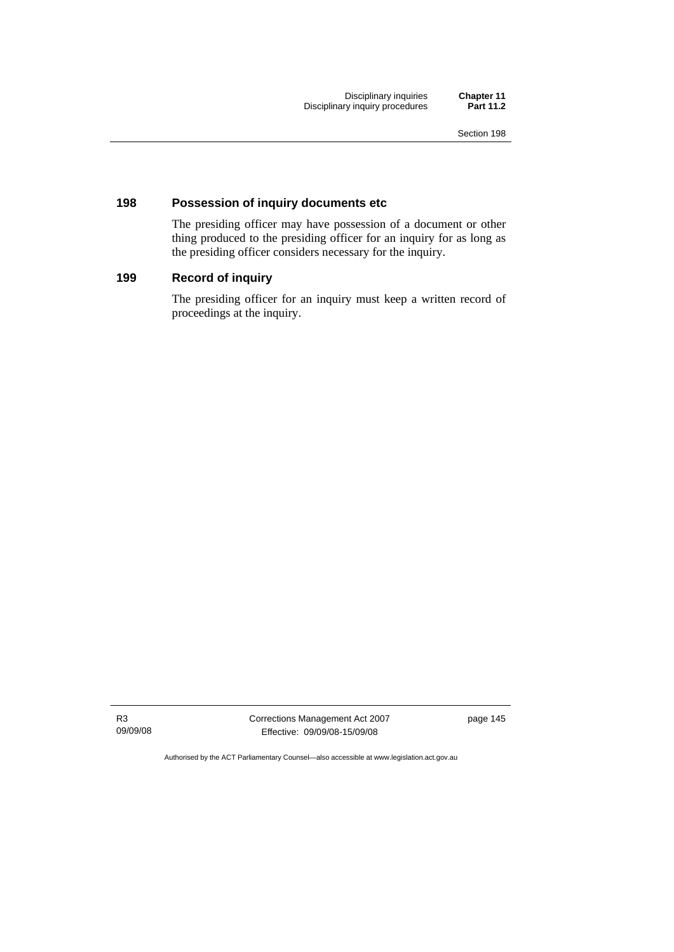Disciplinary inquiries **Chapter 11**  Disciplinary inquiry procedures **Part 11.2** 

# **198 Possession of inquiry documents etc**

The presiding officer may have possession of a document or other thing produced to the presiding officer for an inquiry for as long as the presiding officer considers necessary for the inquiry.

# **199 Record of inquiry**

The presiding officer for an inquiry must keep a written record of proceedings at the inquiry.

R3 09/09/08 Corrections Management Act 2007 Effective: 09/09/08-15/09/08

page 145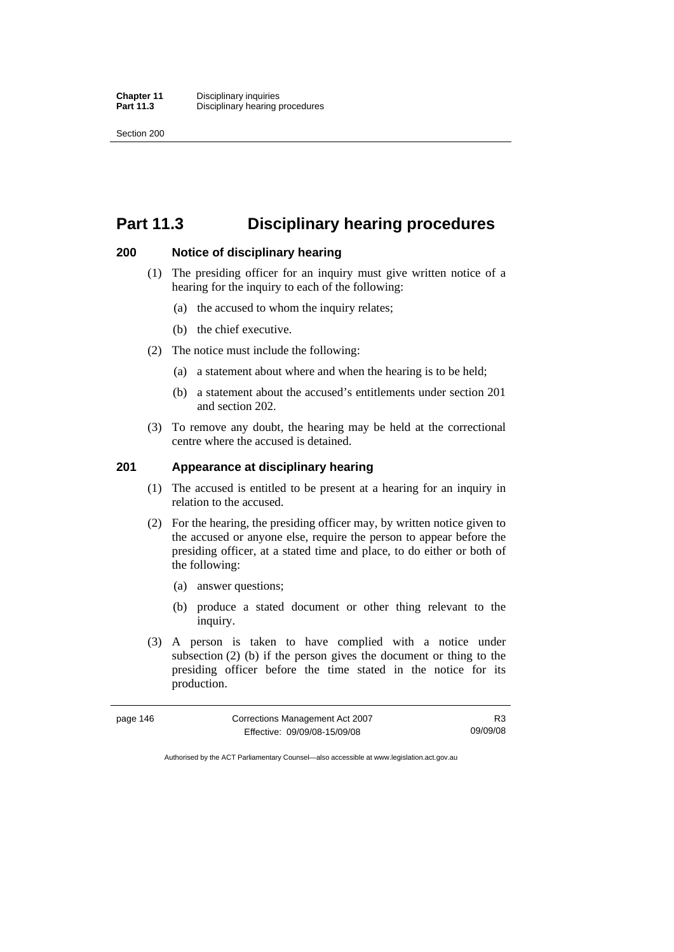# **Part 11.3 Disciplinary hearing procedures**

# **200 Notice of disciplinary hearing**

- (1) The presiding officer for an inquiry must give written notice of a hearing for the inquiry to each of the following:
	- (a) the accused to whom the inquiry relates;
	- (b) the chief executive.
- (2) The notice must include the following:
	- (a) a statement about where and when the hearing is to be held;
	- (b) a statement about the accused's entitlements under section 201 and section 202.
- (3) To remove any doubt, the hearing may be held at the correctional centre where the accused is detained.

# **201 Appearance at disciplinary hearing**

- (1) The accused is entitled to be present at a hearing for an inquiry in relation to the accused.
- (2) For the hearing, the presiding officer may, by written notice given to the accused or anyone else, require the person to appear before the presiding officer, at a stated time and place, to do either or both of the following:
	- (a) answer questions;
	- (b) produce a stated document or other thing relevant to the inquiry.
- (3) A person is taken to have complied with a notice under subsection (2) (b) if the person gives the document or thing to the presiding officer before the time stated in the notice for its production.

| page 146 | Corrections Management Act 2007 | R3       |
|----------|---------------------------------|----------|
|          | Effective: 09/09/08-15/09/08    | 09/09/08 |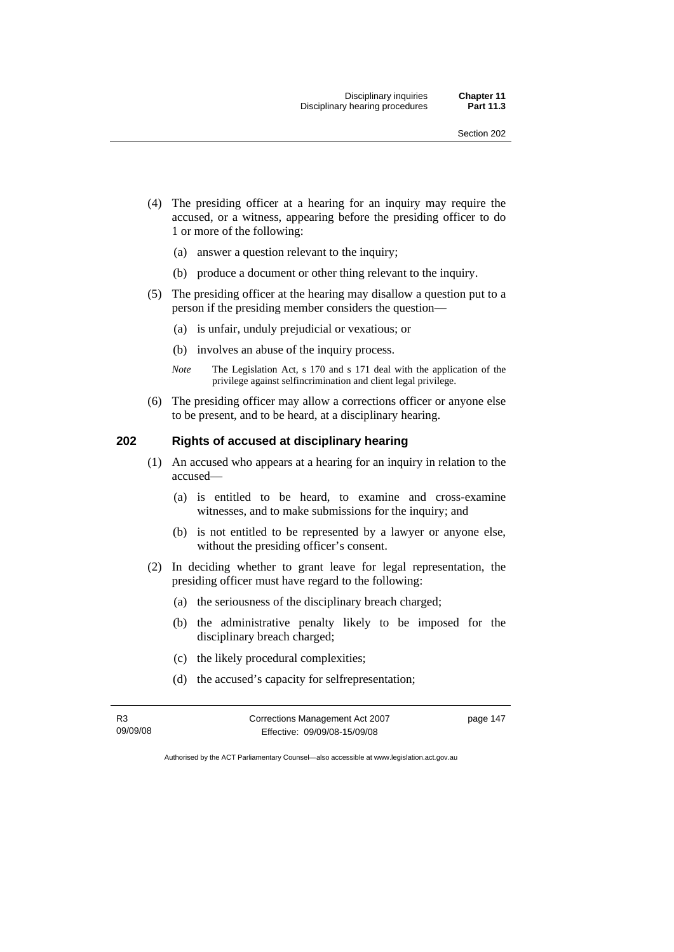- (4) The presiding officer at a hearing for an inquiry may require the accused, or a witness, appearing before the presiding officer to do 1 or more of the following:
	- (a) answer a question relevant to the inquiry;
	- (b) produce a document or other thing relevant to the inquiry.
- (5) The presiding officer at the hearing may disallow a question put to a person if the presiding member considers the question—
	- (a) is unfair, unduly prejudicial or vexatious; or
	- (b) involves an abuse of the inquiry process.
	- *Note* The Legislation Act, s 170 and s 171 deal with the application of the privilege against selfincrimination and client legal privilege.
- (6) The presiding officer may allow a corrections officer or anyone else to be present, and to be heard, at a disciplinary hearing.

# **202 Rights of accused at disciplinary hearing**

- (1) An accused who appears at a hearing for an inquiry in relation to the accused—
	- (a) is entitled to be heard, to examine and cross-examine witnesses, and to make submissions for the inquiry; and
	- (b) is not entitled to be represented by a lawyer or anyone else, without the presiding officer's consent.
- (2) In deciding whether to grant leave for legal representation, the presiding officer must have regard to the following:
	- (a) the seriousness of the disciplinary breach charged;
	- (b) the administrative penalty likely to be imposed for the disciplinary breach charged;
	- (c) the likely procedural complexities;
	- (d) the accused's capacity for selfrepresentation;

| R3       | Corrections Management Act 2007 | page 147 |
|----------|---------------------------------|----------|
| 09/09/08 | Effective: 09/09/08-15/09/08    |          |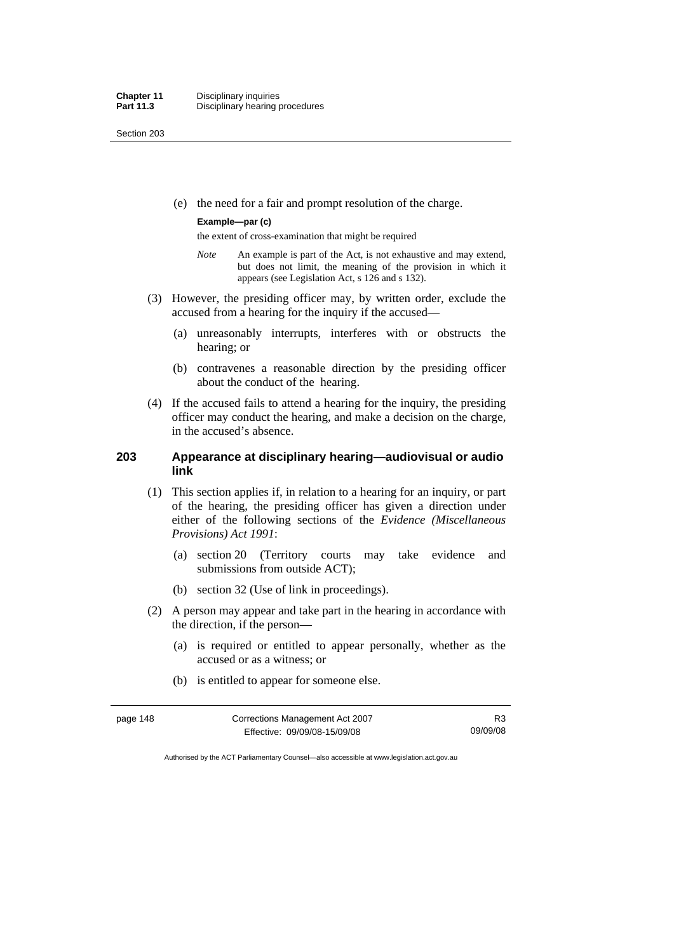(e) the need for a fair and prompt resolution of the charge.

#### **Example—par (c)**

the extent of cross-examination that might be required

- *Note* An example is part of the Act, is not exhaustive and may extend, but does not limit, the meaning of the provision in which it appears (see Legislation Act, s 126 and s 132).
- (3) However, the presiding officer may, by written order, exclude the accused from a hearing for the inquiry if the accused—
	- (a) unreasonably interrupts, interferes with or obstructs the hearing; or
	- (b) contravenes a reasonable direction by the presiding officer about the conduct of the hearing.
- (4) If the accused fails to attend a hearing for the inquiry, the presiding officer may conduct the hearing, and make a decision on the charge, in the accused's absence.

# **203 Appearance at disciplinary hearing—audiovisual or audio link**

- (1) This section applies if, in relation to a hearing for an inquiry, or part of the hearing, the presiding officer has given a direction under either of the following sections of the *Evidence (Miscellaneous Provisions) Act 1991*:
	- (a) section 20 (Territory courts may take evidence and submissions from outside ACT);
	- (b) section 32 (Use of link in proceedings).
- (2) A person may appear and take part in the hearing in accordance with the direction, if the person—
	- (a) is required or entitled to appear personally, whether as the accused or as a witness; or
	- (b) is entitled to appear for someone else.

| page 148 | Corrections Management Act 2007 | R <sub>3</sub> |
|----------|---------------------------------|----------------|
|          | Effective: 09/09/08-15/09/08    | 09/09/08       |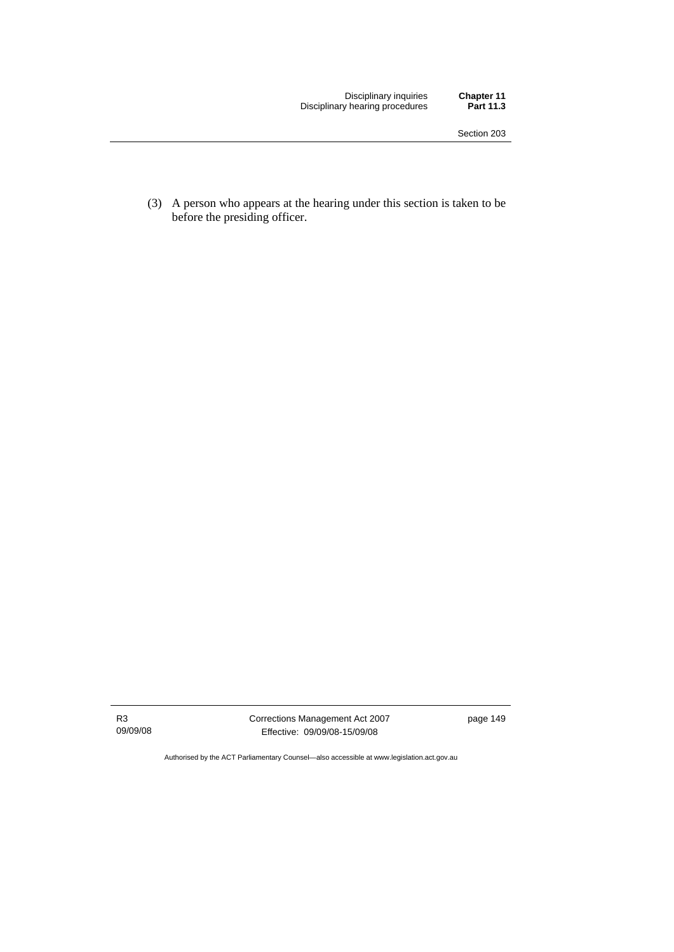Disciplinary inquiries **Chapter 11**  Disciplinary hearing procedures **Part 11.3** 

 (3) A person who appears at the hearing under this section is taken to be before the presiding officer.

R3 09/09/08 Corrections Management Act 2007 Effective: 09/09/08-15/09/08

page 149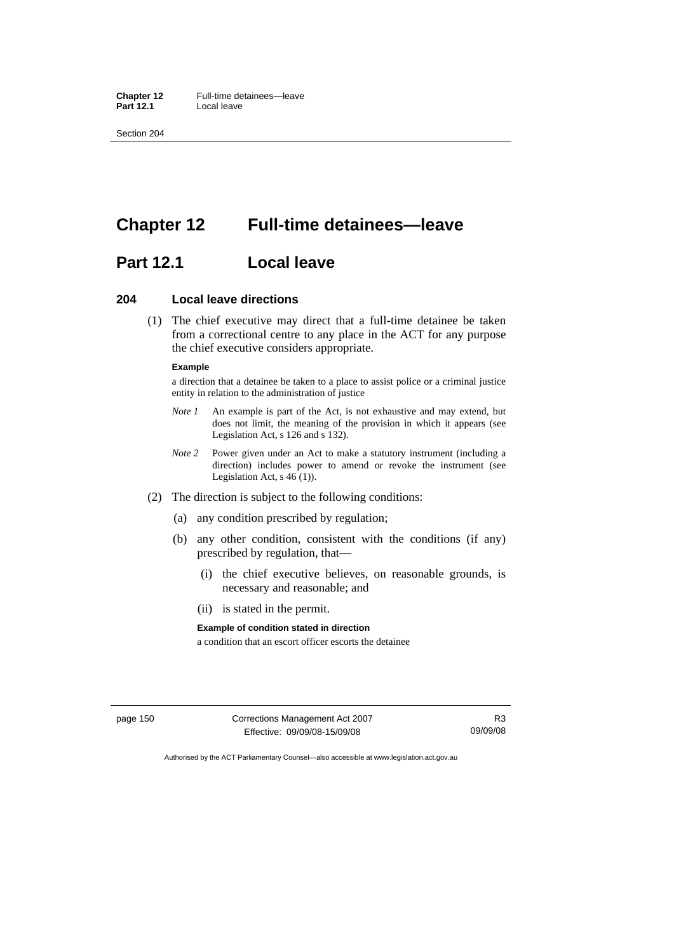**Chapter 12** Full-time detainees—leave<br>**Part 12.1 Local leave Part 12.1** Local leave

Section 204

# **Chapter 12 Full-time detainees—leave**

# **Part 12.1 Local leave**

### **204 Local leave directions**

 (1) The chief executive may direct that a full-time detainee be taken from a correctional centre to any place in the ACT for any purpose the chief executive considers appropriate.

#### **Example**

a direction that a detainee be taken to a place to assist police or a criminal justice entity in relation to the administration of justice

- *Note 1* An example is part of the Act, is not exhaustive and may extend, but does not limit, the meaning of the provision in which it appears (see Legislation Act, s 126 and s 132).
- *Note* 2 Power given under an Act to make a statutory instrument (including a direction) includes power to amend or revoke the instrument (see Legislation Act,  $s$  46 (1)).
- (2) The direction is subject to the following conditions:
	- (a) any condition prescribed by regulation;
	- (b) any other condition, consistent with the conditions (if any) prescribed by regulation, that—
		- (i) the chief executive believes, on reasonable grounds, is necessary and reasonable; and
		- (ii) is stated in the permit.

#### **Example of condition stated in direction**

a condition that an escort officer escorts the detainee

page 150 Corrections Management Act 2007 Effective: 09/09/08-15/09/08

R3 09/09/08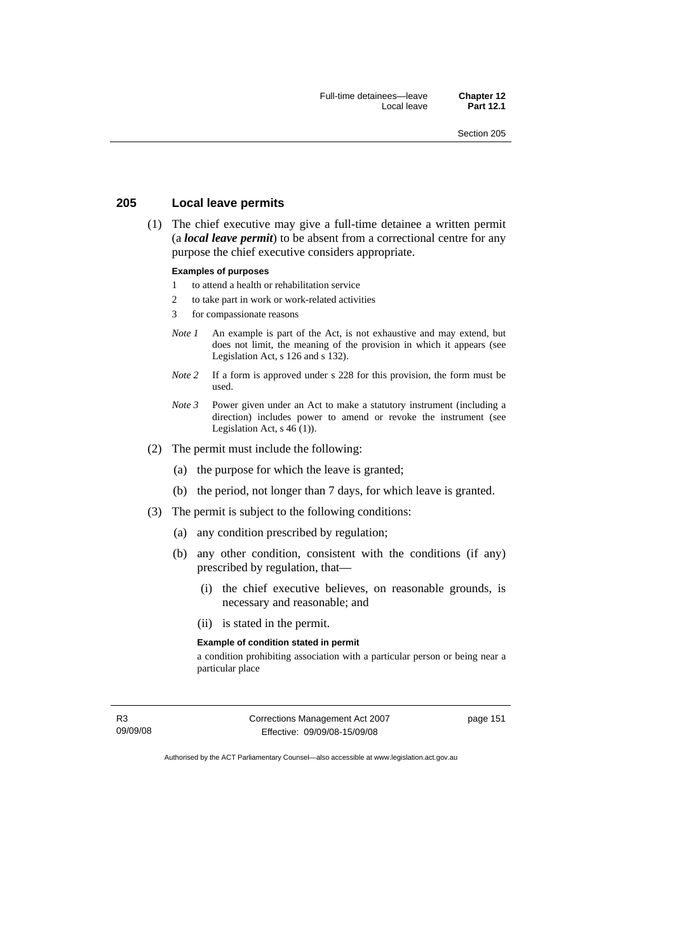# **205 Local leave permits**

 (1) The chief executive may give a full-time detainee a written permit (a *local leave permit*) to be absent from a correctional centre for any purpose the chief executive considers appropriate.

#### **Examples of purposes**

- 1 to attend a health or rehabilitation service
- 2 to take part in work or work-related activities
- 3 for compassionate reasons
- *Note 1* An example is part of the Act, is not exhaustive and may extend, but does not limit, the meaning of the provision in which it appears (see Legislation Act, s 126 and s 132).
- *Note* 2 If a form is approved under s 228 for this provision, the form must be used.
- *Note 3* Power given under an Act to make a statutory instrument (including a direction) includes power to amend or revoke the instrument (see Legislation Act,  $s$  46 (1)).
- (2) The permit must include the following:
	- (a) the purpose for which the leave is granted;
	- (b) the period, not longer than 7 days, for which leave is granted.
- (3) The permit is subject to the following conditions:
	- (a) any condition prescribed by regulation;
	- (b) any other condition, consistent with the conditions (if any) prescribed by regulation, that—
		- (i) the chief executive believes, on reasonable grounds, is necessary and reasonable; and
		- (ii) is stated in the permit.

#### **Example of condition stated in permit**

a condition prohibiting association with a particular person or being near a particular place

R3 09/09/08 Corrections Management Act 2007 Effective: 09/09/08-15/09/08

page 151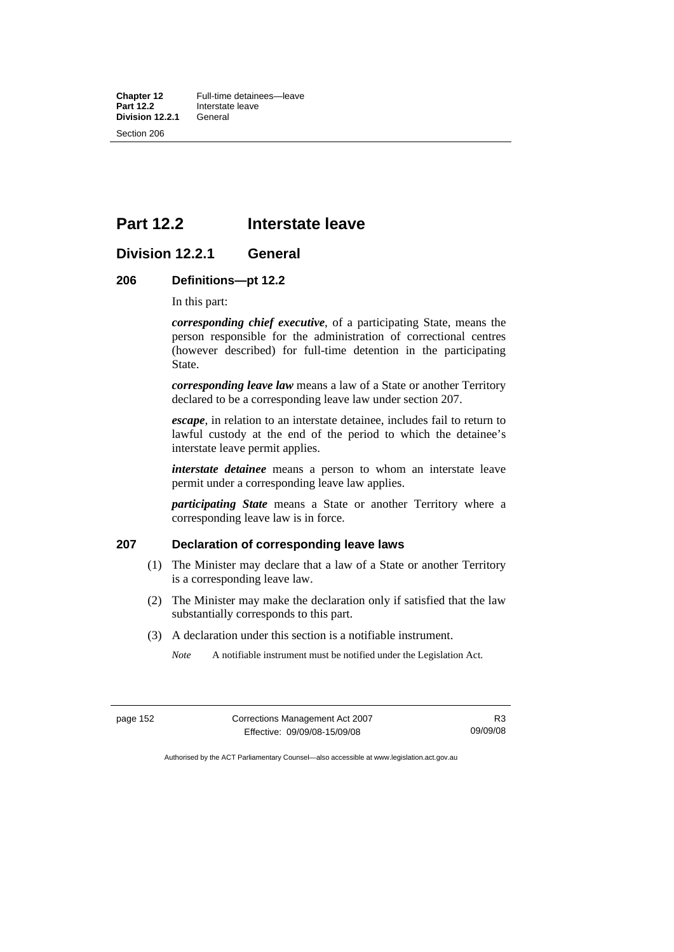**Chapter 12** Full-time detainees—leave<br>**Part 12.2** Interstate leave **Interstate leave**<br>General **Division 12.2.1** Section 206

# **Part 12.2 Interstate leave**

# **Division 12.2.1 General**

# **206 Definitions—pt 12.2**

In this part:

*corresponding chief executive*, of a participating State, means the person responsible for the administration of correctional centres (however described) for full-time detention in the participating State.

*corresponding leave law* means a law of a State or another Territory declared to be a corresponding leave law under section 207.

*escape*, in relation to an interstate detainee, includes fail to return to lawful custody at the end of the period to which the detainee's interstate leave permit applies.

*interstate detainee* means a person to whom an interstate leave permit under a corresponding leave law applies.

*participating State* means a State or another Territory where a corresponding leave law is in force.

#### **207 Declaration of corresponding leave laws**

- (1) The Minister may declare that a law of a State or another Territory is a corresponding leave law.
- (2) The Minister may make the declaration only if satisfied that the law substantially corresponds to this part.
- (3) A declaration under this section is a notifiable instrument.
	- *Note* A notifiable instrument must be notified under the Legislation Act.

| page 152 |  |
|----------|--|
|----------|--|

**Corrections Management Act 2007** Effective: 09/09/08-15/09/08

R3 09/09/08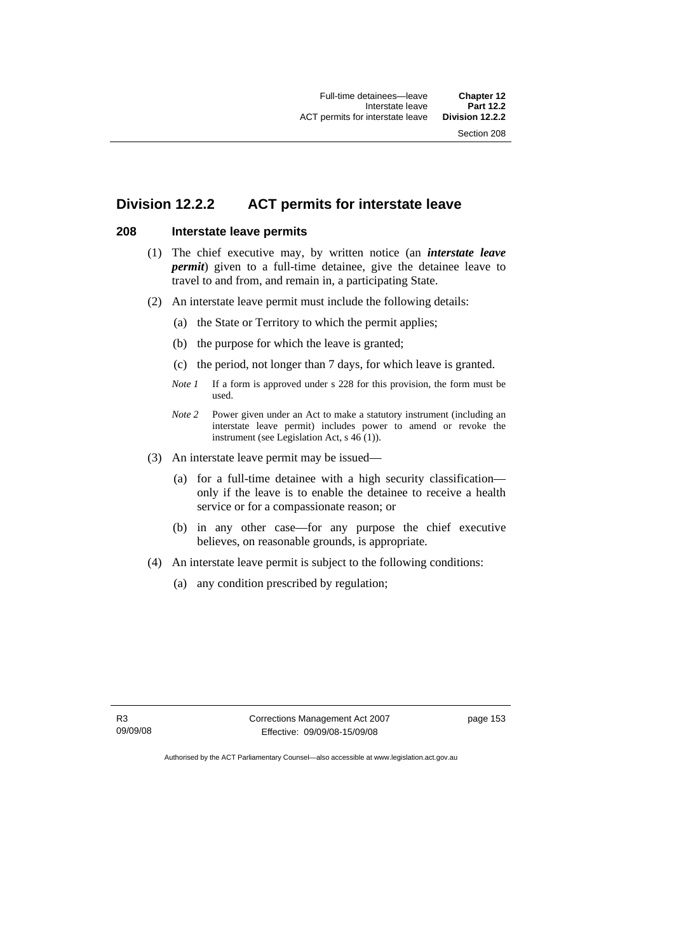# **Division 12.2.2 ACT permits for interstate leave**

### **208 Interstate leave permits**

- (1) The chief executive may, by written notice (an *interstate leave permit*) given to a full-time detainee, give the detainee leave to travel to and from, and remain in, a participating State.
- (2) An interstate leave permit must include the following details:
	- (a) the State or Territory to which the permit applies;
	- (b) the purpose for which the leave is granted;
	- (c) the period, not longer than 7 days, for which leave is granted.
	- *Note 1* If a form is approved under s 228 for this provision, the form must be used.
	- *Note 2* Power given under an Act to make a statutory instrument (including an interstate leave permit) includes power to amend or revoke the instrument (see Legislation Act, s 46 (1)).
- (3) An interstate leave permit may be issued—
	- (a) for a full-time detainee with a high security classification only if the leave is to enable the detainee to receive a health service or for a compassionate reason; or
	- (b) in any other case—for any purpose the chief executive believes, on reasonable grounds, is appropriate.
- (4) An interstate leave permit is subject to the following conditions:
	- (a) any condition prescribed by regulation;

Corrections Management Act 2007 Effective: 09/09/08-15/09/08

page 153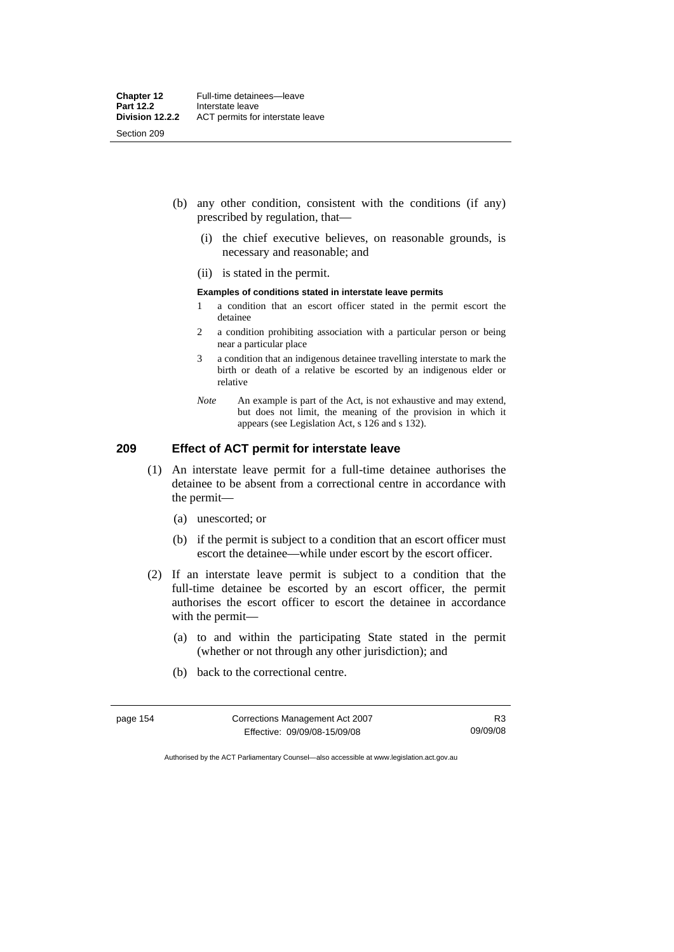- (b) any other condition, consistent with the conditions (if any) prescribed by regulation, that—
	- (i) the chief executive believes, on reasonable grounds, is necessary and reasonable; and
	- (ii) is stated in the permit.

#### **Examples of conditions stated in interstate leave permits**

- 1 a condition that an escort officer stated in the permit escort the detainee
- 2 a condition prohibiting association with a particular person or being near a particular place
- 3 a condition that an indigenous detainee travelling interstate to mark the birth or death of a relative be escorted by an indigenous elder or relative
- *Note* An example is part of the Act, is not exhaustive and may extend, but does not limit, the meaning of the provision in which it appears (see Legislation Act, s 126 and s 132).

# **209 Effect of ACT permit for interstate leave**

- (1) An interstate leave permit for a full-time detainee authorises the detainee to be absent from a correctional centre in accordance with the permit—
	- (a) unescorted; or
	- (b) if the permit is subject to a condition that an escort officer must escort the detainee—while under escort by the escort officer.
- (2) If an interstate leave permit is subject to a condition that the full-time detainee be escorted by an escort officer, the permit authorises the escort officer to escort the detainee in accordance with the permit—
	- (a) to and within the participating State stated in the permit (whether or not through any other jurisdiction); and
	- (b) back to the correctional centre.

| page 154 | Corrections Management Act 2007 |          |
|----------|---------------------------------|----------|
|          | Effective: 09/09/08-15/09/08    | 09/09/08 |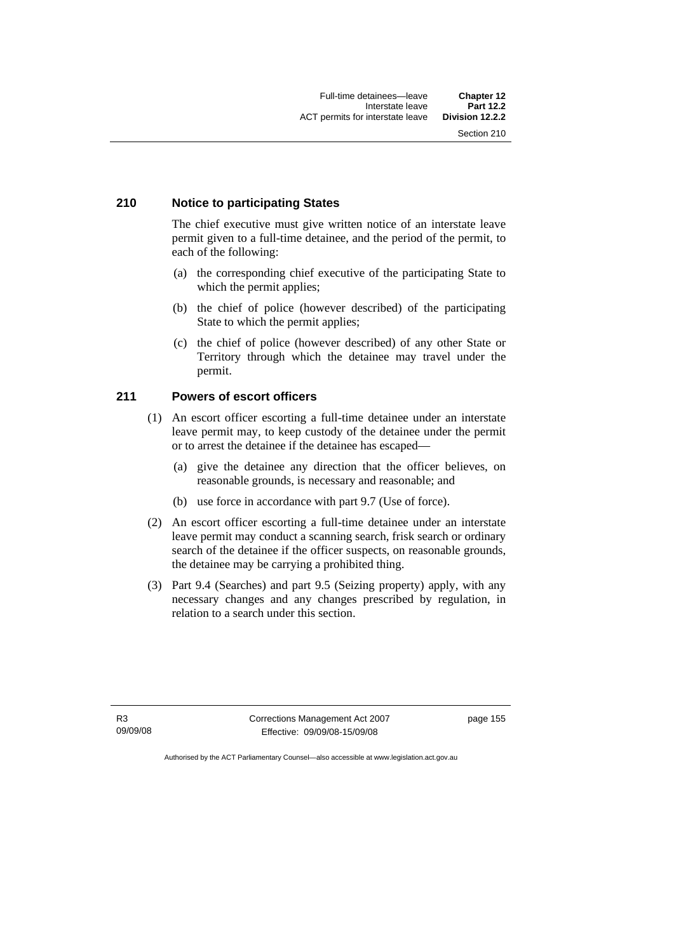#### **210 Notice to participating States**

The chief executive must give written notice of an interstate leave permit given to a full-time detainee, and the period of the permit, to each of the following:

- (a) the corresponding chief executive of the participating State to which the permit applies;
- (b) the chief of police (however described) of the participating State to which the permit applies;
- (c) the chief of police (however described) of any other State or Territory through which the detainee may travel under the permit.

#### **211 Powers of escort officers**

- (1) An escort officer escorting a full-time detainee under an interstate leave permit may, to keep custody of the detainee under the permit or to arrest the detainee if the detainee has escaped—
	- (a) give the detainee any direction that the officer believes, on reasonable grounds, is necessary and reasonable; and
	- (b) use force in accordance with part 9.7 (Use of force).
- (2) An escort officer escorting a full-time detainee under an interstate leave permit may conduct a scanning search, frisk search or ordinary search of the detainee if the officer suspects, on reasonable grounds, the detainee may be carrying a prohibited thing.
- (3) Part 9.4 (Searches) and part 9.5 (Seizing property) apply, with any necessary changes and any changes prescribed by regulation, in relation to a search under this section.

R3 09/09/08 Corrections Management Act 2007 Effective: 09/09/08-15/09/08

page 155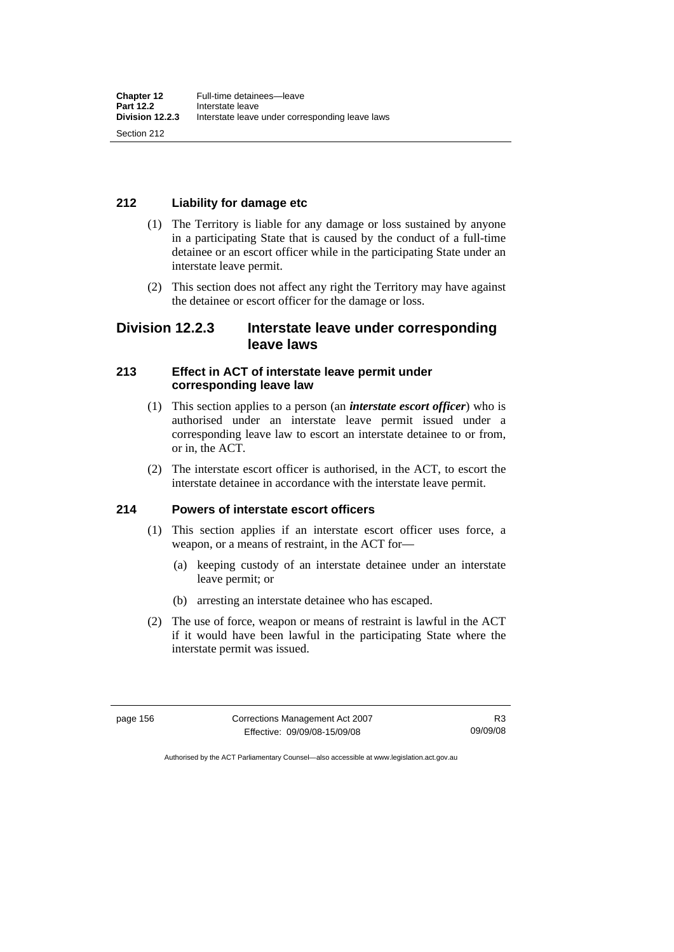# **212 Liability for damage etc**

- (1) The Territory is liable for any damage or loss sustained by anyone in a participating State that is caused by the conduct of a full-time detainee or an escort officer while in the participating State under an interstate leave permit.
- (2) This section does not affect any right the Territory may have against the detainee or escort officer for the damage or loss.

# **Division 12.2.3 Interstate leave under corresponding leave laws**

# **213 Effect in ACT of interstate leave permit under corresponding leave law**

- (1) This section applies to a person (an *interstate escort officer*) who is authorised under an interstate leave permit issued under a corresponding leave law to escort an interstate detainee to or from, or in, the ACT.
- (2) The interstate escort officer is authorised, in the ACT, to escort the interstate detainee in accordance with the interstate leave permit.

# **214 Powers of interstate escort officers**

- (1) This section applies if an interstate escort officer uses force, a weapon, or a means of restraint, in the ACT for—
	- (a) keeping custody of an interstate detainee under an interstate leave permit; or
	- (b) arresting an interstate detainee who has escaped.
- (2) The use of force, weapon or means of restraint is lawful in the ACT if it would have been lawful in the participating State where the interstate permit was issued.

page 156 Corrections Management Act 2007 Effective: 09/09/08-15/09/08

R3 09/09/08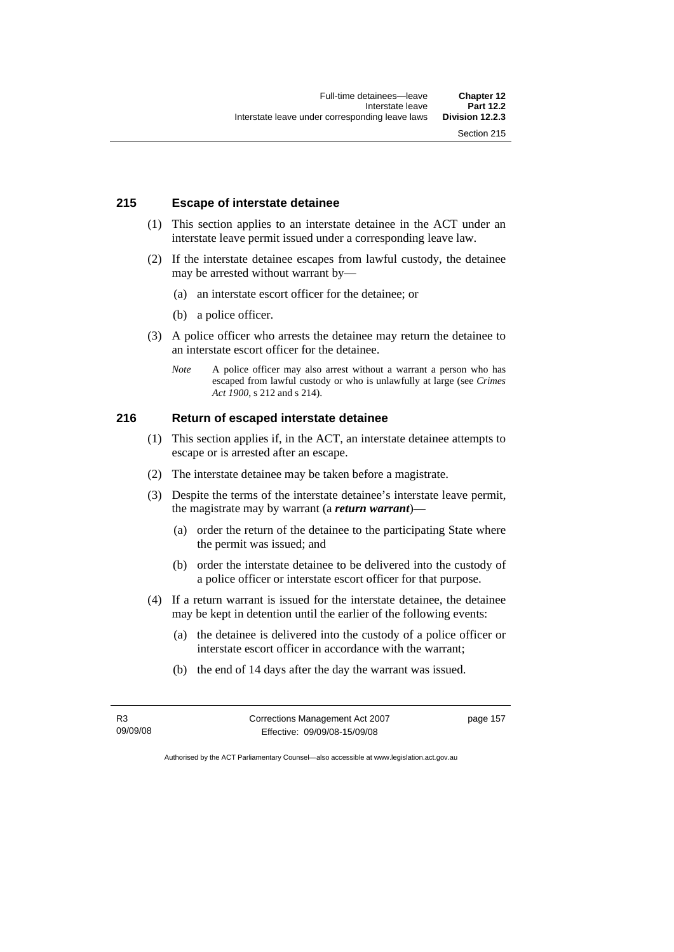#### **215 Escape of interstate detainee**

- (1) This section applies to an interstate detainee in the ACT under an interstate leave permit issued under a corresponding leave law.
- (2) If the interstate detainee escapes from lawful custody, the detainee may be arrested without warrant by—
	- (a) an interstate escort officer for the detainee; or
	- (b) a police officer.
- (3) A police officer who arrests the detainee may return the detainee to an interstate escort officer for the detainee.
	- *Note* A police officer may also arrest without a warrant a person who has escaped from lawful custody or who is unlawfully at large (see *Crimes Act 1900*, s 212 and s 214).

# **216 Return of escaped interstate detainee**

- (1) This section applies if, in the ACT, an interstate detainee attempts to escape or is arrested after an escape.
- (2) The interstate detainee may be taken before a magistrate.
- (3) Despite the terms of the interstate detainee's interstate leave permit, the magistrate may by warrant (a *return warrant*)—
	- (a) order the return of the detainee to the participating State where the permit was issued; and
	- (b) order the interstate detainee to be delivered into the custody of a police officer or interstate escort officer for that purpose.
- (4) If a return warrant is issued for the interstate detainee, the detainee may be kept in detention until the earlier of the following events:
	- (a) the detainee is delivered into the custody of a police officer or interstate escort officer in accordance with the warrant;
	- (b) the end of 14 days after the day the warrant was issued.

R3 09/09/08 Corrections Management Act 2007 Effective: 09/09/08-15/09/08

page 157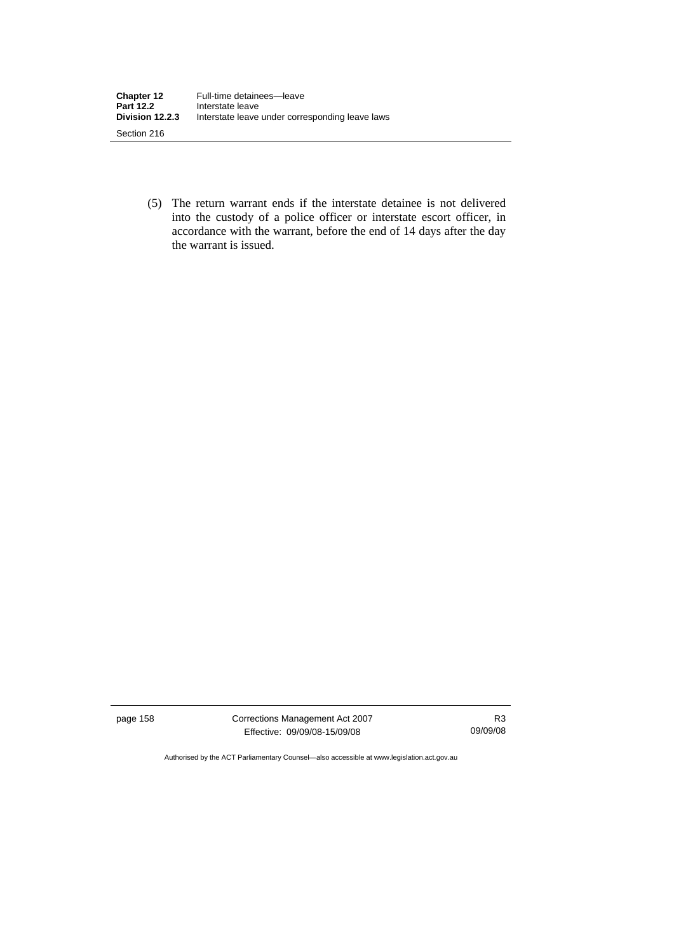(5) The return warrant ends if the interstate detainee is not delivered into the custody of a police officer or interstate escort officer, in accordance with the warrant, before the end of 14 days after the day the warrant is issued.

page 158 Corrections Management Act 2007 Effective: 09/09/08-15/09/08

R3 09/09/08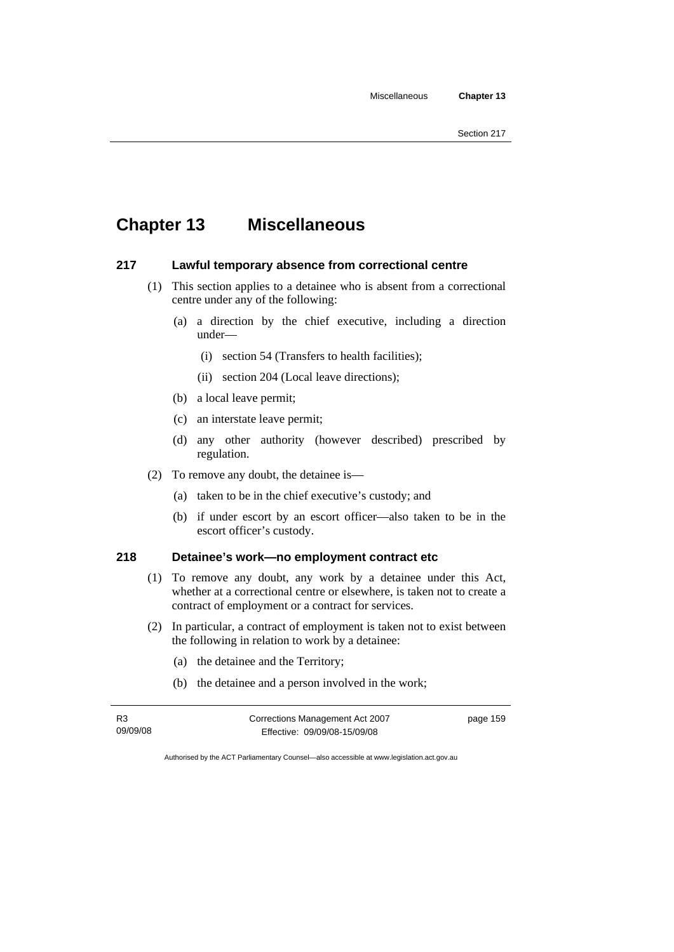# **Chapter 13 Miscellaneous**

### **217 Lawful temporary absence from correctional centre**

- (1) This section applies to a detainee who is absent from a correctional centre under any of the following:
	- (a) a direction by the chief executive, including a direction under—
		- (i) section 54 (Transfers to health facilities);
		- (ii) section 204 (Local leave directions);
	- (b) a local leave permit;
	- (c) an interstate leave permit;
	- (d) any other authority (however described) prescribed by regulation.
- (2) To remove any doubt, the detainee is—
	- (a) taken to be in the chief executive's custody; and
	- (b) if under escort by an escort officer—also taken to be in the escort officer's custody.

# **218 Detainee's work—no employment contract etc**

- (1) To remove any doubt, any work by a detainee under this Act, whether at a correctional centre or elsewhere, is taken not to create a contract of employment or a contract for services.
- (2) In particular, a contract of employment is taken not to exist between the following in relation to work by a detainee:
	- (a) the detainee and the Territory;
	- (b) the detainee and a person involved in the work;

| R3       | Corrections Management Act 2007 | page 159 |
|----------|---------------------------------|----------|
| 09/09/08 | Effective: 09/09/08-15/09/08    |          |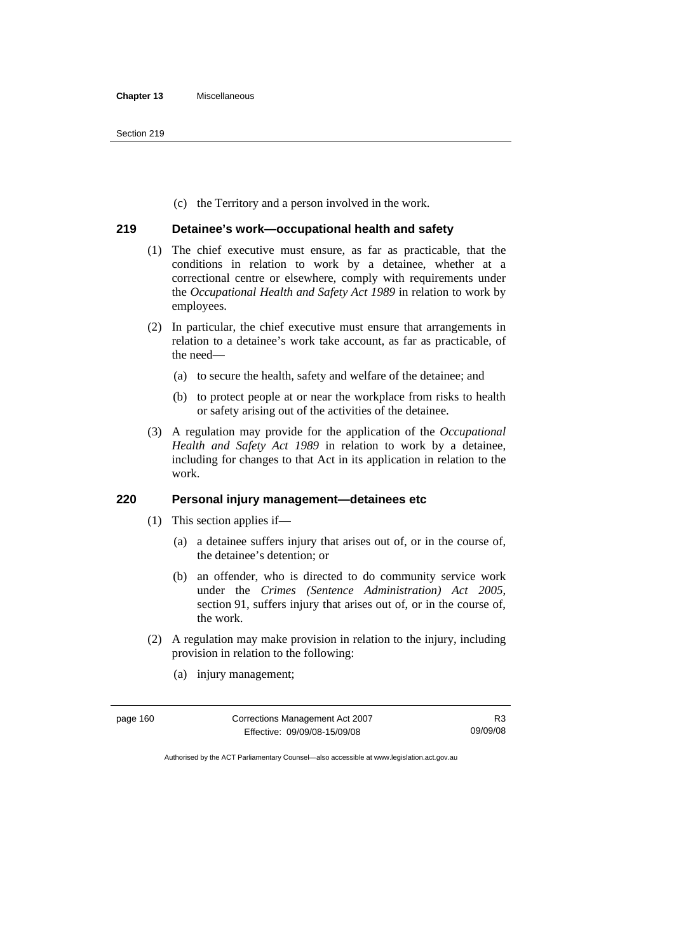(c) the Territory and a person involved in the work.

#### **219 Detainee's work—occupational health and safety**

- (1) The chief executive must ensure, as far as practicable, that the conditions in relation to work by a detainee, whether at a correctional centre or elsewhere, comply with requirements under the *Occupational Health and Safety Act 1989* in relation to work by employees.
- (2) In particular, the chief executive must ensure that arrangements in relation to a detainee's work take account, as far as practicable, of the need—
	- (a) to secure the health, safety and welfare of the detainee; and
	- (b) to protect people at or near the workplace from risks to health or safety arising out of the activities of the detainee.
- (3) A regulation may provide for the application of the *Occupational Health and Safety Act 1989* in relation to work by a detainee, including for changes to that Act in its application in relation to the work.

#### **220 Personal injury management—detainees etc**

- (1) This section applies if—
	- (a) a detainee suffers injury that arises out of, or in the course of, the detainee's detention; or
	- (b) an offender, who is directed to do community service work under the *Crimes (Sentence Administration) Act 2005*, section 91, suffers injury that arises out of, or in the course of, the work.
- (2) A regulation may make provision in relation to the injury, including provision in relation to the following:
- page 160 Corrections Management Act 2007 Effective: 09/09/08-15/09/08 R3 09/09/08
- (a) injury management;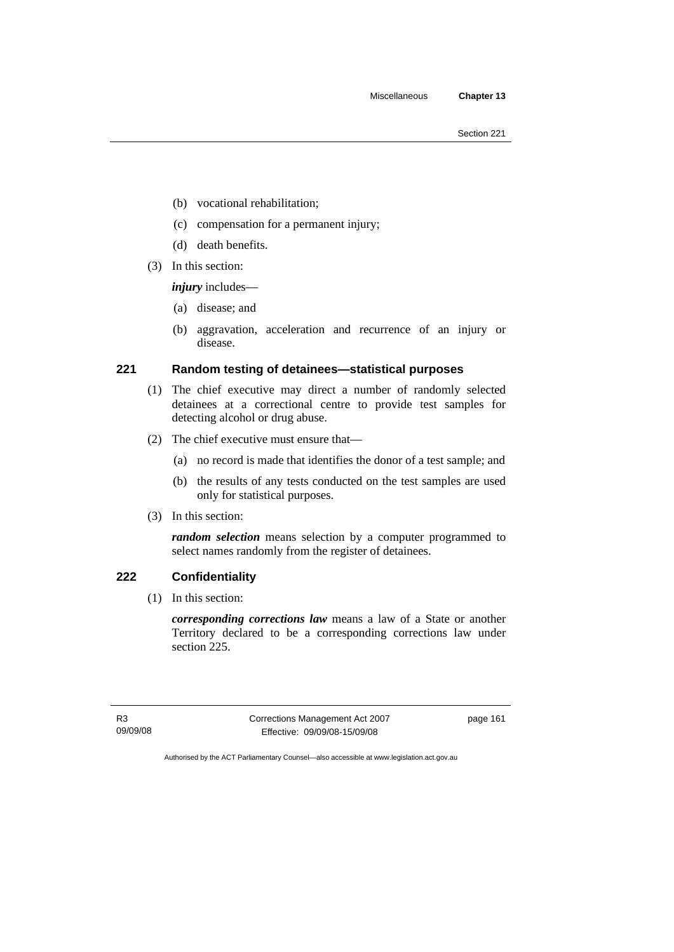- (b) vocational rehabilitation;
- (c) compensation for a permanent injury;
- (d) death benefits.
- (3) In this section:

*injury* includes—

- (a) disease; and
- (b) aggravation, acceleration and recurrence of an injury or disease.

# **221 Random testing of detainees—statistical purposes**

- (1) The chief executive may direct a number of randomly selected detainees at a correctional centre to provide test samples for detecting alcohol or drug abuse.
- (2) The chief executive must ensure that—
	- (a) no record is made that identifies the donor of a test sample; and
	- (b) the results of any tests conducted on the test samples are used only for statistical purposes.
- (3) In this section:

*random selection* means selection by a computer programmed to select names randomly from the register of detainees.

# **222 Confidentiality**

(1) In this section:

*corresponding corrections law* means a law of a State or another Territory declared to be a corresponding corrections law under section 225.

R3 09/09/08 Corrections Management Act 2007 Effective: 09/09/08-15/09/08

page 161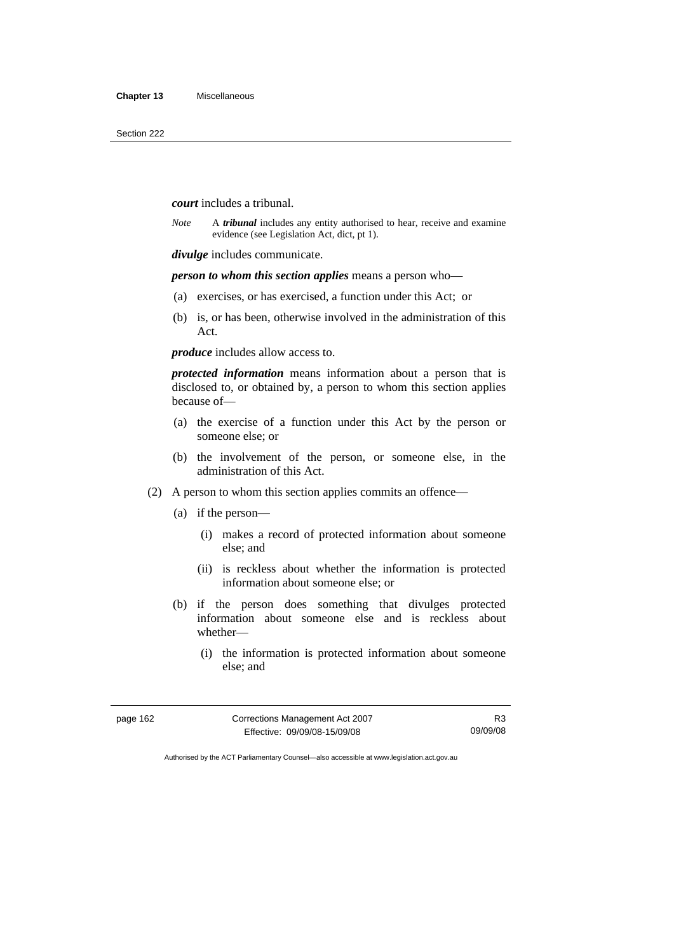#### *court* includes a tribunal.

*Note* A *tribunal* includes any entity authorised to hear, receive and examine evidence (see Legislation Act, dict, pt 1).

*divulge* includes communicate.

*person to whom this section applies* means a person who—

- (a) exercises, or has exercised, a function under this Act; or
- (b) is, or has been, otherwise involved in the administration of this Act.

*produce* includes allow access to.

*protected information* means information about a person that is disclosed to, or obtained by, a person to whom this section applies because of—

- (a) the exercise of a function under this Act by the person or someone else; or
- (b) the involvement of the person, or someone else, in the administration of this Act.
- (2) A person to whom this section applies commits an offence—
	- (a) if the person—
		- (i) makes a record of protected information about someone else; and
		- (ii) is reckless about whether the information is protected information about someone else; or
	- (b) if the person does something that divulges protected information about someone else and is reckless about whether—
		- (i) the information is protected information about someone else; and

| page 162 | Corrections Management Act 2007 | R <sub>3</sub> |
|----------|---------------------------------|----------------|
|          | Effective: 09/09/08-15/09/08    | 09/09/08       |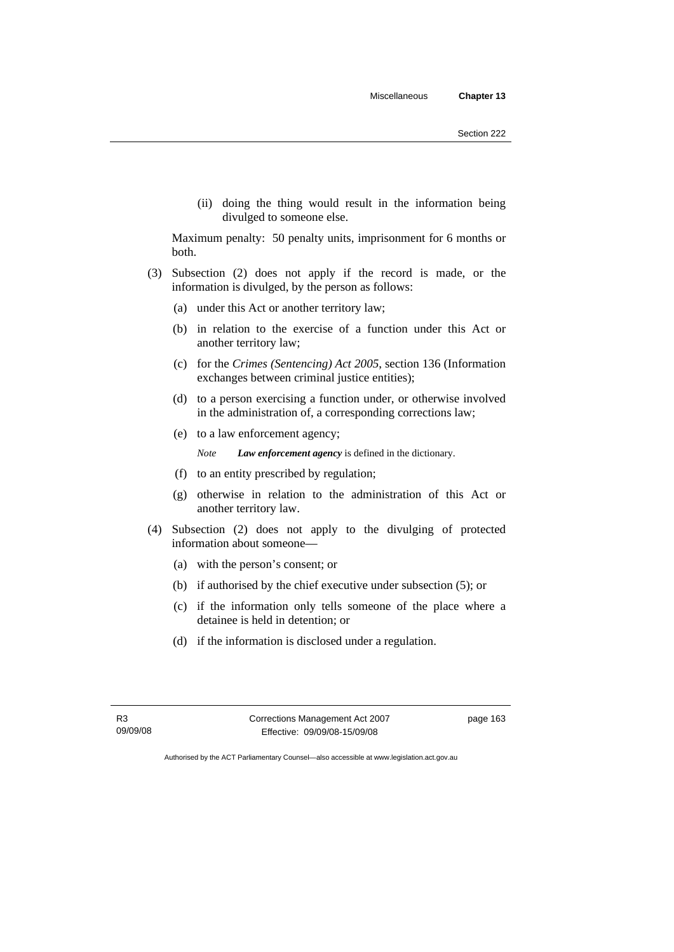(ii) doing the thing would result in the information being divulged to someone else.

Maximum penalty: 50 penalty units, imprisonment for 6 months or both.

- (3) Subsection (2) does not apply if the record is made, or the information is divulged, by the person as follows:
	- (a) under this Act or another territory law;
	- (b) in relation to the exercise of a function under this Act or another territory law;
	- (c) for the *Crimes (Sentencing) Act 2005*, section 136 (Information exchanges between criminal justice entities);
	- (d) to a person exercising a function under, or otherwise involved in the administration of, a corresponding corrections law;
	- (e) to a law enforcement agency;

*Note Law enforcement agency* is defined in the dictionary.

- (f) to an entity prescribed by regulation;
- (g) otherwise in relation to the administration of this Act or another territory law.
- (4) Subsection (2) does not apply to the divulging of protected information about someone—
	- (a) with the person's consent; or
	- (b) if authorised by the chief executive under subsection (5); or
	- (c) if the information only tells someone of the place where a detainee is held in detention; or
	- (d) if the information is disclosed under a regulation.

Corrections Management Act 2007 Effective: 09/09/08-15/09/08

page 163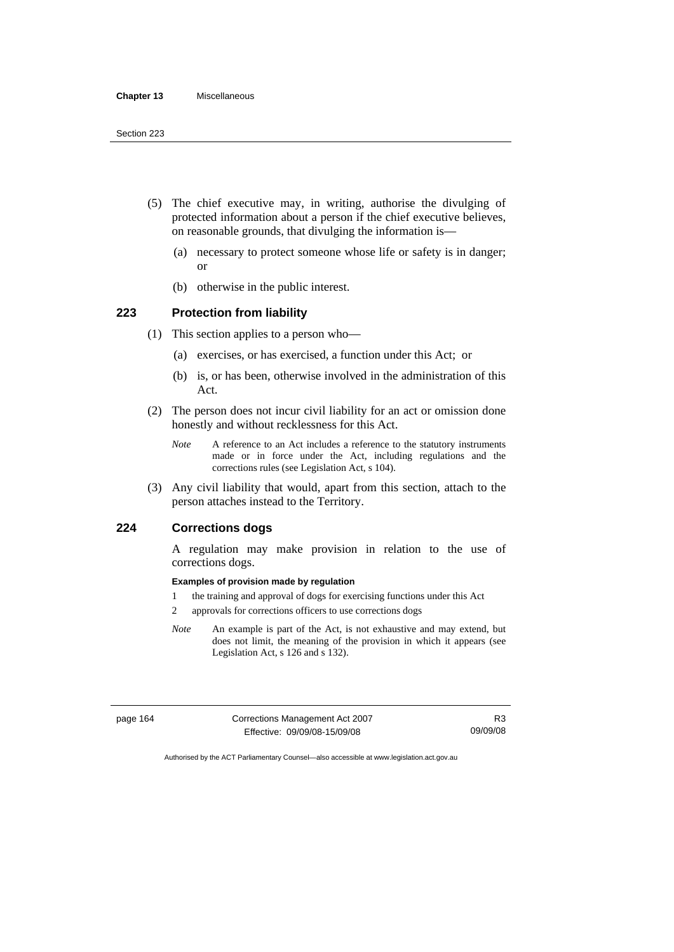- (5) The chief executive may, in writing, authorise the divulging of protected information about a person if the chief executive believes, on reasonable grounds, that divulging the information is—
	- (a) necessary to protect someone whose life or safety is in danger; or
	- (b) otherwise in the public interest.

# **223 Protection from liability**

- (1) This section applies to a person who—
	- (a) exercises, or has exercised, a function under this Act; or
	- (b) is, or has been, otherwise involved in the administration of this Act.
- (2) The person does not incur civil liability for an act or omission done honestly and without recklessness for this Act.
	- *Note* A reference to an Act includes a reference to the statutory instruments made or in force under the Act, including regulations and the corrections rules (see Legislation Act, s 104).
- (3) Any civil liability that would, apart from this section, attach to the person attaches instead to the Territory.

# **224 Corrections dogs**

A regulation may make provision in relation to the use of corrections dogs.

#### **Examples of provision made by regulation**

- 1 the training and approval of dogs for exercising functions under this Act
- 2 approvals for corrections officers to use corrections dogs
- *Note* An example is part of the Act, is not exhaustive and may extend, but does not limit, the meaning of the provision in which it appears (see Legislation Act, s 126 and s 132).

page 164 Corrections Management Act 2007 Effective: 09/09/08-15/09/08

R3 09/09/08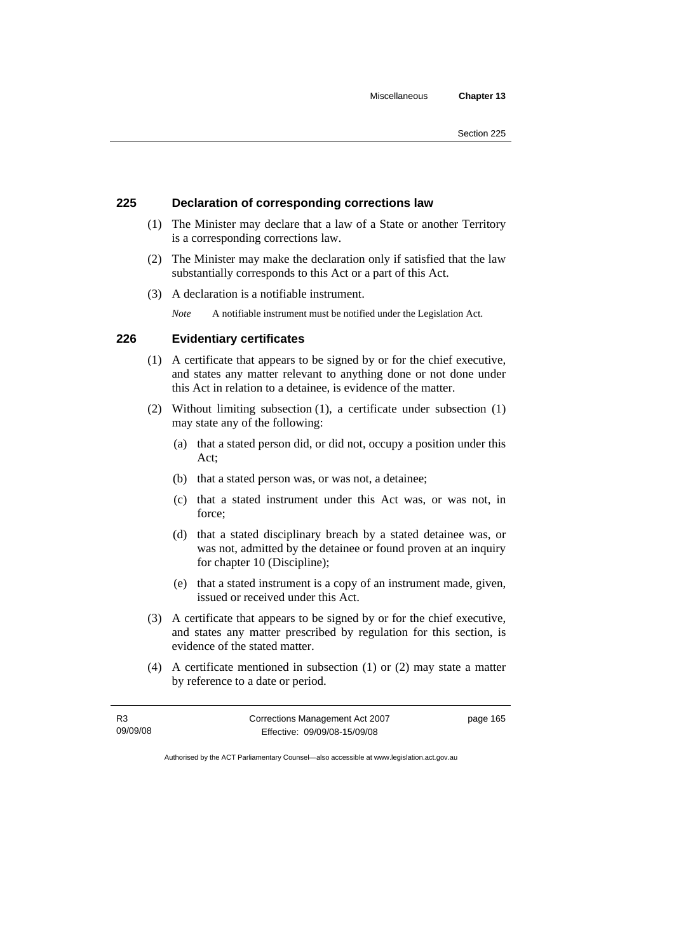#### **225 Declaration of corresponding corrections law**

- (1) The Minister may declare that a law of a State or another Territory is a corresponding corrections law.
- (2) The Minister may make the declaration only if satisfied that the law substantially corresponds to this Act or a part of this Act.
- (3) A declaration is a notifiable instrument.

*Note* A notifiable instrument must be notified under the Legislation Act.

### **226 Evidentiary certificates**

- (1) A certificate that appears to be signed by or for the chief executive, and states any matter relevant to anything done or not done under this Act in relation to a detainee, is evidence of the matter.
- (2) Without limiting subsection (1), a certificate under subsection (1) may state any of the following:
	- (a) that a stated person did, or did not, occupy a position under this Act;
	- (b) that a stated person was, or was not, a detainee;
	- (c) that a stated instrument under this Act was, or was not, in force;
	- (d) that a stated disciplinary breach by a stated detainee was, or was not, admitted by the detainee or found proven at an inquiry for chapter 10 (Discipline);
	- (e) that a stated instrument is a copy of an instrument made, given, issued or received under this Act.
- (3) A certificate that appears to be signed by or for the chief executive, and states any matter prescribed by regulation for this section, is evidence of the stated matter.
- (4) A certificate mentioned in subsection (1) or (2) may state a matter by reference to a date or period.

| R3       | Corrections Management Act 2007 | page 165 |
|----------|---------------------------------|----------|
| 09/09/08 | Effective: 09/09/08-15/09/08    |          |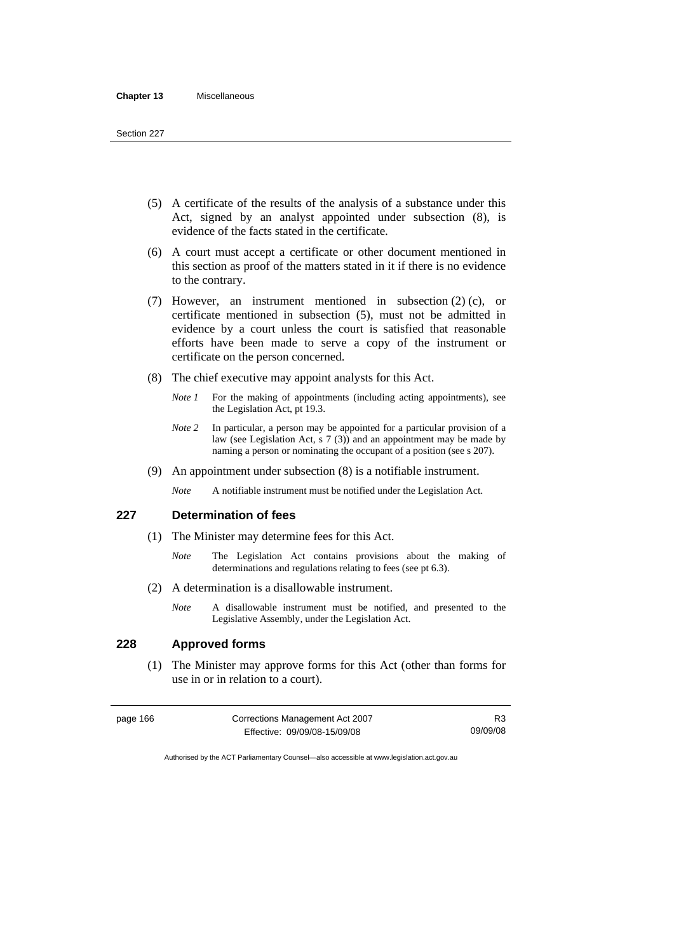- (5) A certificate of the results of the analysis of a substance under this Act, signed by an analyst appointed under subsection (8), is evidence of the facts stated in the certificate.
- (6) A court must accept a certificate or other document mentioned in this section as proof of the matters stated in it if there is no evidence to the contrary.
- (7) However, an instrument mentioned in subsection (2) (c), or certificate mentioned in subsection (5), must not be admitted in evidence by a court unless the court is satisfied that reasonable efforts have been made to serve a copy of the instrument or certificate on the person concerned.
- (8) The chief executive may appoint analysts for this Act.
	- *Note 1* For the making of appointments (including acting appointments), see the Legislation Act, pt 19.3.
	- *Note 2* In particular, a person may be appointed for a particular provision of a law (see Legislation Act, s  $7(3)$ ) and an appointment may be made by naming a person or nominating the occupant of a position (see s 207).
- (9) An appointment under subsection (8) is a notifiable instrument.
	- *Note* A notifiable instrument must be notified under the Legislation Act.

### **227 Determination of fees**

- (1) The Minister may determine fees for this Act.
	- *Note* The Legislation Act contains provisions about the making of determinations and regulations relating to fees (see pt 6.3).
- (2) A determination is a disallowable instrument.
	- *Note* A disallowable instrument must be notified, and presented to the Legislative Assembly, under the Legislation Act.

#### **228 Approved forms**

 (1) The Minister may approve forms for this Act (other than forms for use in or in relation to a court).

| page 166 | Corrections Management Act 2007 | R <sub>3</sub> |
|----------|---------------------------------|----------------|
|          | Effective: 09/09/08-15/09/08    | 09/09/08       |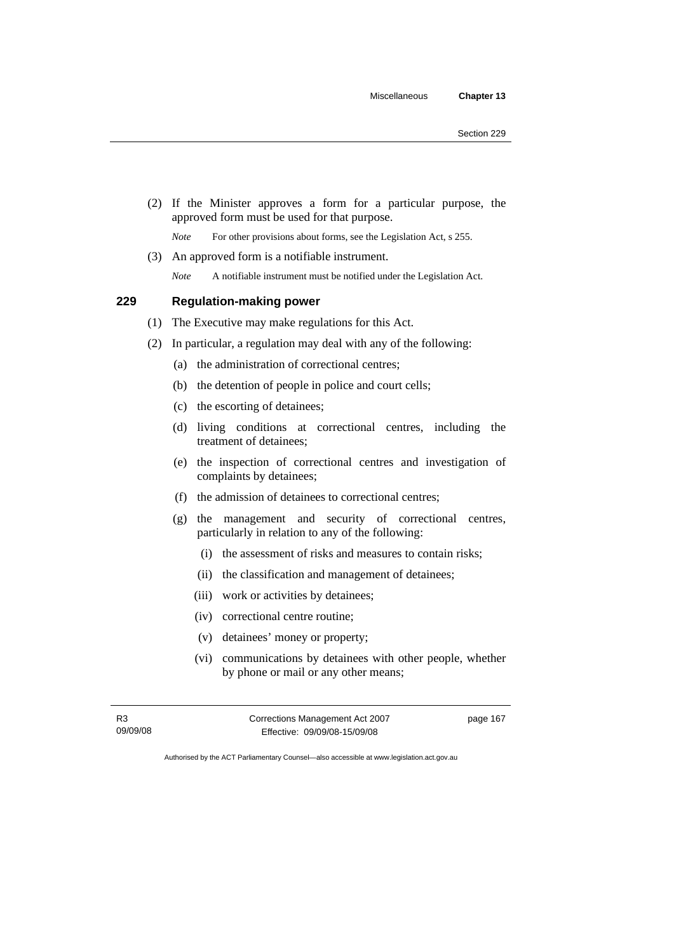(2) If the Minister approves a form for a particular purpose, the approved form must be used for that purpose.

*Note* For other provisions about forms, see the Legislation Act, s 255.

(3) An approved form is a notifiable instrument.

*Note* A notifiable instrument must be notified under the Legislation Act.

#### **229 Regulation-making power**

- (1) The Executive may make regulations for this Act.
- (2) In particular, a regulation may deal with any of the following:
	- (a) the administration of correctional centres;
	- (b) the detention of people in police and court cells;
	- (c) the escorting of detainees;
	- (d) living conditions at correctional centres, including the treatment of detainees;
	- (e) the inspection of correctional centres and investigation of complaints by detainees;
	- (f) the admission of detainees to correctional centres;
	- (g) the management and security of correctional centres, particularly in relation to any of the following:
		- (i) the assessment of risks and measures to contain risks;
		- (ii) the classification and management of detainees;
		- (iii) work or activities by detainees;
		- (iv) correctional centre routine;
		- (v) detainees' money or property;
		- (vi) communications by detainees with other people, whether by phone or mail or any other means;

R3 09/09/08 Corrections Management Act 2007 Effective: 09/09/08-15/09/08

page 167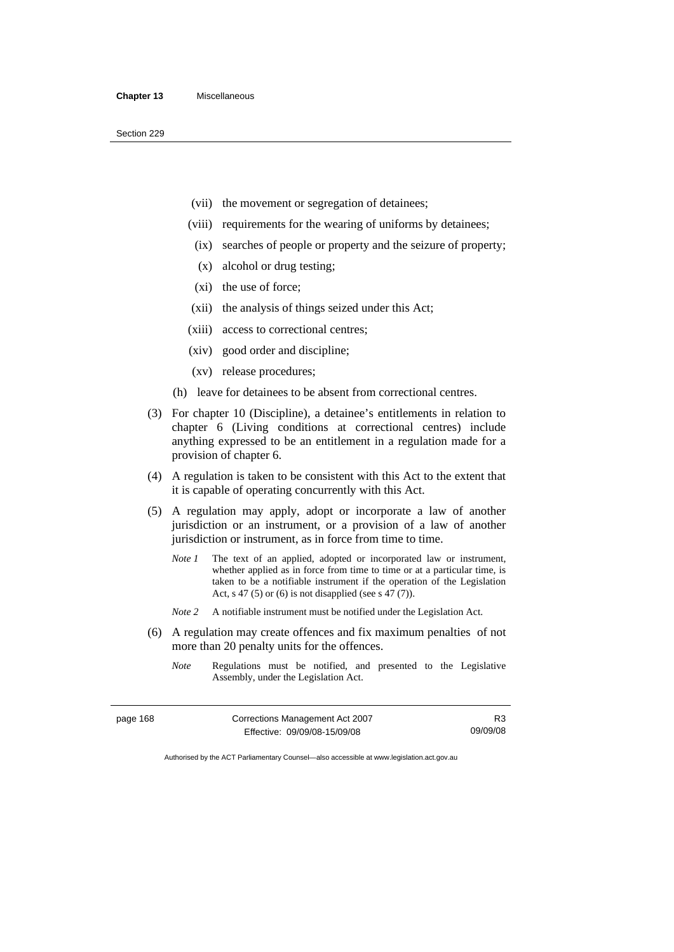Section 229

- (vii) the movement or segregation of detainees;
- (viii) requirements for the wearing of uniforms by detainees;
	- (ix) searches of people or property and the seizure of property;
	- (x) alcohol or drug testing;
- (xi) the use of force;
- (xii) the analysis of things seized under this Act;
- (xiii) access to correctional centres;
- (xiv) good order and discipline;
- (xv) release procedures;
- (h) leave for detainees to be absent from correctional centres.
- (3) For chapter 10 (Discipline), a detainee's entitlements in relation to chapter 6 (Living conditions at correctional centres) include anything expressed to be an entitlement in a regulation made for a provision of chapter 6.
- (4) A regulation is taken to be consistent with this Act to the extent that it is capable of operating concurrently with this Act.
- (5) A regulation may apply, adopt or incorporate a law of another jurisdiction or an instrument, or a provision of a law of another jurisdiction or instrument, as in force from time to time.
	- *Note 1* The text of an applied, adopted or incorporated law or instrument, whether applied as in force from time to time or at a particular time, is taken to be a notifiable instrument if the operation of the Legislation Act, s 47 (5) or (6) is not disapplied (see s 47 (7)).
	- *Note 2* A notifiable instrument must be notified under the Legislation Act.
- (6) A regulation may create offences and fix maximum penalties of not more than 20 penalty units for the offences.
	- *Note* Regulations must be notified, and presented to the Legislative Assembly, under the Legislation Act.

| Corrections Management Act 2007<br>page 168 |                              | R3       |
|---------------------------------------------|------------------------------|----------|
|                                             | Effective: 09/09/08-15/09/08 | 09/09/08 |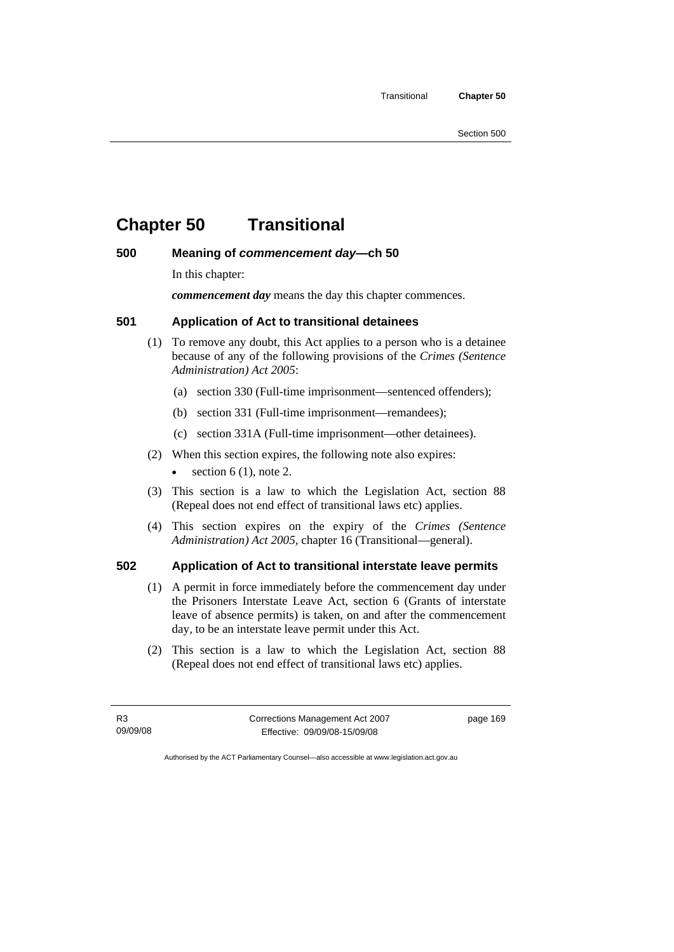# **Chapter 50 Transitional**

#### **500 Meaning of** *commencement day***—ch 50**

In this chapter:

*commencement day* means the day this chapter commences.

#### **501 Application of Act to transitional detainees**

- (1) To remove any doubt, this Act applies to a person who is a detainee because of any of the following provisions of the *Crimes (Sentence Administration) Act 2005*:
	- (a) section 330 (Full-time imprisonment—sentenced offenders);
	- (b) section 331 (Full-time imprisonment—remandees);
	- (c) section 331A (Full-time imprisonment—other detainees).
- (2) When this section expires, the following note also expires:
	- $\bullet$  section 6 (1), note 2.
- (3) This section is a law to which the Legislation Act, section 88 (Repeal does not end effect of transitional laws etc) applies.
- (4) This section expires on the expiry of the *Crimes (Sentence Administration) Act 2005,* chapter 16 (Transitional—general).

#### **502 Application of Act to transitional interstate leave permits**

- (1) A permit in force immediately before the commencement day under the Prisoners Interstate Leave Act, section 6 (Grants of interstate leave of absence permits) is taken, on and after the commencement day, to be an interstate leave permit under this Act.
- (2) This section is a law to which the Legislation Act, section 88 (Repeal does not end effect of transitional laws etc) applies.

R3 09/09/08 Corrections Management Act 2007 Effective: 09/09/08-15/09/08

page 169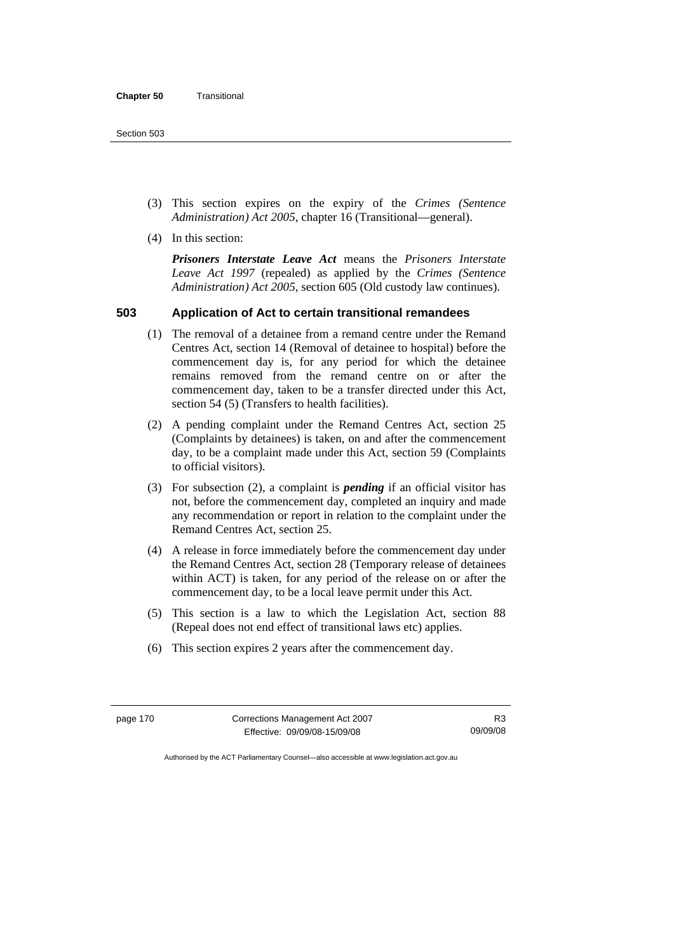- (3) This section expires on the expiry of the *Crimes (Sentence Administration) Act 2005,* chapter 16 (Transitional—general).
- (4) In this section:

*Prisoners Interstate Leave Act* means the *Prisoners Interstate Leave Act 1997* (repealed) as applied by the *Crimes (Sentence Administration) Act 2005*, section 605 (Old custody law continues).

### **503 Application of Act to certain transitional remandees**

- (1) The removal of a detainee from a remand centre under the Remand Centres Act, section 14 (Removal of detainee to hospital) before the commencement day is, for any period for which the detainee remains removed from the remand centre on or after the commencement day, taken to be a transfer directed under this Act, section 54 (5) (Transfers to health facilities).
- (2) A pending complaint under the Remand Centres Act, section 25 (Complaints by detainees) is taken, on and after the commencement day, to be a complaint made under this Act, section 59 (Complaints to official visitors).
- (3) For subsection (2), a complaint is *pending* if an official visitor has not, before the commencement day, completed an inquiry and made any recommendation or report in relation to the complaint under the Remand Centres Act, section 25.
- (4) A release in force immediately before the commencement day under the Remand Centres Act, section 28 (Temporary release of detainees within ACT) is taken, for any period of the release on or after the commencement day, to be a local leave permit under this Act.
- (5) This section is a law to which the Legislation Act, section 88 (Repeal does not end effect of transitional laws etc) applies.
- (6) This section expires 2 years after the commencement day.

page 170 Corrections Management Act 2007 Effective: 09/09/08-15/09/08

R3 09/09/08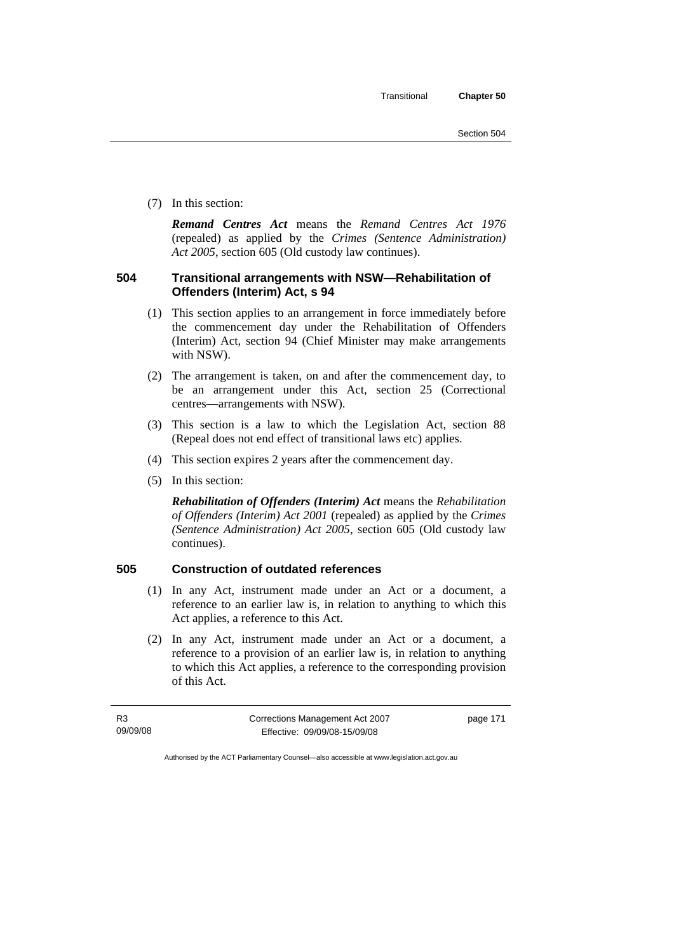Section 504

(7) In this section:

*Remand Centres Act* means the *Remand Centres Act 1976*  (repealed) as applied by the *Crimes (Sentence Administration) Act 2005*, section 605 (Old custody law continues).

## **504 Transitional arrangements with NSW—Rehabilitation of Offenders (Interim) Act, s 94**

- (1) This section applies to an arrangement in force immediately before the commencement day under the Rehabilitation of Offenders (Interim) Act, section 94 (Chief Minister may make arrangements with NSW).
- (2) The arrangement is taken, on and after the commencement day, to be an arrangement under this Act, section 25 (Correctional centres—arrangements with NSW).
- (3) This section is a law to which the Legislation Act, section 88 (Repeal does not end effect of transitional laws etc) applies.
- (4) This section expires 2 years after the commencement day.
- (5) In this section:

*Rehabilitation of Offenders (Interim) Act* means the *Rehabilitation of Offenders (Interim) Act 2001* (repealed) as applied by the *Crimes (Sentence Administration) Act 2005*, section 605 (Old custody law continues).

## **505 Construction of outdated references**

- (1) In any Act, instrument made under an Act or a document, a reference to an earlier law is, in relation to anything to which this Act applies, a reference to this Act.
- (2) In any Act, instrument made under an Act or a document, a reference to a provision of an earlier law is, in relation to anything to which this Act applies, a reference to the corresponding provision of this Act.

| <b>R3</b> | Corrections Management Act 2007 | page 171 |
|-----------|---------------------------------|----------|
| 09/09/08  | Effective: 09/09/08-15/09/08    |          |

Authorised by the ACT Parliamentary Counsel—also accessible at www.legislation.act.gov.au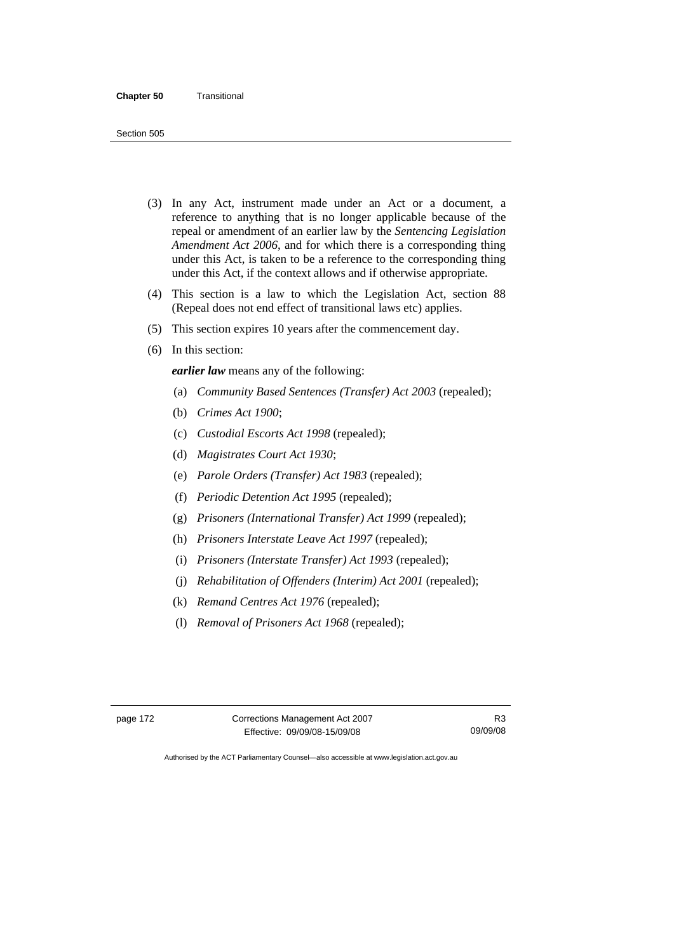- (3) In any Act, instrument made under an Act or a document, a reference to anything that is no longer applicable because of the repeal or amendment of an earlier law by the *Sentencing Legislation Amendment Act 2006*, and for which there is a corresponding thing under this Act, is taken to be a reference to the corresponding thing under this Act, if the context allows and if otherwise appropriate.
- (4) This section is a law to which the Legislation Act, section 88 (Repeal does not end effect of transitional laws etc) applies.
- (5) This section expires 10 years after the commencement day.
- (6) In this section:

*earlier law* means any of the following:

- (a) *Community Based Sentences (Transfer) Act 2003* (repealed);
- (b) *Crimes Act 1900*;
- (c) *Custodial Escorts Act 1998* (repealed);
- (d) *Magistrates Court Act 1930*;
- (e) *Parole Orders (Transfer) Act 1983* (repealed);
- (f) *Periodic Detention Act 1995* (repealed);
- (g) *Prisoners (International Transfer) Act 1999* (repealed);
- (h) *Prisoners Interstate Leave Act 1997* (repealed);
- (i) *Prisoners (Interstate Transfer) Act 1993* (repealed);
- (j) *Rehabilitation of Offenders (Interim) Act 2001* (repealed);
- (k) *Remand Centres Act 1976* (repealed);
- (l) *Removal of Prisoners Act 1968* (repealed);

| page 172 |  |  |  |
|----------|--|--|--|
|----------|--|--|--|

Corrections Management Act 2007 Effective: 09/09/08-15/09/08

R3 09/09/08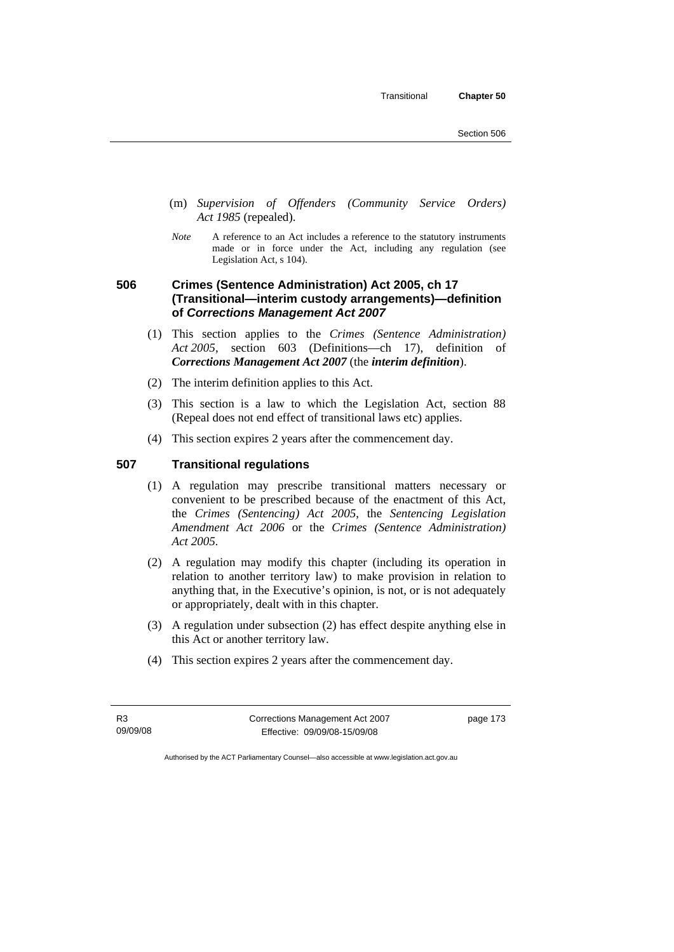Transitional **Chapter 50** 

- (m) *Supervision of Offenders (Community Service Orders) Act 1985* (repealed).
- *Note* A reference to an Act includes a reference to the statutory instruments made or in force under the Act, including any regulation (see Legislation Act, s 104).

## **506 Crimes (Sentence Administration) Act 2005, ch 17 (Transitional—interim custody arrangements)—definition of** *Corrections Management Act 2007*

- (1) This section applies to the *Crimes (Sentence Administration) Act 2005*, section 603 (Definitions—ch 17), definition of *Corrections Management Act 2007* (the *interim definition*).
- (2) The interim definition applies to this Act.
- (3) This section is a law to which the Legislation Act, section 88 (Repeal does not end effect of transitional laws etc) applies.
- (4) This section expires 2 years after the commencement day.

## **507 Transitional regulations**

- (1) A regulation may prescribe transitional matters necessary or convenient to be prescribed because of the enactment of this Act, the *Crimes (Sentencing) Act 2005*, the *Sentencing Legislation Amendment Act 2006* or the *Crimes (Sentence Administration) Act 2005.*
- (2) A regulation may modify this chapter (including its operation in relation to another territory law) to make provision in relation to anything that, in the Executive's opinion, is not, or is not adequately or appropriately, dealt with in this chapter.
- (3) A regulation under subsection (2) has effect despite anything else in this Act or another territory law.
- (4) This section expires 2 years after the commencement day.

R3 09/09/08 Corrections Management Act 2007 Effective: 09/09/08-15/09/08

page 173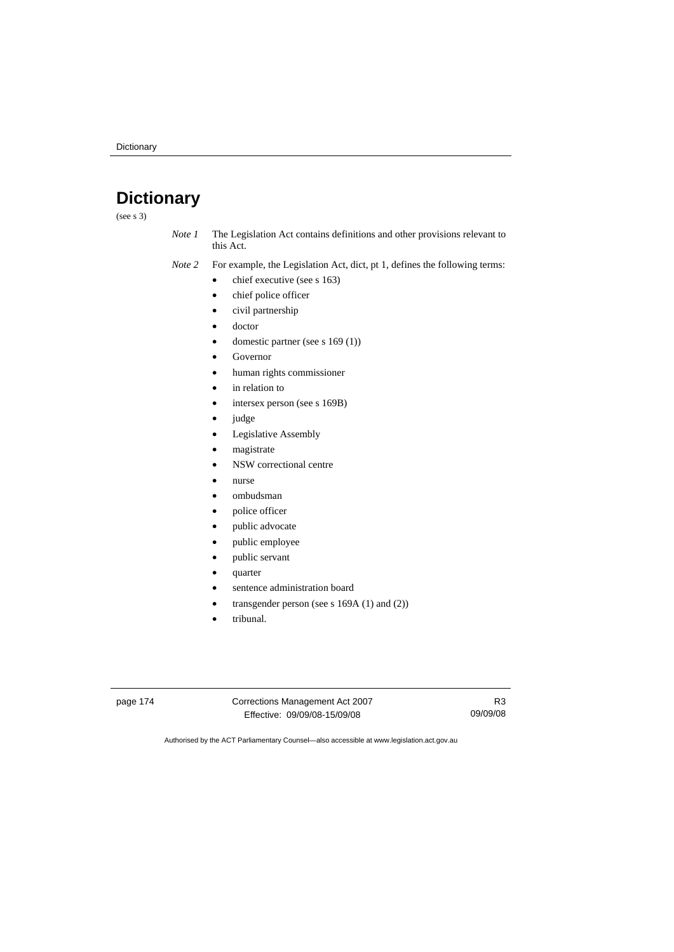## **Dictionary**

(see s 3)

- *Note 1* The Legislation Act contains definitions and other provisions relevant to this Act.
- *Note 2* For example, the Legislation Act, dict, pt 1, defines the following terms:
	- $\bullet$  chief executive (see s 163)
	- chief police officer
	- civil partnership
	- doctor
	- domestic partner (see s 169 (1))
	- **Governor**
	- human rights commissioner
	- in relation to
	- intersex person (see s 169B)
	- judge
	- Legislative Assembly
	- magistrate
	- NSW correctional centre
	- nurse
	- ombudsman
	- police officer
	- public advocate
	- public employee
	- public servant
	- quarter
	- sentence administration board
	- transgender person (see s 169A (1) and (2))
	- tribunal.

page 174 Corrections Management Act 2007 Effective: 09/09/08-15/09/08

R3 09/09/08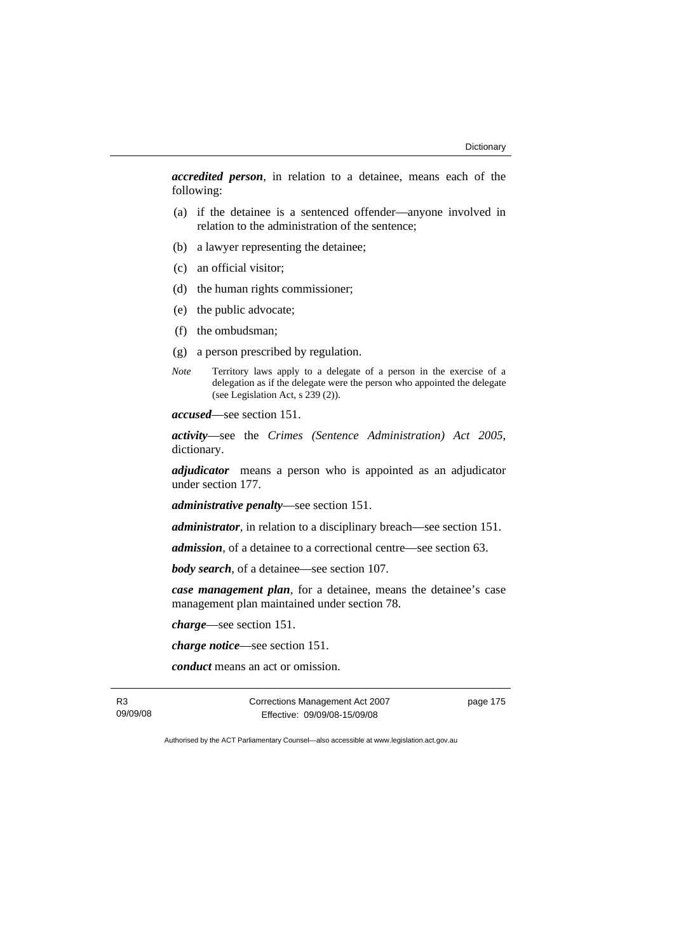*accredited person*, in relation to a detainee, means each of the following:

- (a) if the detainee is a sentenced offender—anyone involved in relation to the administration of the sentence;
- (b) a lawyer representing the detainee;
- (c) an official visitor;
- (d) the human rights commissioner;
- (e) the public advocate;
- (f) the ombudsman;
- (g) a person prescribed by regulation.
- *Note* Territory laws apply to a delegate of a person in the exercise of a delegation as if the delegate were the person who appointed the delegate (see Legislation Act, s 239 (2)).

*accused*—see section 151.

*activity*—see the *Crimes (Sentence Administration) Act 2005*, dictionary.

*adjudicator* means a person who is appointed as an adjudicator under section 177.

*administrative penalty*—see section 151.

*administrator*, in relation to a disciplinary breach—see section 151.

*admission*, of a detainee to a correctional centre—see section 63.

*body search*, of a detainee—see section 107.

*case management plan*, for a detainee, means the detainee's case management plan maintained under section 78.

*charge*—see section 151.

*charge notice*—see section 151.

*conduct* means an act or omission.

R3 09/09/08 Corrections Management Act 2007 Effective: 09/09/08-15/09/08

page 175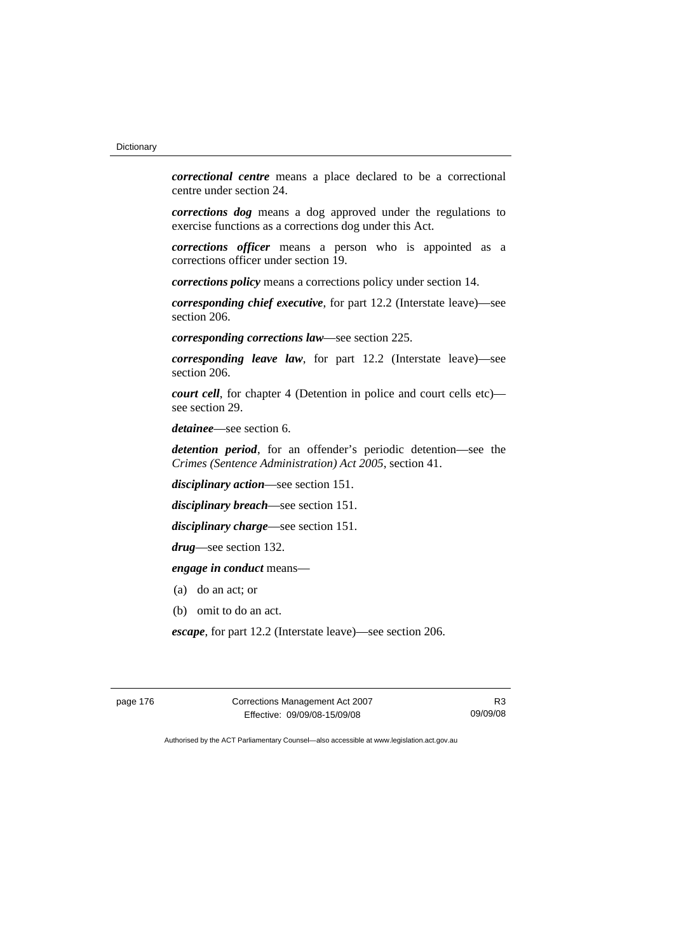*correctional centre* means a place declared to be a correctional centre under section 24.

*corrections dog* means a dog approved under the regulations to exercise functions as a corrections dog under this Act.

*corrections officer* means a person who is appointed as a corrections officer under section 19.

*corrections policy* means a corrections policy under section 14.

*corresponding chief executive*, for part 12.2 (Interstate leave)—see section 206.

*corresponding corrections law*—see section 225.

*corresponding leave law*, for part 12.2 (Interstate leave)—see section 206.

*court cell*, for chapter 4 (Detention in police and court cells etc) see section 29.

*detainee*—see section 6.

*detention period*, for an offender's periodic detention—see the *Crimes (Sentence Administration) Act 2005*, section 41.

*disciplinary action*—see section 151.

*disciplinary breach*—see section 151.

*disciplinary charge*—see section 151.

*drug*—see section 132.

*engage in conduct* means—

- (a) do an act; or
- (b) omit to do an act.

*escape*, for part 12.2 (Interstate leave)—see section 206.

page 176 Corrections Management Act 2007 Effective: 09/09/08-15/09/08

R3 09/09/08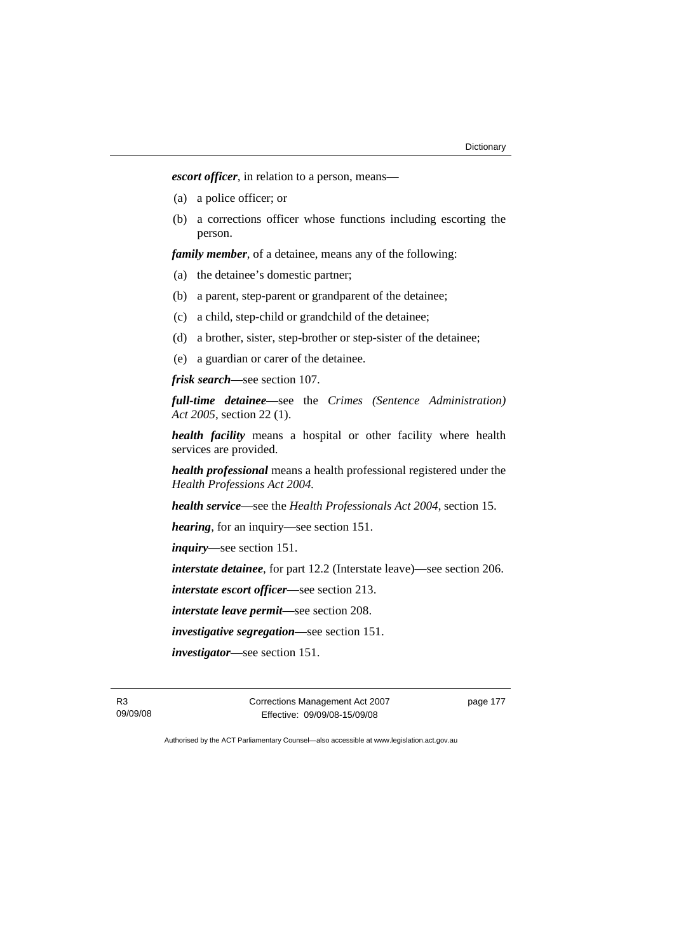*escort officer*, in relation to a person, means—

- (a) a police officer; or
- (b) a corrections officer whose functions including escorting the person.

*family member*, of a detainee, means any of the following:

- (a) the detainee's domestic partner;
- (b) a parent, step-parent or grandparent of the detainee;
- (c) a child, step-child or grandchild of the detainee;
- (d) a brother, sister, step-brother or step-sister of the detainee;
- (e) a guardian or carer of the detainee.

*frisk search*—see section 107.

*full-time detainee*—see the *Crimes (Sentence Administration) Act 2005*, section 22 (1).

*health facility* means a hospital or other facility where health services are provided.

*health professional* means a health professional registered under the *Health Professions Act 2004.*

*health service*—see the *Health Professionals Act 2004*, section 15.

*hearing*, for an inquiry—see section 151.

*inquiry*—see section 151.

*interstate detainee*, for part 12.2 (Interstate leave)—see section 206.

*interstate escort officer*—see section 213.

*interstate leave permit*—see section 208.

*investigative segregation*—see section 151.

*investigator*—see section 151.

R3 09/09/08 Corrections Management Act 2007 Effective: 09/09/08-15/09/08

page 177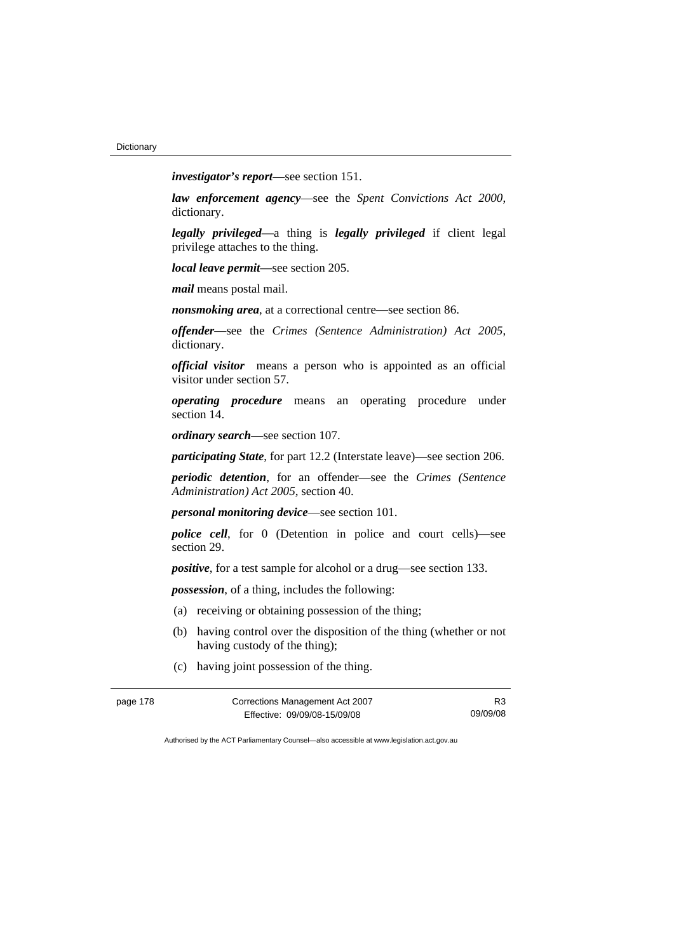*investigator's report*—see section 151.

*law enforcement agency*—see the *Spent Convictions Act 2000*, dictionary.

*legally privileged—*a thing is *legally privileged* if client legal privilege attaches to the thing.

*local leave permit—*see section 205.

*mail* means postal mail.

*nonsmoking area*, at a correctional centre—see section 86.

*offender*—see the *Crimes (Sentence Administration) Act 2005*, dictionary.

*official visitor* means a person who is appointed as an official visitor under section 57.

*operating procedure* means an operating procedure under section 14.

*ordinary search*—see section 107.

*participating State*, for part 12.2 (Interstate leave)—see section 206.

*periodic detention*, for an offender—see the *Crimes (Sentence Administration) Act 2005*, section 40.

*personal monitoring device*—see section 101.

*police cell*, for 0 (Detention in police and court cells)—see section 29.

*positive*, for a test sample for alcohol or a drug—see section 133.

*possession*, of a thing, includes the following:

- (a) receiving or obtaining possession of the thing;
- (b) having control over the disposition of the thing (whether or not having custody of the thing);
- (c) having joint possession of the thing.

| Corrections Management Act 2007<br>page 178 |                              | R <sub>3</sub> |
|---------------------------------------------|------------------------------|----------------|
|                                             | Effective: 09/09/08-15/09/08 | 09/09/08       |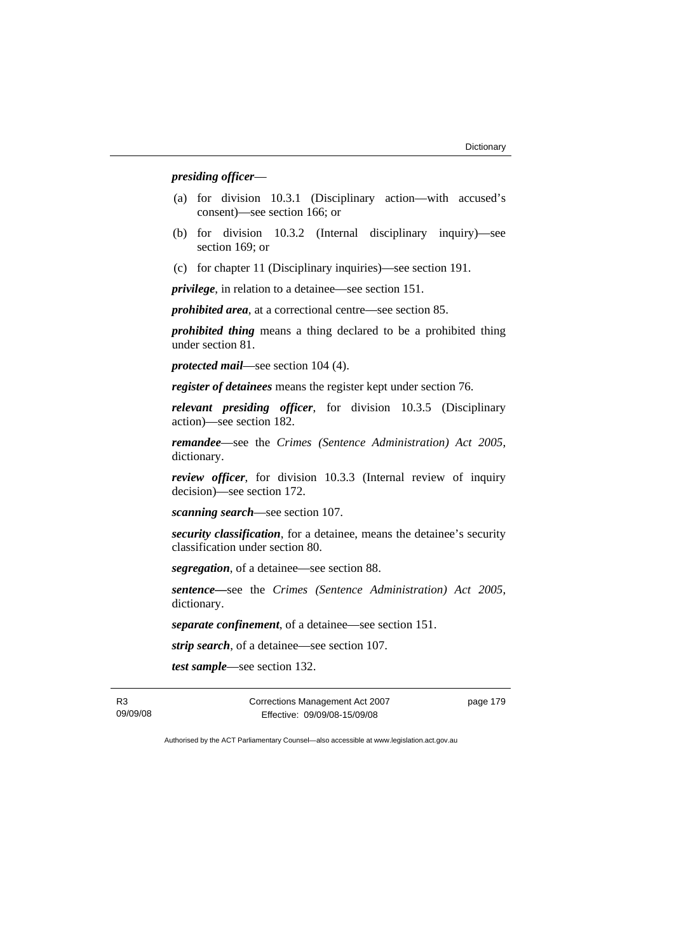#### *presiding officer*—

- (a) for division 10.3.1 (Disciplinary action—with accused's consent)—see section 166; or
- (b) for division 10.3.2 (Internal disciplinary inquiry)—see section 169; or
- (c) for chapter 11 (Disciplinary inquiries)—see section 191.

*privilege*, in relation to a detainee—see section 151.

*prohibited area*, at a correctional centre—see section 85.

*prohibited thing* means a thing declared to be a prohibited thing under section 81.

*protected mail*—see section 104 (4).

*register of detainees* means the register kept under section 76.

*relevant presiding officer*, for division 10.3.5 (Disciplinary action)—see section 182.

*remandee*—see the *Crimes (Sentence Administration) Act 2005*, dictionary.

*review officer*, for division 10.3.3 (Internal review of inquiry decision)—see section 172.

*scanning search*—see section 107.

*security classification*, for a detainee, means the detainee's security classification under section 80.

*segregation*, of a detainee—see section 88.

*sentence—*see the *Crimes (Sentence Administration) Act 2005*, dictionary.

*separate confinement*, of a detainee—see section 151.

*strip search*, of a detainee—see section 107.

*test sample*—see section 132.

R3 09/09/08 Corrections Management Act 2007 Effective: 09/09/08-15/09/08

page 179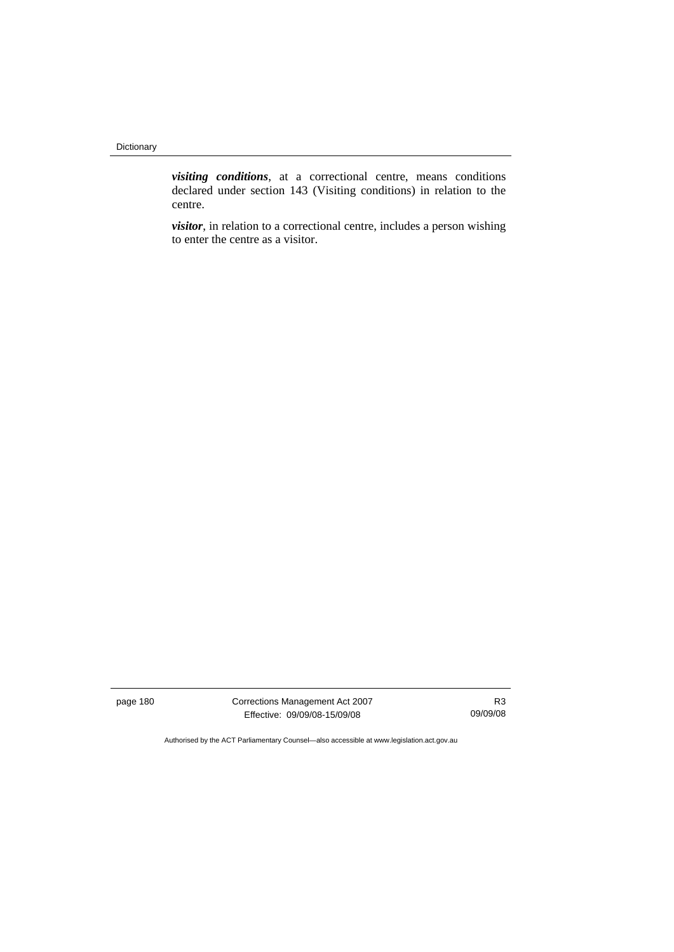*visiting conditions*, at a correctional centre, means conditions declared under section 143 (Visiting conditions) in relation to the centre.

*visitor*, in relation to a correctional centre, includes a person wishing to enter the centre as a visitor.

page 180 Corrections Management Act 2007 Effective: 09/09/08-15/09/08

R3 09/09/08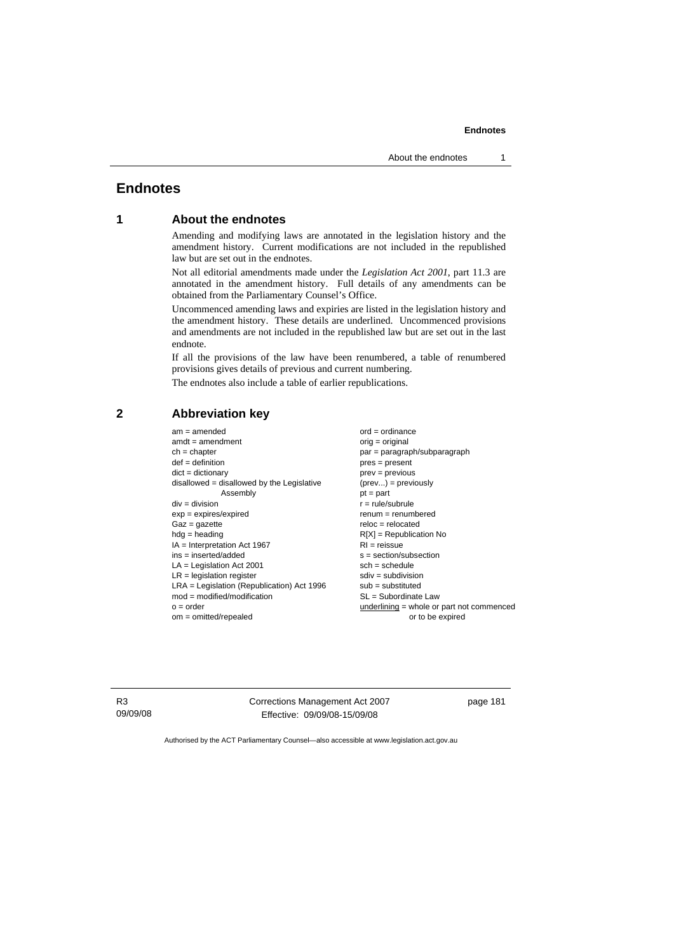#### **1 About the endnotes**

Amending and modifying laws are annotated in the legislation history and the amendment history. Current modifications are not included in the republished law but are set out in the endnotes.

Not all editorial amendments made under the *Legislation Act 2001*, part 11.3 are annotated in the amendment history. Full details of any amendments can be obtained from the Parliamentary Counsel's Office.

Uncommenced amending laws and expiries are listed in the legislation history and the amendment history. These details are underlined. Uncommenced provisions and amendments are not included in the republished law but are set out in the last endnote.

If all the provisions of the law have been renumbered, a table of renumbered provisions gives details of previous and current numbering.

The endnotes also include a table of earlier republications.

#### **2 Abbreviation key**

 $am = amended$  ord = ordinance  $amdt = amendment$  orig = original ch = chapter par = paragraph/subparagraph def = definition pres = present dict = dictionary prev = previous disallowed = disallowed by the Legislative  $(prev...) = previously$  $\mathsf{Assemblv}$   $\mathsf{pt} = \mathsf{part}$  $div = div$ ision  $r = rule/subrule$ exp = expires/expired renum = renumbered  $Gaz = qazette$  relocated hdg = heading R[X] = Republication No IA = Interpretation Act 1967 RI = reissue  $ins = insected/added$ <br>  $LA = Leaislation Act 2001$ <br>  $sch = schedule$  $LA =$  Legislation Act 2001  $LR =$  legislation register set of  $s$  and  $s$  sdiv = subdivision LRA = Legislation (Republication) Act 1996 sub = substituted mod = modified/modification SL = Subordinate Law o = order underlining = whole or part not commenced om = omitted/repealed or to be expired

R3 09/09/08 Corrections Management Act 2007 Effective: 09/09/08-15/09/08

page 181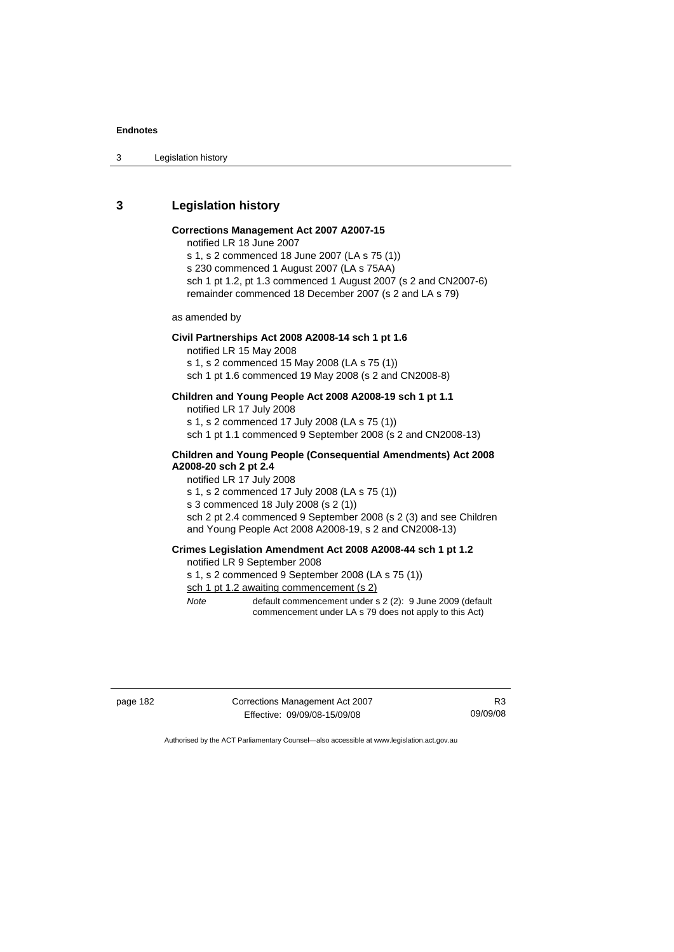3 Legislation history

#### **3 Legislation history**

#### **Corrections Management Act 2007 A2007-15**

notified LR 18 June 2007

s 1, s 2 commenced 18 June 2007 (LA s 75 (1)) s 230 commenced 1 August 2007 (LA s 75AA) sch 1 pt 1.2, pt 1.3 commenced 1 August 2007 (s 2 and CN2007-6) remainder commenced 18 December 2007 (s 2 and LA s 79)

as amended by

## **Civil Partnerships Act 2008 A2008-14 sch 1 pt 1.6**

notified LR 15 May 2008 s 1, s 2 commenced 15 May 2008 (LA s 75 (1))

sch 1 pt 1.6 commenced 19 May 2008 (s 2 and CN2008-8)

#### **Children and Young People Act 2008 A2008-19 sch 1 pt 1.1**

notified LR 17 July 2008

s 1, s 2 commenced 17 July 2008 (LA s 75 (1))

sch 1 pt 1.1 commenced 9 September 2008 (s 2 and CN2008-13)

#### **Children and Young People (Consequential Amendments) Act 2008 A2008-20 sch 2 pt 2.4**

notified LR 17 July 2008

s 1, s 2 commenced 17 July 2008 (LA s 75 (1))

s 3 commenced 18 July 2008 (s 2 (1))

sch 2 pt 2.4 commenced 9 September 2008 (s 2 (3) and see Children and Young People Act 2008 A2008-19, s 2 and CN2008-13)

### **Crimes Legislation Amendment Act 2008 A2008-44 sch 1 pt 1.2**

#### notified LR 9 September 2008

s 1, s 2 commenced 9 September 2008 (LA s 75 (1))

sch 1 pt 1.2 awaiting commencement (s 2)

*Note* default commencement under s 2 (2): 9 June 2009 (default commencement under LA s 79 does not apply to this Act)

page 182 Corrections Management Act 2007 Effective: 09/09/08-15/09/08

R3 09/09/08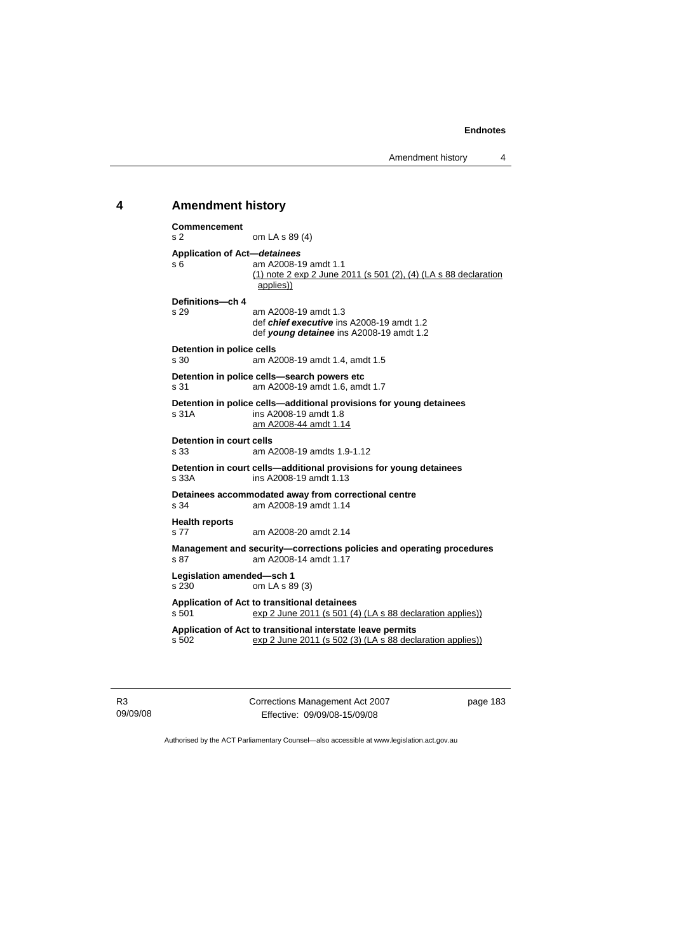Amendment history 4

#### **4 Amendment history**

```
Commencement 
s 2 om LA s 89 (4) 
Application of Act—detainees
                  am A2008-19 amdt 1.1
                   (1) note 2 exp 2 June 2011 (s 501 (2), (4) (LA s 88 declaration 
                   applies))
Definitions—ch 4 
                  am A2008-19 amdt 1.3
                   def chief executive ins A2008-19 amdt 1.2 
                   def young detainee ins A2008-19 amdt 1.2 
Detention in police cells<br>
s 30 am A2
                  am A2008-19 amdt 1.4, amdt 1.5
Detention in police cells—search powers etc 
s 31 am A2008-19 amdt 1.6, amdt 1.7 
Detention in police cells—additional provisions for young detainees 
s 31A ins A2008-19 amdt 1.8 
                   am A2008-44 amdt 1.14
Detention in court cells<br>s 33 am A
                  am A2008-19 amdts 1.9-1.12
Detention in court cells—additional provisions for young detainees 
s 33A ins A2008-19 amdt 1.13 
Detainees accommodated away from correctional centre 
                  am A2008-19 amdt 1.14
Health reports 
s 77 am A2008-20 amdt 2.14 
Management and security—corrections policies and operating procedures s 87 am A2008-14 amdt 1.17
                  am A2008-14 amdt 1.17
Legislation amended—sch 1 
s 230 om LA s 89 (3) 
Application of Act to transitional detainees 
\frac{1}{2} s 501 exp 2 June 2011 (s 501 (4) (LA s 88 declaration applies))
Application of Act to transitional interstate leave permits 
s 502 exp 2 June 2011 (s 502 (3) (LA s 88 declaration applies))
```
R3 09/09/08 Corrections Management Act 2007 Effective: 09/09/08-15/09/08

page 183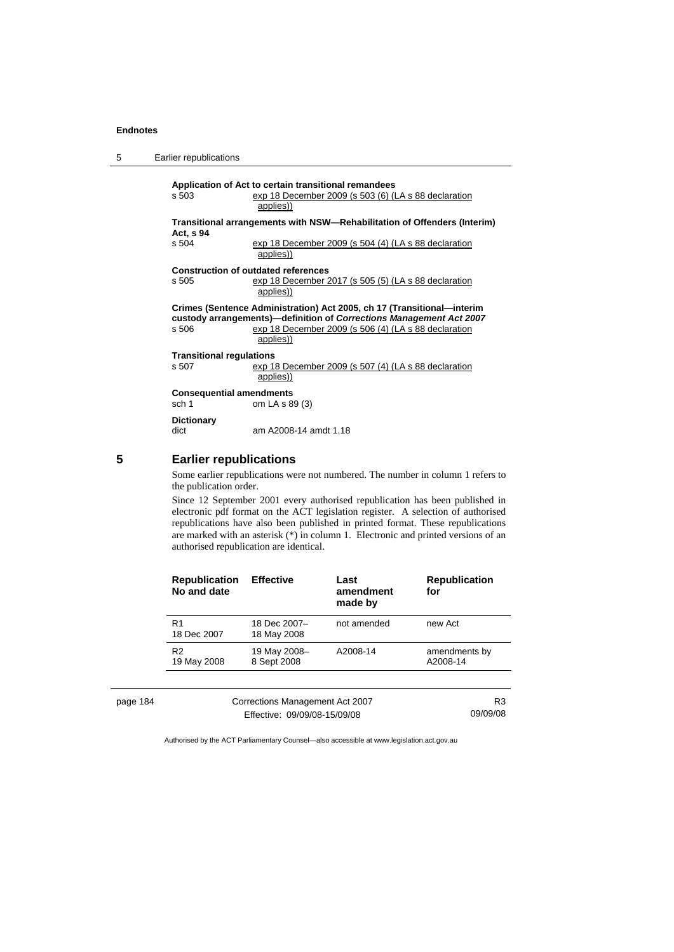| 5 | Earlier republications                   |                                                                                                                                                                                                                    |
|---|------------------------------------------|--------------------------------------------------------------------------------------------------------------------------------------------------------------------------------------------------------------------|
|   | s, 503                                   | Application of Act to certain transitional remandees<br>exp 18 December 2009 (s 503 (6) (LA s 88 declaration<br>applies))                                                                                          |
|   |                                          | Transitional arrangements with NSW—Rehabilitation of Offenders (Interim)                                                                                                                                           |
|   | Act, s 94<br>s 504                       | exp 18 December 2009 (s 504 (4) (LA s 88 declaration<br>applies))                                                                                                                                                  |
|   | s 505                                    | <b>Construction of outdated references</b><br>exp 18 December 2017 (s 505 (5) (LA s 88 declaration<br>applies))                                                                                                    |
|   | s 506                                    | Crimes (Sentence Administration) Act 2005, ch 17 (Transitional—interim<br>custody arrangements)—definition of Corrections Management Act 2007<br>exp 18 December 2009 (s 506 (4) (LA s 88 declaration<br>applies)) |
|   | <b>Transitional regulations</b><br>s 507 | exp 18 December 2009 (s 507 (4) (LA s 88 declaration<br>applies))                                                                                                                                                  |
|   | <b>Consequential amendments</b><br>sch 1 | om LA s 89 (3)                                                                                                                                                                                                     |
|   | <b>Dictionary</b><br>dict                | am A2008-14 amdt 1.18                                                                                                                                                                                              |

## **5 Earlier republications**

Some earlier republications were not numbered. The number in column 1 refers to the publication order.

Since 12 September 2001 every authorised republication has been published in electronic pdf format on the ACT legislation register. A selection of authorised republications have also been published in printed format. These republications are marked with an asterisk (\*) in column 1. Electronic and printed versions of an authorised republication are identical.

| <b>Republication</b><br>No and date | <b>Effective</b>            | Last<br>amendment<br>made by | <b>Republication</b><br>for |
|-------------------------------------|-----------------------------|------------------------------|-----------------------------|
| R <sub>1</sub><br>18 Dec 2007       | 18 Dec 2007-<br>18 May 2008 | not amended                  | new Act                     |
| R <sub>2</sub><br>19 May 2008       | 19 May 2008-<br>8 Sept 2008 | A2008-14                     | amendments by<br>A2008-14   |

page 184

| Corrections Management Act 2007 | R <sub>3</sub> |
|---------------------------------|----------------|
| Effective: 09/09/08-15/09/08    | 09/09/08       |